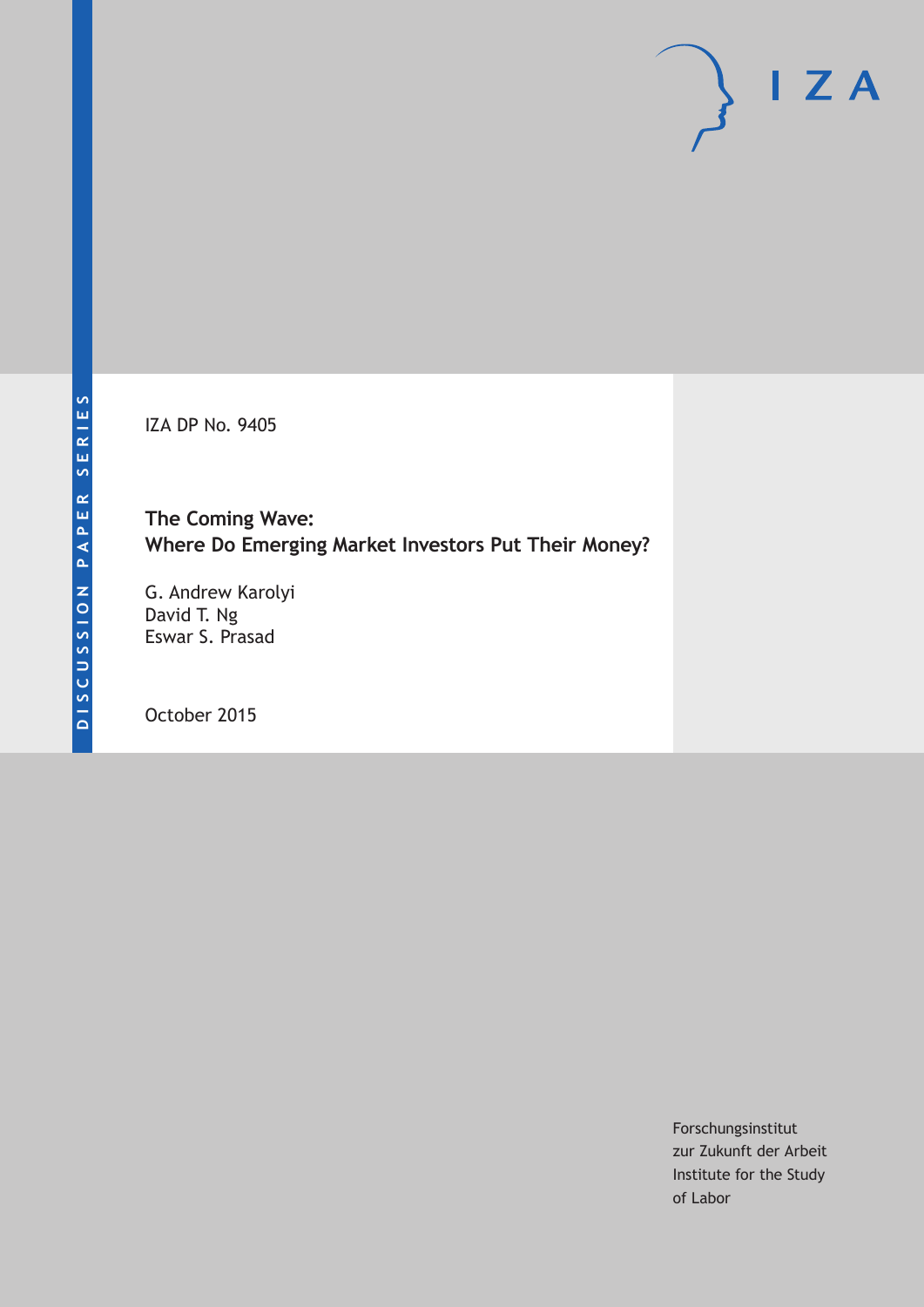IZA DP No. 9405

**The Coming Wave: Where Do Emerging Market Investors Put Their Money?**

G. Andrew Karolyi David T. Ng Eswar S. Prasad

October 2015

Forschungsinstitut zur Zukunft der Arbeit Institute for the Study of Labor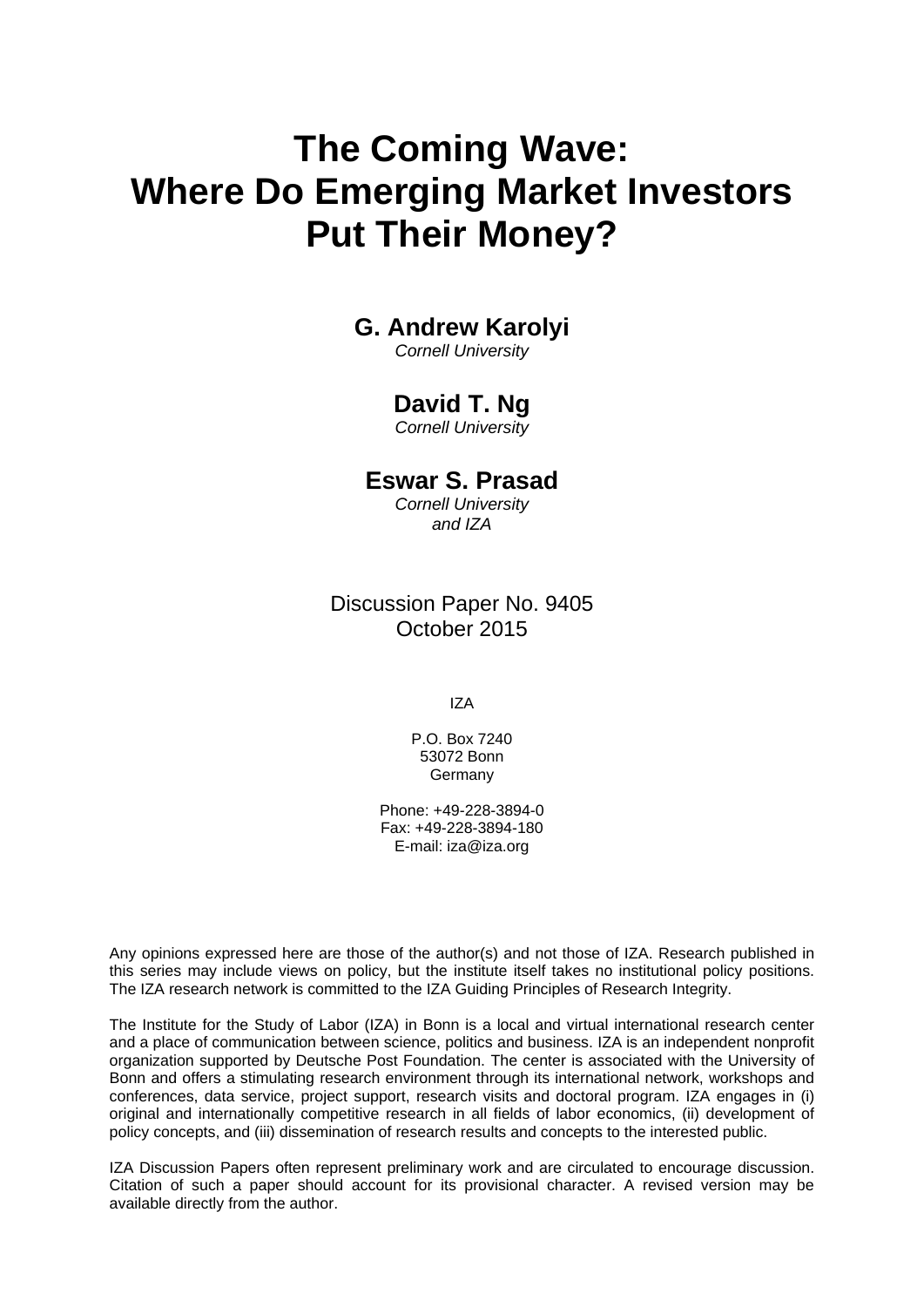# **The Coming Wave: Where Do Emerging Market Investors Put Their Money?**

### **G. Andrew Karolyi**

*Cornell University* 

### **David T. Ng**

*Cornell University* 

### **Eswar S. Prasad**

*Cornell University and IZA*

Discussion Paper No. 9405 October 2015

IZA

P.O. Box 7240 53072 Bonn Germany

Phone: +49-228-3894-0 Fax: +49-228-3894-180 E-mail: iza@iza.org

Any opinions expressed here are those of the author(s) and not those of IZA. Research published in this series may include views on policy, but the institute itself takes no institutional policy positions. The IZA research network is committed to the IZA Guiding Principles of Research Integrity.

The Institute for the Study of Labor (IZA) in Bonn is a local and virtual international research center and a place of communication between science, politics and business. IZA is an independent nonprofit organization supported by Deutsche Post Foundation. The center is associated with the University of Bonn and offers a stimulating research environment through its international network, workshops and conferences, data service, project support, research visits and doctoral program. IZA engages in (i) original and internationally competitive research in all fields of labor economics, (ii) development of policy concepts, and (iii) dissemination of research results and concepts to the interested public.

IZA Discussion Papers often represent preliminary work and are circulated to encourage discussion. Citation of such a paper should account for its provisional character. A revised version may be available directly from the author.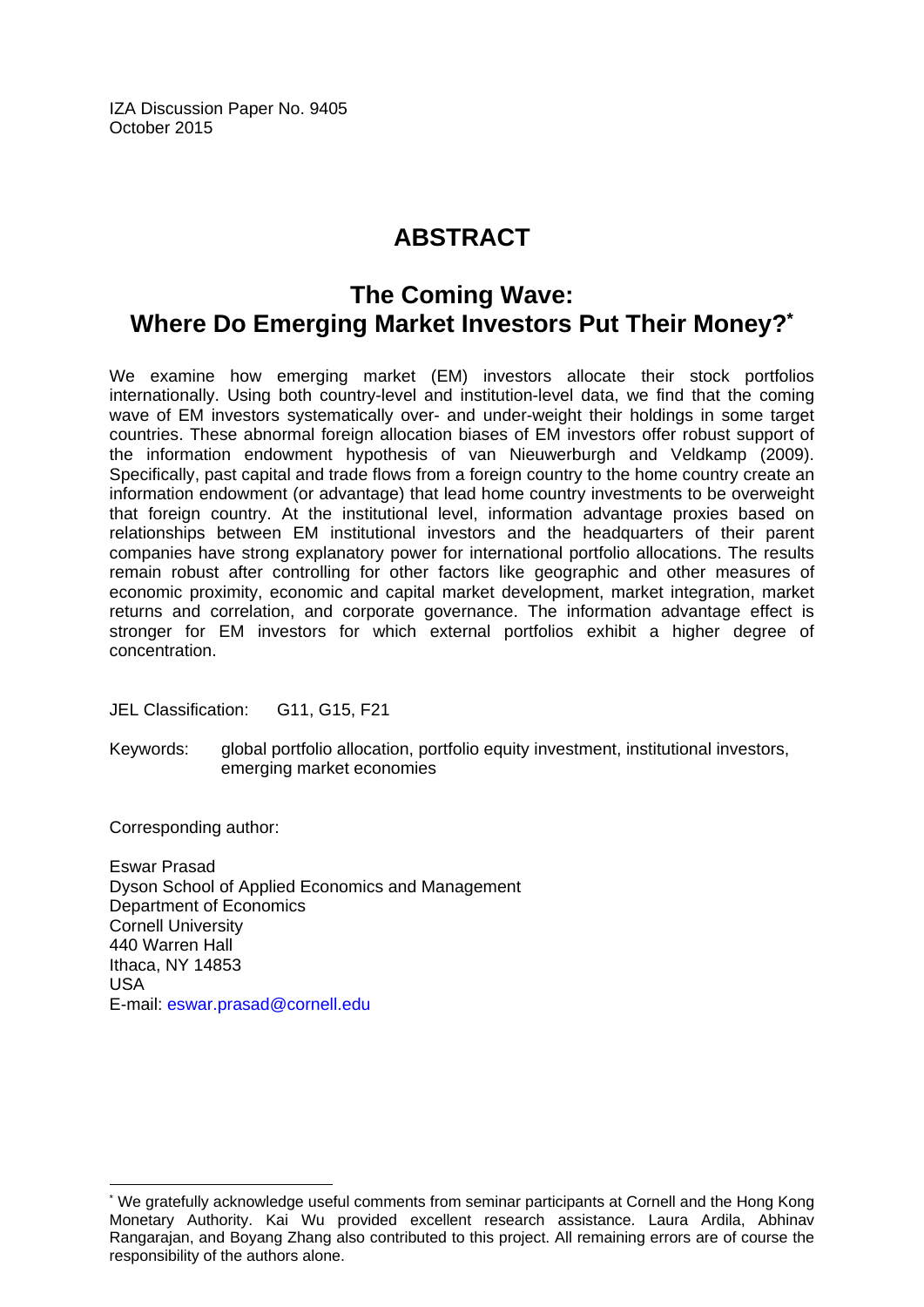IZA Discussion Paper No. 9405 October 2015

# **ABSTRACT**

## **The Coming Wave: Where Do Emerging Market Investors Put Their Money?\***

We examine how emerging market (EM) investors allocate their stock portfolios internationally. Using both country-level and institution-level data, we find that the coming wave of EM investors systematically over- and under-weight their holdings in some target countries. These abnormal foreign allocation biases of EM investors offer robust support of the information endowment hypothesis of van Nieuwerburgh and Veldkamp (2009). Specifically, past capital and trade flows from a foreign country to the home country create an information endowment (or advantage) that lead home country investments to be overweight that foreign country. At the institutional level, information advantage proxies based on relationships between EM institutional investors and the headquarters of their parent companies have strong explanatory power for international portfolio allocations. The results remain robust after controlling for other factors like geographic and other measures of economic proximity, economic and capital market development, market integration, market returns and correlation, and corporate governance. The information advantage effect is stronger for EM investors for which external portfolios exhibit a higher degree of concentration.

JEL Classification: G11, G15, F21

Keywords: global portfolio allocation, portfolio equity investment, institutional investors, emerging market economies

Corresponding author:

 $\overline{a}$ 

Eswar Prasad Dyson School of Applied Economics and Management Department of Economics Cornell University 440 Warren Hall Ithaca, NY 14853 USA E-mail: eswar.prasad@cornell.edu

<sup>\*</sup> We gratefully acknowledge useful comments from seminar participants at Cornell and the Hong Kong Monetary Authority. Kai Wu provided excellent research assistance. Laura Ardila, Abhinav Rangarajan, and Boyang Zhang also contributed to this project. All remaining errors are of course the responsibility of the authors alone.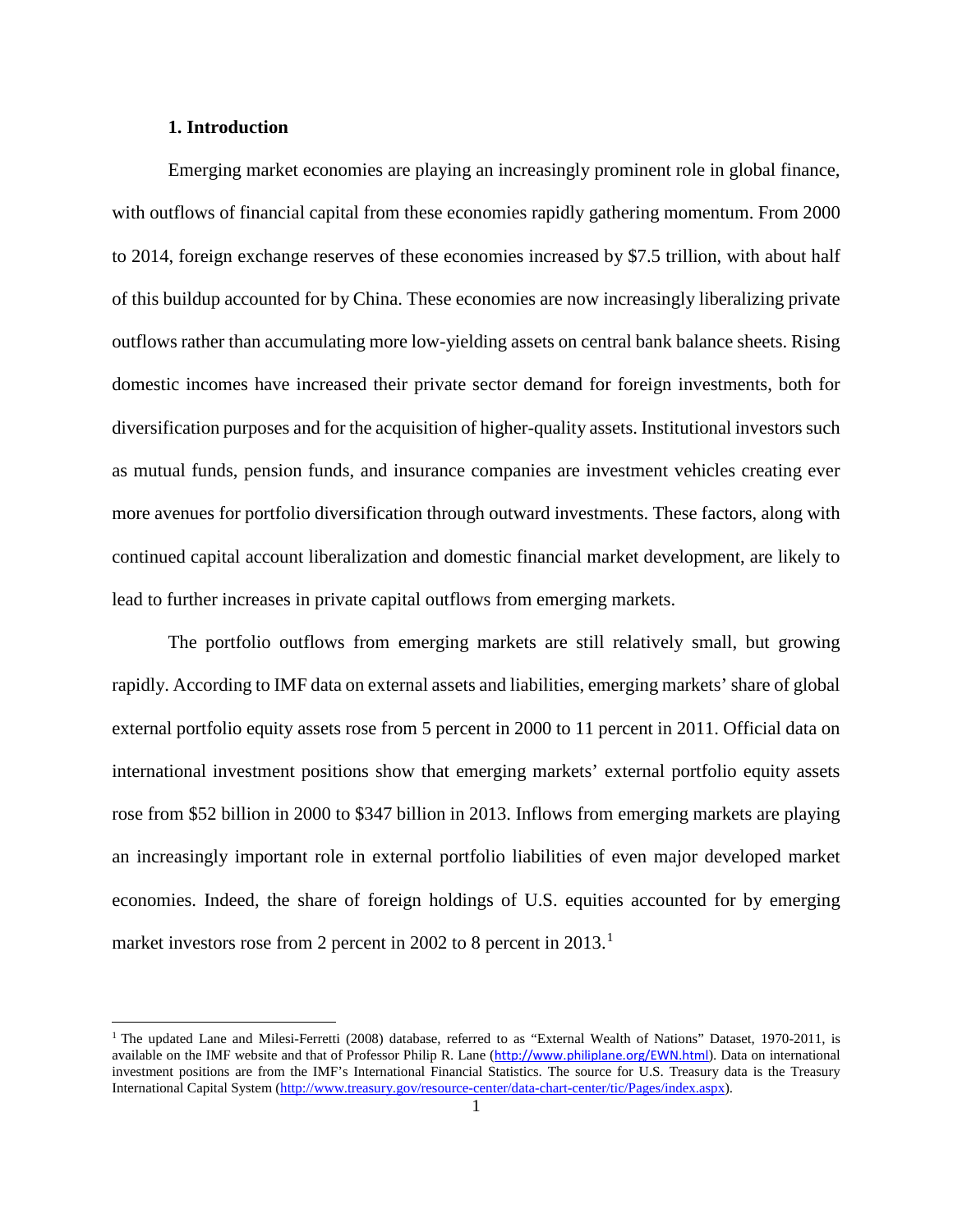### **1. Introduction**

 $\overline{\phantom{a}}$ 

Emerging market economies are playing an increasingly prominent role in global finance, with outflows of financial capital from these economies rapidly gathering momentum. From 2000 to 2014, foreign exchange reserves of these economies increased by \$7.5 trillion, with about half of this buildup accounted for by China. These economies are now increasingly liberalizing private outflows rather than accumulating more low-yielding assets on central bank balance sheets. Rising domestic incomes have increased their private sector demand for foreign investments, both for diversification purposes and for the acquisition of higher-quality assets. Institutional investors such as mutual funds, pension funds, and insurance companies are investment vehicles creating ever more avenues for portfolio diversification through outward investments. These factors, along with continued capital account liberalization and domestic financial market development, are likely to lead to further increases in private capital outflows from emerging markets.

The portfolio outflows from emerging markets are still relatively small, but growing rapidly. According to IMF data on external assets and liabilities, emerging markets' share of global external portfolio equity assets rose from 5 percent in 2000 to 11 percent in 2011. Official data on international investment positions show that emerging markets' external portfolio equity assets rose from \$52 billion in 2000 to \$347 billion in 2013. Inflows from emerging markets are playing an increasingly important role in external portfolio liabilities of even major developed market economies. Indeed, the share of foreign holdings of U.S. equities accounted for by emerging market investors rose from 2 percent in 2002 to 8 percent in  $2013$  $2013$  $2013$ <sup>1</sup>

<span id="page-3-0"></span><sup>&</sup>lt;sup>1</sup> The updated Lane and Milesi-Ferretti (2008) database, referred to as "External Wealth of Nations" Dataset, 1970-2011, is available on the IMF website and that of Professor Philip R. Lane (<http://www.philiplane.org/EWN.html>). Data on international investment positions are from the IMF's International Financial Statistics. The source for U.S. Treasury data is the Treasury International Capital System [\(http://www.treasury.gov/resource-center/data-chart-center/tic/Pages/index.aspx\)](http://www.treasury.gov/resource-center/data-chart-center/tic/Pages/index.aspx).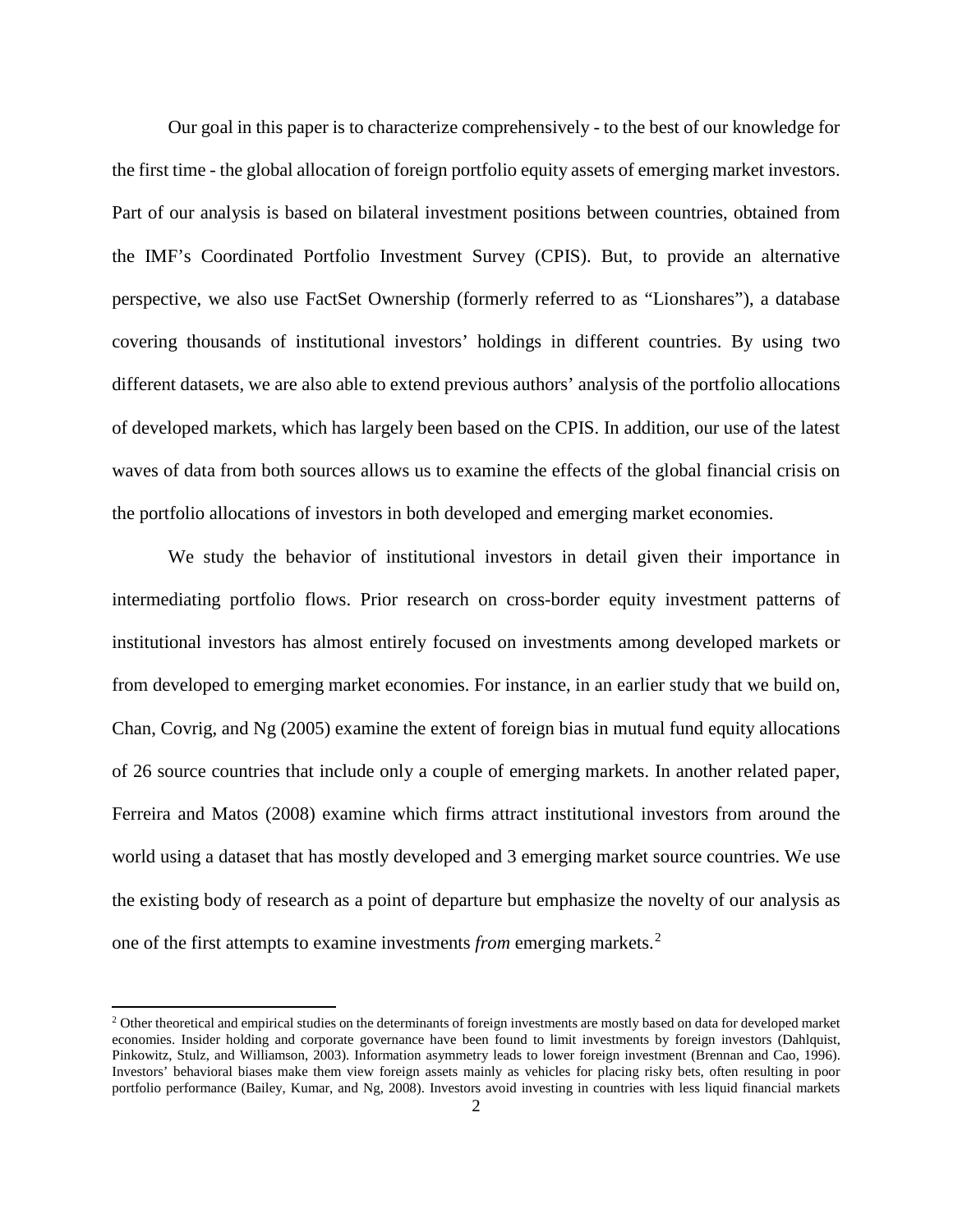Our goal in this paper is to characterize comprehensively - to the best of our knowledge for the first time - the global allocation of foreign portfolio equity assets of emerging market investors. Part of our analysis is based on bilateral investment positions between countries, obtained from the IMF's Coordinated Portfolio Investment Survey (CPIS). But, to provide an alternative perspective, we also use FactSet Ownership (formerly referred to as "Lionshares"), a database covering thousands of institutional investors' holdings in different countries. By using two different datasets, we are also able to extend previous authors' analysis of the portfolio allocations of developed markets, which has largely been based on the CPIS. In addition, our use of the latest waves of data from both sources allows us to examine the effects of the global financial crisis on the portfolio allocations of investors in both developed and emerging market economies.

We study the behavior of institutional investors in detail given their importance in intermediating portfolio flows. Prior research on cross-border equity investment patterns of institutional investors has almost entirely focused on investments among developed markets or from developed to emerging market economies. For instance, in an earlier study that we build on, Chan, Covrig, and Ng (2005) examine the extent of foreign bias in mutual fund equity allocations of 26 source countries that include only a couple of emerging markets. In another related paper, Ferreira and Matos (2008) examine which firms attract institutional investors from around the world using a dataset that has mostly developed and 3 emerging market source countries. We use the existing body of research as a point of departure but emphasize the novelty of our analysis as one of the first attempts to examine investments *from* emerging markets.[2](#page-4-0)

 $\overline{\phantom{a}}$ 

<span id="page-4-0"></span><sup>&</sup>lt;sup>2</sup> Other theoretical and empirical studies on the determinants of foreign investments are mostly based on data for developed market economies. Insider holding and corporate governance have been found to limit investments by foreign investors (Dahlquist, Pinkowitz, Stulz, and Williamson, 2003). Information asymmetry leads to lower foreign investment (Brennan and Cao, 1996). Investors' behavioral biases make them view foreign assets mainly as vehicles for placing risky bets, often resulting in poor portfolio performance (Bailey, Kumar, and Ng, 2008). Investors avoid investing in countries with less liquid financial markets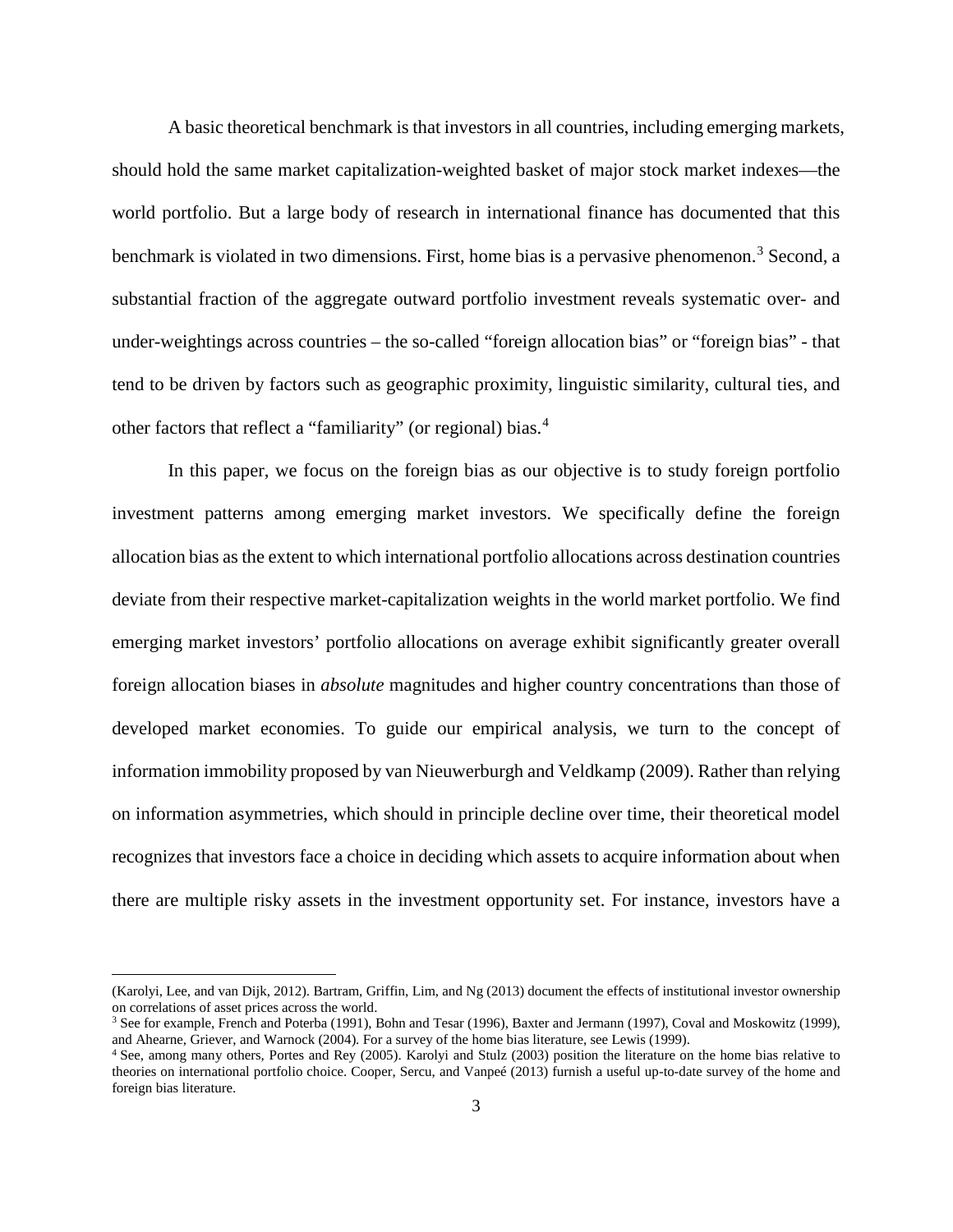A basic theoretical benchmark is that investors in all countries, including emerging markets, should hold the same market capitalization-weighted basket of major stock market indexes—the world portfolio. But a large body of research in international finance has documented that this benchmark is violated in two dimensions. First, home bias is a pervasive phenomenon.<sup>[3](#page-5-0)</sup> Second, a substantial fraction of the aggregate outward portfolio investment reveals systematic over- and under-weightings across countries – the so-called "foreign allocation bias" or "foreign bias" - that tend to be driven by factors such as geographic proximity, linguistic similarity, cultural ties, and other factors that reflect a "familiarity" (or regional) bias.[4](#page-5-1)

In this paper, we focus on the foreign bias as our objective is to study foreign portfolio investment patterns among emerging market investors. We specifically define the foreign allocation bias as the extent to which international portfolio allocations across destination countries deviate from their respective market-capitalization weights in the world market portfolio. We find emerging market investors' portfolio allocations on average exhibit significantly greater overall foreign allocation biases in *absolute* magnitudes and higher country concentrations than those of developed market economies. To guide our empirical analysis, we turn to the concept of information immobility proposed by van Nieuwerburgh and Veldkamp (2009). Rather than relying on information asymmetries, which should in principle decline over time, their theoretical model recognizes that investors face a choice in deciding which assets to acquire information about when there are multiple risky assets in the investment opportunity set. For instance, investors have a

l

<sup>(</sup>Karolyi, Lee, and van Dijk, 2012). Bartram, Griffin, Lim, and Ng (2013) document the effects of institutional investor ownership on correlations of asset prices across the world.

<span id="page-5-0"></span><sup>3</sup> See for example, French and Poterba (1991), Bohn and Tesar (1996), Baxter and Jermann (1997), Coval and Moskowitz (1999), and Ahearne, Griever, and Warnock (2004). For a survey of the home bias literature, see Lewis (1999).

<span id="page-5-1"></span><sup>4</sup> See, among many others, Portes and Rey (2005). Karolyi and Stulz (2003) position the literature on the home bias relative to theories on international portfolio choice. Cooper, Sercu, and Vanpeé (2013) furnish a useful up-to-date survey of the home and foreign bias literature.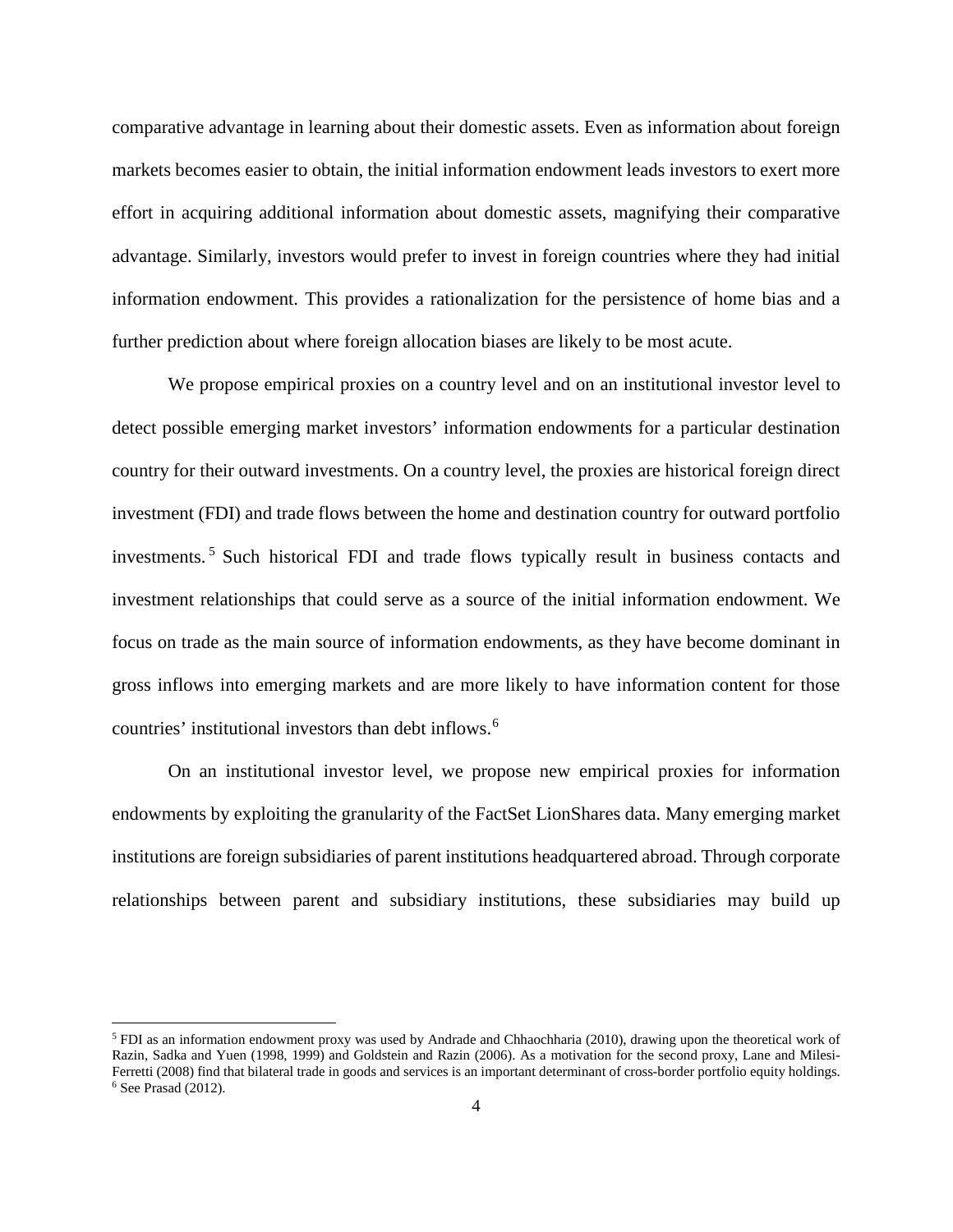comparative advantage in learning about their domestic assets. Even as information about foreign markets becomes easier to obtain, the initial information endowment leads investors to exert more effort in acquiring additional information about domestic assets, magnifying their comparative advantage. Similarly, investors would prefer to invest in foreign countries where they had initial information endowment. This provides a rationalization for the persistence of home bias and a further prediction about where foreign allocation biases are likely to be most acute.

We propose empirical proxies on a country level and on an institutional investor level to detect possible emerging market investors' information endowments for a particular destination country for their outward investments. On a country level, the proxies are historical foreign direct investment (FDI) and trade flows between the home and destination country for outward portfolio investments. [5](#page-6-0) Such historical FDI and trade flows typically result in business contacts and investment relationships that could serve as a source of the initial information endowment. We focus on trade as the main source of information endowments, as they have become dominant in gross inflows into emerging markets and are more likely to have information content for those countries' institutional investors than debt inflows.<sup>[6](#page-6-1)</sup>

On an institutional investor level, we propose new empirical proxies for information endowments by exploiting the granularity of the FactSet LionShares data. Many emerging market institutions are foreign subsidiaries of parent institutions headquartered abroad. Through corporate relationships between parent and subsidiary institutions, these subsidiaries may build up

l

<span id="page-6-1"></span><span id="page-6-0"></span><sup>5</sup> FDI as an information endowment proxy was used by Andrade and Chhaochharia (2010), drawing upon the theoretical work of Razin, Sadka and Yuen (1998, 1999) and Goldstein and Razin (2006). As a motivation for the second proxy, Lane and Milesi-Ferretti (2008) find that bilateral trade in goods and services is an important determinant of cross-border portfolio equity holdings.<br><sup>6</sup> See Prasad (2012).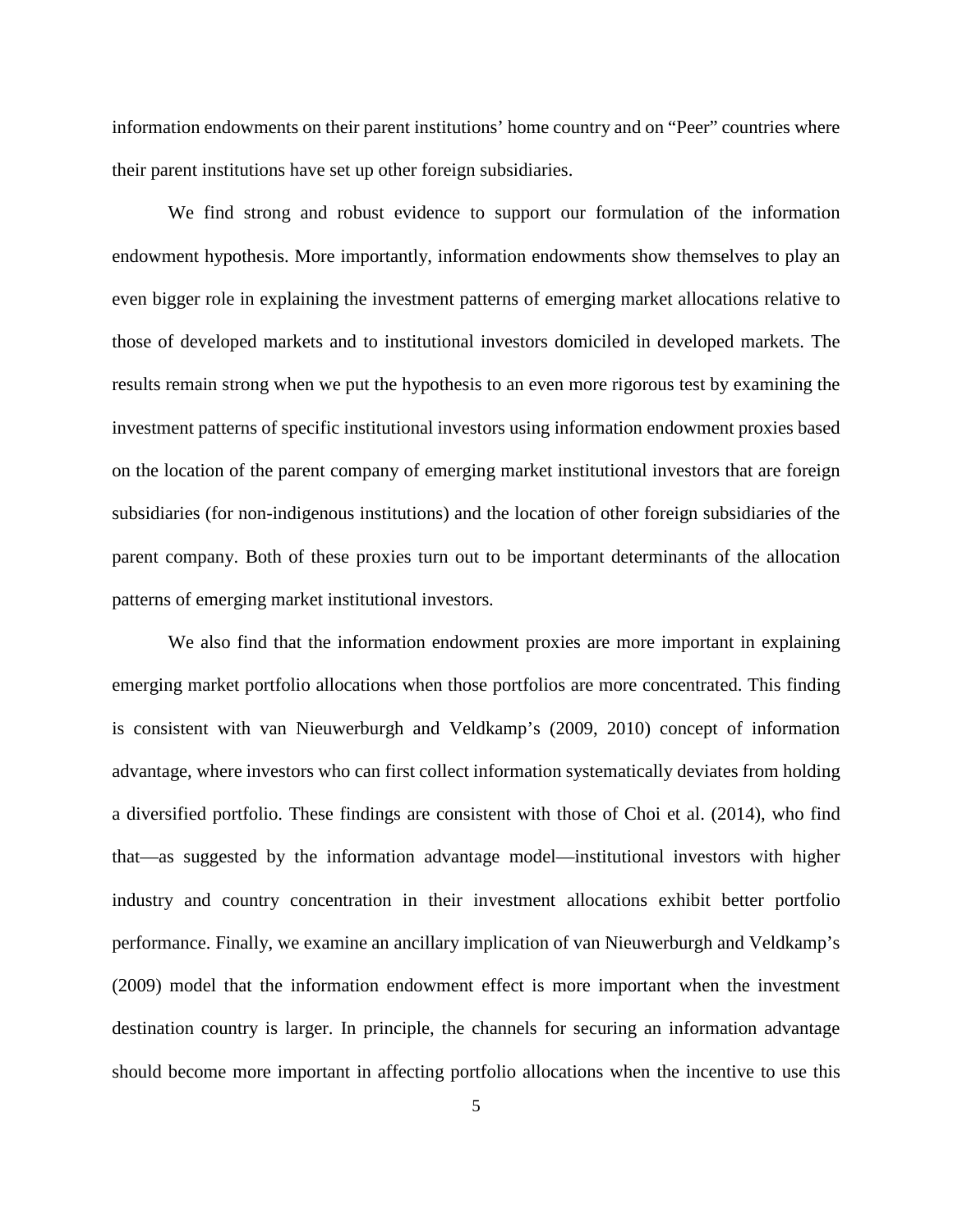information endowments on their parent institutions' home country and on "Peer" countries where their parent institutions have set up other foreign subsidiaries.

We find strong and robust evidence to support our formulation of the information endowment hypothesis. More importantly, information endowments show themselves to play an even bigger role in explaining the investment patterns of emerging market allocations relative to those of developed markets and to institutional investors domiciled in developed markets. The results remain strong when we put the hypothesis to an even more rigorous test by examining the investment patterns of specific institutional investors using information endowment proxies based on the location of the parent company of emerging market institutional investors that are foreign subsidiaries (for non-indigenous institutions) and the location of other foreign subsidiaries of the parent company. Both of these proxies turn out to be important determinants of the allocation patterns of emerging market institutional investors.

We also find that the information endowment proxies are more important in explaining emerging market portfolio allocations when those portfolios are more concentrated. This finding is consistent with van Nieuwerburgh and Veldkamp's (2009, 2010) concept of information advantage, where investors who can first collect information systematically deviates from holding a diversified portfolio. These findings are consistent with those of Choi et al. (2014), who find that—as suggested by the information advantage model—institutional investors with higher industry and country concentration in their investment allocations exhibit better portfolio performance. Finally, we examine an ancillary implication of van Nieuwerburgh and Veldkamp's (2009) model that the information endowment effect is more important when the investment destination country is larger. In principle, the channels for securing an information advantage should become more important in affecting portfolio allocations when the incentive to use this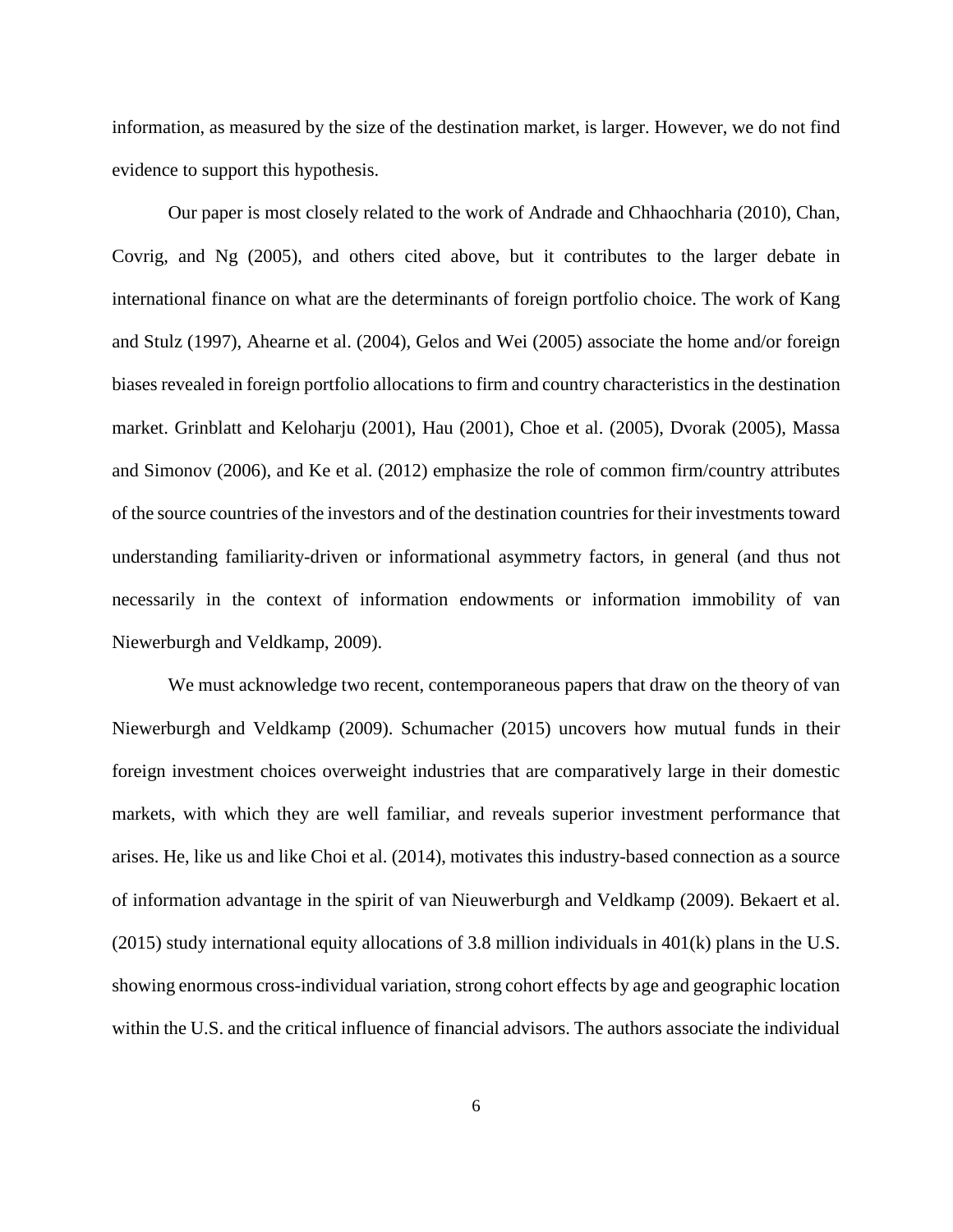information, as measured by the size of the destination market, is larger. However, we do not find evidence to support this hypothesis.

Our paper is most closely related to the work of Andrade and Chhaochharia (2010), Chan, Covrig, and Ng (2005), and others cited above, but it contributes to the larger debate in international finance on what are the determinants of foreign portfolio choice. The work of Kang and Stulz (1997), Ahearne et al. (2004), Gelos and Wei (2005) associate the home and/or foreign biases revealed in foreign portfolio allocations to firm and country characteristics in the destination market. Grinblatt and Keloharju (2001), Hau (2001), Choe et al. (2005), Dvorak (2005), Massa and Simonov (2006), and Ke et al. (2012) emphasize the role of common firm/country attributes of the source countries of the investors and of the destination countries for their investments toward understanding familiarity-driven or informational asymmetry factors, in general (and thus not necessarily in the context of information endowments or information immobility of van Niewerburgh and Veldkamp, 2009).

We must acknowledge two recent, contemporaneous papers that draw on the theory of van Niewerburgh and Veldkamp (2009). Schumacher (2015) uncovers how mutual funds in their foreign investment choices overweight industries that are comparatively large in their domestic markets, with which they are well familiar, and reveals superior investment performance that arises. He, like us and like Choi et al. (2014), motivates this industry-based connection as a source of information advantage in the spirit of van Nieuwerburgh and Veldkamp (2009). Bekaert et al. (2015) study international equity allocations of 3.8 million individuals in 401(k) plans in the U.S. showing enormous cross-individual variation, strong cohort effects by age and geographic location within the U.S. and the critical influence of financial advisors. The authors associate the individual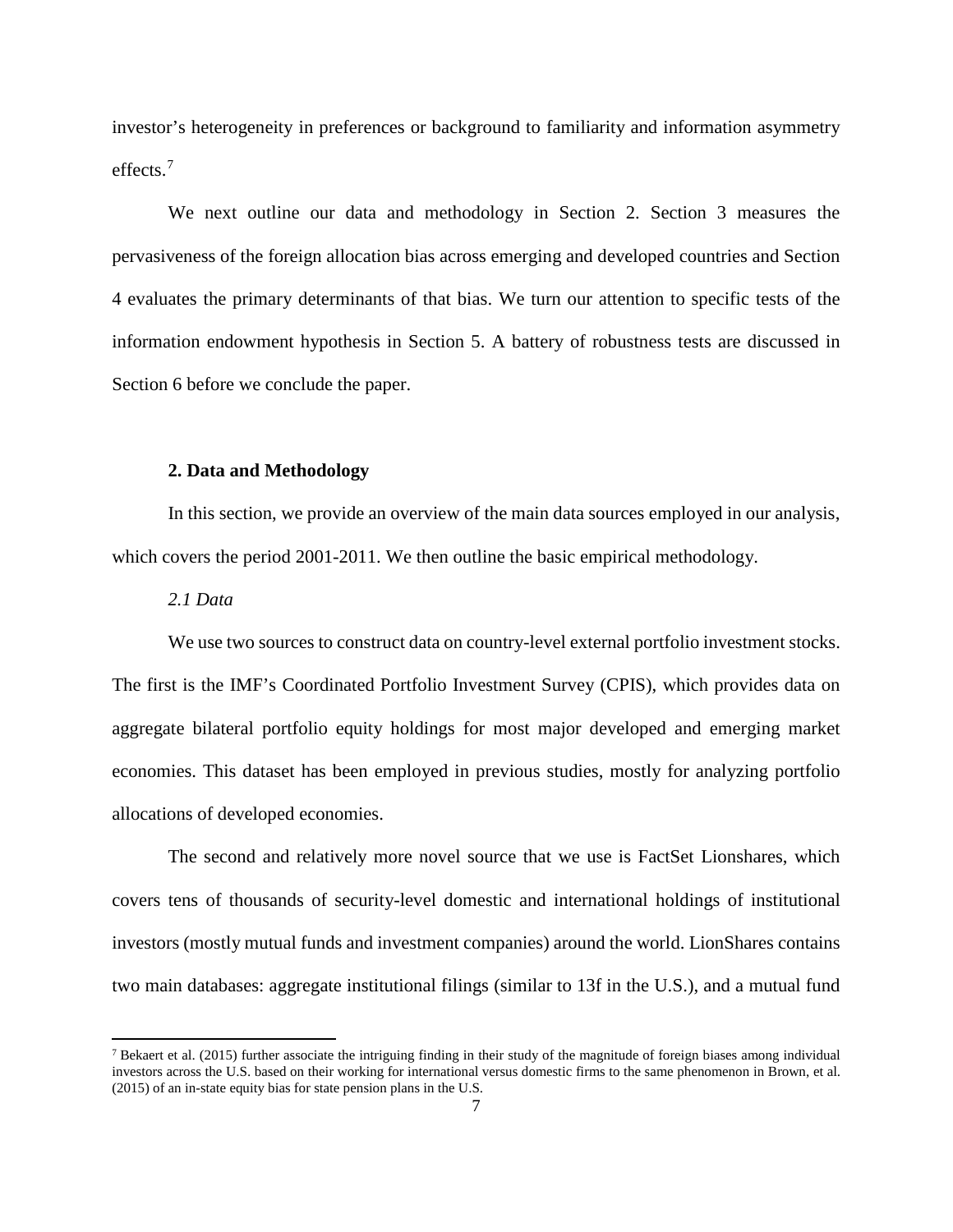investor's heterogeneity in preferences or background to familiarity and information asymmetry effects.[7](#page-9-0)

We next outline our data and methodology in Section 2. Section 3 measures the pervasiveness of the foreign allocation bias across emerging and developed countries and Section 4 evaluates the primary determinants of that bias. We turn our attention to specific tests of the information endowment hypothesis in Section 5. A battery of robustness tests are discussed in Section 6 before we conclude the paper.

#### **2. Data and Methodology**

In this section, we provide an overview of the main data sources employed in our analysis, which covers the period 2001-2011. We then outline the basic empirical methodology.

#### *2.1 Data*

 $\overline{\phantom{a}}$ 

We use two sources to construct data on country-level external portfolio investment stocks. The first is the IMF's Coordinated Portfolio Investment Survey (CPIS), which provides data on aggregate bilateral portfolio equity holdings for most major developed and emerging market economies. This dataset has been employed in previous studies, mostly for analyzing portfolio allocations of developed economies.

The second and relatively more novel source that we use is FactSet Lionshares, which covers tens of thousands of security-level domestic and international holdings of institutional investors (mostly mutual funds and investment companies) around the world. LionShares contains two main databases: aggregate institutional filings (similar to 13f in the U.S.), and a mutual fund

<span id="page-9-0"></span><sup>&</sup>lt;sup>7</sup> Bekaert et al. (2015) further associate the intriguing finding in their study of the magnitude of foreign biases among individual investors across the U.S. based on their working for international versus domestic firms to the same phenomenon in Brown, et al. (2015) of an in-state equity bias for state pension plans in the U.S.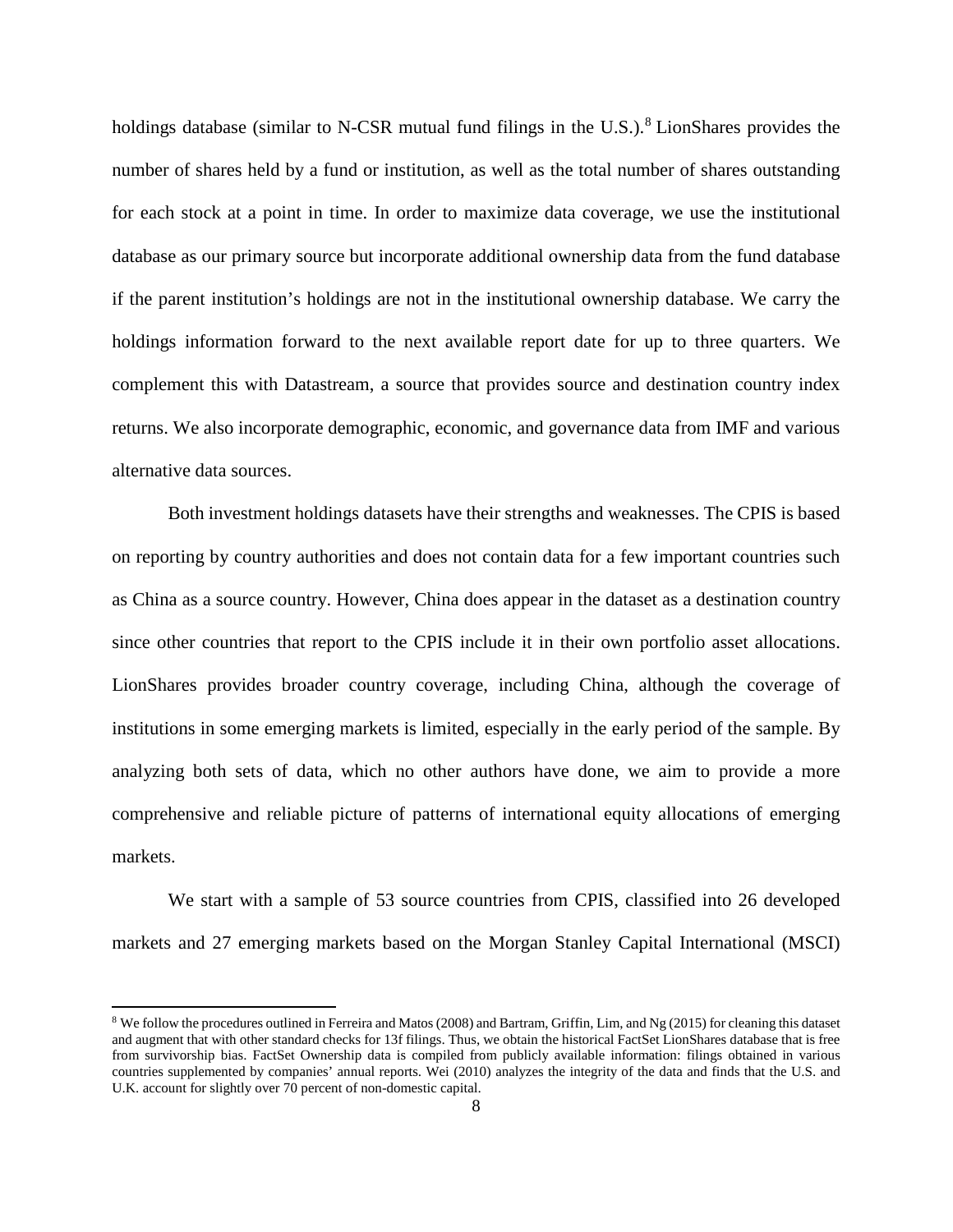holdings database (similar to N-CSR mutual fund filings in the U.S.).<sup>[8](#page-10-0)</sup> LionShares provides the number of shares held by a fund or institution, as well as the total number of shares outstanding for each stock at a point in time. In order to maximize data coverage, we use the institutional database as our primary source but incorporate additional ownership data from the fund database if the parent institution's holdings are not in the institutional ownership database. We carry the holdings information forward to the next available report date for up to three quarters. We complement this with Datastream, a source that provides source and destination country index returns. We also incorporate demographic, economic, and governance data from IMF and various alternative data sources.

Both investment holdings datasets have their strengths and weaknesses. The CPIS is based on reporting by country authorities and does not contain data for a few important countries such as China as a source country. However, China does appear in the dataset as a destination country since other countries that report to the CPIS include it in their own portfolio asset allocations. LionShares provides broader country coverage, including China, although the coverage of institutions in some emerging markets is limited, especially in the early period of the sample. By analyzing both sets of data, which no other authors have done, we aim to provide a more comprehensive and reliable picture of patterns of international equity allocations of emerging markets.

We start with a sample of 53 source countries from CPIS, classified into 26 developed markets and 27 emerging markets based on the Morgan Stanley Capital International (MSCI)

 $\overline{\phantom{a}}$ 

<span id="page-10-0"></span><sup>8</sup> We follow the procedures outlined in Ferreira and Matos (2008) and Bartram, Griffin, Lim, and Ng (2015) for cleaning this dataset and augment that with other standard checks for 13f filings. Thus, we obtain the historical FactSet LionShares database that is free from survivorship bias. FactSet Ownership data is compiled from publicly available information: filings obtained in various countries supplemented by companies' annual reports. Wei (2010) analyzes the integrity of the data and finds that the U.S. and U.K. account for slightly over 70 percent of non-domestic capital.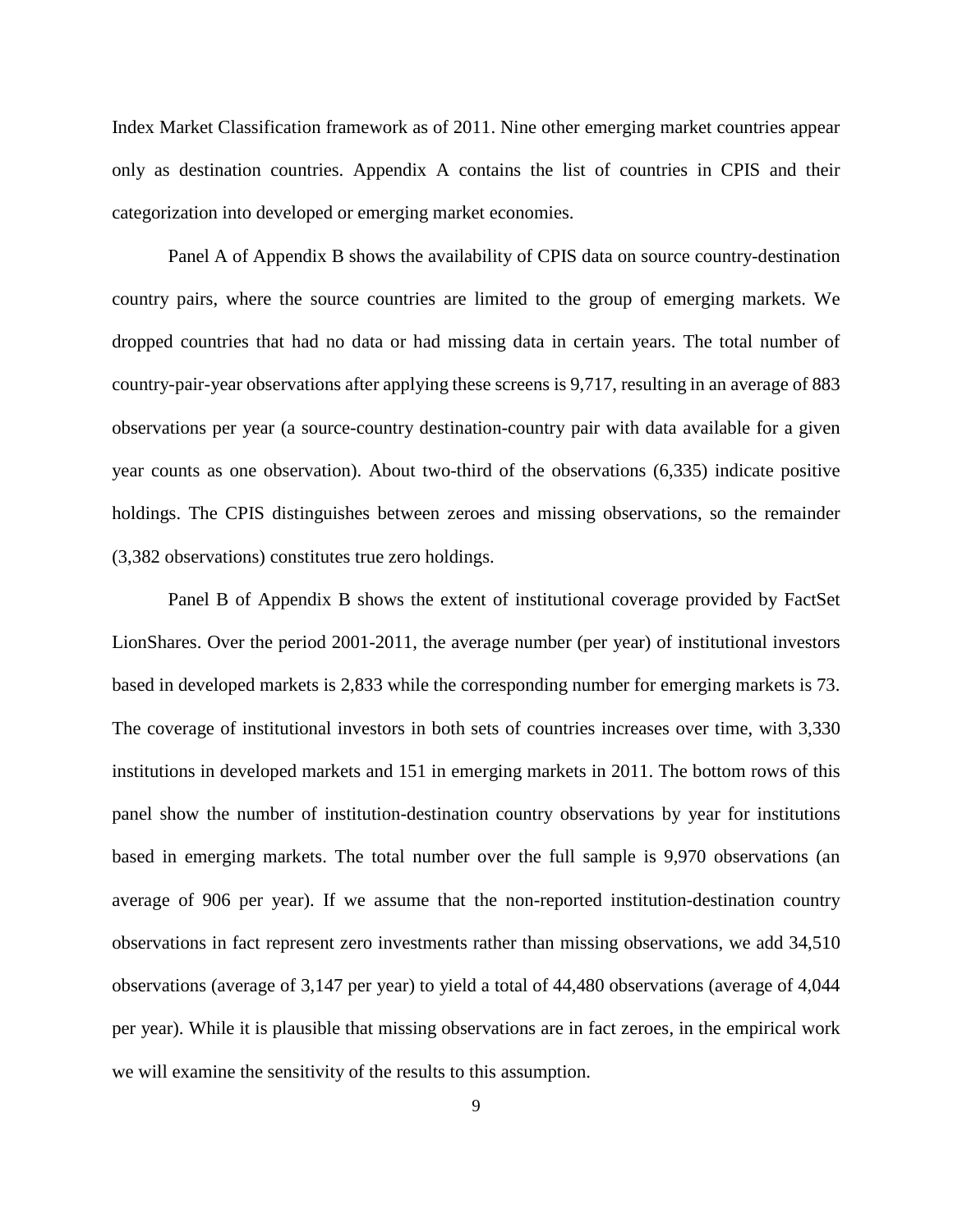Index Market Classification framework as of 2011. Nine other emerging market countries appear only as destination countries. Appendix A contains the list of countries in CPIS and their categorization into developed or emerging market economies.

Panel A of Appendix B shows the availability of CPIS data on source country-destination country pairs, where the source countries are limited to the group of emerging markets. We dropped countries that had no data or had missing data in certain years. The total number of country-pair-year observations after applying these screens is 9,717, resulting in an average of 883 observations per year (a source-country destination-country pair with data available for a given year counts as one observation). About two-third of the observations (6,335) indicate positive holdings. The CPIS distinguishes between zeroes and missing observations, so the remainder (3,382 observations) constitutes true zero holdings.

Panel B of Appendix B shows the extent of institutional coverage provided by FactSet LionShares. Over the period 2001-2011, the average number (per year) of institutional investors based in developed markets is 2,833 while the corresponding number for emerging markets is 73. The coverage of institutional investors in both sets of countries increases over time, with 3,330 institutions in developed markets and 151 in emerging markets in 2011. The bottom rows of this panel show the number of institution-destination country observations by year for institutions based in emerging markets. The total number over the full sample is 9,970 observations (an average of 906 per year). If we assume that the non-reported institution-destination country observations in fact represent zero investments rather than missing observations, we add 34,510 observations (average of 3,147 per year) to yield a total of 44,480 observations (average of 4,044 per year). While it is plausible that missing observations are in fact zeroes, in the empirical work we will examine the sensitivity of the results to this assumption.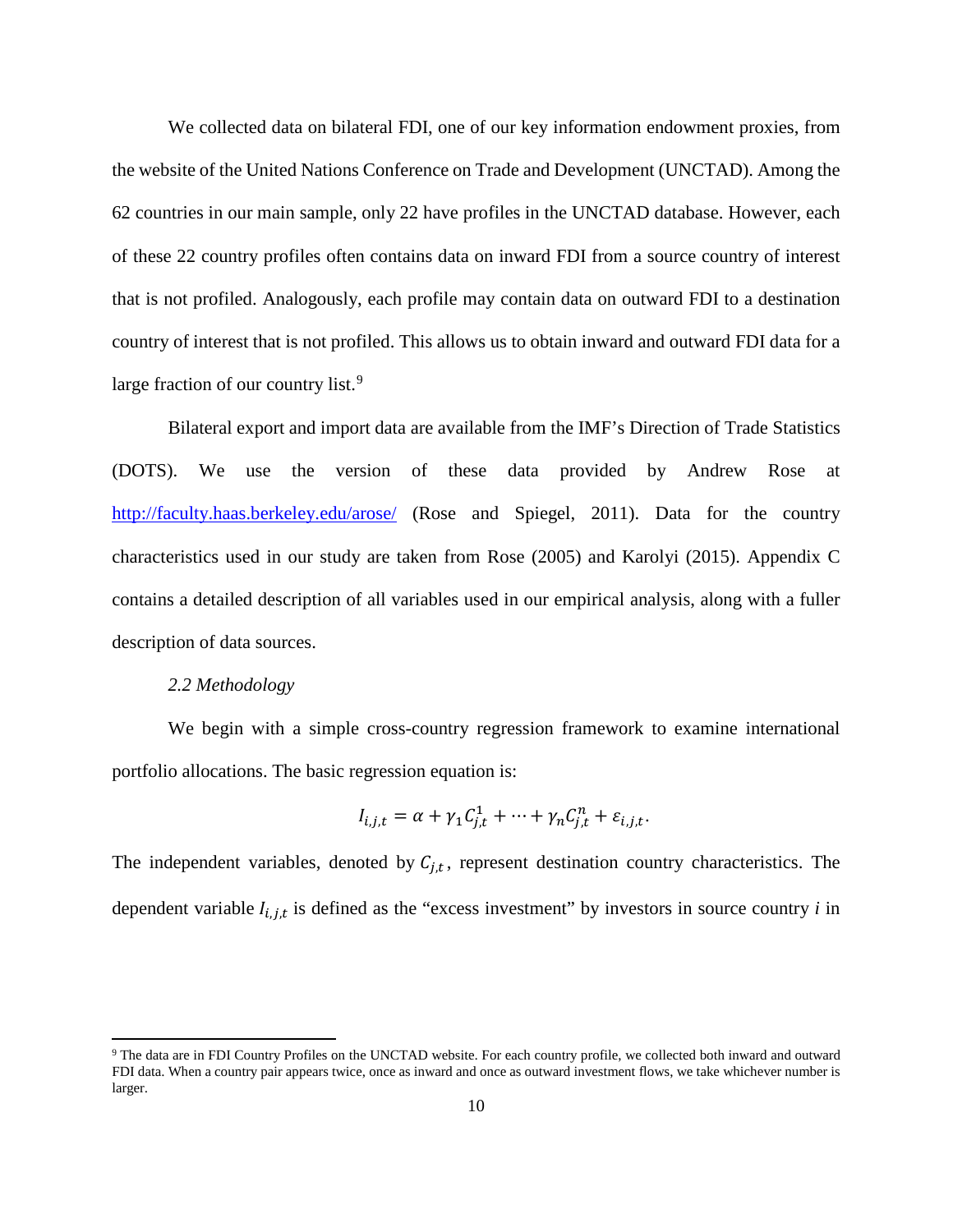We collected data on bilateral FDI, one of our key information endowment proxies, from the website of the United Nations Conference on Trade and Development (UNCTAD). Among the 62 countries in our main sample, only 22 have profiles in the UNCTAD database. However, each of these 22 country profiles often contains data on inward FDI from a source country of interest that is not profiled. Analogously, each profile may contain data on outward FDI to a destination country of interest that is not profiled. This allows us to obtain inward and outward FDI data for a large fraction of our country list.<sup>[9](#page-12-0)</sup>

Bilateral export and import data are available from the IMF's Direction of Trade Statistics (DOTS). We use the version of these data provided by Andrew Rose at <http://faculty.haas.berkeley.edu/arose/> (Rose and Spiegel, 2011). Data for the country characteristics used in our study are taken from Rose (2005) and Karolyi (2015). Appendix C contains a detailed description of all variables used in our empirical analysis, along with a fuller description of data sources.

#### *2.2 Methodology*

 $\overline{\phantom{a}}$ 

We begin with a simple cross-country regression framework to examine international portfolio allocations. The basic regression equation is:

$$
I_{i,j,t} = \alpha + \gamma_1 C_{j,t}^1 + \dots + \gamma_n C_{j,t}^n + \varepsilon_{i,j,t}.
$$

The independent variables, denoted by  $C_{i,t}$ , represent destination country characteristics. The dependent variable  $I_{i,j,t}$  is defined as the "excess investment" by investors in source country  $i$  in

<span id="page-12-0"></span><sup>9</sup> The data are in FDI Country Profiles on the UNCTAD website. For each country profile, we collected both inward and outward FDI data. When a country pair appears twice, once as inward and once as outward investment flows, we take whichever number is larger.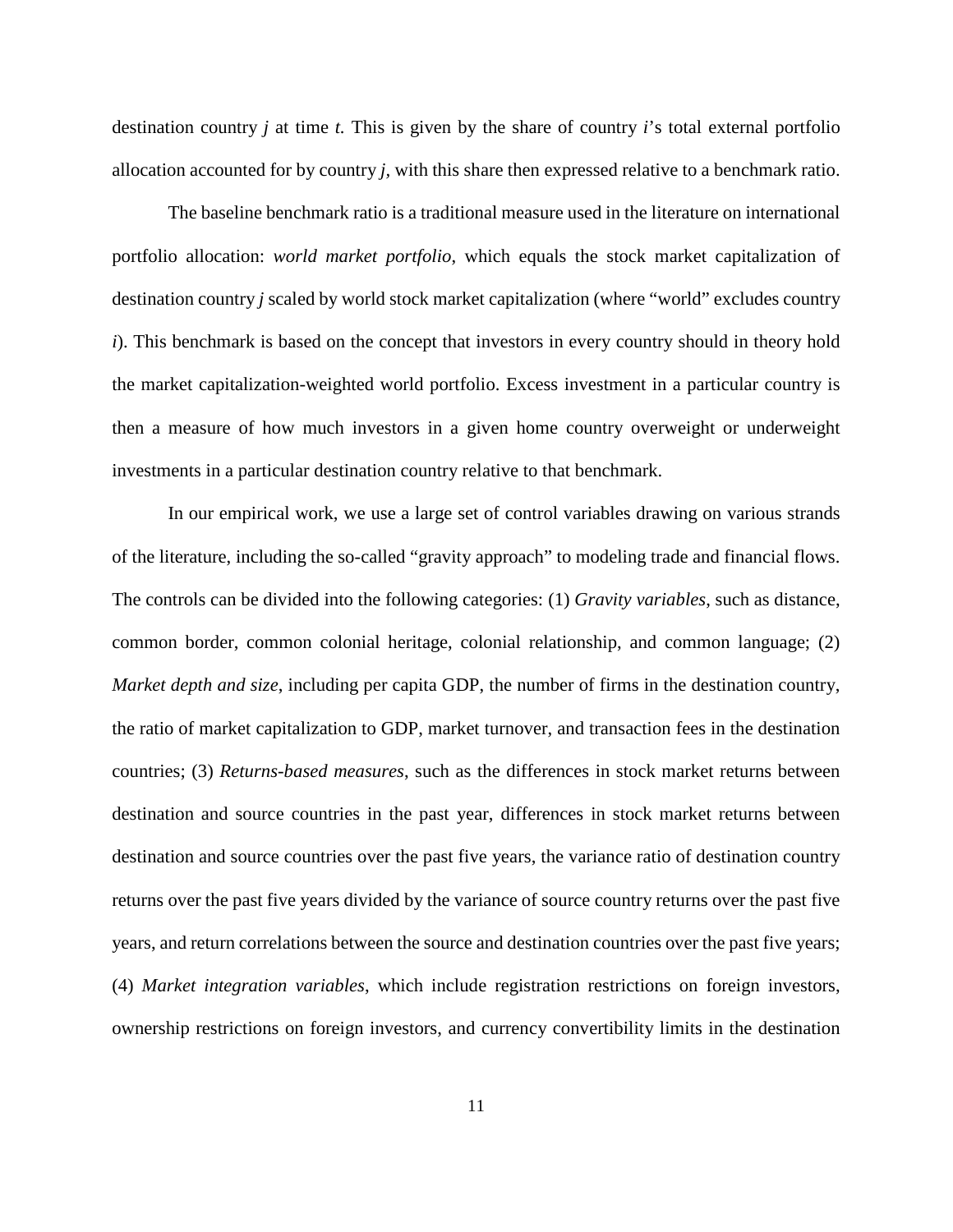destination country *j* at time *t.* This is given by the share of country *i*'s total external portfolio allocation accounted for by country *j,* with this share then expressed relative to a benchmark ratio.

The baseline benchmark ratio is a traditional measure used in the literature on international portfolio allocation: *world market portfolio*, which equals the stock market capitalization of destination country *j* scaled by world stock market capitalization (where "world" excludes country *i*). This benchmark is based on the concept that investors in every country should in theory hold the market capitalization-weighted world portfolio. Excess investment in a particular country is then a measure of how much investors in a given home country overweight or underweight investments in a particular destination country relative to that benchmark.

In our empirical work, we use a large set of control variables drawing on various strands of the literature, including the so-called "gravity approach" to modeling trade and financial flows. The controls can be divided into the following categories: (1) *Gravity variables*, such as distance, common border, common colonial heritage, colonial relationship, and common language; (2) *Market depth and size*, including per capita GDP, the number of firms in the destination country, the ratio of market capitalization to GDP, market turnover, and transaction fees in the destination countries; (3) *Returns-based measures*, such as the differences in stock market returns between destination and source countries in the past year, differences in stock market returns between destination and source countries over the past five years, the variance ratio of destination country returns over the past five years divided by the variance of source country returns over the past five years, and return correlations between the source and destination countries over the past five years; (4) *Market integration variables*, which include registration restrictions on foreign investors, ownership restrictions on foreign investors, and currency convertibility limits in the destination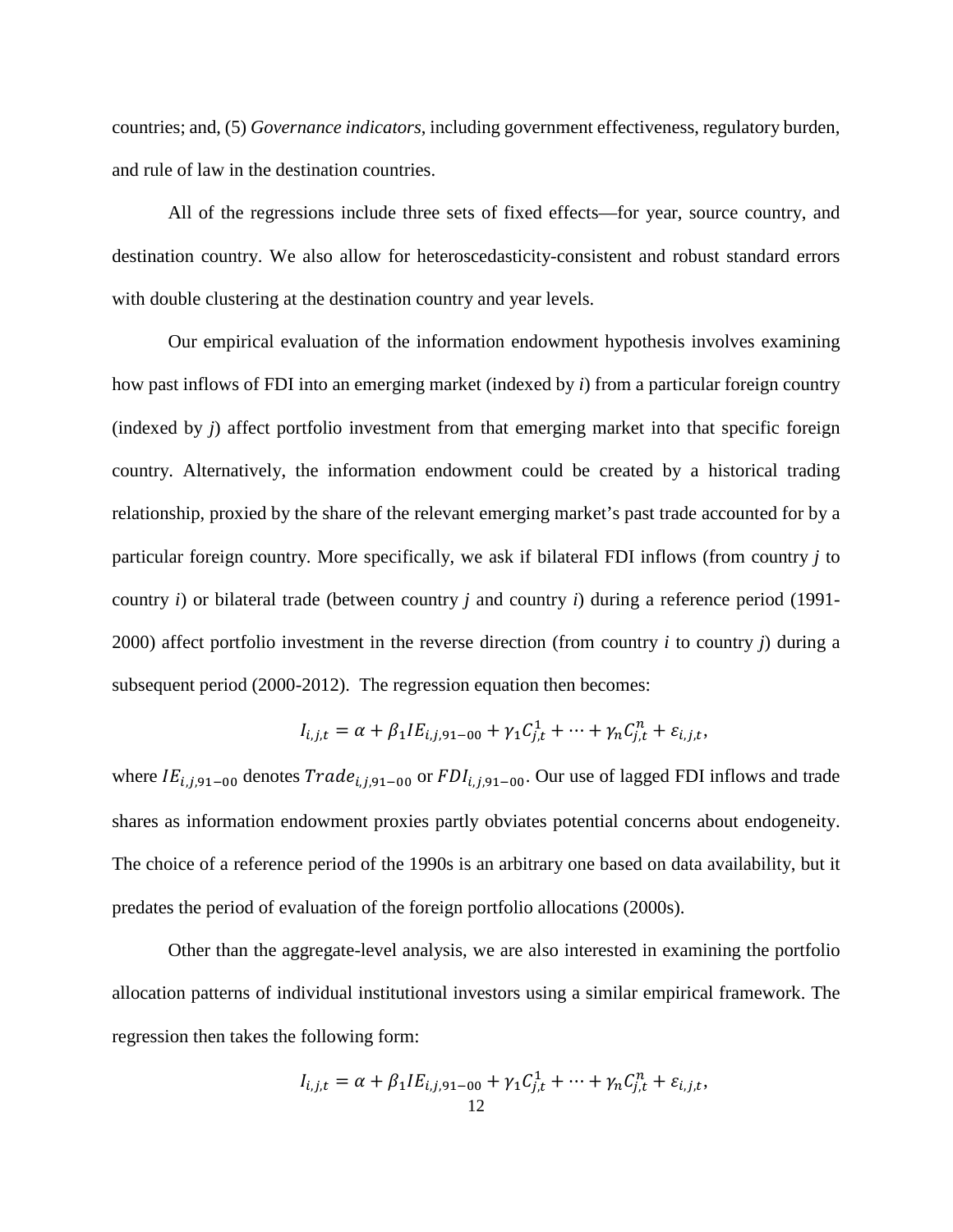countries; and, (5) *Governance indicators*, including government effectiveness, regulatory burden, and rule of law in the destination countries.

All of the regressions include three sets of fixed effects—for year, source country, and destination country. We also allow for heteroscedasticity-consistent and robust standard errors with double clustering at the destination country and year levels.

Our empirical evaluation of the information endowment hypothesis involves examining how past inflows of FDI into an emerging market (indexed by *i*) from a particular foreign country (indexed by *j*) affect portfolio investment from that emerging market into that specific foreign country. Alternatively, the information endowment could be created by a historical trading relationship, proxied by the share of the relevant emerging market's past trade accounted for by a particular foreign country. More specifically, we ask if bilateral FDI inflows (from country *j* to country *i*) or bilateral trade (between country *j* and country *i*) during a reference period (1991- 2000) affect portfolio investment in the reverse direction (from country *i* to country *j*) during a subsequent period (2000-2012). The regression equation then becomes:

$$
I_{i,j,t} = \alpha + \beta_1 I E_{i,j,91-00} + \gamma_1 C_{j,t}^1 + \dots + \gamma_n C_{j,t}^n + \varepsilon_{i,j,t},
$$

where  $IE_{i,i,91-00}$  denotes  $Trade_{i,i,91-00}$  or  $FDI_{i,i,91-00}$ . Our use of lagged FDI inflows and trade shares as information endowment proxies partly obviates potential concerns about endogeneity. The choice of a reference period of the 1990s is an arbitrary one based on data availability, but it predates the period of evaluation of the foreign portfolio allocations (2000s).

Other than the aggregate-level analysis, we are also interested in examining the portfolio allocation patterns of individual institutional investors using a similar empirical framework. The regression then takes the following form:

$$
I_{i,j,t} = \alpha + \beta_1 I E_{i,j,91-00} + \gamma_1 C_{j,t}^1 + \dots + \gamma_n C_{j,t}^n + \varepsilon_{i,j,t},
$$
  
12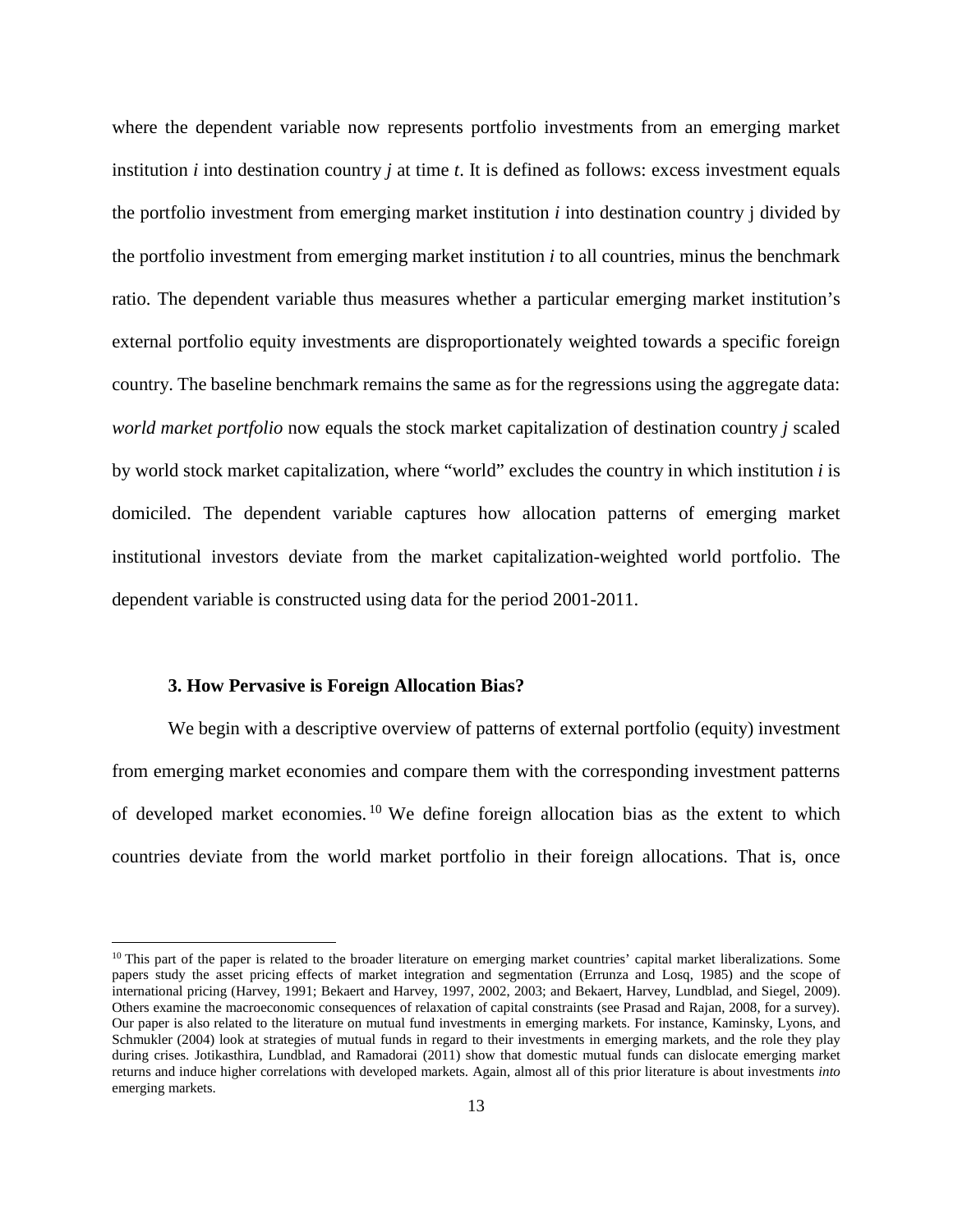where the dependent variable now represents portfolio investments from an emerging market institution *i* into destination country *j* at time *t*. It is defined as follows: excess investment equals the portfolio investment from emerging market institution *i* into destination country j divided by the portfolio investment from emerging market institution *i* to all countries, minus the benchmark ratio. The dependent variable thus measures whether a particular emerging market institution's external portfolio equity investments are disproportionately weighted towards a specific foreign country. The baseline benchmark remains the same as for the regressions using the aggregate data: *world market portfolio* now equals the stock market capitalization of destination country *j* scaled by world stock market capitalization, where "world" excludes the country in which institution *i* is domiciled. The dependent variable captures how allocation patterns of emerging market institutional investors deviate from the market capitalization-weighted world portfolio. The dependent variable is constructed using data for the period 2001-2011.

#### **3. How Pervasive is Foreign Allocation Bias?**

l

We begin with a descriptive overview of patterns of external portfolio (equity) investment from emerging market economies and compare them with the corresponding investment patterns of developed market economies. [10](#page-15-0) We define foreign allocation bias as the extent to which countries deviate from the world market portfolio in their foreign allocations. That is, once

<span id="page-15-0"></span><sup>&</sup>lt;sup>10</sup> This part of the paper is related to the broader literature on emerging market countries' capital market liberalizations. Some papers study the asset pricing effects of market integration and segmentation (Errunza and Losq, 1985) and the scope of international pricing (Harvey, 1991; Bekaert and Harvey, 1997, 2002, 2003; and Bekaert, Harvey, Lundblad, and Siegel, 2009). Others examine the macroeconomic consequences of relaxation of capital constraints (see Prasad and Rajan, 2008, for a survey). Our paper is also related to the literature on mutual fund investments in emerging markets. For instance, Kaminsky, Lyons, and Schmukler (2004) look at strategies of mutual funds in regard to their investments in emerging markets, and the role they play during crises. Jotikasthira, Lundblad, and Ramadorai (2011) show that domestic mutual funds can dislocate emerging market returns and induce higher correlations with developed markets. Again, almost all of this prior literature is about investments *into*  emerging markets.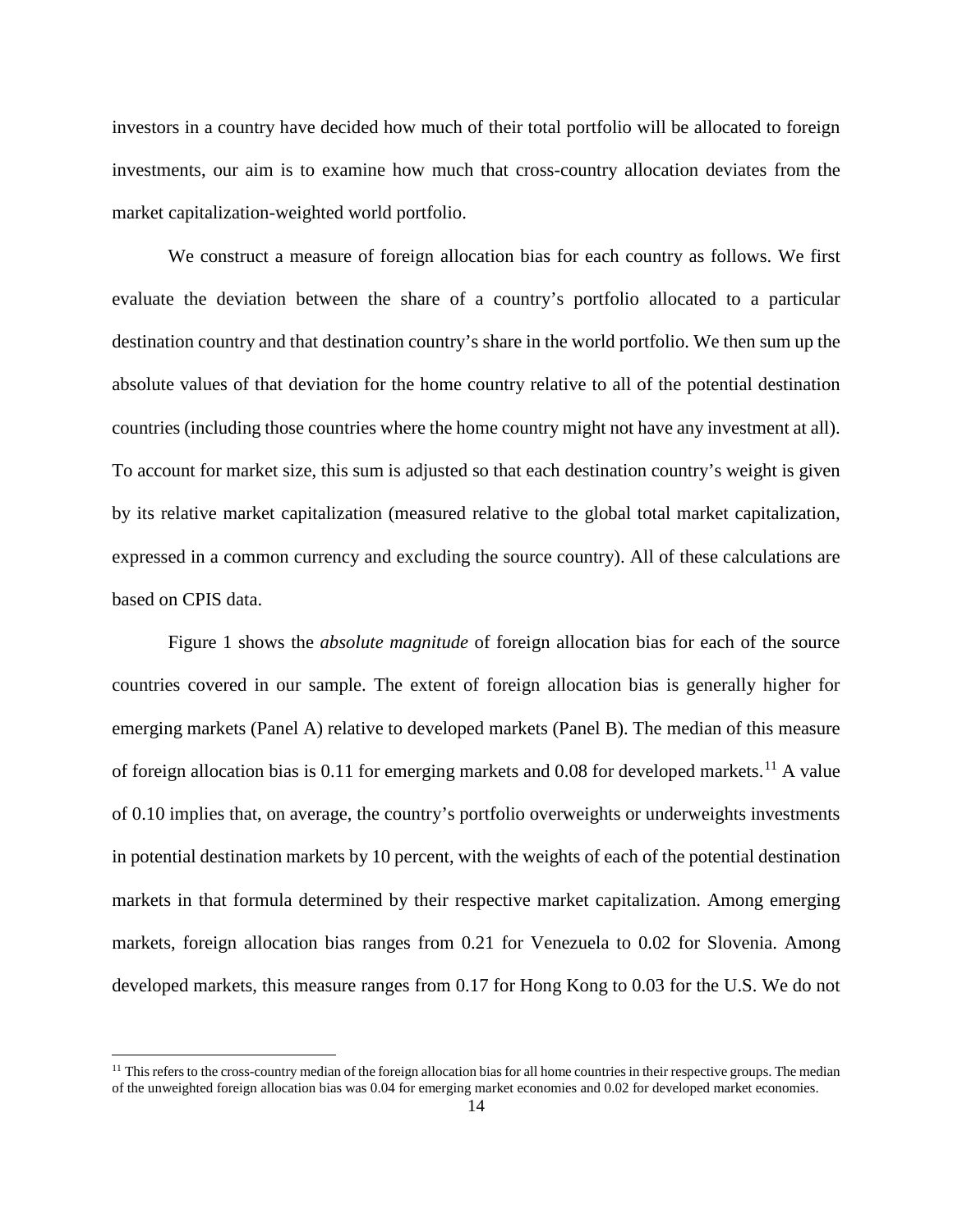investors in a country have decided how much of their total portfolio will be allocated to foreign investments, our aim is to examine how much that cross-country allocation deviates from the market capitalization-weighted world portfolio.

We construct a measure of foreign allocation bias for each country as follows. We first evaluate the deviation between the share of a country's portfolio allocated to a particular destination country and that destination country's share in the world portfolio. We then sum up the absolute values of that deviation for the home country relative to all of the potential destination countries (including those countries where the home country might not have any investment at all). To account for market size, this sum is adjusted so that each destination country's weight is given by its relative market capitalization (measured relative to the global total market capitalization, expressed in a common currency and excluding the source country). All of these calculations are based on CPIS data.

Figure 1 shows the *absolute magnitude* of foreign allocation bias for each of the source countries covered in our sample. The extent of foreign allocation bias is generally higher for emerging markets (Panel A) relative to developed markets (Panel B). The median of this measure of foreign allocation bias is 0.[11](#page-16-0) for emerging markets and 0.08 for developed markets.<sup>11</sup> A value of 0.10 implies that, on average, the country's portfolio overweights or underweights investments in potential destination markets by 10 percent, with the weights of each of the potential destination markets in that formula determined by their respective market capitalization. Among emerging markets, foreign allocation bias ranges from 0.21 for Venezuela to 0.02 for Slovenia. Among developed markets, this measure ranges from 0.17 for Hong Kong to 0.03 for the U.S. We do not

l

<span id="page-16-0"></span><sup>&</sup>lt;sup>11</sup> This refers to the cross-country median of the foreign allocation bias for all home countries in their respective groups. The median of the unweighted foreign allocation bias was 0.04 for emerging market economies and 0.02 for developed market economies.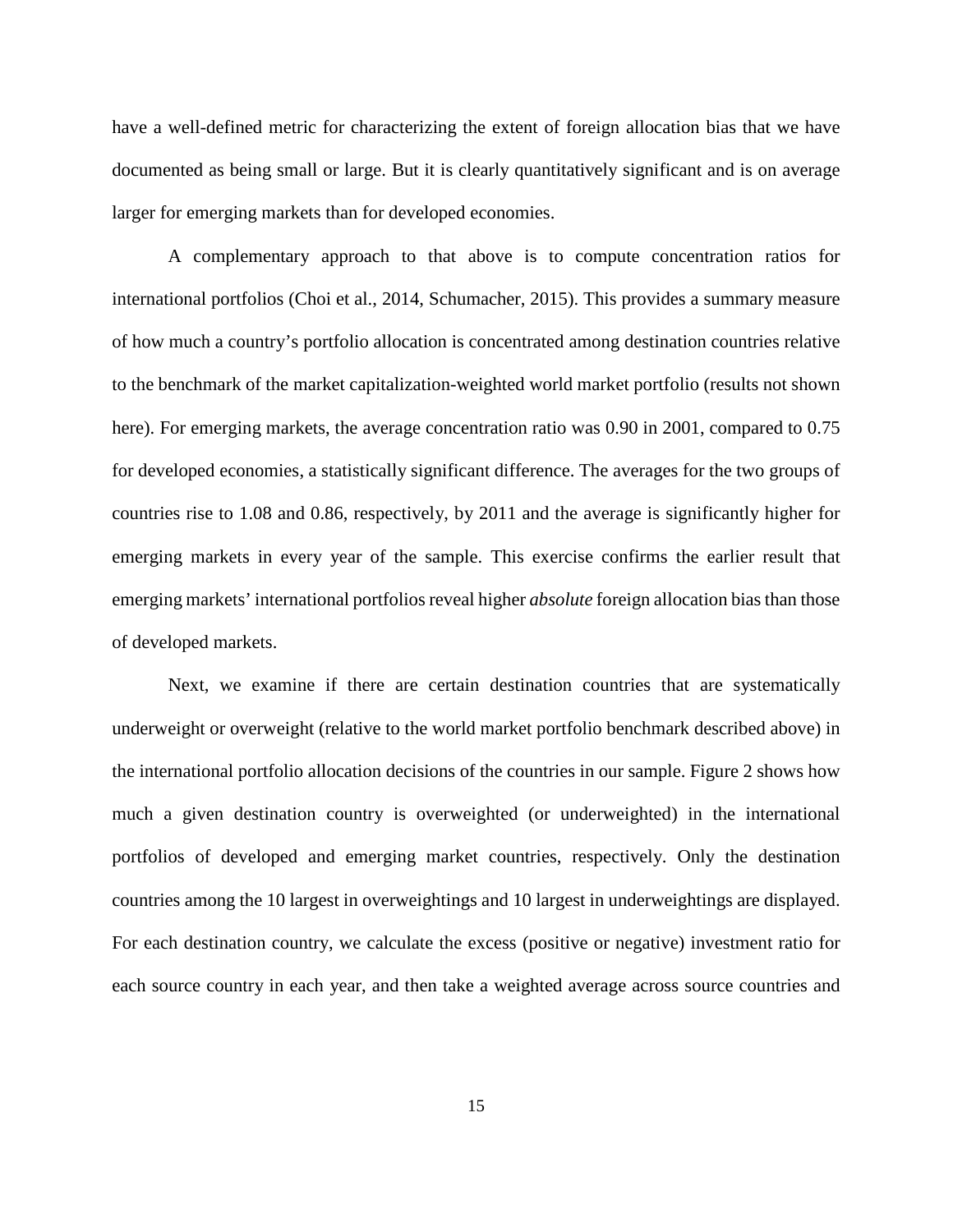have a well-defined metric for characterizing the extent of foreign allocation bias that we have documented as being small or large. But it is clearly quantitatively significant and is on average larger for emerging markets than for developed economies.

A complementary approach to that above is to compute concentration ratios for international portfolios (Choi et al., 2014, Schumacher, 2015). This provides a summary measure of how much a country's portfolio allocation is concentrated among destination countries relative to the benchmark of the market capitalization-weighted world market portfolio (results not shown here). For emerging markets, the average concentration ratio was 0.90 in 2001, compared to 0.75 for developed economies, a statistically significant difference. The averages for the two groups of countries rise to 1.08 and 0.86, respectively, by 2011 and the average is significantly higher for emerging markets in every year of the sample. This exercise confirms the earlier result that emerging markets' international portfolios reveal higher *absolute* foreign allocation bias than those of developed markets.

Next, we examine if there are certain destination countries that are systematically underweight or overweight (relative to the world market portfolio benchmark described above) in the international portfolio allocation decisions of the countries in our sample. Figure 2 shows how much a given destination country is overweighted (or underweighted) in the international portfolios of developed and emerging market countries, respectively. Only the destination countries among the 10 largest in overweightings and 10 largest in underweightings are displayed. For each destination country, we calculate the excess (positive or negative) investment ratio for each source country in each year, and then take a weighted average across source countries and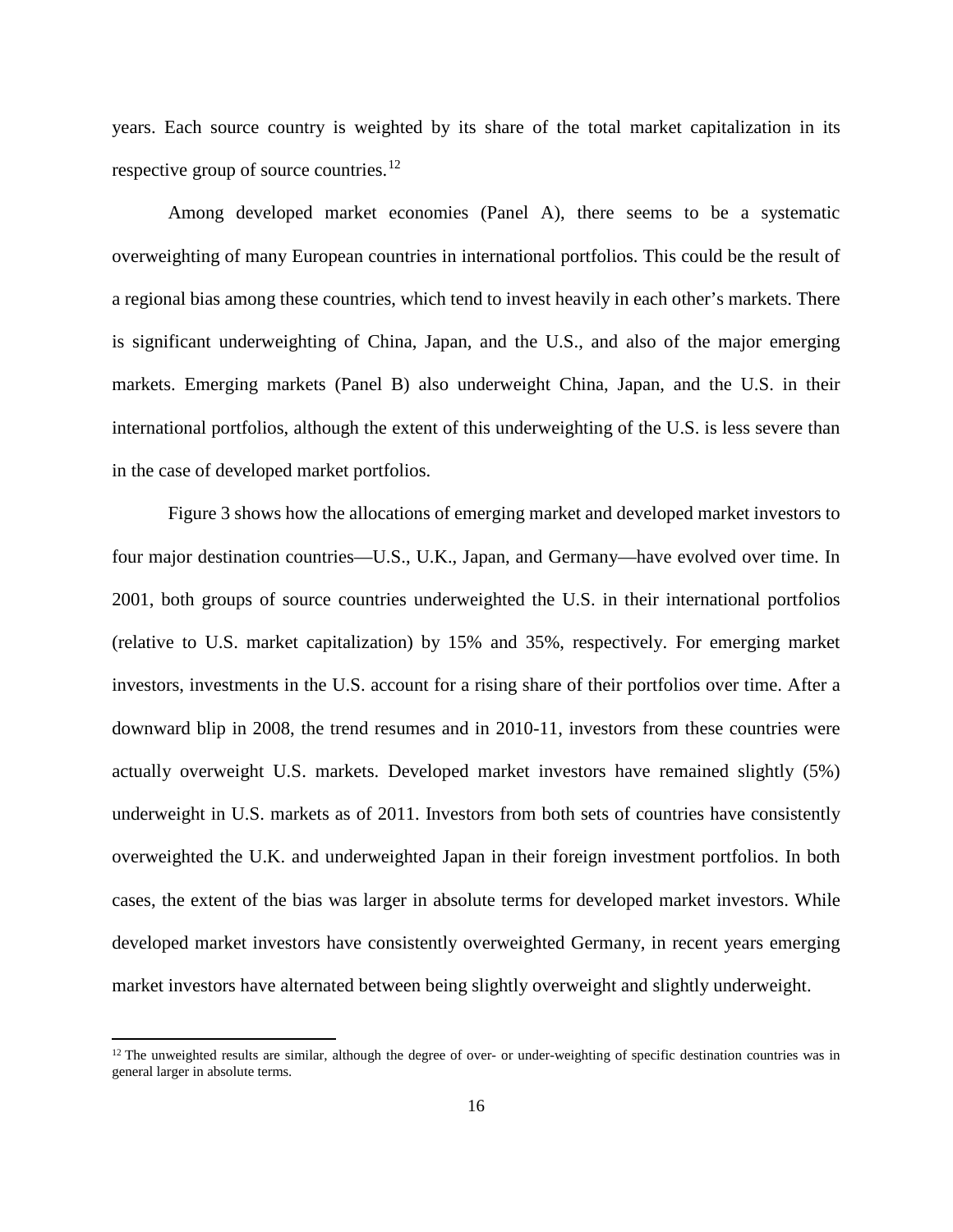years. Each source country is weighted by its share of the total market capitalization in its respective group of source countries.<sup>[12](#page-18-0)</sup>

Among developed market economies (Panel A), there seems to be a systematic overweighting of many European countries in international portfolios. This could be the result of a regional bias among these countries, which tend to invest heavily in each other's markets. There is significant underweighting of China, Japan, and the U.S., and also of the major emerging markets. Emerging markets (Panel B) also underweight China, Japan, and the U.S. in their international portfolios, although the extent of this underweighting of the U.S. is less severe than in the case of developed market portfolios.

Figure 3 shows how the allocations of emerging market and developed market investors to four major destination countries—U.S., U.K., Japan, and Germany—have evolved over time. In 2001, both groups of source countries underweighted the U.S. in their international portfolios (relative to U.S. market capitalization) by 15% and 35%, respectively. For emerging market investors, investments in the U.S. account for a rising share of their portfolios over time. After a downward blip in 2008, the trend resumes and in 2010-11, investors from these countries were actually overweight U.S. markets. Developed market investors have remained slightly (5%) underweight in U.S. markets as of 2011. Investors from both sets of countries have consistently overweighted the U.K. and underweighted Japan in their foreign investment portfolios. In both cases, the extent of the bias was larger in absolute terms for developed market investors. While developed market investors have consistently overweighted Germany, in recent years emerging market investors have alternated between being slightly overweight and slightly underweight.

 $\overline{\phantom{a}}$ 

<span id="page-18-0"></span> $12$  The unweighted results are similar, although the degree of over- or under-weighting of specific destination countries was in general larger in absolute terms.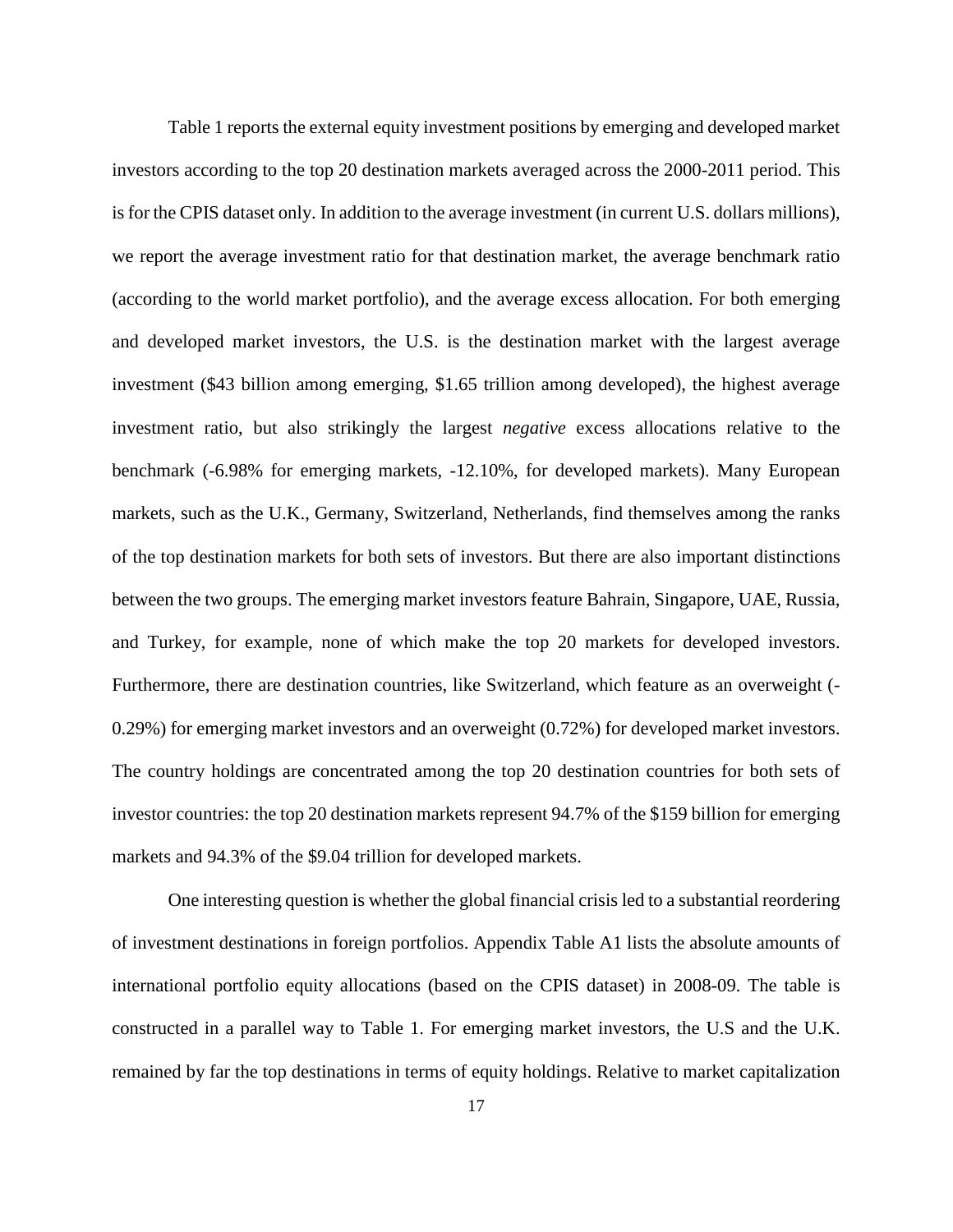Table 1 reports the external equity investment positions by emerging and developed market investors according to the top 20 destination markets averaged across the 2000-2011 period. This is for the CPIS dataset only. In addition to the average investment (in current U.S. dollars millions), we report the average investment ratio for that destination market, the average benchmark ratio (according to the world market portfolio), and the average excess allocation. For both emerging and developed market investors, the U.S. is the destination market with the largest average investment (\$43 billion among emerging, \$1.65 trillion among developed), the highest average investment ratio, but also strikingly the largest *negative* excess allocations relative to the benchmark (-6.98% for emerging markets, -12.10%, for developed markets). Many European markets, such as the U.K., Germany, Switzerland, Netherlands, find themselves among the ranks of the top destination markets for both sets of investors. But there are also important distinctions between the two groups. The emerging market investors feature Bahrain, Singapore, UAE, Russia, and Turkey, for example, none of which make the top 20 markets for developed investors. Furthermore, there are destination countries, like Switzerland, which feature as an overweight (- 0.29%) for emerging market investors and an overweight (0.72%) for developed market investors. The country holdings are concentrated among the top 20 destination countries for both sets of investor countries: the top 20 destination markets represent 94.7% of the \$159 billion for emerging markets and 94.3% of the \$9.04 trillion for developed markets.

One interesting question is whether the global financial crisis led to a substantial reordering of investment destinations in foreign portfolios. Appendix Table A1 lists the absolute amounts of international portfolio equity allocations (based on the CPIS dataset) in 2008-09. The table is constructed in a parallel way to Table 1. For emerging market investors, the U.S and the U.K. remained by far the top destinations in terms of equity holdings. Relative to market capitalization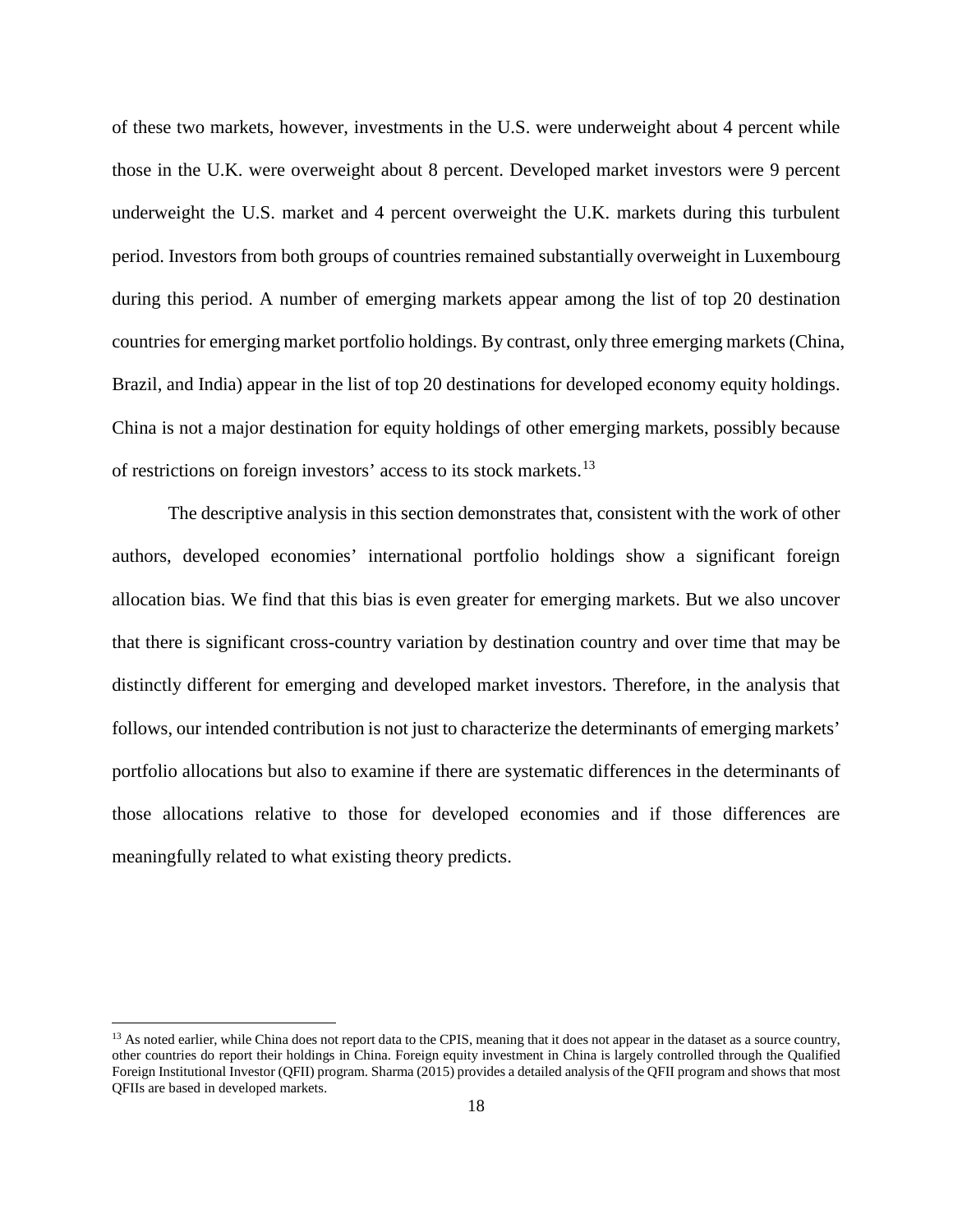of these two markets, however, investments in the U.S. were underweight about 4 percent while those in the U.K. were overweight about 8 percent. Developed market investors were 9 percent underweight the U.S. market and 4 percent overweight the U.K. markets during this turbulent period. Investors from both groups of countries remained substantially overweight in Luxembourg during this period. A number of emerging markets appear among the list of top 20 destination countries for emerging market portfolio holdings. By contrast, only three emerging markets (China, Brazil, and India) appear in the list of top 20 destinations for developed economy equity holdings. China is not a major destination for equity holdings of other emerging markets, possibly because of restrictions on foreign investors' access to its stock markets.[13](#page-20-0)

The descriptive analysis in this section demonstrates that, consistent with the work of other authors, developed economies' international portfolio holdings show a significant foreign allocation bias. We find that this bias is even greater for emerging markets. But we also uncover that there is significant cross-country variation by destination country and over time that may be distinctly different for emerging and developed market investors. Therefore, in the analysis that follows, our intended contribution is not just to characterize the determinants of emerging markets' portfolio allocations but also to examine if there are systematic differences in the determinants of those allocations relative to those for developed economies and if those differences are meaningfully related to what existing theory predicts.

l

<span id="page-20-0"></span><sup>&</sup>lt;sup>13</sup> As noted earlier, while China does not report data to the CPIS, meaning that it does not appear in the dataset as a source country, other countries do report their holdings in China. Foreign equity investment in China is largely controlled through the Qualified Foreign Institutional Investor (QFII) program. Sharma (2015) provides a detailed analysis of the QFII program and shows that most QFIIs are based in developed markets.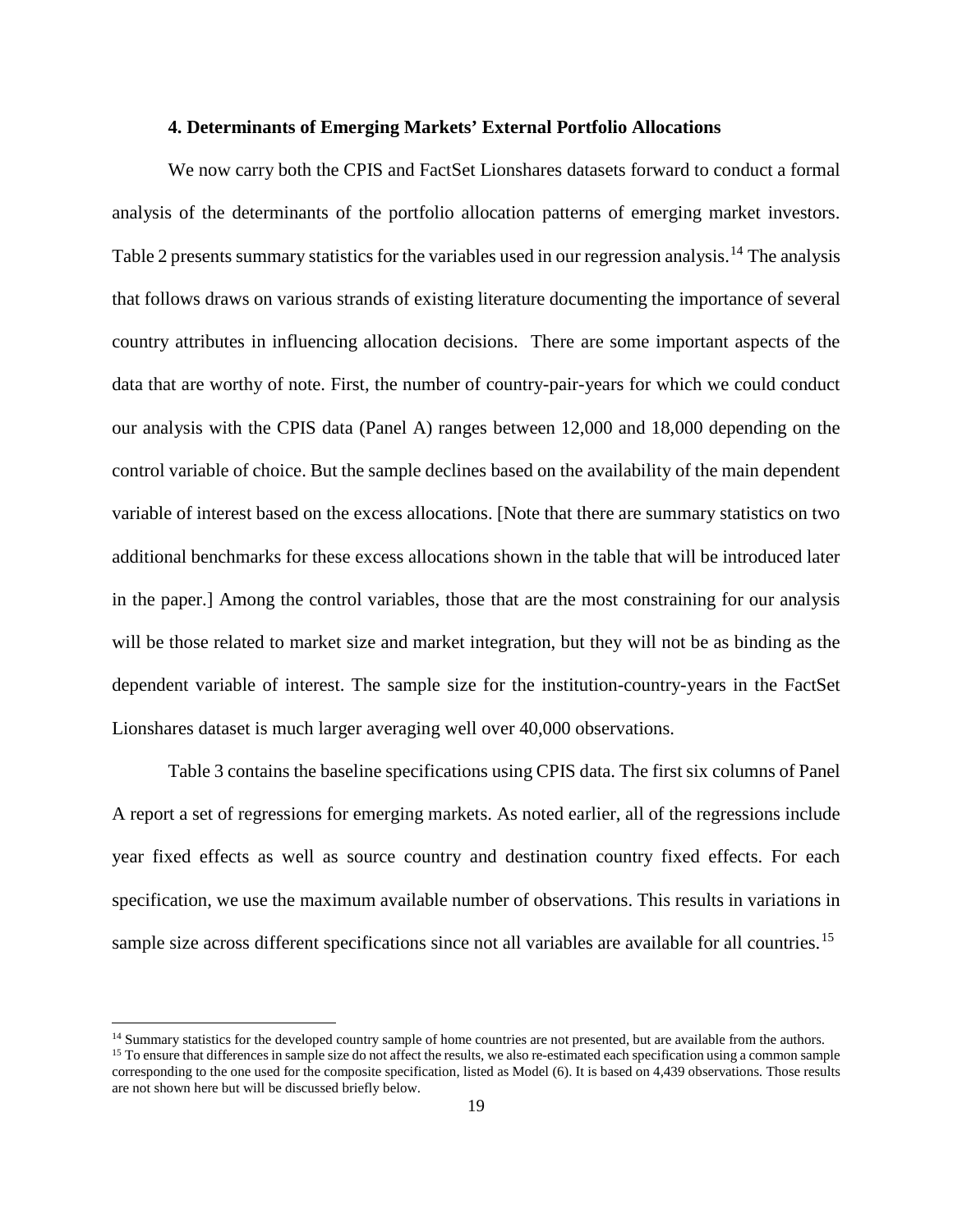#### **4. Determinants of Emerging Markets' External Portfolio Allocations**

We now carry both the CPIS and FactSet Lionshares datasets forward to conduct a formal analysis of the determinants of the portfolio allocation patterns of emerging market investors. Table 2 presents summary statistics for the variables used in our regression analysis.<sup>[14](#page-21-0)</sup> The analysis that follows draws on various strands of existing literature documenting the importance of several country attributes in influencing allocation decisions. There are some important aspects of the data that are worthy of note. First, the number of country-pair-years for which we could conduct our analysis with the CPIS data (Panel A) ranges between 12,000 and 18,000 depending on the control variable of choice. But the sample declines based on the availability of the main dependent variable of interest based on the excess allocations. [Note that there are summary statistics on two additional benchmarks for these excess allocations shown in the table that will be introduced later in the paper.] Among the control variables, those that are the most constraining for our analysis will be those related to market size and market integration, but they will not be as binding as the dependent variable of interest. The sample size for the institution-country-years in the FactSet Lionshares dataset is much larger averaging well over 40,000 observations.

Table 3 contains the baseline specifications using CPIS data. The first six columns of Panel A report a set of regressions for emerging markets. As noted earlier, all of the regressions include year fixed effects as well as source country and destination country fixed effects. For each specification, we use the maximum available number of observations. This results in variations in sample size across different specifications since not all variables are available for all countries.<sup>[15](#page-21-1)</sup>

l

<span id="page-21-0"></span><sup>&</sup>lt;sup>14</sup> Summary statistics for the developed country sample of home countries are not presented, but are available from the authors.<br><sup>15</sup> To ensure that differences in sample size do not affect the results, we also re-estima

<span id="page-21-1"></span>corresponding to the one used for the composite specification, listed as Model (6). It is based on 4,439 observations. Those results are not shown here but will be discussed briefly below.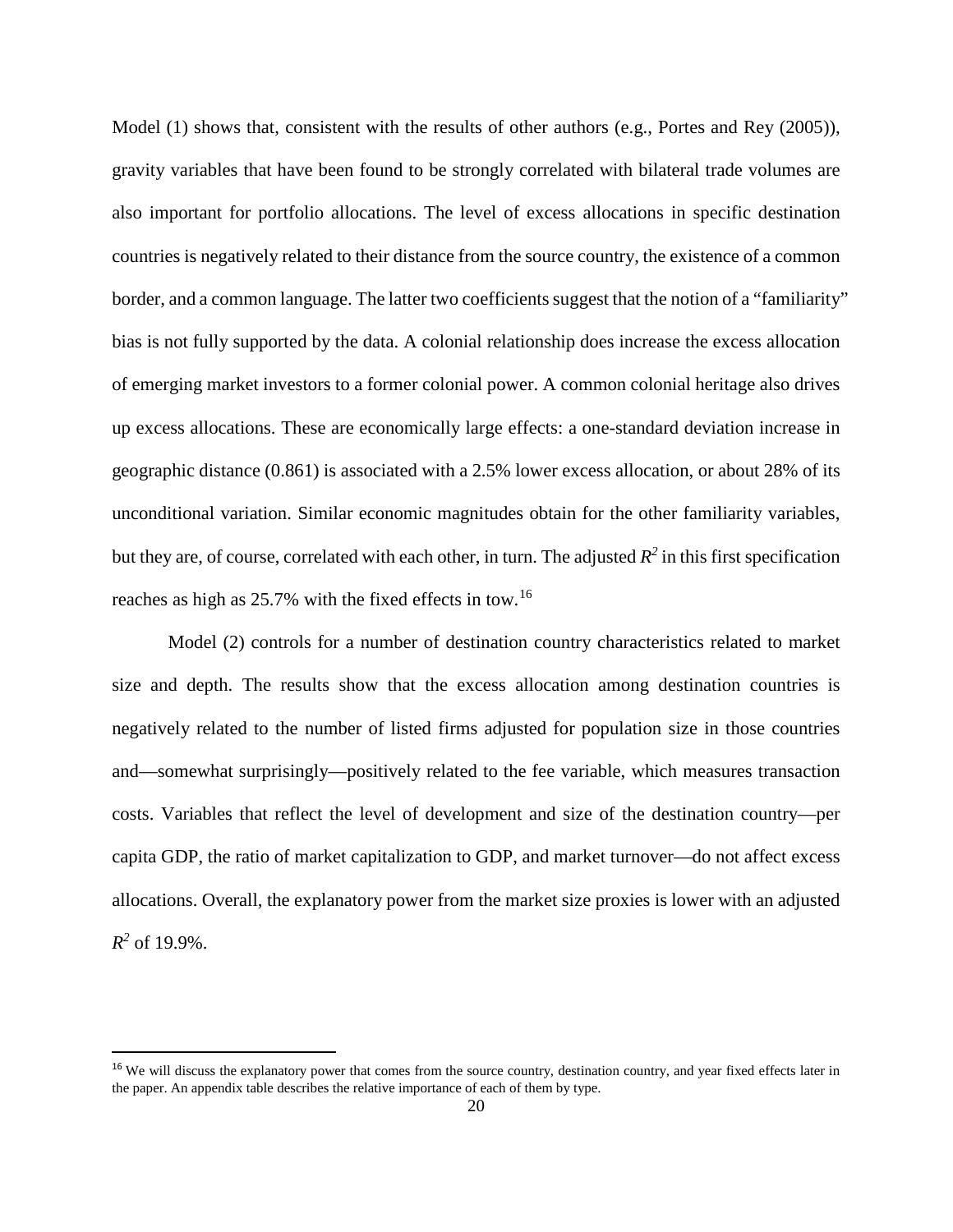Model (1) shows that, consistent with the results of other authors (e.g., Portes and Rey (2005)), gravity variables that have been found to be strongly correlated with bilateral trade volumes are also important for portfolio allocations. The level of excess allocations in specific destination countries is negatively related to their distance from the source country, the existence of a common border, and a common language. The latter two coefficients suggest that the notion of a "familiarity" bias is not fully supported by the data. A colonial relationship does increase the excess allocation of emerging market investors to a former colonial power. A common colonial heritage also drives up excess allocations. These are economically large effects: a one-standard deviation increase in geographic distance (0.861) is associated with a 2.5% lower excess allocation, or about 28% of its unconditional variation. Similar economic magnitudes obtain for the other familiarity variables, but they are, of course, correlated with each other, in turn. The adjusted  $R^2$  in this first specification reaches as high as 25.7% with the fixed effects in tow.[16](#page-22-0)

Model (2) controls for a number of destination country characteristics related to market size and depth. The results show that the excess allocation among destination countries is negatively related to the number of listed firms adjusted for population size in those countries and—somewhat surprisingly—positively related to the fee variable, which measures transaction costs. Variables that reflect the level of development and size of the destination country—per capita GDP, the ratio of market capitalization to GDP, and market turnover—do not affect excess allocations. Overall, the explanatory power from the market size proxies is lower with an adjusted  $R^2$  of 19.9%.

<span id="page-22-0"></span><sup>&</sup>lt;sup>16</sup> We will discuss the explanatory power that comes from the source country, destination country, and year fixed effects later in the paper. An appendix table describes the relative importance of each of them by type.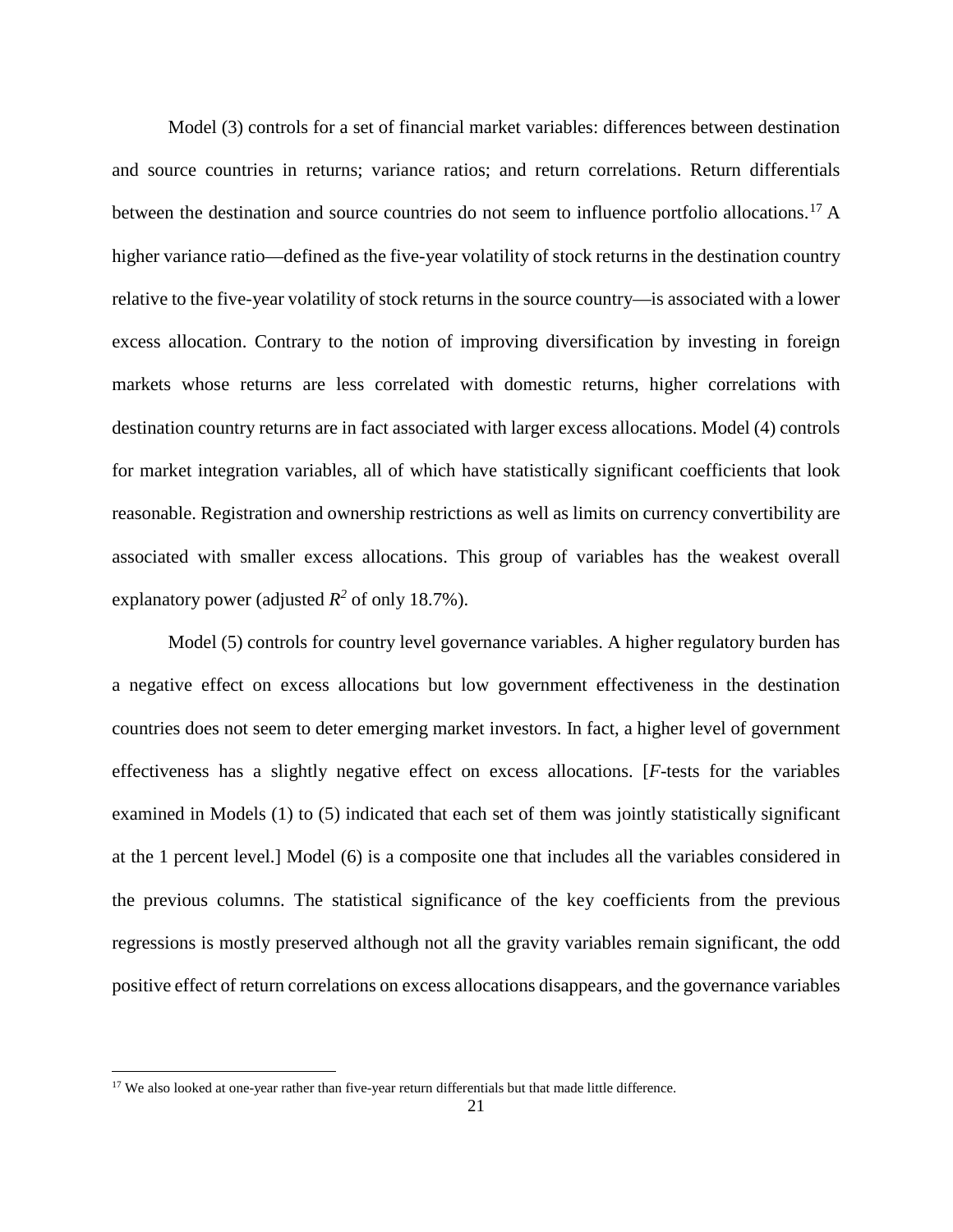Model (3) controls for a set of financial market variables: differences between destination and source countries in returns; variance ratios; and return correlations. Return differentials between the destination and source countries do not seem to influence portfolio allocations.<sup>[17](#page-23-0)</sup> A higher variance ratio—defined as the five-year volatility of stock returns in the destination country relative to the five-year volatility of stock returns in the source country—is associated with a lower excess allocation. Contrary to the notion of improving diversification by investing in foreign markets whose returns are less correlated with domestic returns, higher correlations with destination country returns are in fact associated with larger excess allocations. Model (4) controls for market integration variables, all of which have statistically significant coefficients that look reasonable. Registration and ownership restrictions as well as limits on currency convertibility are associated with smaller excess allocations. This group of variables has the weakest overall explanatory power (adjusted  $R^2$  of only 18.7%).

Model (5) controls for country level governance variables. A higher regulatory burden has a negative effect on excess allocations but low government effectiveness in the destination countries does not seem to deter emerging market investors. In fact, a higher level of government effectiveness has a slightly negative effect on excess allocations. [*F*-tests for the variables examined in Models (1) to (5) indicated that each set of them was jointly statistically significant at the 1 percent level.] Model (6) is a composite one that includes all the variables considered in the previous columns. The statistical significance of the key coefficients from the previous regressions is mostly preserved although not all the gravity variables remain significant, the odd positive effect of return correlations on excess allocations disappears, and the governance variables

 $\overline{\phantom{a}}$ 

<span id="page-23-0"></span> $17$  We also looked at one-year rather than five-year return differentials but that made little difference.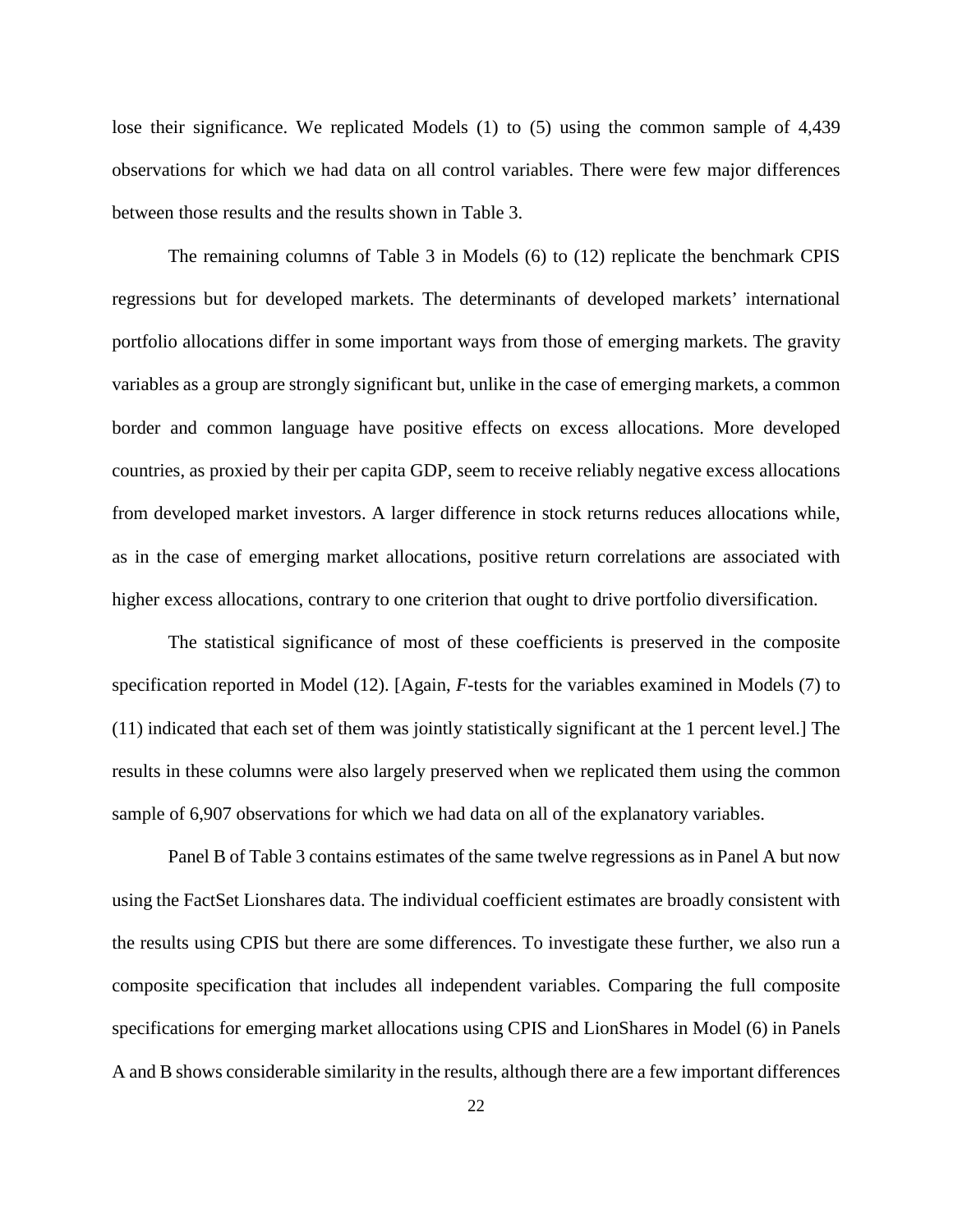lose their significance. We replicated Models (1) to (5) using the common sample of 4,439 observations for which we had data on all control variables. There were few major differences between those results and the results shown in Table 3.

The remaining columns of Table 3 in Models (6) to (12) replicate the benchmark CPIS regressions but for developed markets. The determinants of developed markets' international portfolio allocations differ in some important ways from those of emerging markets. The gravity variables as a group are strongly significant but, unlike in the case of emerging markets, a common border and common language have positive effects on excess allocations. More developed countries, as proxied by their per capita GDP, seem to receive reliably negative excess allocations from developed market investors. A larger difference in stock returns reduces allocations while, as in the case of emerging market allocations, positive return correlations are associated with higher excess allocations, contrary to one criterion that ought to drive portfolio diversification.

The statistical significance of most of these coefficients is preserved in the composite specification reported in Model (12). [Again, *F*-tests for the variables examined in Models (7) to (11) indicated that each set of them was jointly statistically significant at the 1 percent level.] The results in these columns were also largely preserved when we replicated them using the common sample of 6,907 observations for which we had data on all of the explanatory variables.

Panel B of Table 3 contains estimates of the same twelve regressions as in Panel A but now using the FactSet Lionshares data. The individual coefficient estimates are broadly consistent with the results using CPIS but there are some differences. To investigate these further, we also run a composite specification that includes all independent variables. Comparing the full composite specifications for emerging market allocations using CPIS and LionShares in Model (6) in Panels A and B shows considerable similarity in the results, although there are a few important differences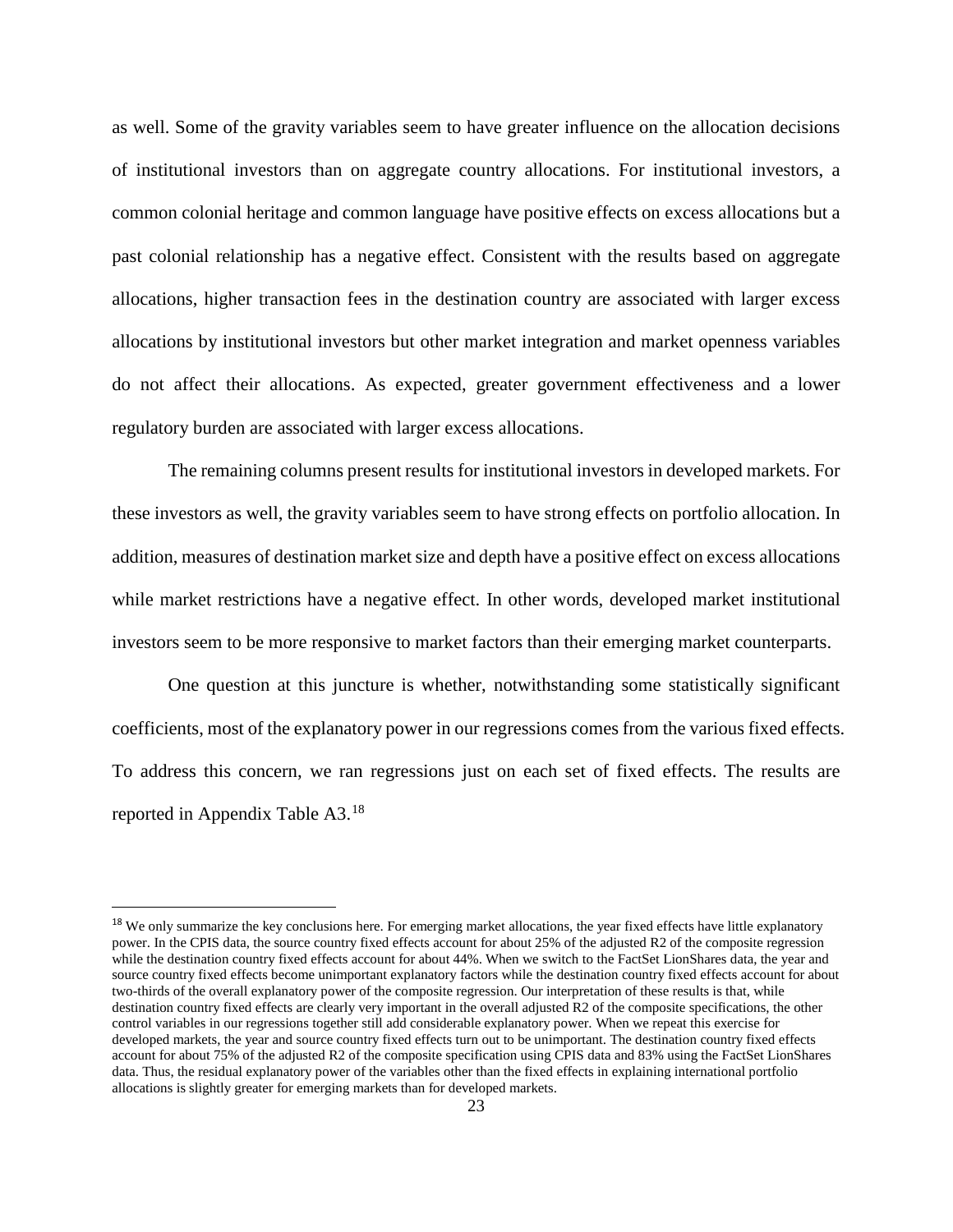as well. Some of the gravity variables seem to have greater influence on the allocation decisions of institutional investors than on aggregate country allocations. For institutional investors, a common colonial heritage and common language have positive effects on excess allocations but a past colonial relationship has a negative effect. Consistent with the results based on aggregate allocations, higher transaction fees in the destination country are associated with larger excess allocations by institutional investors but other market integration and market openness variables do not affect their allocations. As expected, greater government effectiveness and a lower regulatory burden are associated with larger excess allocations.

The remaining columns present results for institutional investors in developed markets. For these investors as well, the gravity variables seem to have strong effects on portfolio allocation. In addition, measures of destination market size and depth have a positive effect on excess allocations while market restrictions have a negative effect. In other words, developed market institutional investors seem to be more responsive to market factors than their emerging market counterparts.

One question at this juncture is whether, notwithstanding some statistically significant coefficients, most of the explanatory power in our regressions comes from the various fixed effects. To address this concern, we ran regressions just on each set of fixed effects. The results are reported in Appendix Table A3.[18](#page-25-0)

<span id="page-25-0"></span><sup>&</sup>lt;sup>18</sup> We only summarize the key conclusions here. For emerging market allocations, the year fixed effects have little explanatory power. In the CPIS data, the source country fixed effects account for about 25% of the adjusted R2 of the composite regression while the destination country fixed effects account for about 44%. When we switch to the FactSet LionShares data, the year and source country fixed effects become unimportant explanatory factors while the destination country fixed effects account for about two-thirds of the overall explanatory power of the composite regression. Our interpretation of these results is that, while destination country fixed effects are clearly very important in the overall adjusted R2 of the composite specifications, the other control variables in our regressions together still add considerable explanatory power. When we repeat this exercise for developed markets, the year and source country fixed effects turn out to be unimportant. The destination country fixed effects account for about 75% of the adjusted R2 of the composite specification using CPIS data and 83% using the FactSet LionShares data. Thus, the residual explanatory power of the variables other than the fixed effects in explaining international portfolio allocations is slightly greater for emerging markets than for developed markets.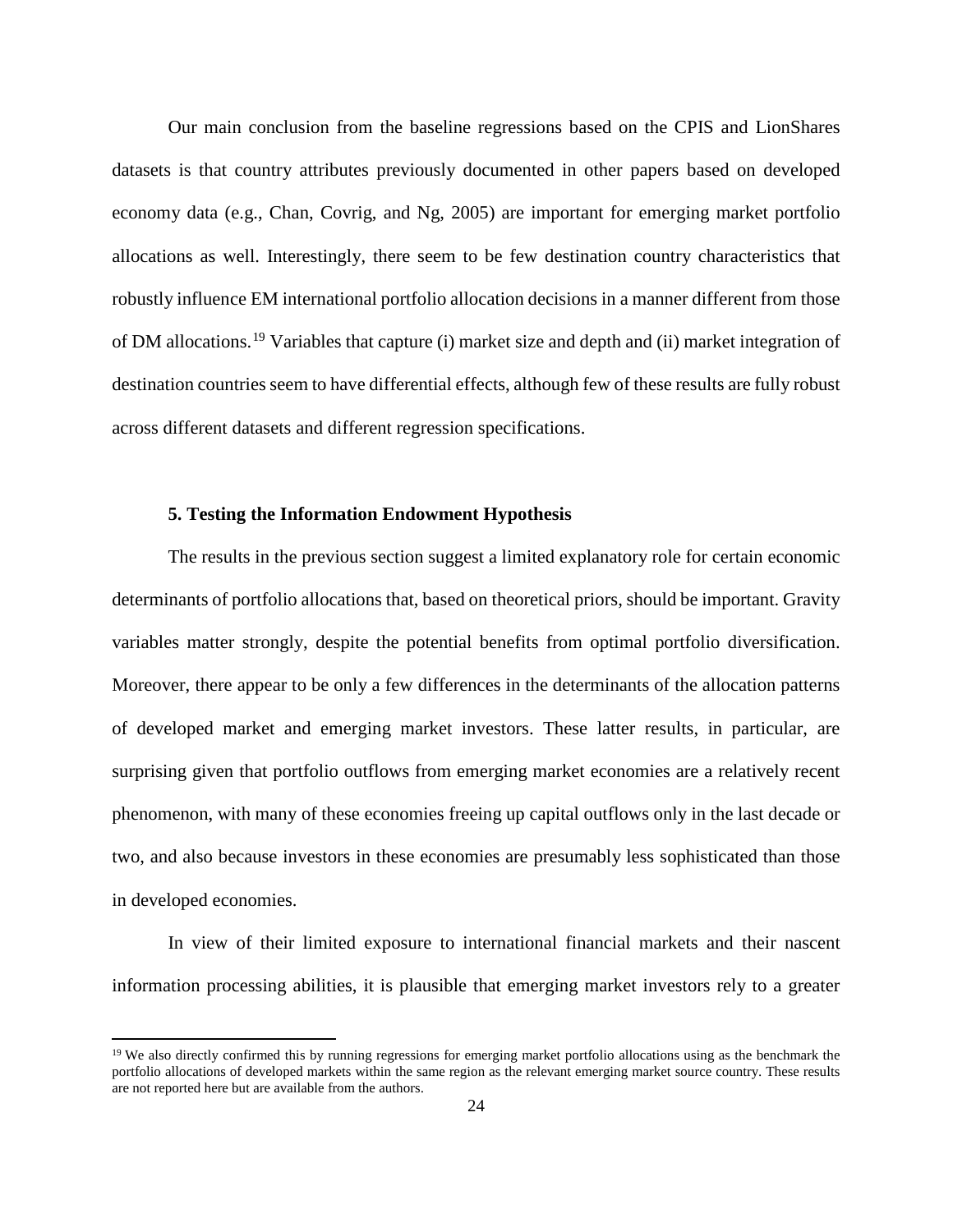Our main conclusion from the baseline regressions based on the CPIS and LionShares datasets is that country attributes previously documented in other papers based on developed economy data (e.g., Chan, Covrig, and Ng, 2005) are important for emerging market portfolio allocations as well. Interestingly, there seem to be few destination country characteristics that robustly influence EM international portfolio allocation decisions in a manner different from those of DM allocations.[19](#page-26-0) Variables that capture (i) market size and depth and (ii) market integration of destination countries seem to have differential effects, although few of these results are fully robust across different datasets and different regression specifications.

#### **5. Testing the Information Endowment Hypothesis**

 $\overline{\phantom{a}}$ 

The results in the previous section suggest a limited explanatory role for certain economic determinants of portfolio allocations that, based on theoretical priors, should be important. Gravity variables matter strongly, despite the potential benefits from optimal portfolio diversification. Moreover, there appear to be only a few differences in the determinants of the allocation patterns of developed market and emerging market investors. These latter results, in particular, are surprising given that portfolio outflows from emerging market economies are a relatively recent phenomenon, with many of these economies freeing up capital outflows only in the last decade or two, and also because investors in these economies are presumably less sophisticated than those in developed economies.

In view of their limited exposure to international financial markets and their nascent information processing abilities, it is plausible that emerging market investors rely to a greater

<span id="page-26-0"></span><sup>&</sup>lt;sup>19</sup> We also directly confirmed this by running regressions for emerging market portfolio allocations using as the benchmark the portfolio allocations of developed markets within the same region as the relevant emerging market source country. These results are not reported here but are available from the authors.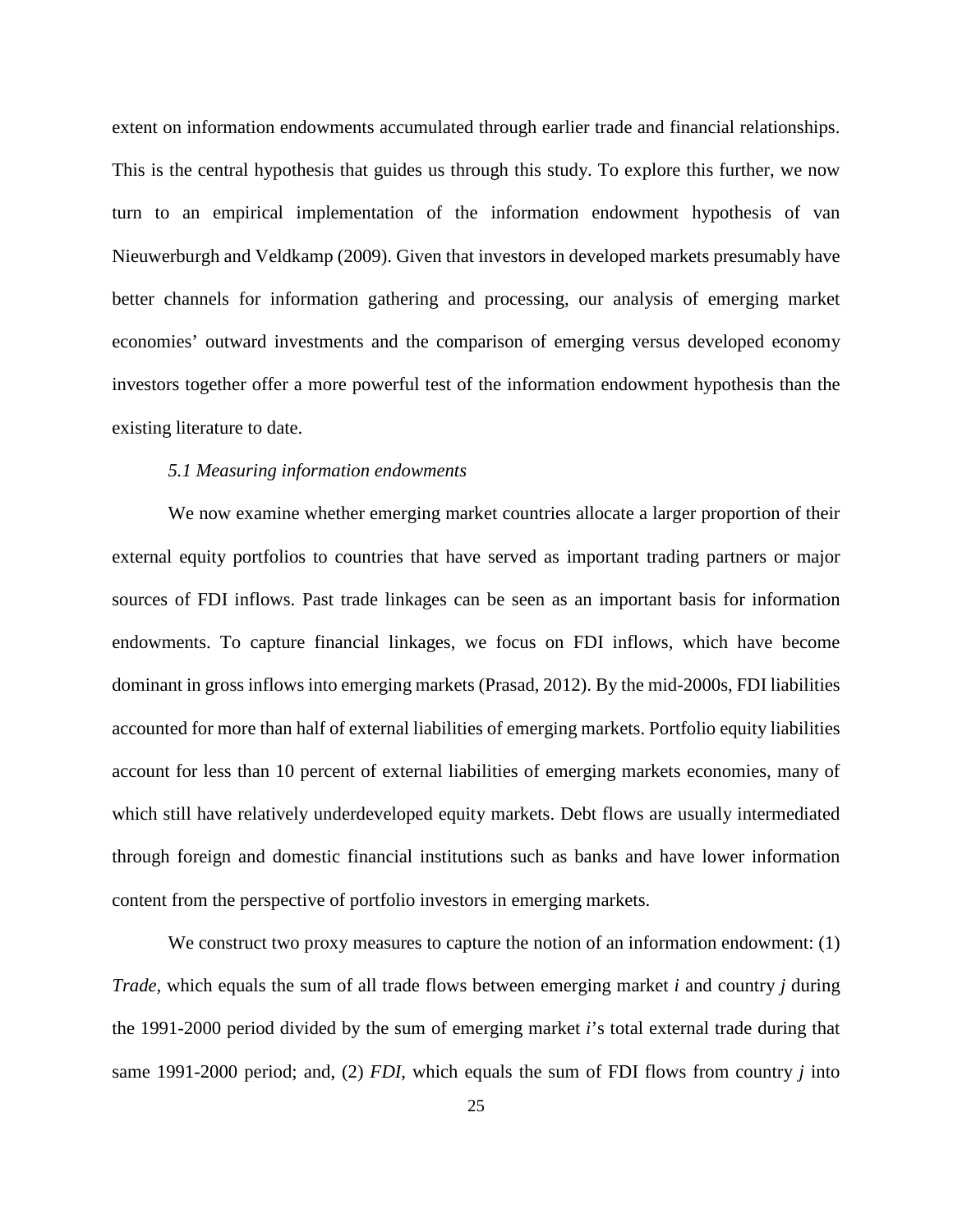extent on information endowments accumulated through earlier trade and financial relationships. This is the central hypothesis that guides us through this study. To explore this further, we now turn to an empirical implementation of the information endowment hypothesis of van Nieuwerburgh and Veldkamp (2009). Given that investors in developed markets presumably have better channels for information gathering and processing, our analysis of emerging market economies' outward investments and the comparison of emerging versus developed economy investors together offer a more powerful test of the information endowment hypothesis than the existing literature to date.

#### *5.1 Measuring information endowments*

We now examine whether emerging market countries allocate a larger proportion of their external equity portfolios to countries that have served as important trading partners or major sources of FDI inflows. Past trade linkages can be seen as an important basis for information endowments. To capture financial linkages, we focus on FDI inflows, which have become dominant in gross inflows into emerging markets (Prasad, 2012). By the mid-2000s, FDI liabilities accounted for more than half of external liabilities of emerging markets. Portfolio equity liabilities account for less than 10 percent of external liabilities of emerging markets economies, many of which still have relatively underdeveloped equity markets. Debt flows are usually intermediated through foreign and domestic financial institutions such as banks and have lower information content from the perspective of portfolio investors in emerging markets.

We construct two proxy measures to capture the notion of an information endowment: (1) *Trade,* which equals the sum of all trade flows between emerging market *i* and country *j* during the 1991-2000 period divided by the sum of emerging market *i*'s total external trade during that same 1991-2000 period; and, (2) *FDI*, which equals the sum of FDI flows from country *j* into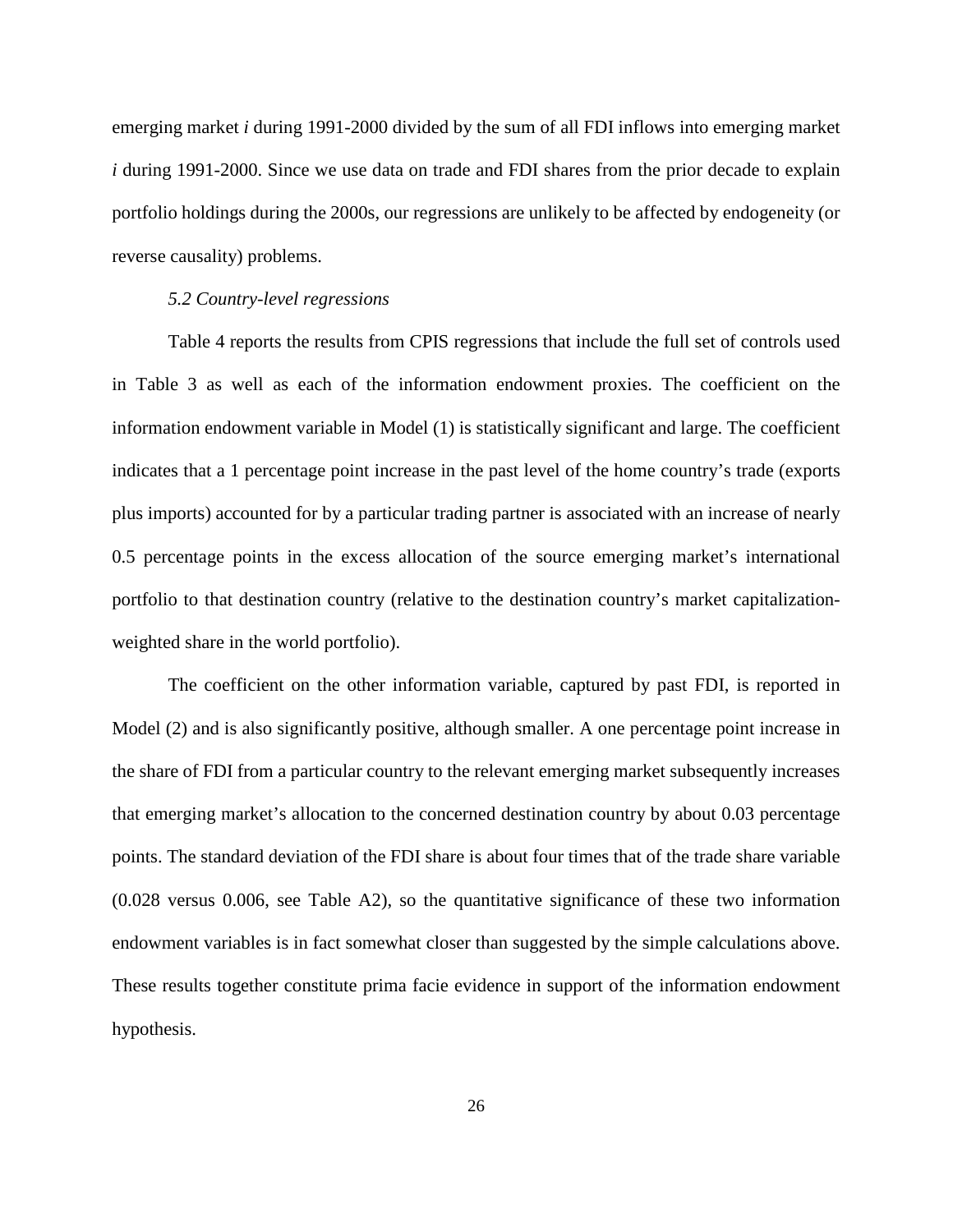emerging market *i* during 1991-2000 divided by the sum of all FDI inflows into emerging market *i* during 1991-2000. Since we use data on trade and FDI shares from the prior decade to explain portfolio holdings during the 2000s, our regressions are unlikely to be affected by endogeneity (or reverse causality) problems.

#### *5.2 Country-level regressions*

Table 4 reports the results from CPIS regressions that include the full set of controls used in Table 3 as well as each of the information endowment proxies. The coefficient on the information endowment variable in Model (1) is statistically significant and large. The coefficient indicates that a 1 percentage point increase in the past level of the home country's trade (exports plus imports) accounted for by a particular trading partner is associated with an increase of nearly 0.5 percentage points in the excess allocation of the source emerging market's international portfolio to that destination country (relative to the destination country's market capitalizationweighted share in the world portfolio).

The coefficient on the other information variable, captured by past FDI, is reported in Model (2) and is also significantly positive, although smaller. A one percentage point increase in the share of FDI from a particular country to the relevant emerging market subsequently increases that emerging market's allocation to the concerned destination country by about 0.03 percentage points. The standard deviation of the FDI share is about four times that of the trade share variable (0.028 versus 0.006, see Table A2), so the quantitative significance of these two information endowment variables is in fact somewhat closer than suggested by the simple calculations above. These results together constitute prima facie evidence in support of the information endowment hypothesis.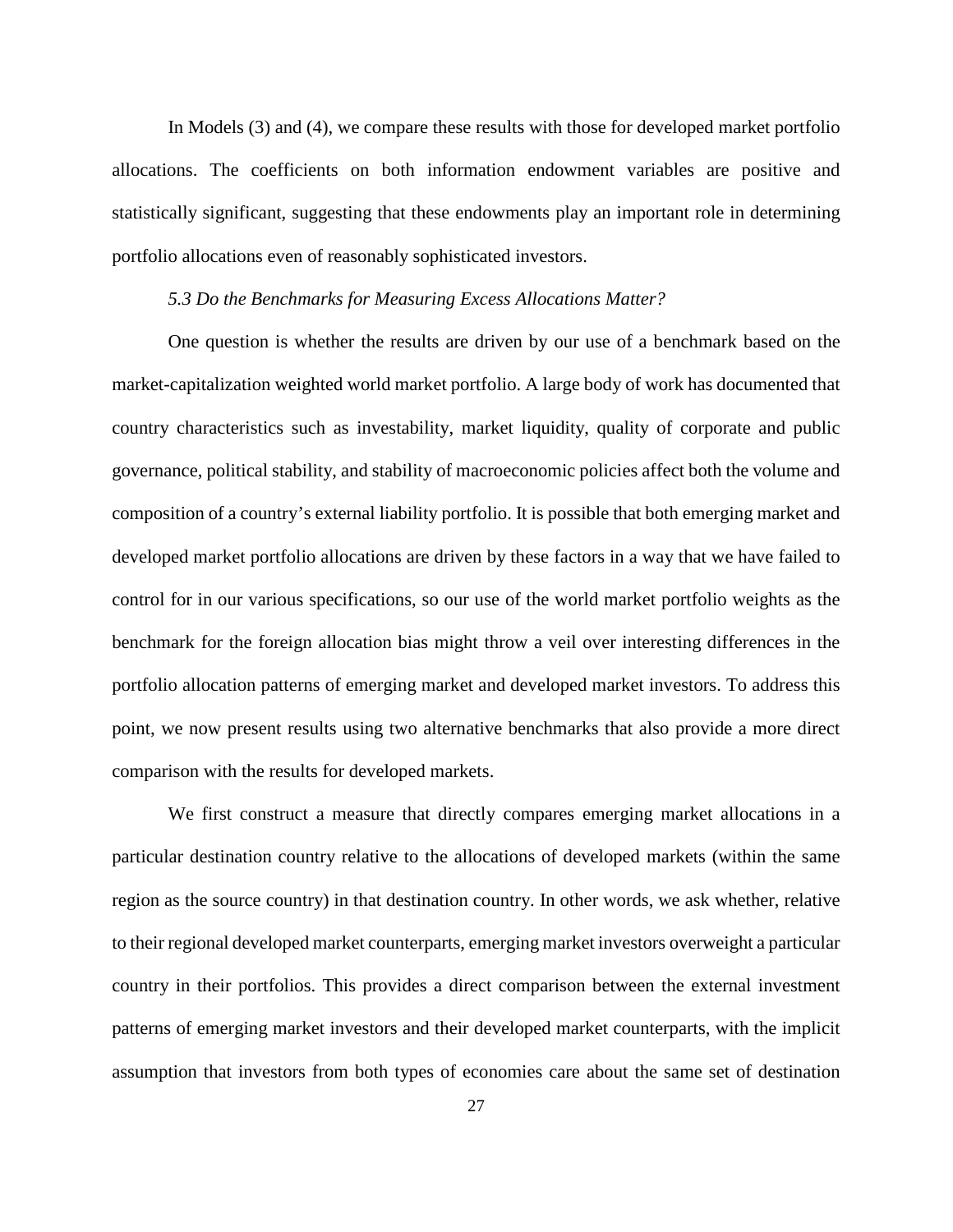In Models (3) and (4), we compare these results with those for developed market portfolio allocations. The coefficients on both information endowment variables are positive and statistically significant, suggesting that these endowments play an important role in determining portfolio allocations even of reasonably sophisticated investors.

#### *5.3 Do the Benchmarks for Measuring Excess Allocations Matter?*

One question is whether the results are driven by our use of a benchmark based on the market-capitalization weighted world market portfolio. A large body of work has documented that country characteristics such as investability, market liquidity, quality of corporate and public governance, political stability, and stability of macroeconomic policies affect both the volume and composition of a country's external liability portfolio. It is possible that both emerging market and developed market portfolio allocations are driven by these factors in a way that we have failed to control for in our various specifications, so our use of the world market portfolio weights as the benchmark for the foreign allocation bias might throw a veil over interesting differences in the portfolio allocation patterns of emerging market and developed market investors. To address this point, we now present results using two alternative benchmarks that also provide a more direct comparison with the results for developed markets.

We first construct a measure that directly compares emerging market allocations in a particular destination country relative to the allocations of developed markets (within the same region as the source country) in that destination country. In other words, we ask whether, relative to their regional developed market counterparts, emerging market investors overweight a particular country in their portfolios. This provides a direct comparison between the external investment patterns of emerging market investors and their developed market counterparts, with the implicit assumption that investors from both types of economies care about the same set of destination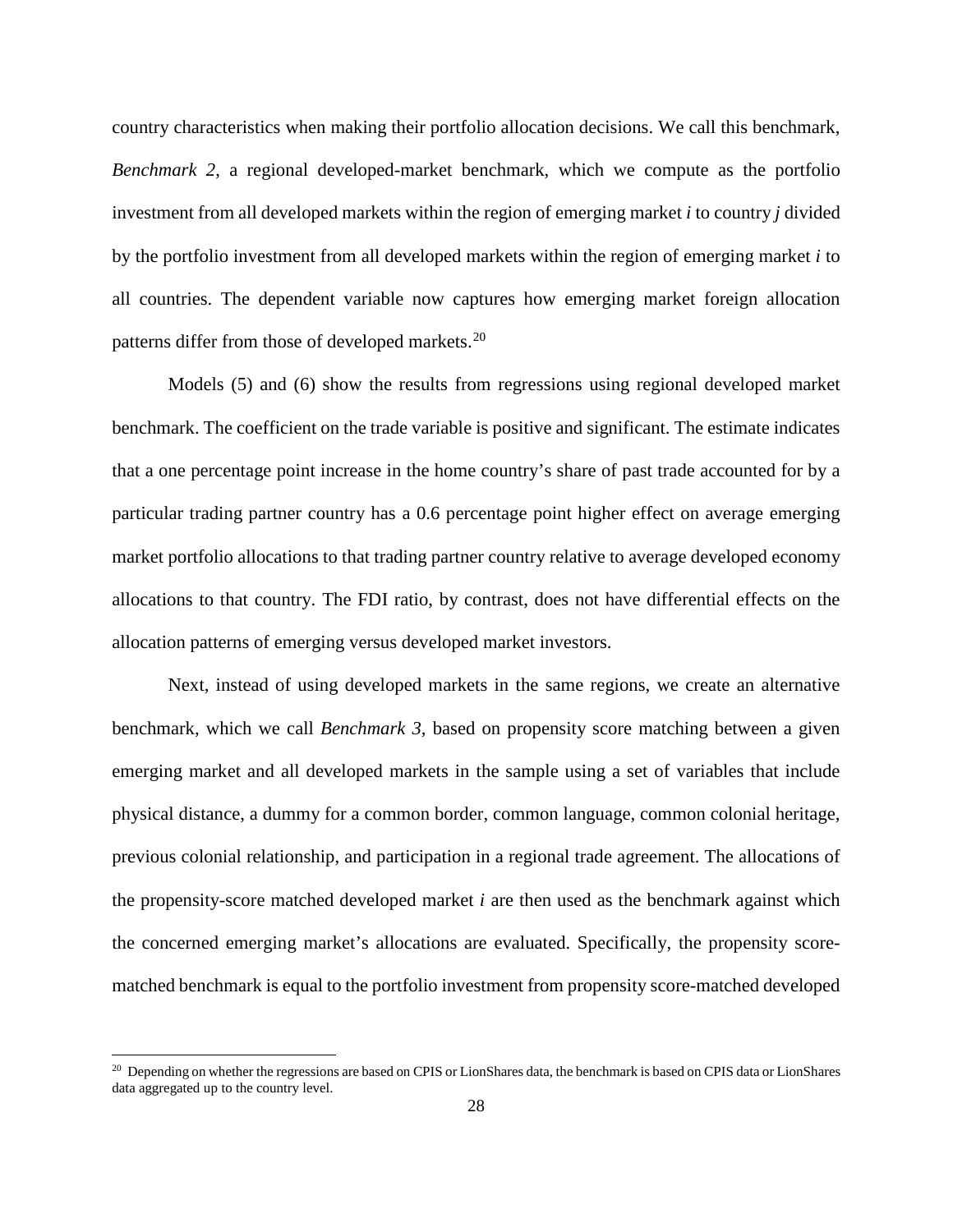country characteristics when making their portfolio allocation decisions. We call this benchmark, *Benchmark 2*, a regional developed-market benchmark, which we compute as the portfolio investment from all developed markets within the region of emerging market *i* to country *j* divided by the portfolio investment from all developed markets within the region of emerging market *i* to all countries. The dependent variable now captures how emerging market foreign allocation patterns differ from those of developed markets.<sup>[20](#page-30-0)</sup>

Models (5) and (6) show the results from regressions using regional developed market benchmark. The coefficient on the trade variable is positive and significant. The estimate indicates that a one percentage point increase in the home country's share of past trade accounted for by a particular trading partner country has a 0.6 percentage point higher effect on average emerging market portfolio allocations to that trading partner country relative to average developed economy allocations to that country. The FDI ratio, by contrast, does not have differential effects on the allocation patterns of emerging versus developed market investors.

Next, instead of using developed markets in the same regions, we create an alternative benchmark, which we call *Benchmark 3*, based on propensity score matching between a given emerging market and all developed markets in the sample using a set of variables that include physical distance, a dummy for a common border, common language, common colonial heritage, previous colonial relationship, and participation in a regional trade agreement. The allocations of the propensity-score matched developed market *i* are then used as the benchmark against which the concerned emerging market's allocations are evaluated. Specifically, the propensity scorematched benchmark is equal to the portfolio investment from propensity score-matched developed

l

<span id="page-30-0"></span><sup>&</sup>lt;sup>20</sup> Depending on whether the regressions are based on CPIS or LionShares data, the benchmark is based on CPIS data or LionShares data aggregated up to the country level.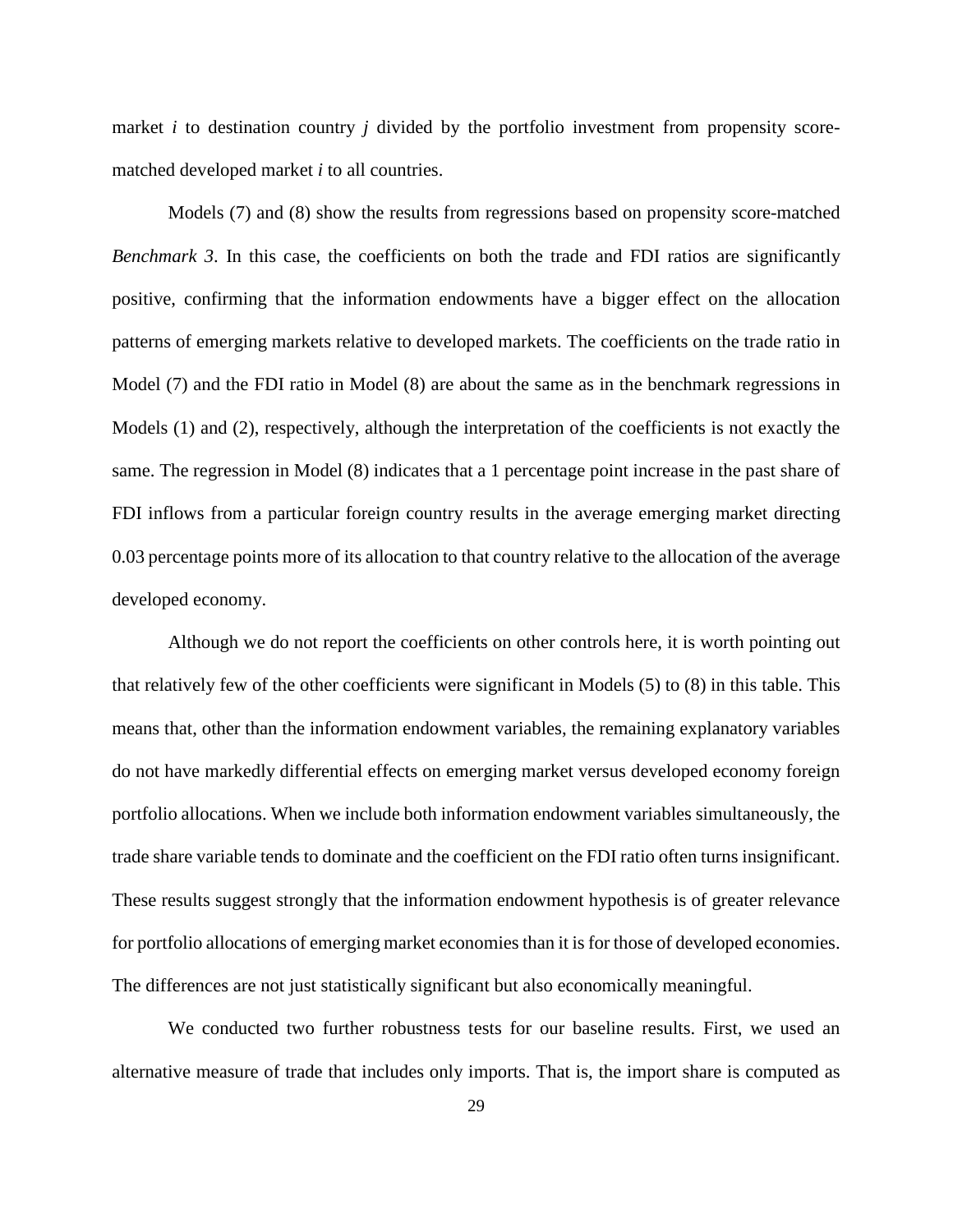market *i* to destination country *j* divided by the portfolio investment from propensity scorematched developed market *i* to all countries.

Models (7) and (8) show the results from regressions based on propensity score-matched *Benchmark 3*. In this case, the coefficients on both the trade and FDI ratios are significantly positive, confirming that the information endowments have a bigger effect on the allocation patterns of emerging markets relative to developed markets. The coefficients on the trade ratio in Model (7) and the FDI ratio in Model (8) are about the same as in the benchmark regressions in Models (1) and (2), respectively, although the interpretation of the coefficients is not exactly the same. The regression in Model (8) indicates that a 1 percentage point increase in the past share of FDI inflows from a particular foreign country results in the average emerging market directing 0.03 percentage points more of its allocation to that country relative to the allocation of the average developed economy.

Although we do not report the coefficients on other controls here, it is worth pointing out that relatively few of the other coefficients were significant in Models (5) to (8) in this table. This means that, other than the information endowment variables, the remaining explanatory variables do not have markedly differential effects on emerging market versus developed economy foreign portfolio allocations. When we include both information endowment variables simultaneously, the trade share variable tends to dominate and the coefficient on the FDI ratio often turns insignificant. These results suggest strongly that the information endowment hypothesis is of greater relevance for portfolio allocations of emerging market economies than it is for those of developed economies. The differences are not just statistically significant but also economically meaningful.

We conducted two further robustness tests for our baseline results. First, we used an alternative measure of trade that includes only imports. That is, the import share is computed as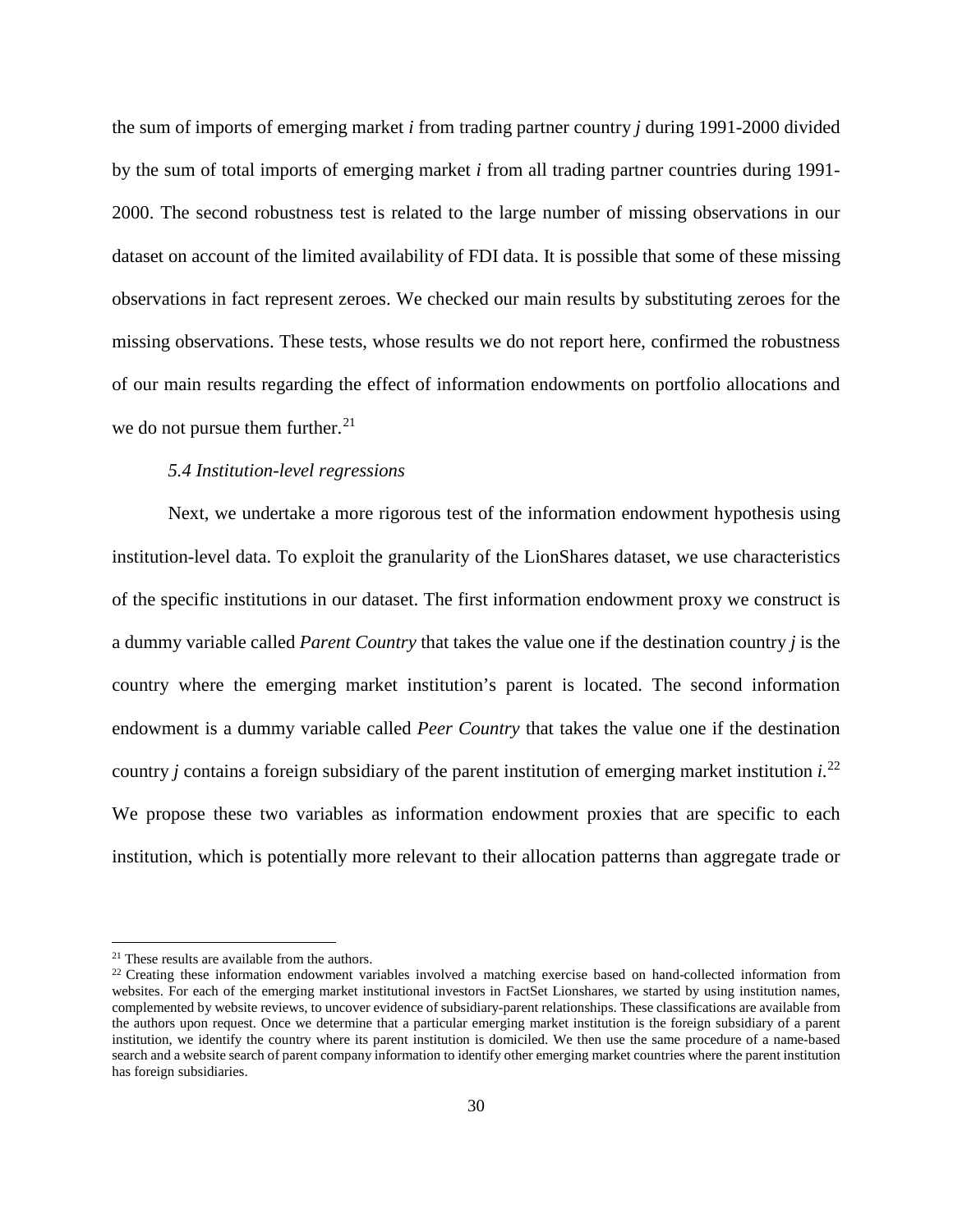the sum of imports of emerging market *i* from trading partner country *j* during 1991-2000 divided by the sum of total imports of emerging market *i* from all trading partner countries during 1991- 2000. The second robustness test is related to the large number of missing observations in our dataset on account of the limited availability of FDI data. It is possible that some of these missing observations in fact represent zeroes. We checked our main results by substituting zeroes for the missing observations. These tests, whose results we do not report here, confirmed the robustness of our main results regarding the effect of information endowments on portfolio allocations and we do not pursue them further. $21$ 

### *5.4 Institution-level regressions*

Next, we undertake a more rigorous test of the information endowment hypothesis using institution-level data. To exploit the granularity of the LionShares dataset, we use characteristics of the specific institutions in our dataset. The first information endowment proxy we construct is a dummy variable called *Parent Country* that takes the value one if the destination country *j* is the country where the emerging market institution's parent is located. The second information endowment is a dummy variable called *Peer Country* that takes the value one if the destination country *j* contains a foreign subsidiary of the parent institution of emerging market institution *i*. [22](#page-32-1) We propose these two variables as information endowment proxies that are specific to each institution, which is potentially more relevant to their allocation patterns than aggregate trade or

l

<span id="page-32-1"></span><span id="page-32-0"></span><sup>&</sup>lt;sup>21</sup> These results are available from the authors.<br><sup>22</sup> Creating these information endowment variables involved a matching exercise based on hand-collected information from websites. For each of the emerging market institutional investors in FactSet Lionshares, we started by using institution names, complemented by website reviews, to uncover evidence of subsidiary-parent relationships. These classifications are available from the authors upon request. Once we determine that a particular emerging market institution is the foreign subsidiary of a parent institution, we identify the country where its parent institution is domiciled. We then use the same procedure of a name-based search and a website search of parent company information to identify other emerging market countries where the parent institution has foreign subsidiaries.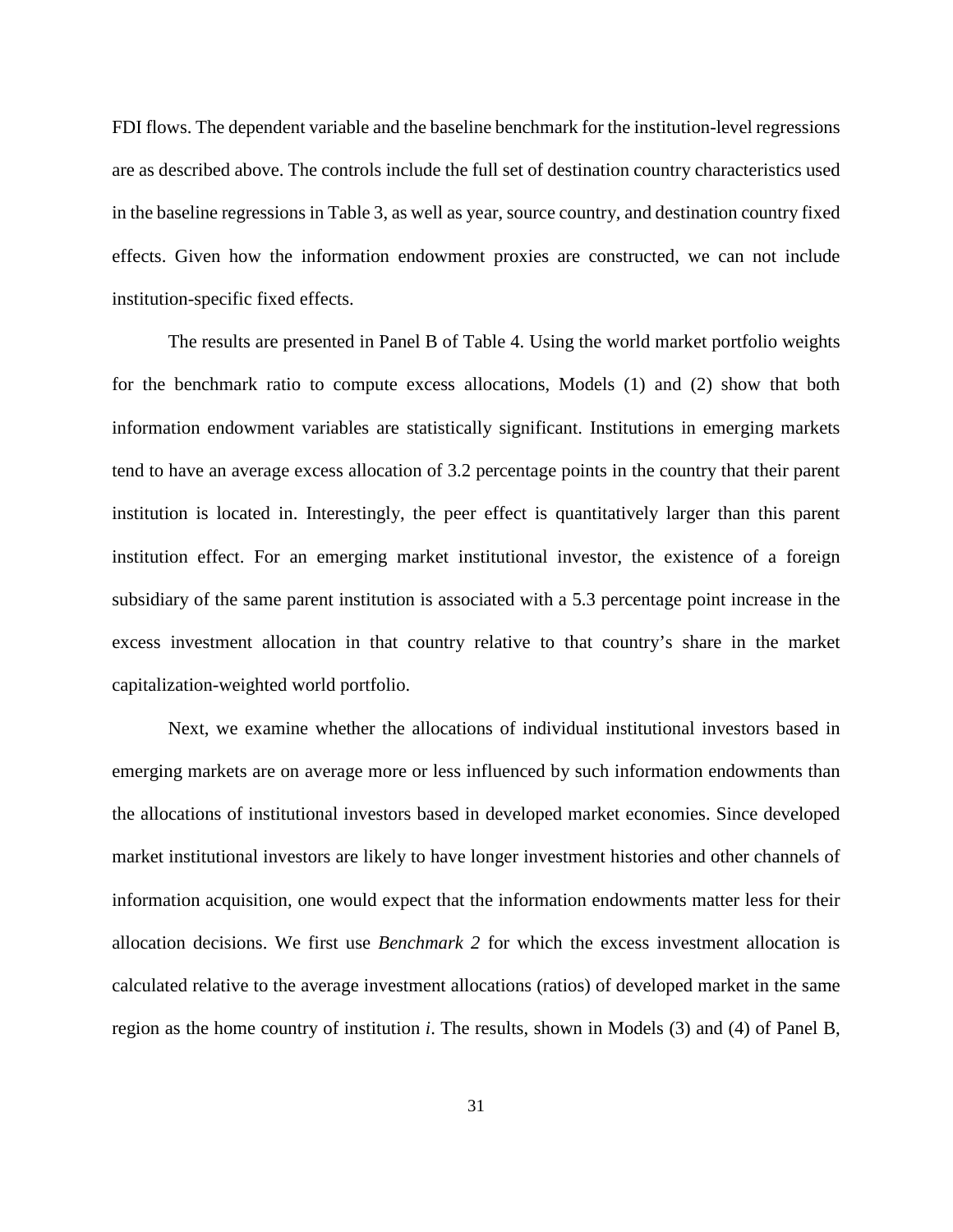FDI flows. The dependent variable and the baseline benchmark for the institution-level regressions are as described above. The controls include the full set of destination country characteristics used in the baseline regressions in Table 3, as well as year, source country, and destination country fixed effects. Given how the information endowment proxies are constructed, we can not include institution-specific fixed effects.

The results are presented in Panel B of Table 4. Using the world market portfolio weights for the benchmark ratio to compute excess allocations, Models (1) and (2) show that both information endowment variables are statistically significant. Institutions in emerging markets tend to have an average excess allocation of 3.2 percentage points in the country that their parent institution is located in. Interestingly, the peer effect is quantitatively larger than this parent institution effect. For an emerging market institutional investor, the existence of a foreign subsidiary of the same parent institution is associated with a 5.3 percentage point increase in the excess investment allocation in that country relative to that country's share in the market capitalization-weighted world portfolio.

Next, we examine whether the allocations of individual institutional investors based in emerging markets are on average more or less influenced by such information endowments than the allocations of institutional investors based in developed market economies. Since developed market institutional investors are likely to have longer investment histories and other channels of information acquisition, one would expect that the information endowments matter less for their allocation decisions. We first use *Benchmark 2* for which the excess investment allocation is calculated relative to the average investment allocations (ratios) of developed market in the same region as the home country of institution *i*. The results, shown in Models (3) and (4) of Panel B,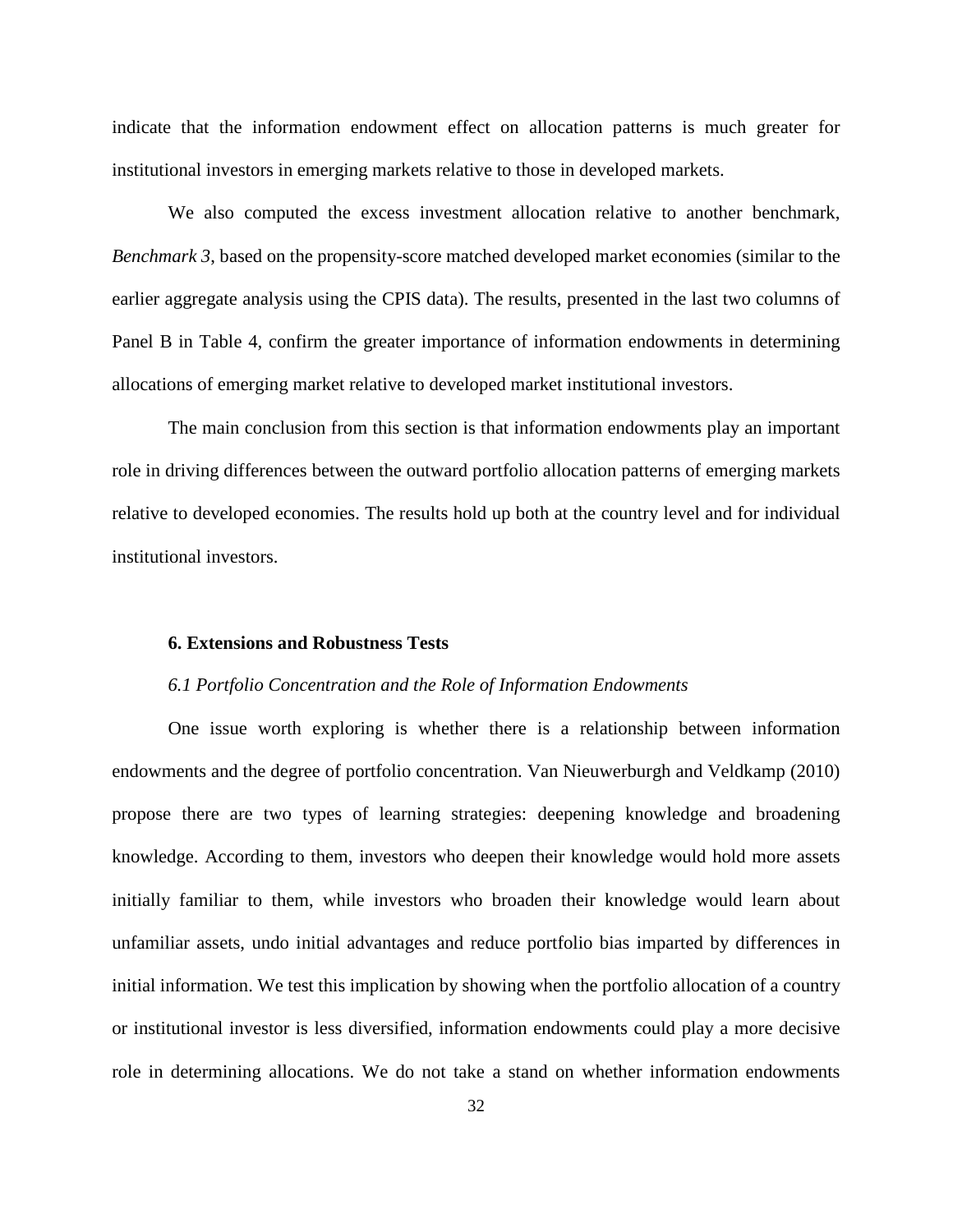indicate that the information endowment effect on allocation patterns is much greater for institutional investors in emerging markets relative to those in developed markets.

We also computed the excess investment allocation relative to another benchmark, *Benchmark 3*, based on the propensity-score matched developed market economies (similar to the earlier aggregate analysis using the CPIS data). The results, presented in the last two columns of Panel B in Table 4, confirm the greater importance of information endowments in determining allocations of emerging market relative to developed market institutional investors.

The main conclusion from this section is that information endowments play an important role in driving differences between the outward portfolio allocation patterns of emerging markets relative to developed economies. The results hold up both at the country level and for individual institutional investors.

#### **6. Extensions and Robustness Tests**

#### *6.1 Portfolio Concentration and the Role of Information Endowments*

One issue worth exploring is whether there is a relationship between information endowments and the degree of portfolio concentration. Van Nieuwerburgh and Veldkamp (2010) propose there are two types of learning strategies: deepening knowledge and broadening knowledge. According to them, investors who deepen their knowledge would hold more assets initially familiar to them, while investors who broaden their knowledge would learn about unfamiliar assets, undo initial advantages and reduce portfolio bias imparted by differences in initial information. We test this implication by showing when the portfolio allocation of a country or institutional investor is less diversified, information endowments could play a more decisive role in determining allocations. We do not take a stand on whether information endowments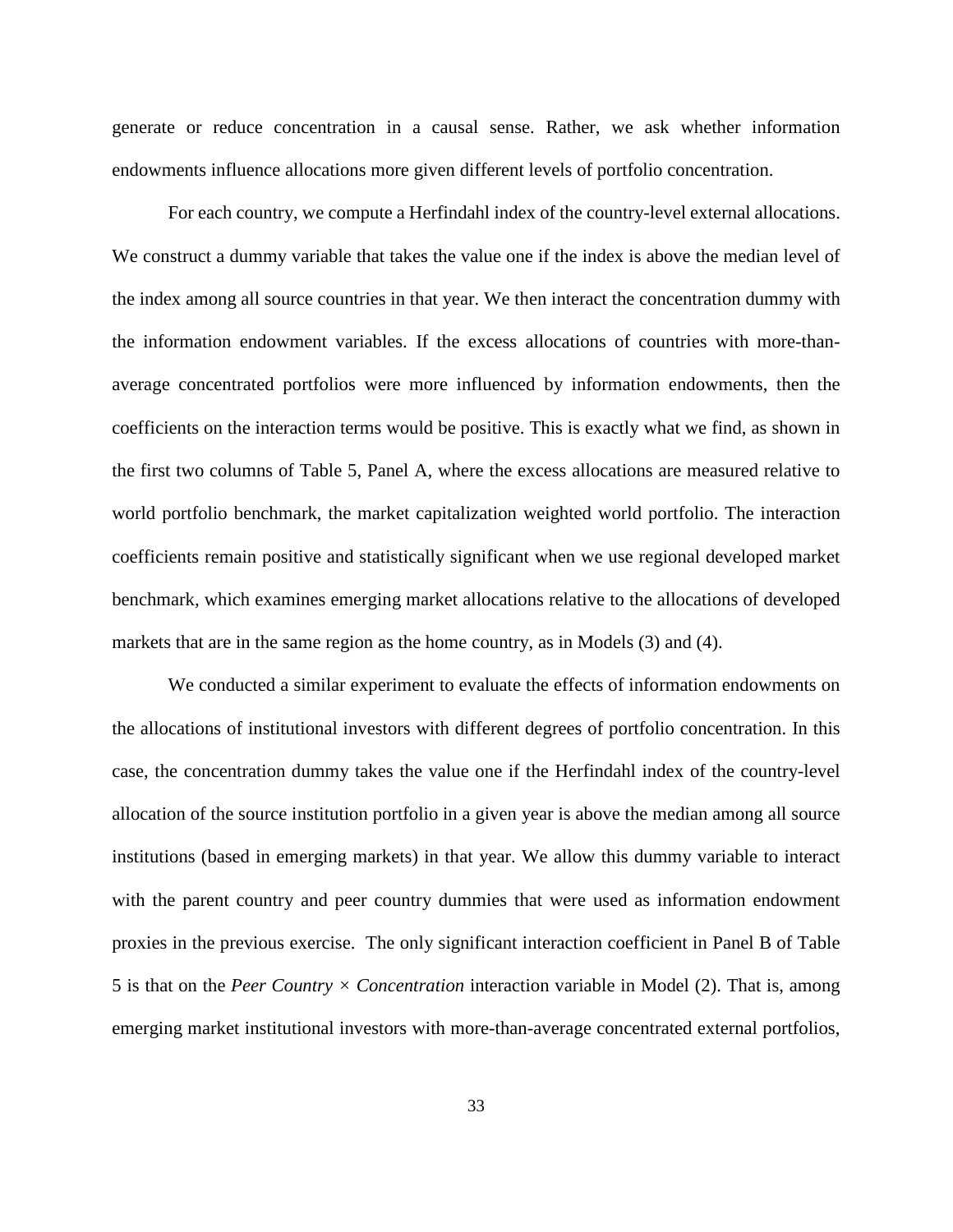generate or reduce concentration in a causal sense. Rather, we ask whether information endowments influence allocations more given different levels of portfolio concentration.

For each country, we compute a Herfindahl index of the country-level external allocations. We construct a dummy variable that takes the value one if the index is above the median level of the index among all source countries in that year. We then interact the concentration dummy with the information endowment variables. If the excess allocations of countries with more-thanaverage concentrated portfolios were more influenced by information endowments, then the coefficients on the interaction terms would be positive. This is exactly what we find, as shown in the first two columns of Table 5, Panel A, where the excess allocations are measured relative to world portfolio benchmark, the market capitalization weighted world portfolio. The interaction coefficients remain positive and statistically significant when we use regional developed market benchmark, which examines emerging market allocations relative to the allocations of developed markets that are in the same region as the home country, as in Models (3) and (4).

We conducted a similar experiment to evaluate the effects of information endowments on the allocations of institutional investors with different degrees of portfolio concentration. In this case, the concentration dummy takes the value one if the Herfindahl index of the country-level allocation of the source institution portfolio in a given year is above the median among all source institutions (based in emerging markets) in that year. We allow this dummy variable to interact with the parent country and peer country dummies that were used as information endowment proxies in the previous exercise. The only significant interaction coefficient in Panel B of Table 5 is that on the *Peer Country × Concentration* interaction variable in Model (2). That is, among emerging market institutional investors with more-than-average concentrated external portfolios,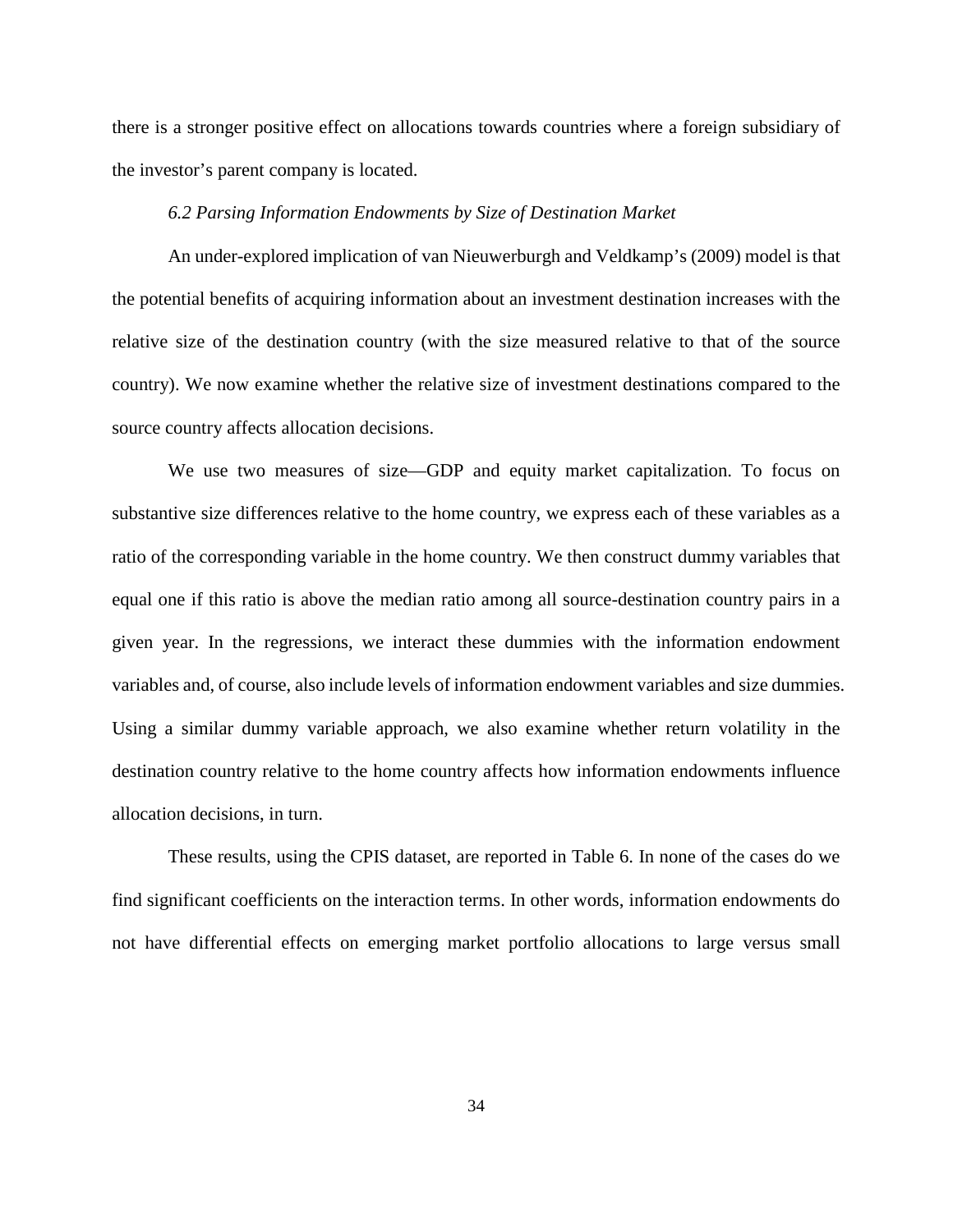there is a stronger positive effect on allocations towards countries where a foreign subsidiary of the investor's parent company is located.

# *6.2 Parsing Information Endowments by Size of Destination Market*

An under-explored implication of van Nieuwerburgh and Veldkamp's (2009) model is that the potential benefits of acquiring information about an investment destination increases with the relative size of the destination country (with the size measured relative to that of the source country). We now examine whether the relative size of investment destinations compared to the source country affects allocation decisions.

We use two measures of size—GDP and equity market capitalization. To focus on substantive size differences relative to the home country, we express each of these variables as a ratio of the corresponding variable in the home country. We then construct dummy variables that equal one if this ratio is above the median ratio among all source-destination country pairs in a given year. In the regressions, we interact these dummies with the information endowment variables and, of course, also include levels of information endowment variables and size dummies. Using a similar dummy variable approach, we also examine whether return volatility in the destination country relative to the home country affects how information endowments influence allocation decisions, in turn.

These results, using the CPIS dataset, are reported in Table 6. In none of the cases do we find significant coefficients on the interaction terms. In other words, information endowments do not have differential effects on emerging market portfolio allocations to large versus small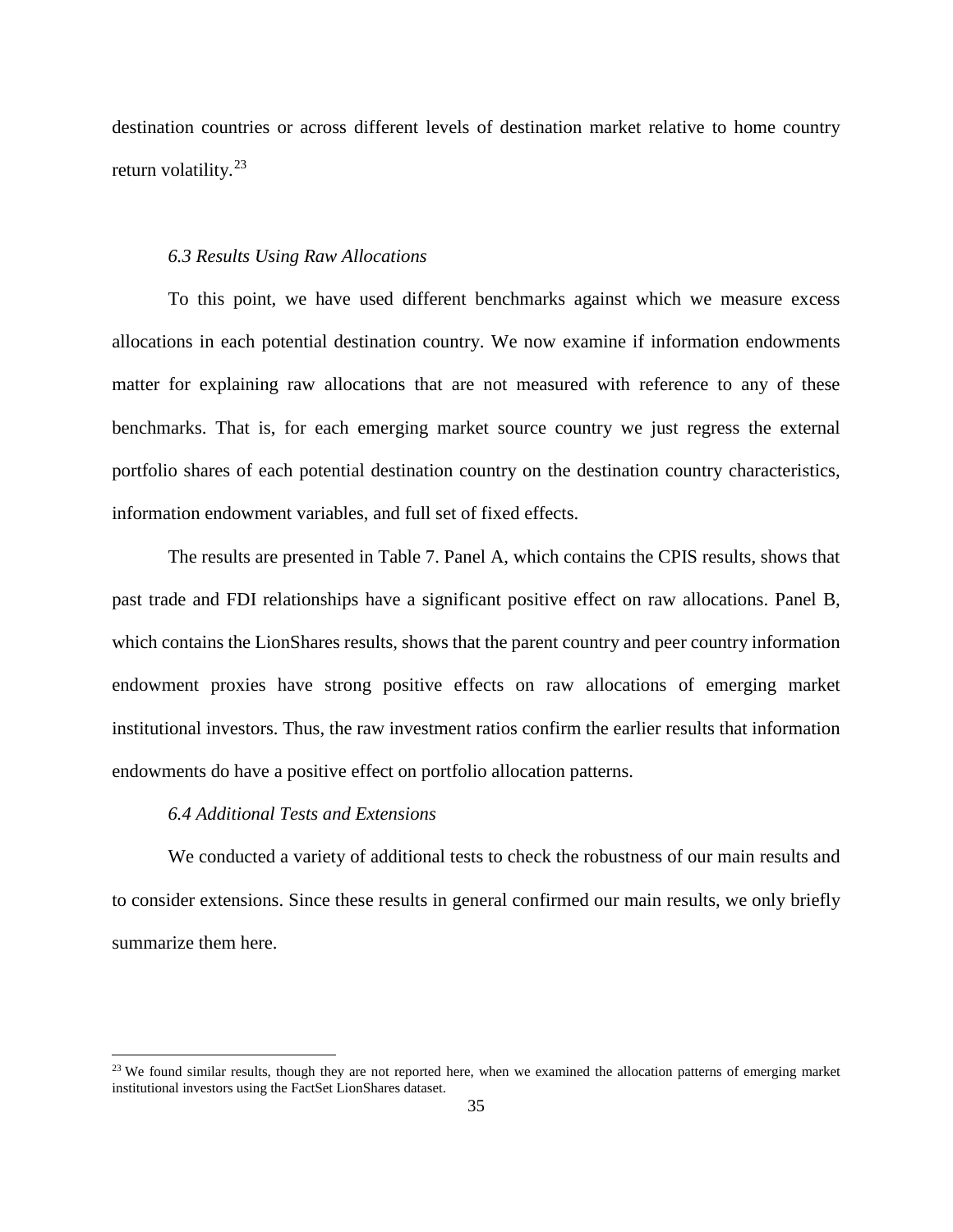destination countries or across different levels of destination market relative to home country return volatility.<sup>[23](#page-37-0)</sup>

## *6.3 Results Using Raw Allocations*

To this point, we have used different benchmarks against which we measure excess allocations in each potential destination country. We now examine if information endowments matter for explaining raw allocations that are not measured with reference to any of these benchmarks. That is, for each emerging market source country we just regress the external portfolio shares of each potential destination country on the destination country characteristics, information endowment variables, and full set of fixed effects.

The results are presented in Table 7. Panel A, which contains the CPIS results, shows that past trade and FDI relationships have a significant positive effect on raw allocations. Panel B, which contains the LionShares results, shows that the parent country and peer country information endowment proxies have strong positive effects on raw allocations of emerging market institutional investors. Thus, the raw investment ratios confirm the earlier results that information endowments do have a positive effect on portfolio allocation patterns.

# *6.4 Additional Tests and Extensions*

l

We conducted a variety of additional tests to check the robustness of our main results and to consider extensions. Since these results in general confirmed our main results, we only briefly summarize them here.

<span id="page-37-0"></span><sup>&</sup>lt;sup>23</sup> We found similar results, though they are not reported here, when we examined the allocation patterns of emerging market institutional investors using the FactSet LionShares dataset.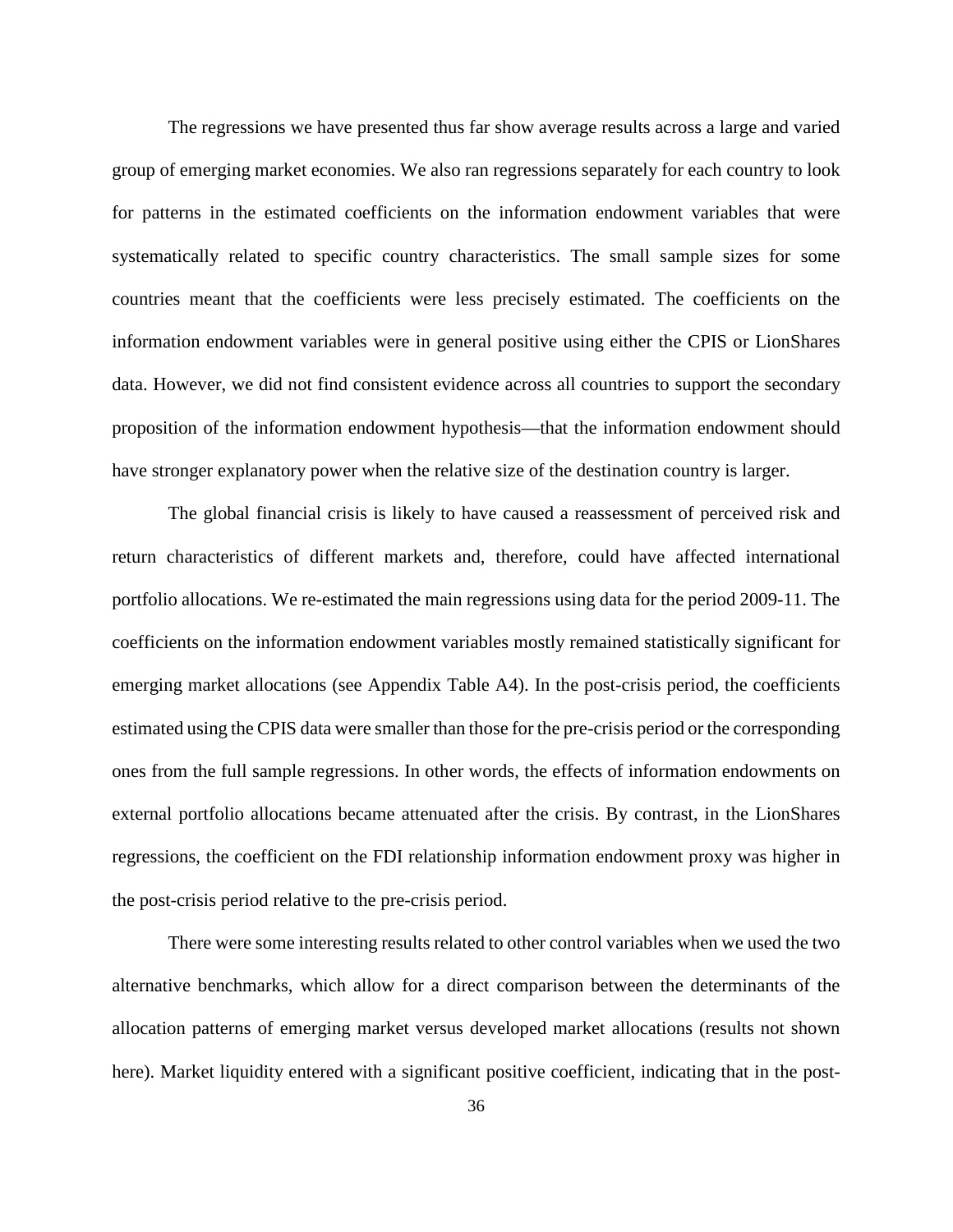The regressions we have presented thus far show average results across a large and varied group of emerging market economies. We also ran regressions separately for each country to look for patterns in the estimated coefficients on the information endowment variables that were systematically related to specific country characteristics. The small sample sizes for some countries meant that the coefficients were less precisely estimated. The coefficients on the information endowment variables were in general positive using either the CPIS or LionShares data. However, we did not find consistent evidence across all countries to support the secondary proposition of the information endowment hypothesis—that the information endowment should have stronger explanatory power when the relative size of the destination country is larger.

The global financial crisis is likely to have caused a reassessment of perceived risk and return characteristics of different markets and, therefore, could have affected international portfolio allocations. We re-estimated the main regressions using data for the period 2009-11. The coefficients on the information endowment variables mostly remained statistically significant for emerging market allocations (see Appendix Table A4). In the post-crisis period, the coefficients estimated using the CPIS data were smaller than those for the pre-crisis period or the corresponding ones from the full sample regressions. In other words, the effects of information endowments on external portfolio allocations became attenuated after the crisis. By contrast, in the LionShares regressions, the coefficient on the FDI relationship information endowment proxy was higher in the post-crisis period relative to the pre-crisis period.

There were some interesting results related to other control variables when we used the two alternative benchmarks, which allow for a direct comparison between the determinants of the allocation patterns of emerging market versus developed market allocations (results not shown here). Market liquidity entered with a significant positive coefficient, indicating that in the post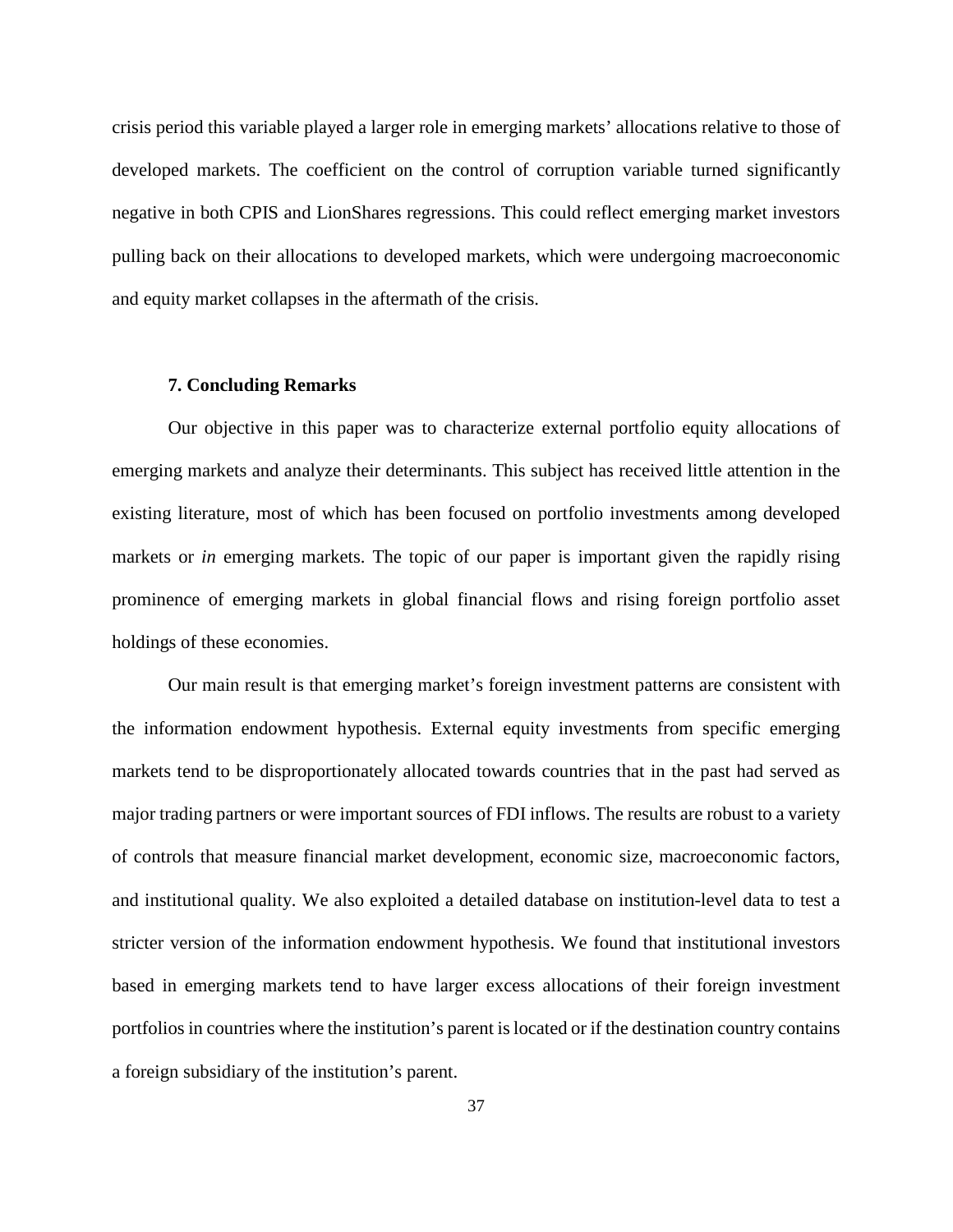crisis period this variable played a larger role in emerging markets' allocations relative to those of developed markets. The coefficient on the control of corruption variable turned significantly negative in both CPIS and LionShares regressions. This could reflect emerging market investors pulling back on their allocations to developed markets, which were undergoing macroeconomic and equity market collapses in the aftermath of the crisis.

# **7. Concluding Remarks**

Our objective in this paper was to characterize external portfolio equity allocations of emerging markets and analyze their determinants. This subject has received little attention in the existing literature, most of which has been focused on portfolio investments among developed markets or *in* emerging markets. The topic of our paper is important given the rapidly rising prominence of emerging markets in global financial flows and rising foreign portfolio asset holdings of these economies.

Our main result is that emerging market's foreign investment patterns are consistent with the information endowment hypothesis. External equity investments from specific emerging markets tend to be disproportionately allocated towards countries that in the past had served as major trading partners or were important sources of FDI inflows. The results are robust to a variety of controls that measure financial market development, economic size, macroeconomic factors, and institutional quality. We also exploited a detailed database on institution-level data to test a stricter version of the information endowment hypothesis. We found that institutional investors based in emerging markets tend to have larger excess allocations of their foreign investment portfolios in countries where the institution's parent is located or if the destination country contains a foreign subsidiary of the institution's parent.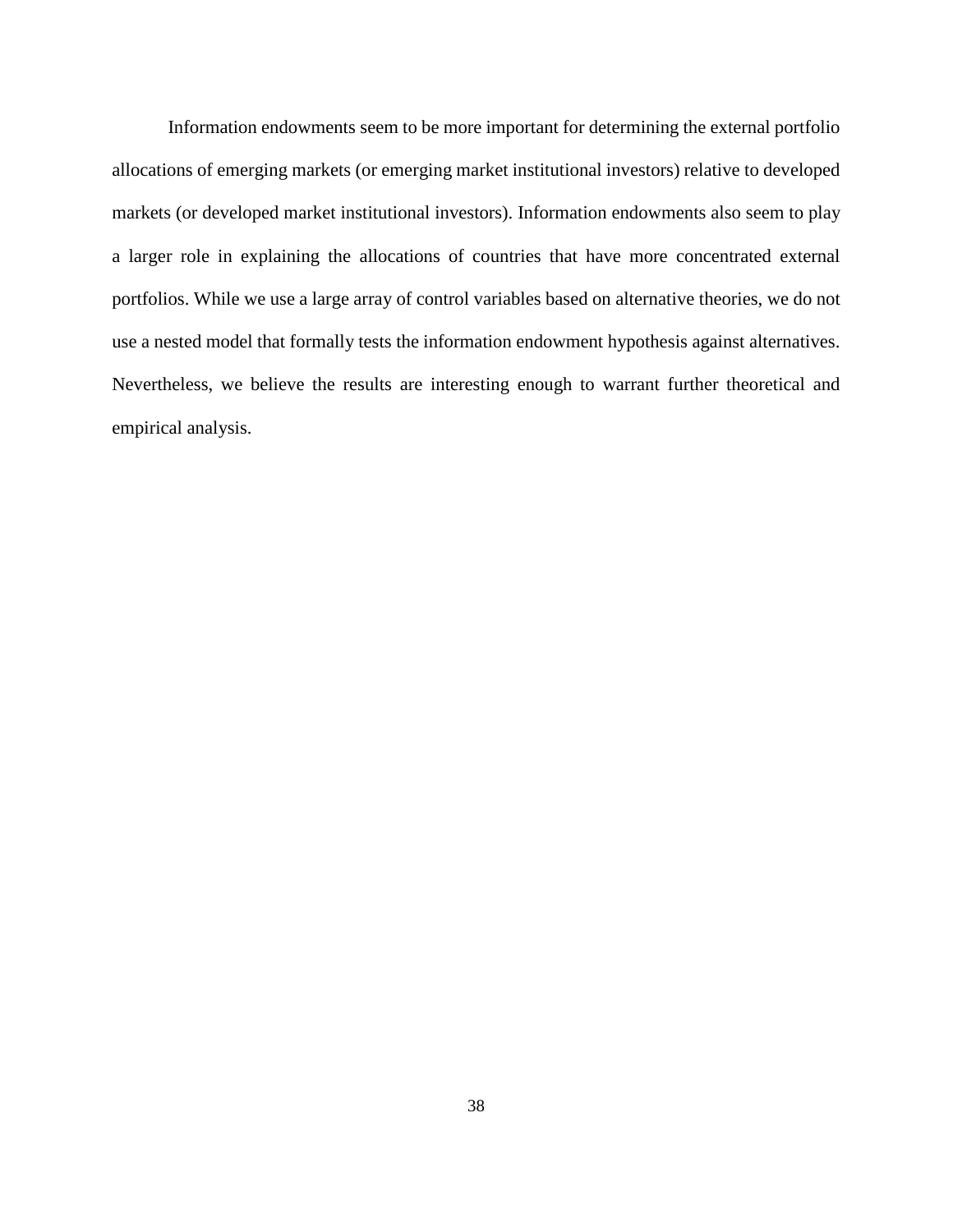Information endowments seem to be more important for determining the external portfolio allocations of emerging markets (or emerging market institutional investors) relative to developed markets (or developed market institutional investors). Information endowments also seem to play a larger role in explaining the allocations of countries that have more concentrated external portfolios. While we use a large array of control variables based on alternative theories, we do not use a nested model that formally tests the information endowment hypothesis against alternatives. Nevertheless, we believe the results are interesting enough to warrant further theoretical and empirical analysis.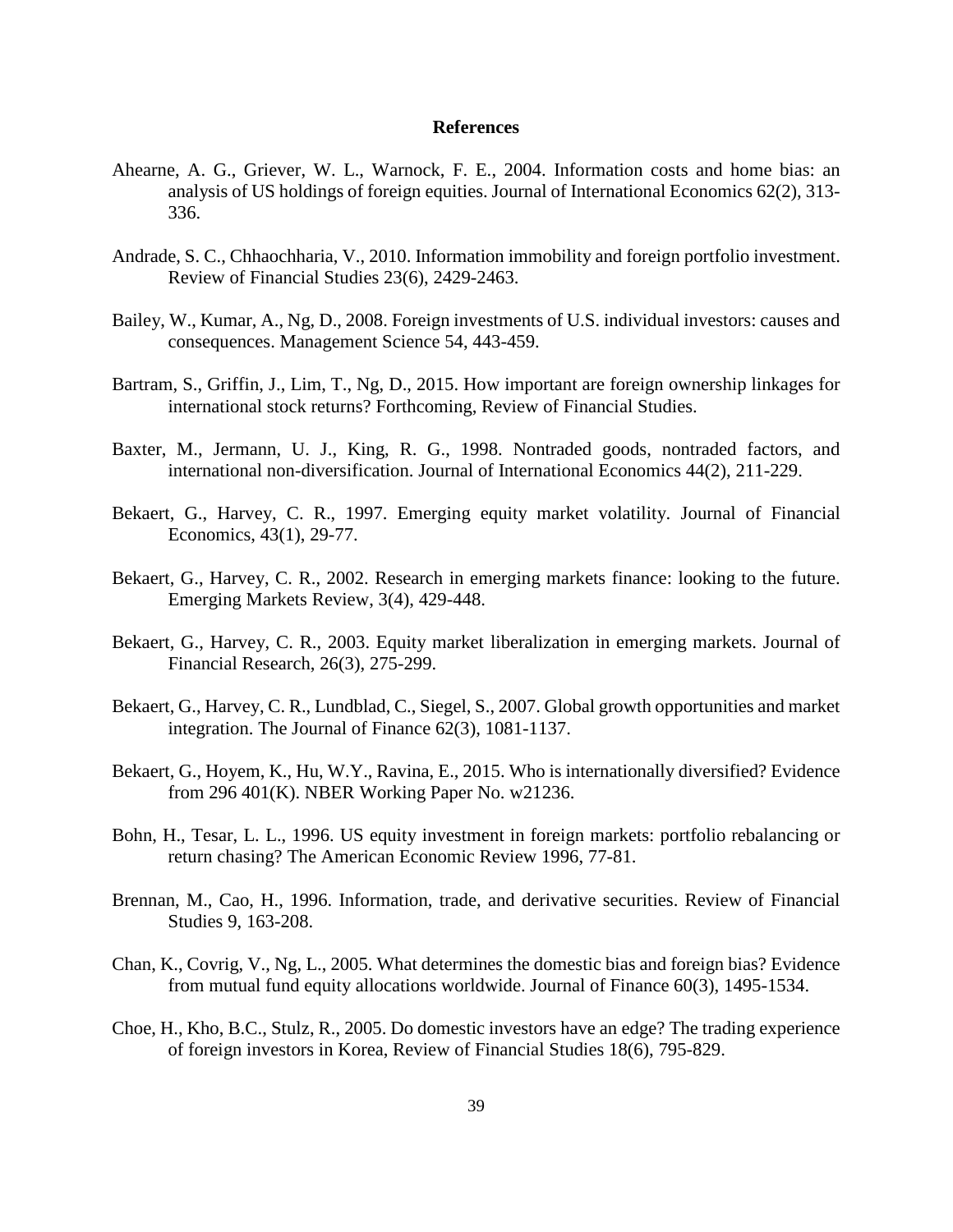## **References**

- Ahearne, A. G., Griever, W. L., Warnock, F. E., 2004. Information costs and home bias: an analysis of US holdings of foreign equities. Journal of International Economics 62(2), 313- 336.
- Andrade, S. C., Chhaochharia, V., 2010. Information immobility and foreign portfolio investment. Review of Financial Studies 23(6), 2429-2463.
- Bailey, W., Kumar, A., Ng, D., 2008. Foreign investments of U.S. individual investors: causes and consequences. Management Science 54, 443-459.
- Bartram, S., Griffin, J., Lim, T., Ng, D., 2015. How important are foreign ownership linkages for international stock returns? Forthcoming, Review of Financial Studies.
- Baxter, M., Jermann, U. J., King, R. G., 1998. Nontraded goods, nontraded factors, and international non-diversification. Journal of International Economics 44(2), 211-229.
- Bekaert, G., Harvey, C. R., 1997. Emerging equity market volatility. Journal of Financial Economics, 43(1), 29-77.
- Bekaert, G., Harvey, C. R., 2002. Research in emerging markets finance: looking to the future. Emerging Markets Review, 3(4), 429-448.
- Bekaert, G., Harvey, C. R., 2003. Equity market liberalization in emerging markets. Journal of Financial Research, 26(3), 275-299.
- Bekaert, G., Harvey, C. R., Lundblad, C., Siegel, S., 2007. Global growth opportunities and market integration. The Journal of Finance 62(3), 1081-1137.
- Bekaert, G., Hoyem, K., Hu, W.Y., Ravina, E., 2015. Who is internationally diversified? Evidence from 296 401(K). NBER Working Paper No. w21236.
- Bohn, H., Tesar, L. L., 1996. US equity investment in foreign markets: portfolio rebalancing or return chasing? The American Economic Review 1996, 77-81.
- Brennan, M., Cao, H., 1996. Information, trade, and derivative securities. Review of Financial Studies 9, 163-208.
- Chan, K., Covrig, V., Ng, L., 2005. What determines the domestic bias and foreign bias? Evidence from mutual fund equity allocations worldwide. Journal of Finance 60(3), 1495-1534.
- Choe, H., Kho, B.C., Stulz, R., 2005. Do domestic investors have an edge? The trading experience of foreign investors in Korea, Review of Financial Studies 18(6), 795-829.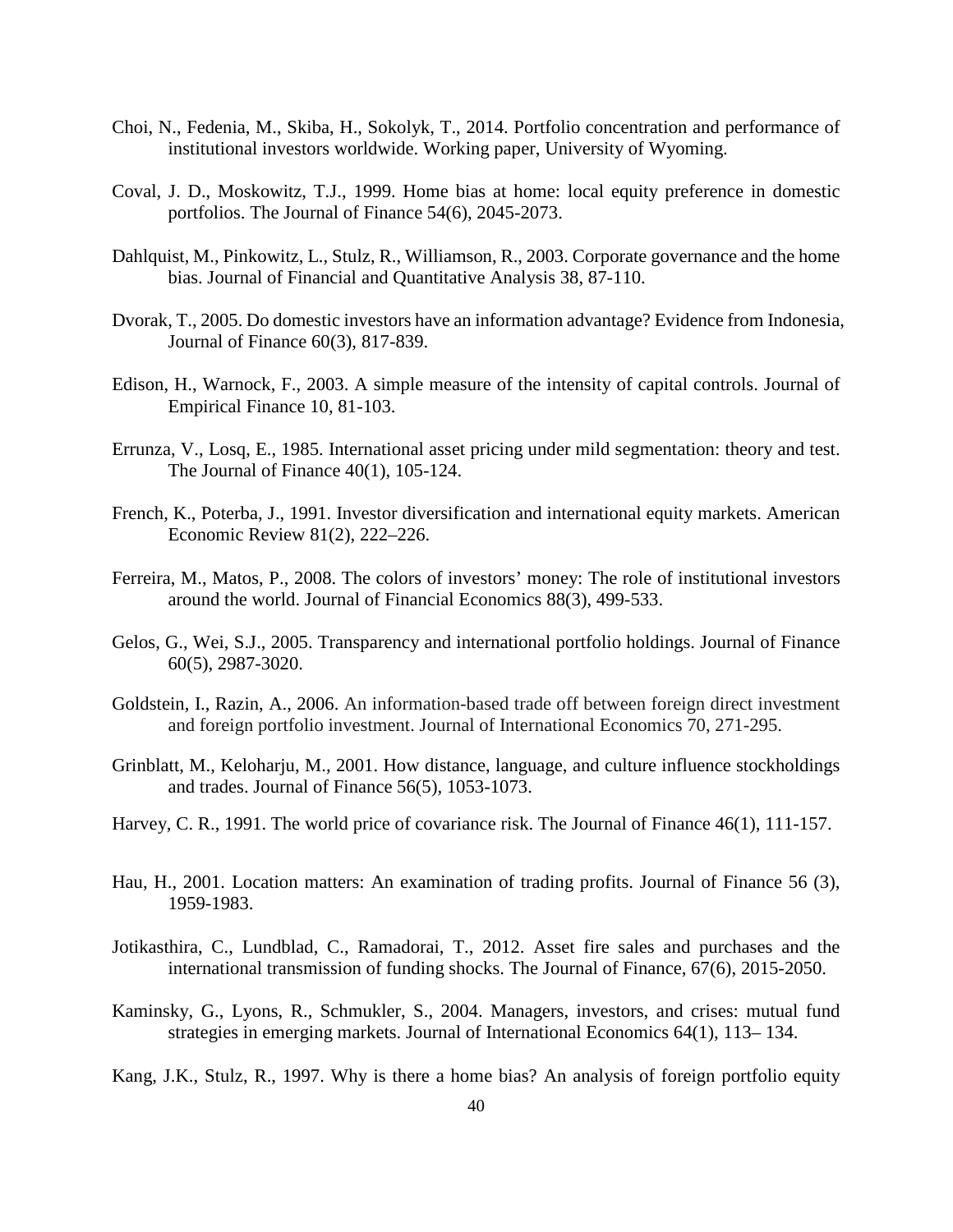- Choi, N., Fedenia, M., Skiba, H., Sokolyk, T., 2014. Portfolio concentration and performance of institutional investors worldwide. Working paper, University of Wyoming.
- Coval, J. D., Moskowitz, T.J., 1999. Home bias at home: local equity preference in domestic portfolios. The Journal of Finance 54(6), 2045-2073.
- Dahlquist, M., Pinkowitz, L., Stulz, R., Williamson, R., 2003. Corporate governance and the home bias. Journal of Financial and Quantitative Analysis 38, 87-110.
- Dvorak, T., 2005. Do domestic investors have an information advantage? Evidence from Indonesia, Journal of Finance 60(3), 817-839.
- Edison, H., Warnock, F., 2003. A simple measure of the intensity of capital controls. Journal of Empirical Finance 10, 81-103.
- Errunza, V., Losq, E., 1985. International asset pricing under mild segmentation: theory and test. The Journal of Finance 40(1), 105-124.
- French, K., Poterba, J., 1991. Investor diversification and international equity markets. American Economic Review 81(2), 222–226.
- Ferreira, M., Matos, P., 2008. The colors of investors' money: The role of institutional investors around the world. Journal of Financial Economics 88(3), 499-533.
- Gelos, G., Wei, S.J., 2005. Transparency and international portfolio holdings. Journal of Finance 60(5), 2987-3020.
- Goldstein, I., Razin, A., 2006. An information-based trade off between foreign direct investment and foreign portfolio investment. Journal of International Economics 70, 271-295.
- Grinblatt, M., Keloharju, M., 2001. How distance, language, and culture influence stockholdings and trades. Journal of Finance 56(5), 1053-1073.
- Harvey, C. R., 1991. The world price of covariance risk. The Journal of Finance 46(1), 111-157.
- Hau, H., 2001. Location matters: An examination of trading profits. Journal of Finance 56 (3), 1959-1983.
- Jotikasthira, C., Lundblad, C., Ramadorai, T., 2012. Asset fire sales and purchases and the international transmission of funding shocks. The Journal of Finance, 67(6), 2015-2050.
- Kaminsky, G., Lyons, R., Schmukler, S., 2004. Managers, investors, and crises: mutual fund strategies in emerging markets. Journal of International Economics 64(1), 113– 134.
- Kang, J.K., Stulz, R., 1997. Why is there a home bias? An analysis of foreign portfolio equity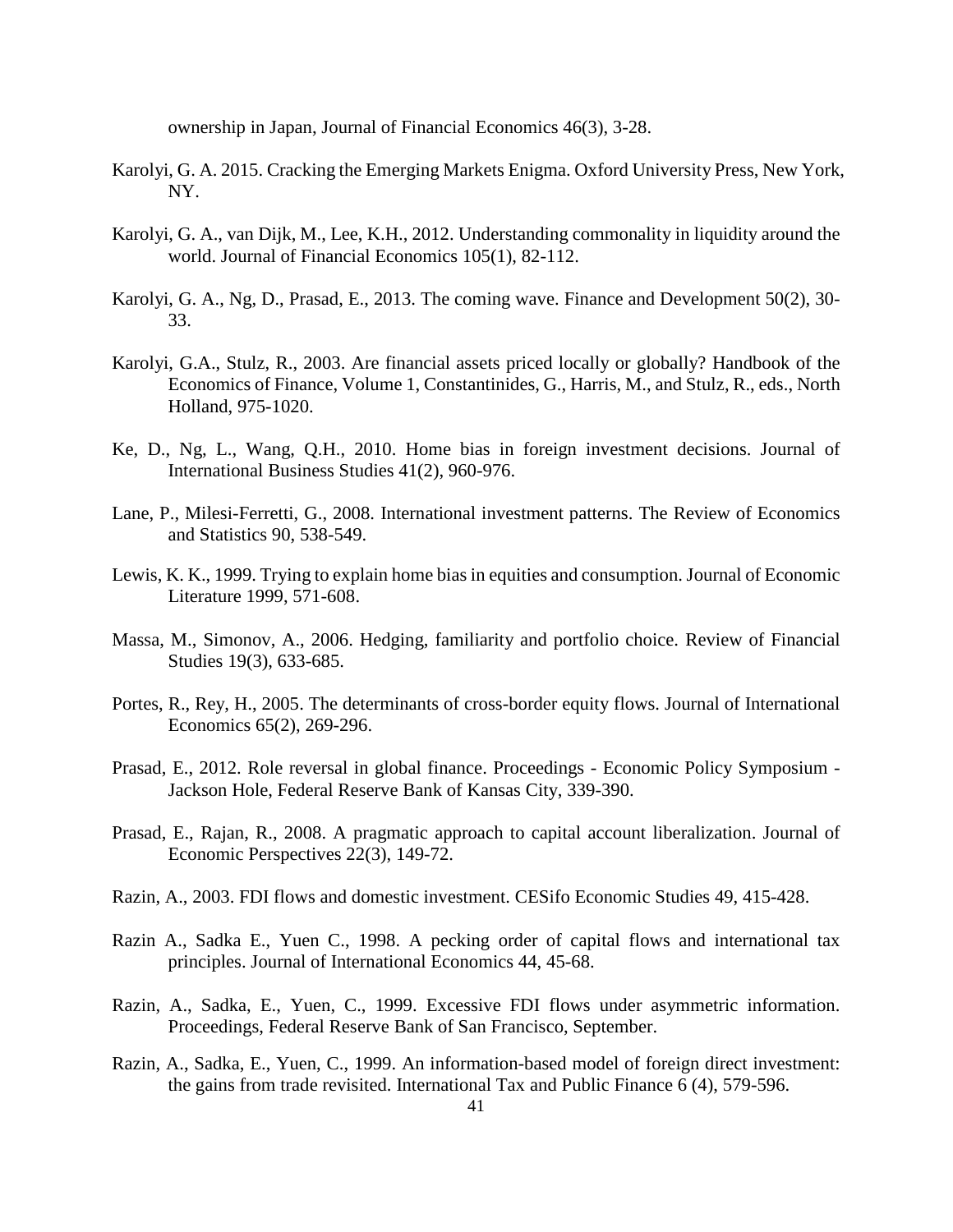ownership in Japan, Journal of Financial Economics 46(3), 3-28.

- Karolyi, G. A. 2015. Cracking the Emerging Markets Enigma. Oxford University Press, New York, NY.
- Karolyi, G. A., van Dijk, M., Lee, K.H., 2012. Understanding commonality in liquidity around the world. Journal of Financial Economics 105(1), 82-112.
- Karolyi, G. A., Ng, D., Prasad, E., 2013. The coming wave. Finance and Development 50(2), 30- 33.
- Karolyi, G.A., Stulz, R., 2003. Are financial assets priced locally or globally? Handbook of the Economics of Finance, Volume 1, Constantinides, G., Harris, M., and Stulz, R., eds., North Holland, 975-1020.
- Ke, D., Ng, L., Wang, Q.H., 2010. Home bias in foreign investment decisions. Journal of International Business Studies 41(2), 960-976.
- Lane, P., Milesi-Ferretti, G., 2008. International investment patterns. The Review of Economics and Statistics 90, 538-549.
- Lewis, K. K., 1999. Trying to explain home bias in equities and consumption. Journal of Economic Literature 1999, 571-608.
- Massa, M., Simonov, A., 2006. Hedging, familiarity and portfolio choice. Review of Financial Studies 19(3), 633-685.
- Portes, R., Rey, H., 2005. The determinants of cross-border equity flows. Journal of International Economics 65(2), 269-296.
- Prasad, E., 2012. Role reversal in global finance. Proceedings Economic Policy Symposium Jackson Hole, Federal Reserve Bank of Kansas City, 339-390.
- Prasad, E., Rajan, R., 2008. A pragmatic approach to capital account liberalization. Journal of Economic Perspectives 22(3), 149-72.
- Razin, A., 2003. FDI flows and domestic investment. CESifo Economic Studies 49, 415-428.
- Razin A., Sadka E., Yuen C., 1998. A pecking order of capital flows and international tax principles. Journal of International Economics 44, 45-68.
- Razin, A., Sadka, E., Yuen, C., 1999. Excessive FDI flows under asymmetric information. Proceedings, Federal Reserve Bank of San Francisco, September.
- Razin, A., Sadka, E., Yuen, C., 1999. An information-based model of foreign direct investment: the gains from trade revisited. International Tax and Public Finance 6 (4), 579-596.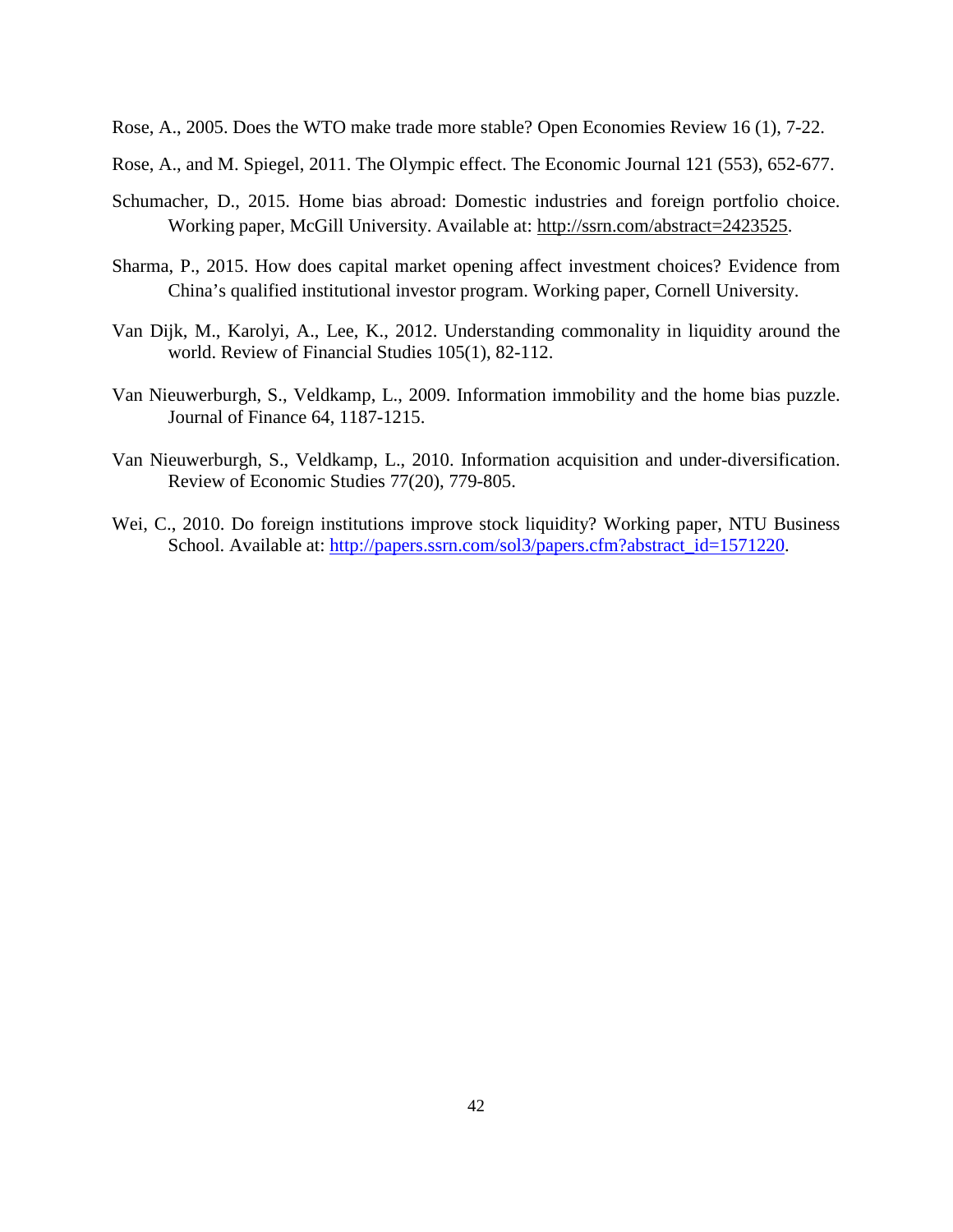Rose, A., 2005. Does the WTO make trade more stable? Open Economies Review 16 (1), 7-22.

Rose, A., and M. Spiegel, 2011. The Olympic effect. The Economic Journal 121 (553), 652-677.

- Schumacher, D., 2015. Home bias abroad: Domestic industries and foreign portfolio choice. Working paper, McGill University. Available at: [http://ssrn.com/abstract=2423525.](http://ssrn.com/abstract=2423525)
- Sharma, P., 2015. How does capital market opening affect investment choices? Evidence from China's qualified institutional investor program. Working paper, Cornell University.
- Van Dijk, M., Karolyi, A., Lee, K., 2012. Understanding commonality in liquidity around the world. Review of Financial Studies 105(1), 82-112.
- Van Nieuwerburgh, S., Veldkamp, L., 2009. Information immobility and the home bias puzzle. Journal of Finance 64, 1187-1215.
- Van Nieuwerburgh, S., Veldkamp, L., 2010. Information acquisition and under-diversification. Review of Economic Studies 77(20), 779-805.
- Wei, C., 2010. Do foreign institutions improve stock liquidity? Working paper, NTU Business School. Available at: [http://papers.ssrn.com/sol3/papers.cfm?abstract\\_id=1571220.](http://papers.ssrn.com/sol3/papers.cfm?abstract_id=1571220)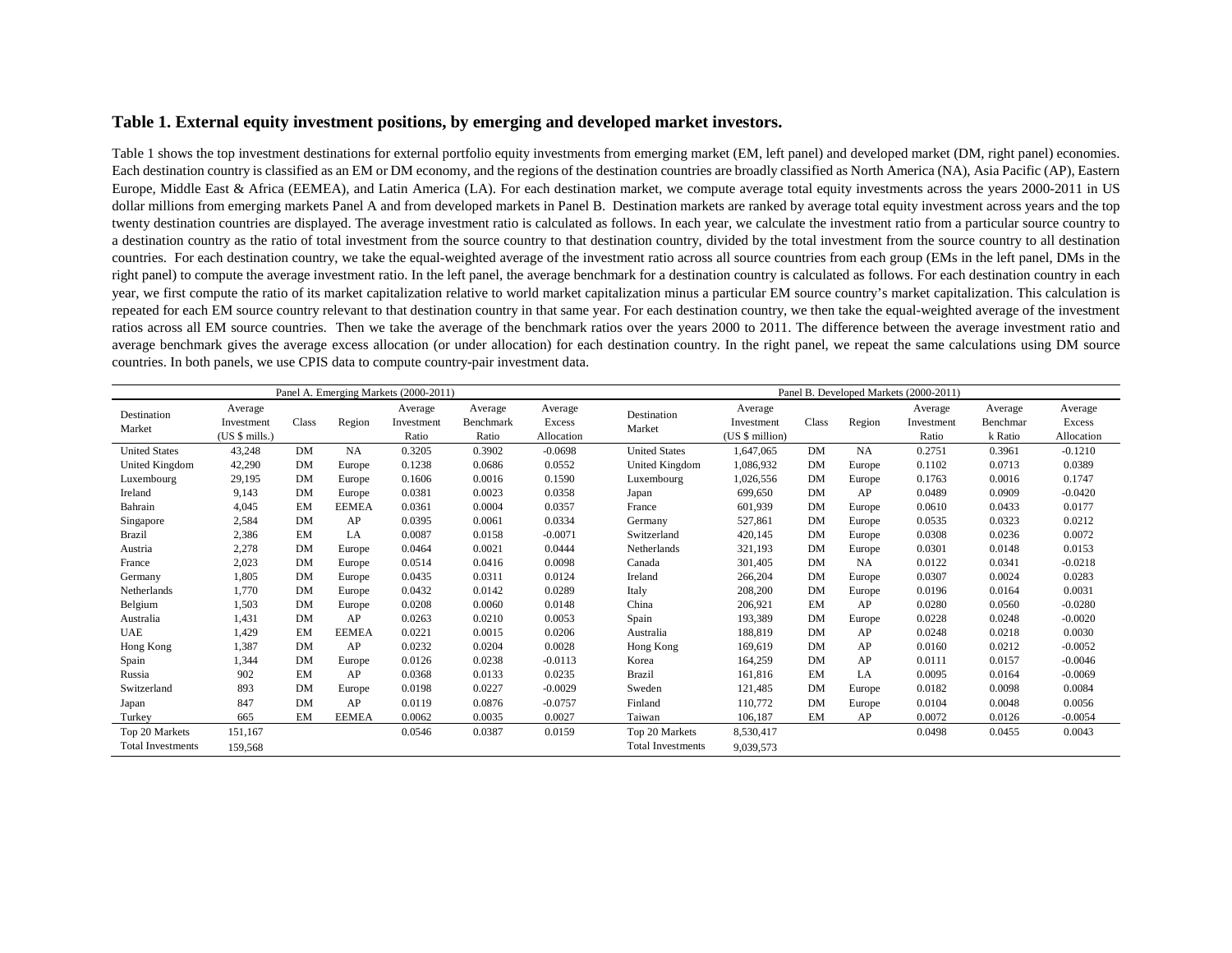## **Table 1. External equity investment positions, by emerging and developed market investors.**

Table 1 shows the top investment destinations for external portfolio equity investments from emerging market (EM, left panel) and developed market (DM, right panel) economies. Each destination country is classified as an EM or DM economy, and the regions of the destination countries are broadly classified as North America (NA), Asia Pacific (AP), Eastern Europe, Middle East & Africa (EEMEA), and Latin America (LA). For each destination market, we compute average total equity investments across the years 2000-2011 in US dollar millions from emerging markets Panel A and from developed markets in Panel B. Destination markets are ranked by average total equity investment across years and the top twenty destination countries are displayed. The average investment ratio is calculated as follows. In each year, we calculate the investment ratio from a particular source country to a destination country as the ratio of total investment from the source country to that destination country, divided by the total investment from the source country to all destination countries. For each destination country, we take the equal-weighted average of the investment ratio across all source countries from each group (EMs in the left panel, DMs in the right panel) to compute the average investment ratio. In the left panel, the average benchmark for a destination country is calculated as follows. For each destination country in each year, we first compute the ratio of its market capitalization relative to world market capitalization minus a particular EM source country's market capitalization. This calculation is repeated for each EM source country relevant to that destination country in that same year. For each destination country, we then take the equal-weighted average of the investment ratios across all EM source countries. Then we take the average of the benchmark ratios over the years 2000 to 2011. The difference between the average investment ratio and average benchmark gives the average excess allocation (or under allocation) for each destination country. In the right panel, we repeat the same calculations using DM source countries. In both panels, we use CPIS data to compute country-pair investment data.

|                          |                                          |           |              | Panel A. Emerging Markets (2000-2011) |                               |                                 |                          |                                          |           |           | Panel B. Developed Markets (2000-2011) |                                |                                 |
|--------------------------|------------------------------------------|-----------|--------------|---------------------------------------|-------------------------------|---------------------------------|--------------------------|------------------------------------------|-----------|-----------|----------------------------------------|--------------------------------|---------------------------------|
| Destination<br>Market    | Average<br>Investment<br>$(US $$ mills.) | Class     | Region       | Average<br>Investment<br>Ratio        | Average<br>Benchmark<br>Ratio | Average<br>Excess<br>Allocation | Destination<br>Market    | Average<br>Investment<br>(US \$ million) | Class     | Region    | Average<br>Investment<br>Ratio         | Average<br>Benchmar<br>k Ratio | Average<br>Excess<br>Allocation |
| <b>United States</b>     | 43,248                                   | DM        | <b>NA</b>    | 0.3205                                | 0.3902                        | $-0.0698$                       | <b>United States</b>     | 1.647.065                                | DM        | <b>NA</b> | 0.2751                                 | 0.3961                         | $-0.1210$                       |
| United Kingdom           | 42,290                                   | DM        | Europe       | 0.1238                                | 0.0686                        | 0.0552                          | United Kingdom           | 1,086,932                                | <b>DM</b> | Europe    | 0.1102                                 | 0.0713                         | 0.0389                          |
| Luxembourg               | 29,195                                   | DM        | Europe       | 0.1606                                | 0.0016                        | 0.1590                          | Luxembourg               | 1,026,556                                | <b>DM</b> | Europe    | 0.1763                                 | 0.0016                         | 0.1747                          |
| Ireland                  | 9,143                                    | DM        | Europe       | 0.0381                                | 0.0023                        | 0.0358                          | Japan                    | 699,650                                  | DM        | AP        | 0.0489                                 | 0.0909                         | $-0.0420$                       |
| Bahrain                  | 4,045                                    | EM        | <b>EEMEA</b> | 0.0361                                | 0.0004                        | 0.0357                          | France                   | 601,939                                  | <b>DM</b> | Europe    | 0.0610                                 | 0.0433                         | 0.0177                          |
| Singapore                | 2,584                                    | DM        | AP           | 0.0395                                | 0.0061                        | 0.0334                          | Germany                  | 527,861                                  | <b>DM</b> | Europe    | 0.0535                                 | 0.0323                         | 0.0212                          |
| <b>Brazil</b>            | 2,386                                    | EM        | LA           | 0.0087                                | 0.0158                        | $-0.0071$                       | Switzerland              | 420,145                                  | <b>DM</b> | Europe    | 0.0308                                 | 0.0236                         | 0.0072                          |
| Austria                  | 2,278                                    | DM        | Europe       | 0.0464                                | 0.0021                        | 0.0444                          | Netherlands              | 321,193                                  | <b>DM</b> | Europe    | 0.0301                                 | 0.0148                         | 0.0153                          |
| France                   | 2,023                                    | DM        | Europe       | 0.0514                                | 0.0416                        | 0.0098                          | Canada                   | 301,405                                  | DM        | <b>NA</b> | 0.0122                                 | 0.0341                         | $-0.0218$                       |
| Germany                  | 1,805                                    | DM        | Europe       | 0.0435                                | 0.0311                        | 0.0124                          | Ireland                  | 266,204                                  | <b>DM</b> | Europe    | 0.0307                                 | 0.0024                         | 0.0283                          |
| Netherlands              | 1,770                                    | DM        | Europe       | 0.0432                                | 0.0142                        | 0.0289                          | Italy                    | 208,200                                  | <b>DM</b> | Europe    | 0.0196                                 | 0.0164                         | 0.0031                          |
| Belgium                  | 1,503                                    | DM        | Europe       | 0.0208                                | 0.0060                        | 0.0148                          | China                    | 206,921                                  | EM        | AP        | 0.0280                                 | 0.0560                         | $-0.0280$                       |
| Australia                | 1,431                                    | DM        | AP           | 0.0263                                | 0.0210                        | 0.0053                          | Spain                    | 193,389                                  | DM        | Europe    | 0.0228                                 | 0.0248                         | $-0.0020$                       |
| UAE                      | 1,429                                    | EM        | <b>EEMEA</b> | 0.0221                                | 0.0015                        | 0.0206                          | Australia                | 188,819                                  | DM        | AP        | 0.0248                                 | 0.0218                         | 0.0030                          |
| Hong Kong                | 1,387                                    | <b>DM</b> | AP           | 0.0232                                | 0.0204                        | 0.0028                          | Hong Kong                | 169,619                                  | DM        | AP        | 0.0160                                 | 0.0212                         | $-0.0052$                       |
| Spain                    | 1,344                                    | DM        | Europe       | 0.0126                                | 0.0238                        | $-0.0113$                       | Korea                    | 164,259                                  | DM        | AP        | 0.0111                                 | 0.0157                         | $-0.0046$                       |
| Russia                   | 902                                      | EM        | AP           | 0.0368                                | 0.0133                        | 0.0235                          | <b>Brazil</b>            | 161.816                                  | EM        | LA        | 0.0095                                 | 0.0164                         | $-0.0069$                       |
| Switzerland              | 893                                      | DM        | Europe       | 0.0198                                | 0.0227                        | $-0.0029$                       | Sweden                   | 121,485                                  | <b>DM</b> | Europe    | 0.0182                                 | 0.0098                         | 0.0084                          |
| Japan                    | 847                                      | DM        | AP           | 0.0119                                | 0.0876                        | $-0.0757$                       | Finland                  | 110,772                                  | <b>DM</b> | Europe    | 0.0104                                 | 0.0048                         | 0.0056                          |
| Turkey                   | 665                                      | EM        | <b>EEMEA</b> | 0.0062                                | 0.0035                        | 0.0027                          | Taiwan                   | 106,187                                  | EM        | AP        | 0.0072                                 | 0.0126                         | $-0.0054$                       |
| Top 20 Markets           | 151,167                                  |           |              | 0.0546                                | 0.0387                        | 0.0159                          | Top 20 Markets           | 8,530,417                                |           |           | 0.0498                                 | 0.0455                         | 0.0043                          |
| <b>Total Investments</b> | 159,568                                  |           |              |                                       |                               |                                 | <b>Total Investments</b> | 9.039.573                                |           |           |                                        |                                |                                 |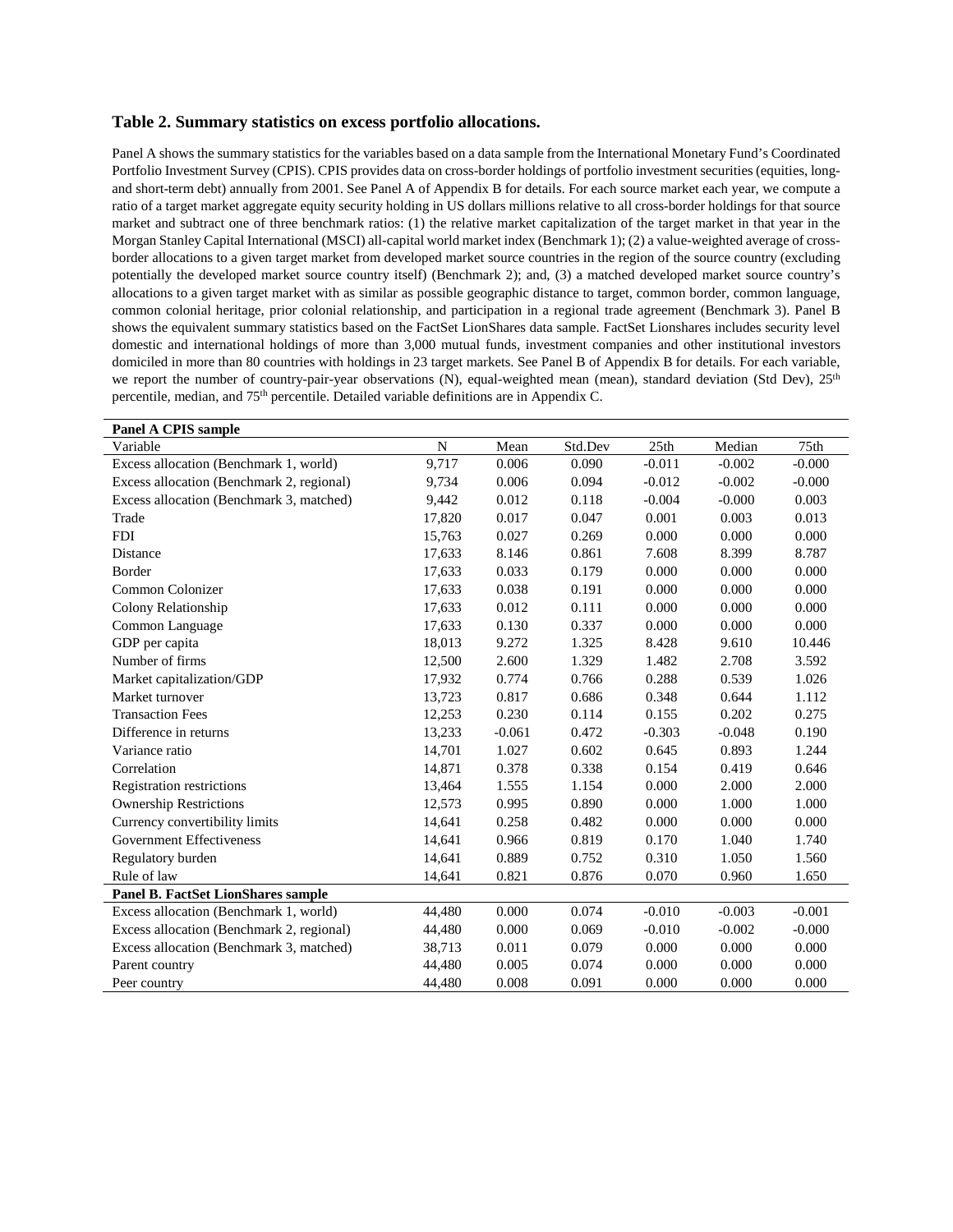#### **Table 2. Summary statistics on excess portfolio allocations.**

Panel A shows the summary statistics for the variables based on a data sample from the International Monetary Fund's Coordinated Portfolio Investment Survey (CPIS). CPIS provides data on cross-border holdings of portfolio investment securities (equities, longand short-term debt) annually from 2001. See Panel A of Appendix B for details. For each source market each year, we compute a ratio of a target market aggregate equity security holding in US dollars millions relative to all cross-border holdings for that source market and subtract one of three benchmark ratios: (1) the relative market capitalization of the target market in that year in the Morgan Stanley Capital International (MSCI) all-capital world market index (Benchmark 1); (2) a value-weighted average of crossborder allocations to a given target market from developed market source countries in the region of the source country (excluding potentially the developed market source country itself) (Benchmark 2); and, (3) a matched developed market source country's allocations to a given target market with as similar as possible geographic distance to target, common border, common language, common colonial heritage, prior colonial relationship, and participation in a regional trade agreement (Benchmark 3). Panel B shows the equivalent summary statistics based on the FactSet LionShares data sample. FactSet Lionshares includes security level domestic and international holdings of more than 3,000 mutual funds, investment companies and other institutional investors domiciled in more than 80 countries with holdings in 23 target markets. See Panel B of Appendix B for details. For each variable, we report the number of country-pair-year observations (N), equal-weighted mean (mean), standard deviation (Std Dev),  $25<sup>th</sup>$ percentile, median, and 75th percentile. Detailed variable definitions are in Appendix C.

| <b>Panel A CPIS sample</b>                |             |          |         |          |          |          |
|-------------------------------------------|-------------|----------|---------|----------|----------|----------|
| Variable                                  | $\mathbf N$ | Mean     | Std.Dev | 25th     | Median   | 75th     |
| Excess allocation (Benchmark 1, world)    | 9,717       | 0.006    | 0.090   | $-0.011$ | $-0.002$ | $-0.000$ |
| Excess allocation (Benchmark 2, regional) | 9.734       | 0.006    | 0.094   | $-0.012$ | $-0.002$ | $-0.000$ |
| Excess allocation (Benchmark 3, matched)  | 9,442       | 0.012    | 0.118   | $-0.004$ | $-0.000$ | 0.003    |
| Trade                                     | 17,820      | 0.017    | 0.047   | 0.001    | 0.003    | 0.013    |
| <b>FDI</b>                                | 15,763      | 0.027    | 0.269   | 0.000    | 0.000    | 0.000    |
| Distance                                  | 17,633      | 8.146    | 0.861   | 7.608    | 8.399    | 8.787    |
| Border                                    | 17,633      | 0.033    | 0.179   | 0.000    | 0.000    | 0.000    |
| Common Colonizer                          | 17,633      | 0.038    | 0.191   | 0.000    | 0.000    | 0.000    |
| Colony Relationship                       | 17,633      | 0.012    | 0.111   | 0.000    | 0.000    | 0.000    |
| Common Language                           | 17,633      | 0.130    | 0.337   | 0.000    | 0.000    | 0.000    |
| GDP per capita                            | 18,013      | 9.272    | 1.325   | 8.428    | 9.610    | 10.446   |
| Number of firms                           | 12,500      | 2.600    | 1.329   | 1.482    | 2.708    | 3.592    |
| Market capitalization/GDP                 | 17,932      | 0.774    | 0.766   | 0.288    | 0.539    | 1.026    |
| Market turnover                           | 13,723      | 0.817    | 0.686   | 0.348    | 0.644    | 1.112    |
| <b>Transaction Fees</b>                   | 12,253      | 0.230    | 0.114   | 0.155    | 0.202    | 0.275    |
| Difference in returns                     | 13,233      | $-0.061$ | 0.472   | $-0.303$ | $-0.048$ | 0.190    |
| Variance ratio                            | 14,701      | 1.027    | 0.602   | 0.645    | 0.893    | 1.244    |
| Correlation                               | 14,871      | 0.378    | 0.338   | 0.154    | 0.419    | 0.646    |
| Registration restrictions                 | 13,464      | 1.555    | 1.154   | 0.000    | 2.000    | 2.000    |
| <b>Ownership Restrictions</b>             | 12,573      | 0.995    | 0.890   | 0.000    | 1.000    | 1.000    |
| Currency convertibility limits            | 14,641      | 0.258    | 0.482   | 0.000    | 0.000    | 0.000    |
| <b>Government Effectiveness</b>           | 14,641      | 0.966    | 0.819   | 0.170    | 1.040    | 1.740    |
| Regulatory burden                         | 14,641      | 0.889    | 0.752   | 0.310    | 1.050    | 1.560    |
| Rule of law                               | 14,641      | 0.821    | 0.876   | 0.070    | 0.960    | 1.650    |
| <b>Panel B. FactSet LionShares sample</b> |             |          |         |          |          |          |
| Excess allocation (Benchmark 1, world)    | 44,480      | 0.000    | 0.074   | $-0.010$ | $-0.003$ | $-0.001$ |
| Excess allocation (Benchmark 2, regional) | 44,480      | 0.000    | 0.069   | $-0.010$ | $-0.002$ | $-0.000$ |
| Excess allocation (Benchmark 3, matched)  | 38,713      | 0.011    | 0.079   | 0.000    | 0.000    | 0.000    |
| Parent country                            | 44.480      | 0.005    | 0.074   | 0.000    | 0.000    | 0.000    |
| Peer country                              | 44,480      | 0.008    | 0.091   | 0.000    | 0.000    | 0.000    |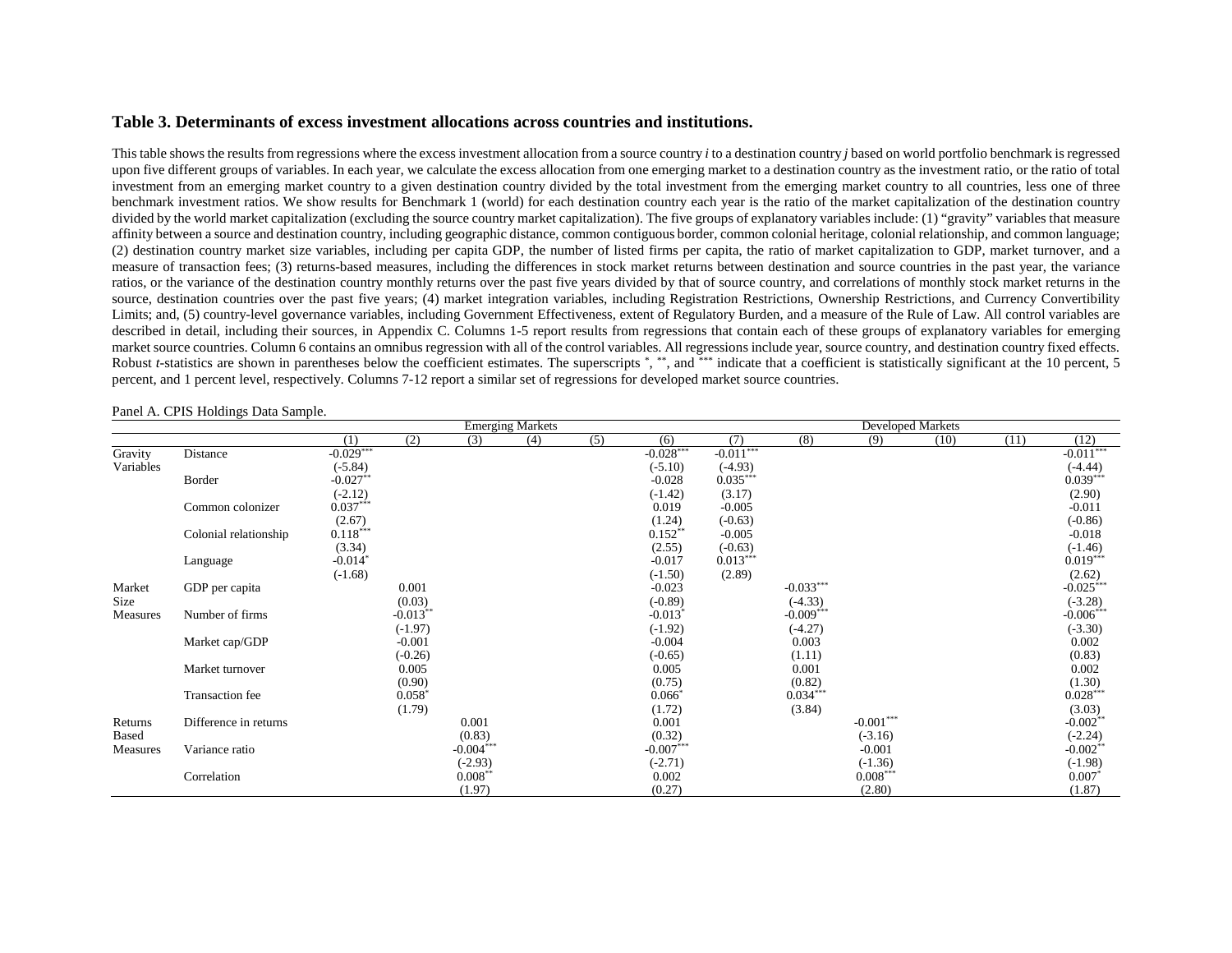#### **Table 3. Determinants of excess investment allocations across countries and institutions.**

This table shows the results from regressions where the excess investment allocation from a source country *i* to a destination country *j* based on world portfolio benchmark is regressed upon five different groups of variables. In each year, we calculate the excess allocation from one emerging market to a destination country as the investment ratio, or the ratio of total investment from an emerging market country to a given destination country divided by the total investment from the emerging market country to all countries, less one of three benchmark investment ratios. We show results for Benchmark 1 (world) for each destination country each year is the ratio of the market capitalization of the destination country divided by the world market capitalization (excluding the source country market capitalization). The five groups of explanatory variables include: (1) "gravity" variables that measure affinity between a source and destination country, including geographic distance, common contiguous border, common colonial heritage, colonial relationship, and common language; (2) destination country market size variables, including per capita GDP, the number of listed firms per capita, the ratio of market capitalization to GDP, market turnover, and a measure of transaction fees; (3) returns-based measures, including the differences in stock market returns between destination and source countries in the past year, the variance ratios, or the variance of the destination country monthly returns over the past five years divided by that of source country, and correlations of monthly stock market returns in the source, destination countries over the past five years; (4) market integration variables, including Registration Restrictions, Ownership Restrictions, and Currency Convertibility Limits; and, (5) country-level governance variables, including Government Effectiveness, extent of Regulatory Burden, and a measure of the Rule of Law. All control variables are described in detail, including their sources, in Appendix C. Columns 1-5 report results from regressions that contain each of these groups of explanatory variables for emerging market source countries. Column 6 contains an omnibus regression with all of the control variables. All regressions include year, source country, and destination country fixed effects. Robust *t*-statistics are shown in parentheses below the coefficient estimates. The superscripts \*, \*\*, and \*\*\* indicate that a coefficient is statistically significant at the 10 percent, 5 percent, and 1 percent level, respectively. Columns 7-12 report a similar set of regressions for developed market source countries.

Emerging Markets<br>
(3) (4) (5) (6) (7) (8) (9) (10)<br>
(10) (1) (2) (3) (4) (5) (6) (7) (8) (9) (10) (11) (12) Gravity Distance  $-0.029***$   $-0.028***$   $-0.011***$   $-0.011***$   $-0.011***$   $-0.011***$ Variables (-5.84) (3.84) (3.84) (3.10) (4.93) (4.93) (4.44)  $\text{Border}$   $-0.027^{**}$   $-0.028$   $0.035^{***}$   $-0.028$   $0.035^{***}$   $-0.035^{***}$   $-0.035^{***}$   $-0.035^{***}$   $-0.035^{***}$   $-0.035^{***}$   $-0.035^{***}$   $-0.035^{***}$   $-0.035^{***}$   $-0.035^{***}$   $-0.035^{***}$   $-0.035^{***}$   $-0.035^{***}$   $-0.035^{***}$   $-0.$  $(-1.42)$   $(3.17)$   $(2.90)$ Common colonizer  $0.037***$   $0.019$   $0.019$   $0.005$   $0.019$   $0.005$   $0.011$  $(1.24)$   $(-0.63)$   $(-0.86)$ Colonial relationship  $0.118***$   $0.152**$   $-0.005$   $-0.018$  $(3.34)$   $(2.55)$   $(-0.63)$   $(-1.46)$  $\rm{Language}$   $-0.014^*$   $-0.017$   $0.013***$   $-0.017$   $0.013***$   $-0.013***$   $-0.013***$   $-0.013***$   $-0.013***$   $-0.013***$   $-0.013***$   $-0.013***$   $-0.013***$   $-0.013***$   $-0.013***$   $-0.013***$   $-0.013***$   $-0.013***$   $-0.013***$   $-0.013***$   $-0.013***$   $-0.01$  $(1.68)$   $(2.62)$ Market GDP per capita  $0.001$  -0.023 -0.033<sup>\*\*\*</sup> -0.033 -0.033<sup>\*\*\*</sup> -0.025<sup>\*\*\*</sup> Size  $(0.03)$   $(-8.89)$   $(-4.33)$   $(-3.28)$ Measures Number of firms -0.013<sup>\*\*</sup> -0.013<sup>\*\*</sup> -0.013<sup>\*</sup> -0.009<sup>\*\*\*</sup> -0.009<sup>\*\*\*</sup> -0.000<sup>\*\*\*</sup> (-1.97) (-1.92) (-4.27) (-3.30) Market cap/GDP -0.001 -0.001 -0.004 0.003 0.002 0.004 0.003 0.002 0.004 0.003 0.002 0.004 0.002 0.002 0.002 0.002 0.002 0.002 0.002 0.002 0.002 0.002 0.002 0.002 0.002 0.002 0.002 0.002 0.002 0.002 0.002 0.002 0.002 0.002  $(-0.26)$   $(-0.65)$   $(1.11)$   $(0.83)$ Market turnover 6.005 0.005 0.005 0.000 0.005 0.000 0.000 0.000 0.002 0.002 0.002 0.002 0.002 0.002 0.002 0.002 0.002 0.002 0.002 0.002 0.002 0.002 0.002 0.002 0.002 0.002 0.002 0.002 0.002 0.002 0.002 0.002 0.002 0.002 0.  $(0.90)$   $(0.75)$   $(0.82)$   $(1.30)$ Transaction fee  $0.058^*$   $0.066^*$   $0.034^{***}$   $0.034^{***}$   $0.028^{***}$   $0.028^{***}$  $(1.79)$   $(1.72)$   $(3.84)$   $(3.03)$ Returns Difference in returns 0.001 0.001 0.001 -0.002<sup>\*\*</sup> -0.001 -0.002<sup>\*\*</sup> -0.00<sup>2\*\*</sup> -0.00<sup>2\*\*</sup> Based (0.83) (0.83) (0.82) (0.32) (3.16) (3.16) (2.24) Measures Variance ratio -0.004\*\*\* -0.004\*\*\* -0.007\*\*\* -0.007\*\*\* -0.001 -0.002\*\* -0.002\*\*  $(-2.93)$   $(-2.71)$   $(-1.36)$   $(-1.98)$  $0.008^{**}$  0.002 0.008\*\*\* 0.007\* 0.007\* 0.007\*  $(1.97)$   $(0.27)$   $(2.80)$   $(1.87)$ 

Panel A. CPIS Holdings Data Sample.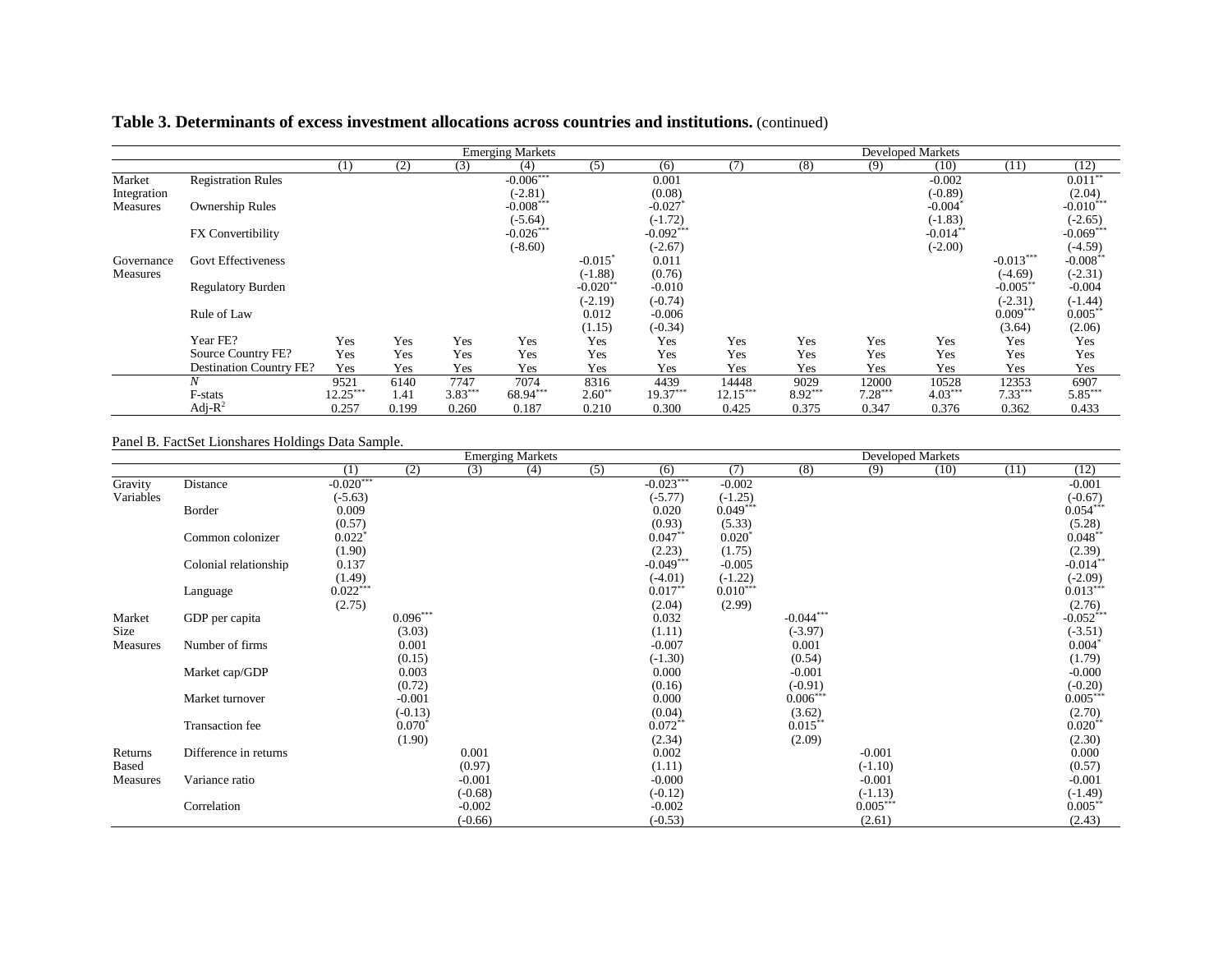# **Table 3. Determinants of excess investment allocations across countries and institutions.** (continued)

|             |                                |            |       |           | <b>Emerging Markets</b> |                        |             |            |         |           | <b>Developed Markets</b> |             |             |
|-------------|--------------------------------|------------|-------|-----------|-------------------------|------------------------|-------------|------------|---------|-----------|--------------------------|-------------|-------------|
|             |                                | (1)        | (2)   | (3)       | (4)                     | (5)                    | (6)         | (7)        | (8)     | (9)       | (10)                     | (11)        | (12)        |
| Market      | <b>Registration Rules</b>      |            |       |           | $-0.006***$             |                        | 0.001       |            |         |           | $-0.002$                 |             | $0.011***$  |
| Integration |                                |            |       |           | $(-2.81)$               |                        | (0.08)      |            |         |           | $(-0.89)$                |             | (2.04)      |
| Measures    | <b>Ownership Rules</b>         |            |       |           | $-0.008***$             |                        | $-0.027$    |            |         |           | $-0.004$ <sup>*</sup>    |             | $-0.010***$ |
|             |                                |            |       |           | $(-5.64)$               |                        | $(-1.72)$   |            |         |           | $(-1.83)$                |             | $(-2.65)$   |
|             | FX Convertibility              |            |       |           | $-0.026***$             |                        | $-0.092***$ |            |         |           | $-0.014**$               |             | $-0.069***$ |
|             |                                |            |       |           | $(-8.60)$               |                        | $(-2.67)$   |            |         |           | $(-2.00)$                |             | $(-4.59)$   |
| Governance  | <b>Govt Effectiveness</b>      |            |       |           |                         | $-0.015$ <sup>*</sup>  | 0.011       |            |         |           |                          | $-0.013***$ | $-0.008*$   |
| Measures    |                                |            |       |           |                         | $(-1.88)$              | (0.76)      |            |         |           |                          | $(-4.69)$   | $(-2.31)$   |
|             | <b>Regulatory Burden</b>       |            |       |           |                         | $-0.020$ <sup>**</sup> | $-0.010$    |            |         |           |                          | $-0.005$ ** | $-0.004$    |
|             |                                |            |       |           |                         | $(-2.19)$              | $(-0.74)$   |            |         |           |                          | $(-2.31)$   | $(-1.44)$   |
|             | Rule of Law                    |            |       |           |                         | 0.012                  | $-0.006$    |            |         |           |                          | $0.009***$  | $0.005***$  |
|             |                                |            |       |           |                         | (1.15)                 | $(-0.34)$   |            |         |           |                          | (3.64)      | (2.06)      |
|             | Year FE?                       | Yes        | Yes   | Yes       | Yes                     | Yes                    | Yes         | Yes        | Yes     | Yes       | Yes                      | Yes         | Yes         |
|             | Source Country FE?             | Yes        | Yes   | Yes       | Yes                     | Yes                    | Yes         | Yes        | Yes     | Yes       | Yes                      | Yes         | Yes         |
|             | <b>Destination Country FE?</b> | Yes        | Yes   | Yes       | Yes                     | Yes                    | Yes         | Yes        | Yes     | Yes       | Yes                      | Yes         | Yes         |
|             | N                              | 9521       | 6140  | 7747      | 7074                    | 8316                   | 4439        | 14448      | 9029    | 12000     | 10528                    | 12353       | 6907        |
|             | F-stats                        | $12.25***$ | 1.41  | $3.83***$ | 68.94***                | $2.60**$               | $19.37***$  | $12.15***$ | 8.92*** | $7.28***$ | $4.03***$                | $7.33***$   | $5.85***$   |
|             | Adj- $R^2$                     | 0.257      | 0.199 | 0.260     | 0.187                   | 0.210                  | 0.300       | 0.425      | 0.375   | 0.347     | 0.376                    | 0.362       | 0.433       |

## Panel B. FactSet Lionshares Holdings Data Sample.

|           |                       |                        |            |           | <b>Emerging Markets</b> |     |             | Developed Markets |             |            |      |      |                       |
|-----------|-----------------------|------------------------|------------|-----------|-------------------------|-----|-------------|-------------------|-------------|------------|------|------|-----------------------|
|           |                       | (1)                    | (2)        | (3)       | (4)                     | (5) | (6)         | (7)               | (8)         | (9)        | (10) | (11) | (12)                  |
| Gravity   | Distance              | $-0.020***$            |            |           |                         |     | $-0.023***$ | $-0.002$          |             |            |      |      | $-0.001$              |
| Variables |                       | $(-5.63)$              |            |           |                         |     | $(-5.77)$   | $(-1.25)$         |             |            |      |      | $(-0.67)$             |
|           | Border                | 0.009                  |            |           |                         |     | 0.020       | $0.049***$        |             |            |      |      | $0.054***$            |
|           |                       | (0.57)                 |            |           |                         |     | (0.93)      | (5.33)            |             |            |      |      | (5.28)                |
|           | Common colonizer      | $0.022$ <sup>*</sup>   |            |           |                         |     | $0.047**$   | $0.020*$          |             |            |      |      | $0.048**$             |
|           |                       | (1.90)                 |            |           |                         |     | (2.23)      | (1.75)            |             |            |      |      | (2.39)                |
|           | Colonial relationship | 0.137                  |            |           |                         |     | $-0.049***$ | $-0.005$          |             |            |      |      | $-0.014**$            |
|           |                       | $(1.49)$<br>$0.022***$ |            |           |                         |     | $(-4.01)$   | $(-1.22)$         |             |            |      |      | $(-2.09)$             |
|           | Language              |                        |            |           |                         |     | $0.017**$   | $0.010***$        |             |            |      |      | $0.013***$            |
|           |                       | (2.75)                 |            |           |                         |     | (2.04)      | (2.99)            |             |            |      |      | (2.76)                |
| Market    | GDP per capita        |                        | $0.096***$ |           |                         |     | 0.032       |                   | $-0.044***$ |            |      |      | $-0.052***$           |
| Size      |                       |                        | (3.03)     |           |                         |     | (1.11)      |                   | $(-3.97)$   |            |      |      | $(-3.51)$             |
| Measures  | Number of firms       |                        | 0.001      |           |                         |     | $-0.007$    |                   | 0.001       |            |      |      | $0.004*$              |
|           |                       |                        | (0.15)     |           |                         |     | $(-1.30)$   |                   | (0.54)      |            |      |      | (1.79)                |
|           | Market cap/GDP        |                        | 0.003      |           |                         |     | 0.000       |                   | $-0.001$    |            |      |      | $-0.000$              |
|           |                       |                        | (0.72)     |           |                         |     | (0.16)      |                   | $(-0.91)$   |            |      |      | $(-0.20)$             |
|           | Market turnover       |                        | $-0.001$   |           |                         |     | 0.000       |                   | $0.006***$  |            |      |      | $0.005***$            |
|           |                       |                        | $(-0.13)$  |           |                         |     | (0.04)      |                   | (3.62)      |            |      |      | $(2.70)$<br>$0.020**$ |
|           | Transaction fee       |                        | $0.070*$   |           |                         |     | $0.072**$   |                   | $0.015***$  |            |      |      |                       |
|           |                       |                        | (1.90)     |           |                         |     | (2.34)      |                   | (2.09)      |            |      |      | (2.30)                |
| Returns   | Difference in returns |                        |            | 0.001     |                         |     | 0.002       |                   |             | $-0.001$   |      |      | 0.000                 |
| Based     |                       |                        |            | (0.97)    |                         |     | (1.11)      |                   |             | $(-1.10)$  |      |      | (0.57)                |
| Measures  | Variance ratio        |                        |            | $-0.001$  |                         |     | $-0.000$    |                   |             | $-0.001$   |      |      | $-0.001$              |
|           |                       |                        |            | $(-0.68)$ |                         |     | $(-0.12)$   |                   |             | $(-1.13)$  |      |      | $(-1.49)$             |
|           | Correlation           |                        |            | $-0.002$  |                         |     | $-0.002$    |                   |             | $0.005***$ |      |      | $0.005***$            |
|           |                       |                        |            | $(-0.66)$ |                         |     | $(-0.53)$   |                   |             | (2.61)     |      |      | (2.43)                |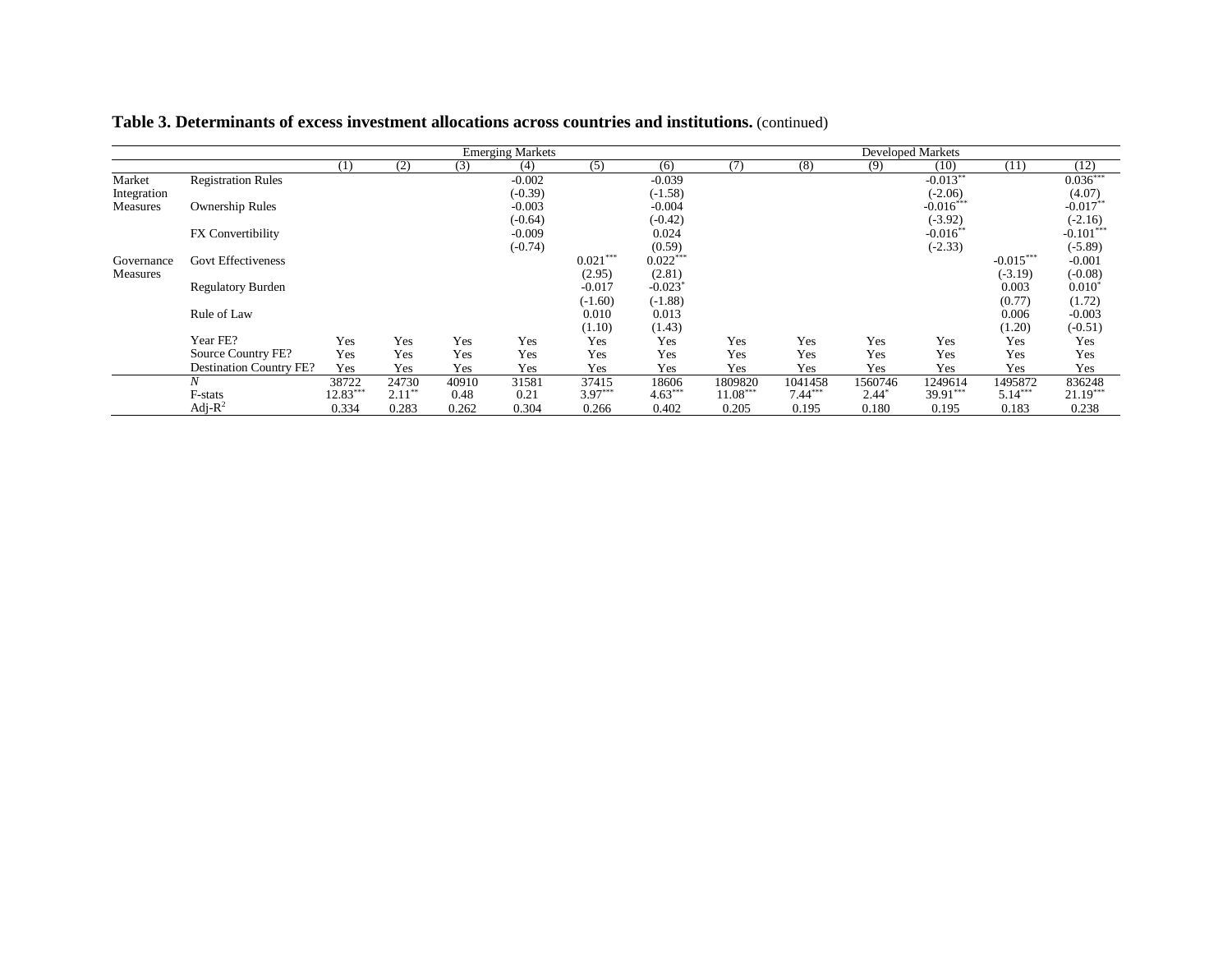| Table 3. Determinants of excess investment allocations across countries and institutions. (continued) |  |
|-------------------------------------------------------------------------------------------------------|--|
|                                                                                                       |  |

|             |                                |            |           |       | <b>Emerging Markets</b> |            |                       |            |           |         | <b>Developed Markets</b> |             |             |
|-------------|--------------------------------|------------|-----------|-------|-------------------------|------------|-----------------------|------------|-----------|---------|--------------------------|-------------|-------------|
|             |                                | (1)        | (2)       | (3)   | (4)                     | (5)        | (6)                   | (7)        | (8)       | (9)     | (10)                     | (11)        | (12)        |
| Market      | <b>Registration Rules</b>      |            |           |       | $-0.002$                |            | $-0.039$              |            |           |         | $-0.013**$               |             | $0.036***$  |
| Integration |                                |            |           |       | $(-0.39)$               |            | $(-1.58)$             |            |           |         | $(-2.06)$                |             | (4.07)      |
| Measures    | <b>Ownership Rules</b>         |            |           |       | $-0.003$                |            | $-0.004$              |            |           |         | $-0.016***$              |             | $-0.017**$  |
|             |                                |            |           |       | $(-0.64)$               |            | $(-0.42)$             |            |           |         | $(-3.92)$                |             | $(-2.16)$   |
|             | FX Convertibility              |            |           |       | $-0.009$                |            | 0.024                 |            |           |         | $-0.016**$               |             | $-0.101***$ |
|             |                                |            |           |       | $(-0.74)$               |            | (0.59)                |            |           |         | $(-2.33)$                |             | $(-5.89)$   |
| Governance  | <b>Govt Effectiveness</b>      |            |           |       |                         | $0.021***$ | $0.022***$            |            |           |         |                          | $-0.015***$ | $-0.001$    |
| Measures    |                                |            |           |       |                         | (2.95)     | (2.81)                |            |           |         |                          | $(-3.19)$   | $(-0.08)$   |
|             | <b>Regulatory Burden</b>       |            |           |       |                         | $-0.017$   | $-0.023$ <sup>*</sup> |            |           |         |                          | 0.003       | $0.010^{*}$ |
|             |                                |            |           |       |                         | $(-1.60)$  | $(-1.88)$             |            |           |         |                          | (0.77)      | (1.72)      |
|             | Rule of Law                    |            |           |       |                         | 0.010      | 0.013                 |            |           |         |                          | 0.006       | $-0.003$    |
|             |                                |            |           |       |                         | (1.10)     | (1.43)                |            |           |         |                          | (1.20)      | $(-0.51)$   |
|             | Year FE?                       | Yes        | Yes       | Yes   | Yes                     | Yes        | Yes                   | Yes        | Yes       | Yes     | Yes                      | Yes         | Yes         |
|             | Source Country FE?             | Yes        | Yes       | Yes   | Yes                     | Yes        | Yes                   | Yes        | Yes       | Yes     | Yes                      | Yes         | Yes         |
|             | <b>Destination Country FE?</b> | Yes        | Yes       | Yes   | Yes                     | Yes        | Yes                   | Yes        | Yes       | Yes     | Yes                      | Yes         | Yes         |
|             | Ν                              | 38722      | 24730     | 40910 | 31581                   | 37415      | 18606                 | 1809820    | 1041458   | 1560746 | 1249614                  | 1495872     | 836248      |
|             | F-stats                        | $12.83***$ | $2.11***$ | 0.48  | 0.21                    | $3.97***$  | $4.63***$             | $11.08***$ | $7.44***$ | 2.44    | 39.91***                 | $5.14***$   | $21.19***$  |
|             | Adj- $R^2$                     | 0.334      | 0.283     | 0.262 | 0.304                   | 0.266      | 0.402                 | 0.205      | 0.195     | 0.180   | 0.195                    | 0.183       | 0.238       |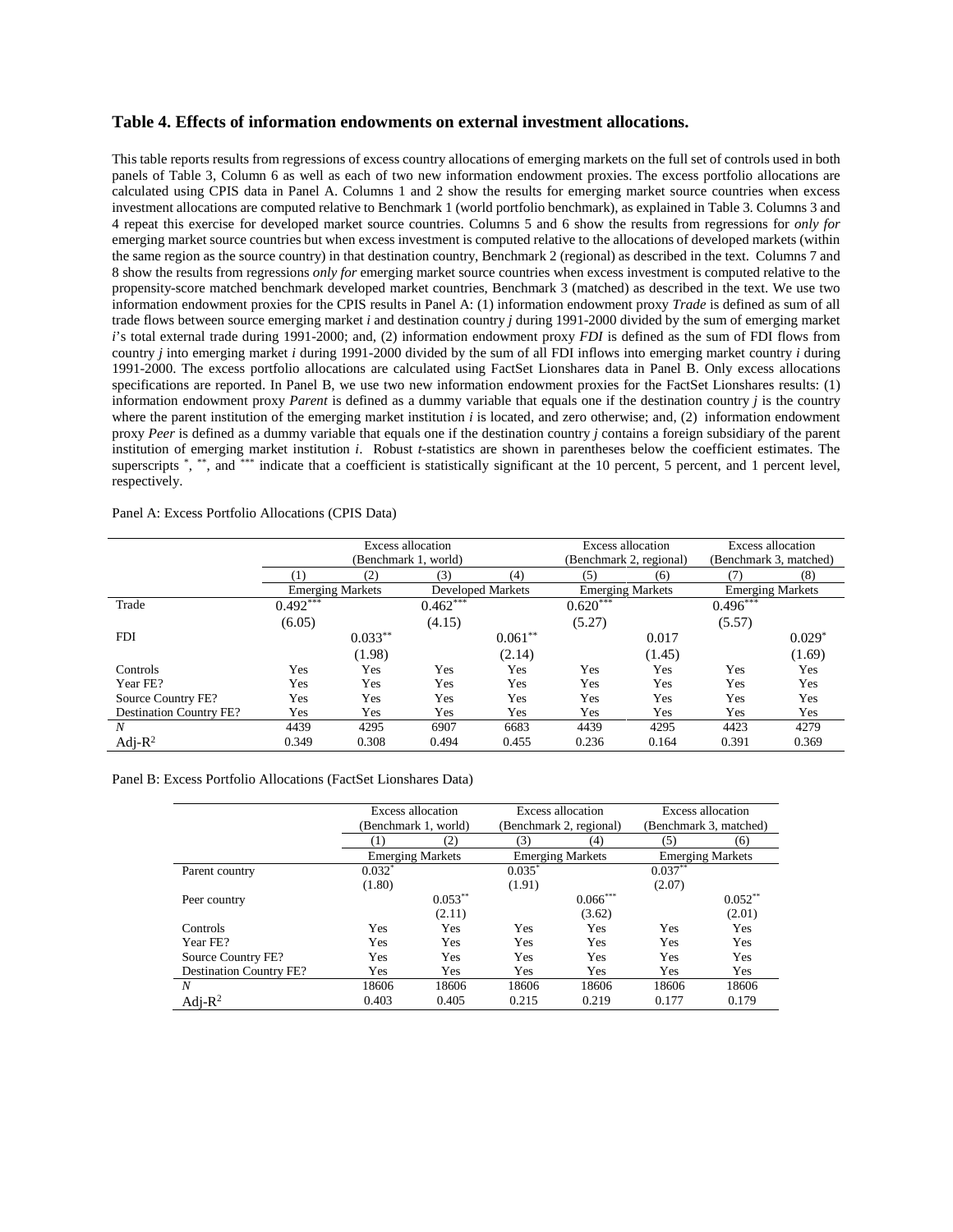#### **Table 4. Effects of information endowments on external investment allocations.**

This table reports results from regressions of excess country allocations of emerging markets on the full set of controls used in both panels of Table 3, Column 6 as well as each of two new information endowment proxies. The excess portfolio allocations are calculated using CPIS data in Panel A. Columns 1 and 2 show the results for emerging market source countries when excess investment allocations are computed relative to Benchmark 1 (world portfolio benchmark), as explained in Table 3. Columns 3 and 4 repeat this exercise for developed market source countries. Columns 5 and 6 show the results from regressions for *only for*  emerging market source countries but when excess investment is computed relative to the allocations of developed markets (within the same region as the source country) in that destination country, Benchmark 2 (regional) as described in the text. Columns 7 and 8 show the results from regressions *only for* emerging market source countries when excess investment is computed relative to the propensity-score matched benchmark developed market countries, Benchmark 3 (matched) as described in the text. We use two information endowment proxies for the CPIS results in Panel A: (1) information endowment proxy *Trade* is defined as sum of all trade flows between source emerging market *i* and destination country *j* during 1991-2000 divided by the sum of emerging market *i*'s total external trade during 1991-2000; and, (2) information endowment proxy *FDI* is defined as the sum of FDI flows from country *j* into emerging market *i* during 1991-2000 divided by the sum of all FDI inflows into emerging market country *i* during 1991-2000. The excess portfolio allocations are calculated using FactSet Lionshares data in Panel B. Only excess allocations specifications are reported. In Panel B, we use two new information endowment proxies for the FactSet Lionshares results: (1) information endowment proxy *Parent* is defined as a dummy variable that equals one if the destination country *j* is the country where the parent institution of the emerging market institution *i* is located, and zero otherwise; and, (2) information endowment proxy *Peer* is defined as a dummy variable that equals one if the destination country *j* contains a foreign subsidiary of the parent institution of emerging market institution *i*. Robust *t*-statistics are shown in parentheses below the coefficient estimates. The superscripts \*, \*\*, and \*\*\* indicate that a coefficient is statistically significant at the 10 percent, 5 percent, and 1 percent level, respectively.

| Panel A: Excess Portfolio Allocations (CPIS Data) |  |
|---------------------------------------------------|--|
|---------------------------------------------------|--|

|                                |            |                         | <b>Excess allocation</b> |           | <b>Excess allocation</b> |        |                        | <b>Excess allocation</b> |
|--------------------------------|------------|-------------------------|--------------------------|-----------|--------------------------|--------|------------------------|--------------------------|
|                                |            |                         | (Benchmark 1, world)     |           | (Benchmark 2, regional)  |        | (Benchmark 3, matched) |                          |
|                                |            | (2)                     | (3)                      | (4)       | (5)                      | (6)    | (7)                    | (8)                      |
|                                |            | <b>Emerging Markets</b> | <b>Developed Markets</b> |           | <b>Emerging Markets</b>  |        |                        | <b>Emerging Markets</b>  |
| Trade                          | $0.492***$ |                         | $0.462***$               |           | $0.620***$               |        | $0.496***$             |                          |
|                                | (6.05)     |                         | (4.15)                   |           | (5.27)                   |        | (5.57)                 |                          |
| <b>FDI</b>                     |            | $0.033**$               |                          | $0.061**$ |                          | 0.017  |                        | $0.029*$                 |
|                                |            | (1.98)                  |                          | (2.14)    |                          | (1.45) |                        | (1.69)                   |
| Controls                       | Yes        | Yes                     | Yes                      | Yes       | Yes                      | Yes    | Yes                    | Yes                      |
| Year FE?                       | Yes        | Yes                     | Yes                      | Yes       | Yes                      | Yes    | Yes                    | Yes                      |
| Source Country FE?             | Yes        | Yes                     | Yes                      | Yes       | Yes                      | Yes    | Yes                    | Yes                      |
| <b>Destination Country FE?</b> | Yes        | Yes                     | Yes                      | Yes       | Yes                      | Yes    | Yes                    | Yes                      |
| N                              | 4439       | 4295                    | 6907                     | 6683      | 4439                     | 4295   | 4423                   | 4279                     |
| Adj- $R^2$                     | 0.349      | 0.308                   | 0.494                    | 0.455     | 0.236                    | 0.164  | 0.391                  | 0.369                    |

#### Panel B: Excess Portfolio Allocations (FactSet Lionshares Data)

|                                |          | Excess allocation       |          | Excess allocation       | Excess allocation       |            |  |
|--------------------------------|----------|-------------------------|----------|-------------------------|-------------------------|------------|--|
|                                |          | (Benchmark 1, world)    |          | (Benchmark 2, regional) | (Benchmark 3, matched)  |            |  |
|                                |          | (2)                     | (3)      | (4)                     | (5)                     | (6)        |  |
|                                |          | <b>Emerging Markets</b> |          | <b>Emerging Markets</b> | <b>Emerging Markets</b> |            |  |
| Parent country                 | $0.032*$ |                         | $0.035*$ |                         | $0.037**$               |            |  |
|                                | (1.80)   |                         | (1.91)   |                         | (2.07)                  |            |  |
| Peer country                   |          | $0.053***$              |          | $0.066***$              |                         | $0.052***$ |  |
|                                |          | (2.11)                  |          | (3.62)                  |                         | (2.01)     |  |
| Controls                       | Yes      | Yes                     | Yes      | Yes                     | Yes                     | Yes        |  |
| Year FE?                       | Yes      | Yes                     | Yes      | Yes                     | Yes                     | Yes        |  |
| Source Country FE?             | Yes      | Yes                     | Yes      | Yes                     | Yes                     | Yes        |  |
| <b>Destination Country FE?</b> | Yes      | Yes                     | Yes      | Yes                     | Yes                     | Yes        |  |
| N                              | 18606    | 18606                   | 18606    | 18606                   | 18606                   | 18606      |  |
| Adj- $R^2$                     | 0.403    | 0.405                   | 0.215    | 0.219                   | 0.177                   | 0.179      |  |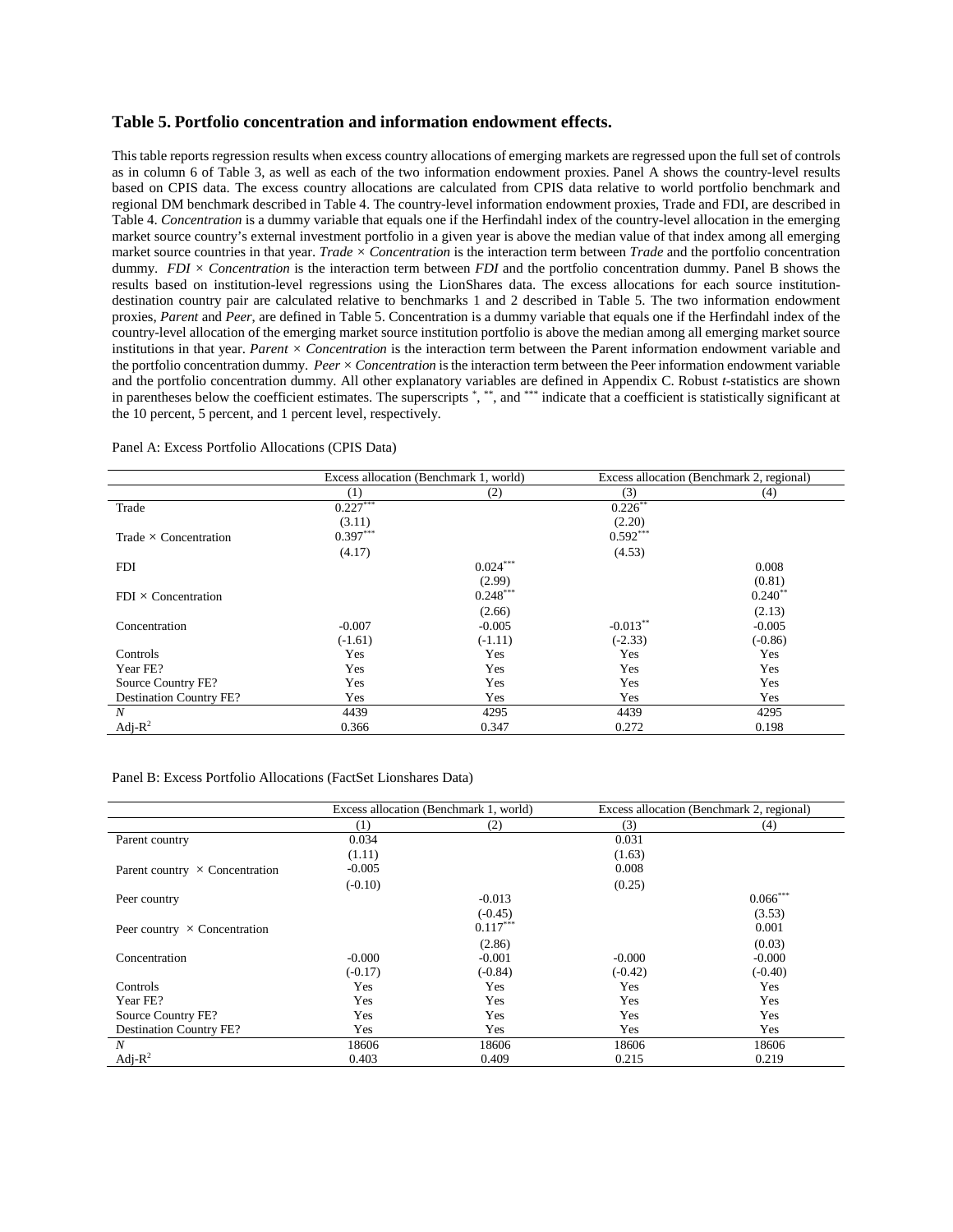#### **Table 5. Portfolio concentration and information endowment effects.**

This table reports regression results when excess country allocations of emerging markets are regressed upon the full set of controls as in column 6 of Table 3, as well as each of the two information endowment proxies. Panel A shows the country-level results based on CPIS data. The excess country allocations are calculated from CPIS data relative to world portfolio benchmark and regional DM benchmark described in Table 4. The country-level information endowment proxies, Trade and FDI, are described in Table 4. *Concentration* is a dummy variable that equals one if the Herfindahl index of the country-level allocation in the emerging market source country's external investment portfolio in a given year is above the median value of that index among all emerging market source countries in that year. *Trade × Concentration* is the interaction term between *Trade* and the portfolio concentration dummy. *FDI × Concentration* is the interaction term between *FDI* and the portfolio concentration dummy. Panel B shows the results based on institution-level regressions using the LionShares data. The excess allocations for each source institutiondestination country pair are calculated relative to benchmarks 1 and 2 described in Table 5. The two information endowment proxies, *Parent* and *Peer*, are defined in Table 5. Concentration is a dummy variable that equals one if the Herfindahl index of the country-level allocation of the emerging market source institution portfolio is above the median among all emerging market source institutions in that year. *Parent × Concentration* is the interaction term between the Parent information endowment variable and the portfolio concentration dummy. *Peer × Concentration* is the interaction term between the Peer information endowment variable and the portfolio concentration dummy. All other explanatory variables are defined in Appendix C. Robust *t*-statistics are shown in parentheses below the coefficient estimates. The superscripts \*, \*\*, and \*\*\* indicate that a coefficient is statistically significant at the 10 percent, 5 percent, and 1 percent level, respectively.

|                                | Excess allocation (Benchmark 1, world) |            |            | Excess allocation (Benchmark 2, regional) |
|--------------------------------|----------------------------------------|------------|------------|-------------------------------------------|
|                                | (1)                                    | (2)        | (3)        | (4)                                       |
| Trade                          | $0.227***$                             |            | $0.226$ ** |                                           |
|                                | (3.11)                                 |            | (2.20)     |                                           |
| Trade $\times$ Concentration   | $0.397***$                             |            | $0.592***$ |                                           |
|                                | (4.17)                                 |            | (4.53)     |                                           |
| <b>FDI</b>                     |                                        | $0.024***$ |            | 0.008                                     |
|                                |                                        | (2.99)     |            | (0.81)                                    |
| $FDI \times$ Concentration     |                                        | $0.248***$ |            | $0.240**$                                 |
|                                |                                        | (2.66)     |            | (2.13)                                    |
| Concentration                  | $-0.007$                               | $-0.005$   | $-0.013**$ | $-0.005$                                  |
|                                | $(-1.61)$                              | $(-1.11)$  | $(-2.33)$  | $(-0.86)$                                 |
| Controls                       | Yes                                    | Yes        | Yes        | Yes                                       |
| Year FE?                       | Yes                                    | Yes        | Yes        | Yes                                       |
| Source Country FE?             | Yes                                    | Yes        | Yes        | Yes                                       |
| <b>Destination Country FE?</b> | Yes                                    | Yes        | Yes        | Yes                                       |
| N                              | 4439                                   | 4295       | 4439       | 4295                                      |
| Adj- $R^2$                     | 0.366                                  | 0.347      | 0.272      | 0.198                                     |

Panel A: Excess Portfolio Allocations (CPIS Data)

#### Panel B: Excess Portfolio Allocations (FactSet Lionshares Data)

|                                       |           | Excess allocation (Benchmark 1, world) |           | Excess allocation (Benchmark 2, regional) |
|---------------------------------------|-----------|----------------------------------------|-----------|-------------------------------------------|
|                                       | (1)       | (2)                                    | (3)       | (4)                                       |
| Parent country                        | 0.034     |                                        | 0.031     |                                           |
|                                       | (1.11)    |                                        | (1.63)    |                                           |
| Parent country $\times$ Concentration | $-0.005$  |                                        | 0.008     |                                           |
|                                       | $(-0.10)$ |                                        | (0.25)    |                                           |
| Peer country                          |           | $-0.013$                               |           | $0.066***$                                |
|                                       |           | $(-0.45)$                              |           | (3.53)                                    |
| Peer country $\times$ Concentration   |           | $0.117***$                             |           | 0.001                                     |
|                                       |           | (2.86)                                 |           | (0.03)                                    |
| Concentration                         | $-0.000$  | $-0.001$                               | $-0.000$  | $-0.000$                                  |
|                                       | $(-0.17)$ | $(-0.84)$                              | $(-0.42)$ | $(-0.40)$                                 |
| Controls                              | Yes       | Yes                                    | Yes       | Yes                                       |
| Year FE?                              | Yes       | Yes                                    | Yes       | Yes                                       |
| Source Country FE?                    | Yes       | Yes                                    | Yes       | Yes                                       |
| <b>Destination Country FE?</b>        | Yes       | Yes                                    | Yes       | Yes                                       |
| N                                     | 18606     | 18606                                  | 18606     | 18606                                     |
| Adj- $R^2$                            | 0.403     | 0.409                                  | 0.215     | 0.219                                     |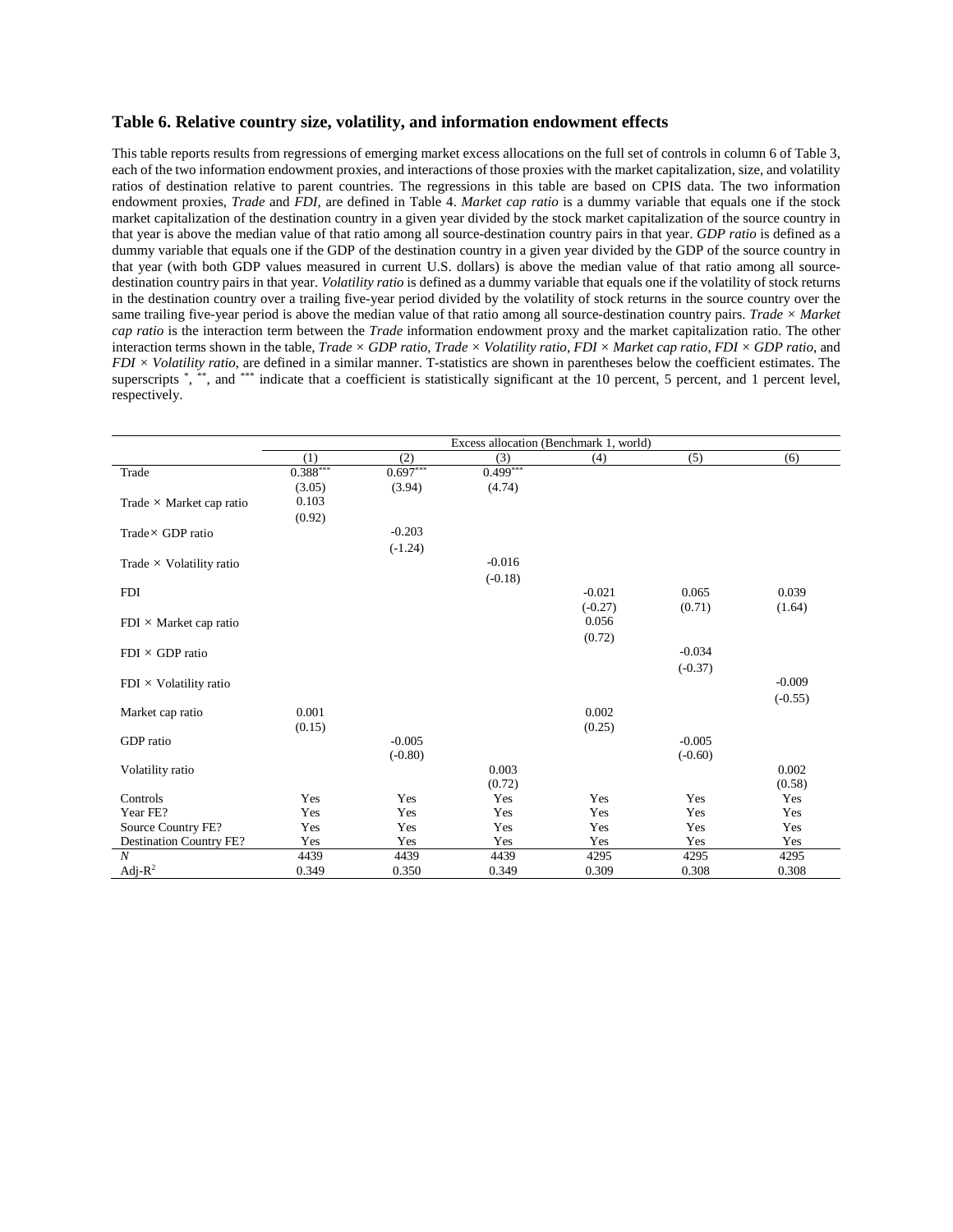#### **Table 6. Relative country size, volatility, and information endowment effects**

This table reports results from regressions of emerging market excess allocations on the full set of controls in column 6 of Table 3, each of the two information endowment proxies, and interactions of those proxies with the market capitalization, size, and volatility ratios of destination relative to parent countries. The regressions in this table are based on CPIS data. The two information endowment proxies, *Trade* and *FDI*, are defined in Table 4. *Market cap ratio* is a dummy variable that equals one if the stock market capitalization of the destination country in a given year divided by the stock market capitalization of the source country in that year is above the median value of that ratio among all source-destination country pairs in that year. *GDP ratio* is defined as a dummy variable that equals one if the GDP of the destination country in a given year divided by the GDP of the source country in that year (with both GDP values measured in current U.S. dollars) is above the median value of that ratio among all sourcedestination country pairs in that year. *Volatility ratio* is defined as a dummy variable that equals one if the volatility of stock returns in the destination country over a trailing five-year period divided by the volatility of stock returns in the source country over the same trailing five-year period is above the median value of that ratio among all source-destination country pairs. *Trade × Market cap ratio* is the interaction term between the *Trade* information endowment proxy and the market capitalization ratio. The other interaction terms shown in the table, *Trade × GDP ratio*, *Trade × Volatility ratio*, *FDI × Market cap ratio*, *FDI × GDP ratio*, and *FDI × Volatility ratio*, are defined in a similar manner. T-statistics are shown in parentheses below the coefficient estimates. The superscripts \*, \*\*, and \*\*\* indicate that a coefficient is statistically significant at the 10 percent, 5 percent, and 1 percent level, respectively.

|                                 |            |            | Excess allocation (Benchmark 1, world) |           |           |           |
|---------------------------------|------------|------------|----------------------------------------|-----------|-----------|-----------|
|                                 | (1)        | (2)        | (3)                                    | (4)       | (5)       | (6)       |
| Trade                           | $0.388***$ | $0.697***$ | $0.499***$                             |           |           |           |
|                                 | (3.05)     | (3.94)     | (4.74)                                 |           |           |           |
| Trade $\times$ Market cap ratio | 0.103      |            |                                        |           |           |           |
|                                 | (0.92)     |            |                                        |           |           |           |
| $Trade \times GDP$ ratio        |            | $-0.203$   |                                        |           |           |           |
|                                 |            | $(-1.24)$  |                                        |           |           |           |
| Trade $\times$ Volatility ratio |            |            | $-0.016$                               |           |           |           |
|                                 |            |            | $(-0.18)$                              |           |           |           |
| <b>FDI</b>                      |            |            |                                        | $-0.021$  | 0.065     | 0.039     |
|                                 |            |            |                                        | $(-0.27)$ | (0.71)    | (1.64)    |
| $FDI \times Market$ cap ratio   |            |            |                                        | 0.056     |           |           |
|                                 |            |            |                                        | (0.72)    |           |           |
| $FDI \times GDP$ ratio          |            |            |                                        |           | $-0.034$  |           |
|                                 |            |            |                                        |           | $(-0.37)$ |           |
| $FDI \times Volatility$ ratio   |            |            |                                        |           |           | $-0.009$  |
|                                 |            |            |                                        |           |           | $(-0.55)$ |
| Market cap ratio                | 0.001      |            |                                        | 0.002     |           |           |
|                                 | (0.15)     |            |                                        | (0.25)    |           |           |
| GDP ratio                       |            | $-0.005$   |                                        |           | $-0.005$  |           |
|                                 |            | $(-0.80)$  |                                        |           | $(-0.60)$ |           |
| Volatility ratio                |            |            | 0.003                                  |           |           | 0.002     |
|                                 |            |            | (0.72)                                 |           |           | (0.58)    |
| Controls                        | Yes        | Yes        | Yes                                    | Yes       | Yes       | Yes       |
| Year FE?                        | Yes        | Yes        | Yes                                    | Yes       | Yes       | Yes       |
| Source Country FE?              | Yes        | Yes        | Yes                                    | Yes       | Yes       | Yes       |
| Destination Country FE?         | Yes        | Yes        | Yes                                    | Yes       | Yes       | Yes       |
| $\boldsymbol{N}$                | 4439       | 4439       | 4439                                   | 4295      | 4295      | 4295      |
| Adj- $R^2$                      | 0.349      | 0.350      | 0.349                                  | 0.309     | 0.308     | 0.308     |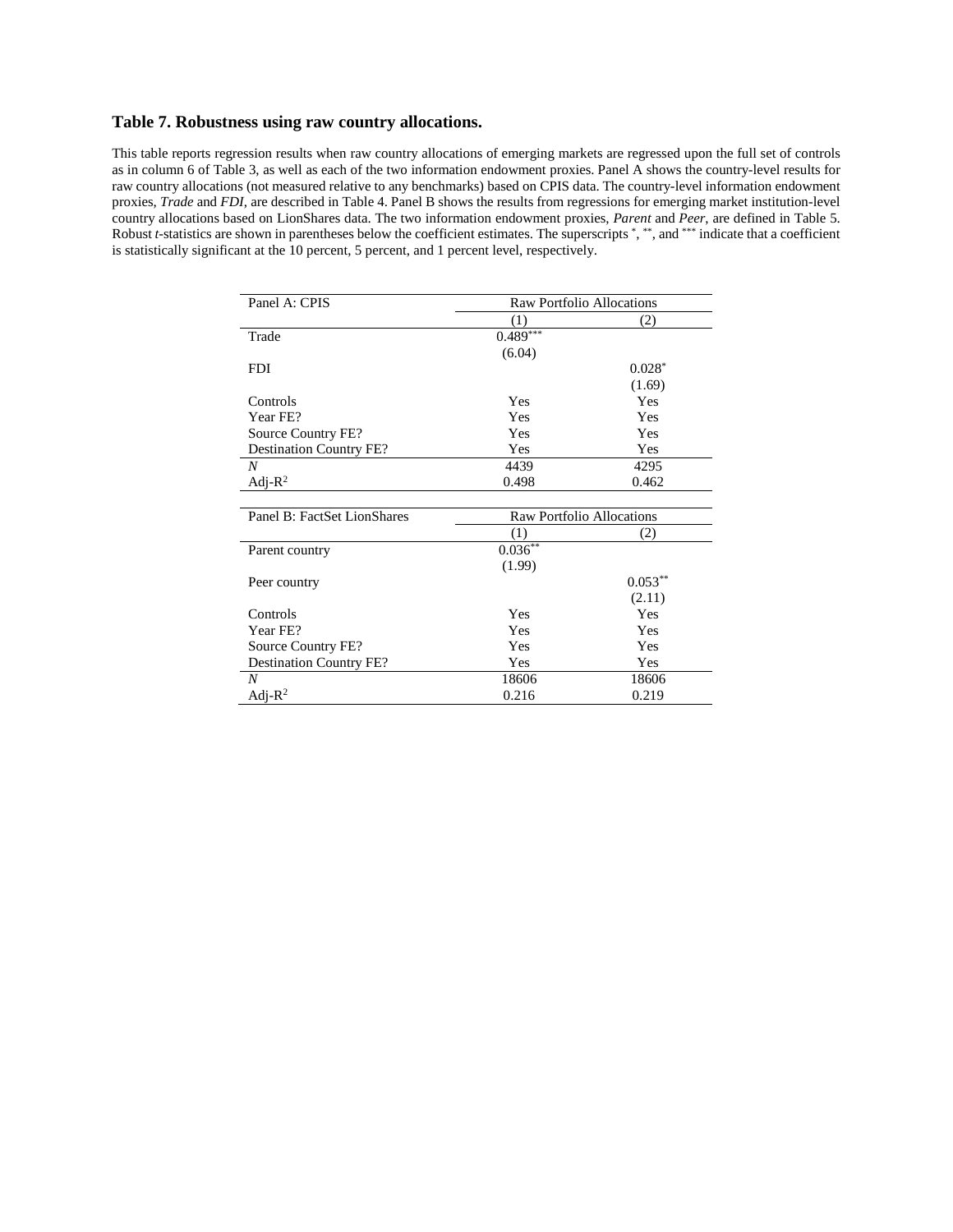## **Table 7. Robustness using raw country allocations.**

This table reports regression results when raw country allocations of emerging markets are regressed upon the full set of controls as in column 6 of Table 3, as well as each of the two information endowment proxies. Panel A shows the country-level results for raw country allocations (not measured relative to any benchmarks) based on CPIS data. The country-level information endowment proxies, *Trade* and *FDI*, are described in Table 4. Panel B shows the results from regressions for emerging market institution-level country allocations based on LionShares data. The two information endowment proxies, *Parent* and *Peer*, are defined in Table 5. Robust *t*-statistics are shown in parentheses below the coefficient estimates. The superscripts \*, \*\*, and \*\*\* indicate that a coefficient is statistically significant at the 10 percent, 5 percent, and 1 percent level, respectively.

| Panel A: CPIS                  |            | <b>Raw Portfolio Allocations</b> |
|--------------------------------|------------|----------------------------------|
|                                | (1)        | (2)                              |
| Trade                          | $0.489***$ |                                  |
|                                | (6.04)     |                                  |
| <b>FDI</b>                     |            | $0.028*$                         |
|                                |            | (1.69)                           |
| Controls                       | Yes        | Yes                              |
| Year FE?                       | Yes        | Yes                              |
| Source Country FE?             | Yes        | Yes                              |
| <b>Destination Country FE?</b> | Yes        | Yes                              |
| N                              | 4439       | 4295                             |
| Adj- $R^2$                     | 0.498      | 0.462                            |
|                                |            |                                  |
| Panel B: FactSet LionShares    |            | <b>Raw Portfolio Allocations</b> |
|                                | (1)        | (2)                              |
| Parent country                 | $0.036***$ |                                  |
|                                | (1.99)     |                                  |
| Peer country                   |            | $0.053***$                       |
|                                |            | (2.11)                           |
| Controls                       | Yes        | Yes                              |
| Year FE?                       | Yes        | Yes                              |
| Source Country FE?             | Yes        | Yes                              |
| <b>Destination Country FE?</b> | Yes        | Yes                              |
| $\boldsymbol{N}$               | 18606      | 18606                            |
| Adj- $R^2$                     | 0.216      | 0.219                            |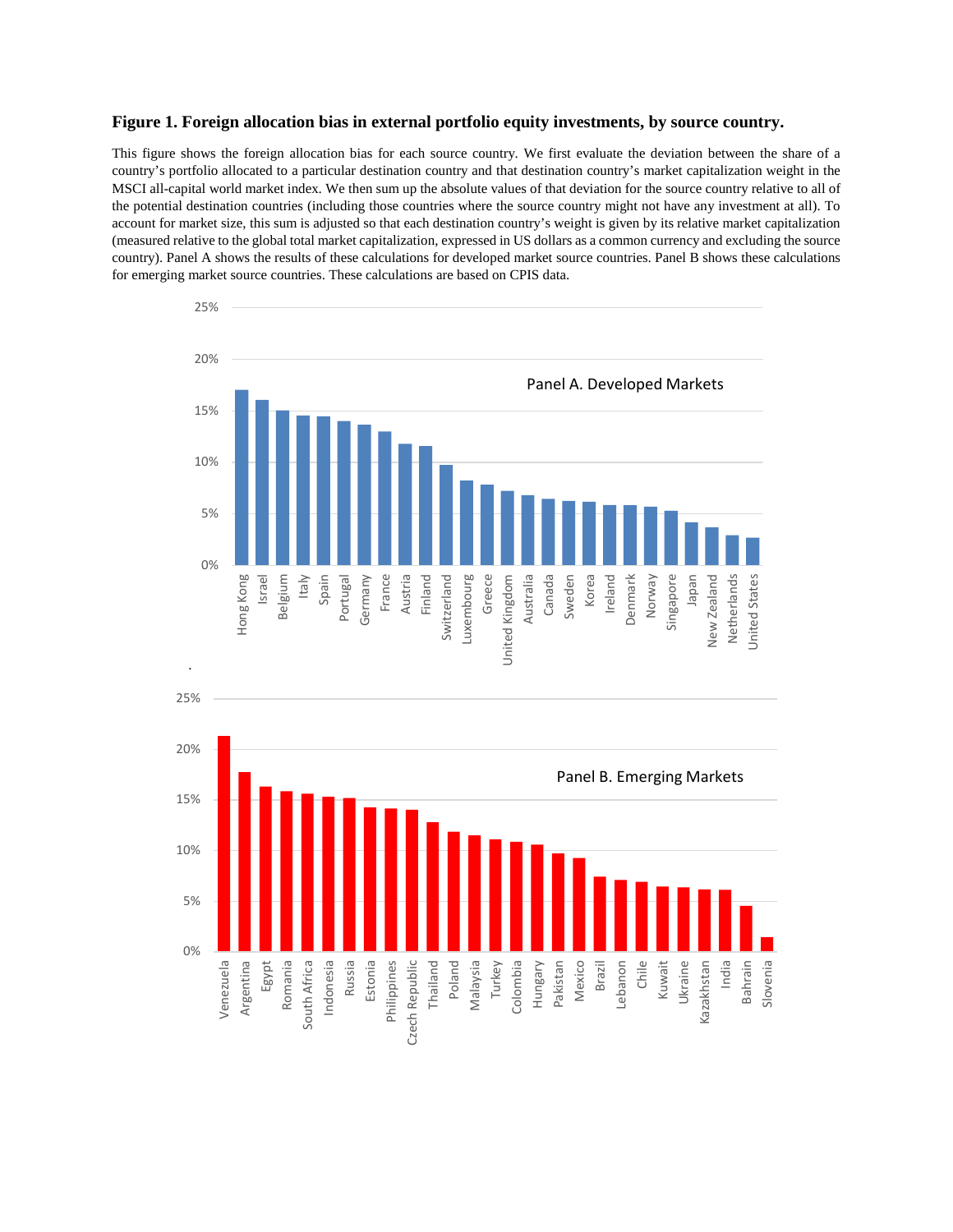#### **Figure 1. Foreign allocation bias in external portfolio equity investments, by source country.**

This figure shows the foreign allocation bias for each source country. We first evaluate the deviation between the share of a country's portfolio allocated to a particular destination country and that destination country's market capitalization weight in the MSCI all-capital world market index. We then sum up the absolute values of that deviation for the source country relative to all of the potential destination countries (including those countries where the source country might not have any investment at all). To account for market size, this sum is adjusted so that each destination country's weight is given by its relative market capitalization (measured relative to the global total market capitalization, expressed in US dollars as a common currency and excluding the source country). Panel A shows the results of these calculations for developed market source countries. Panel B shows these calculations for emerging market source countries. These calculations are based on CPIS data.

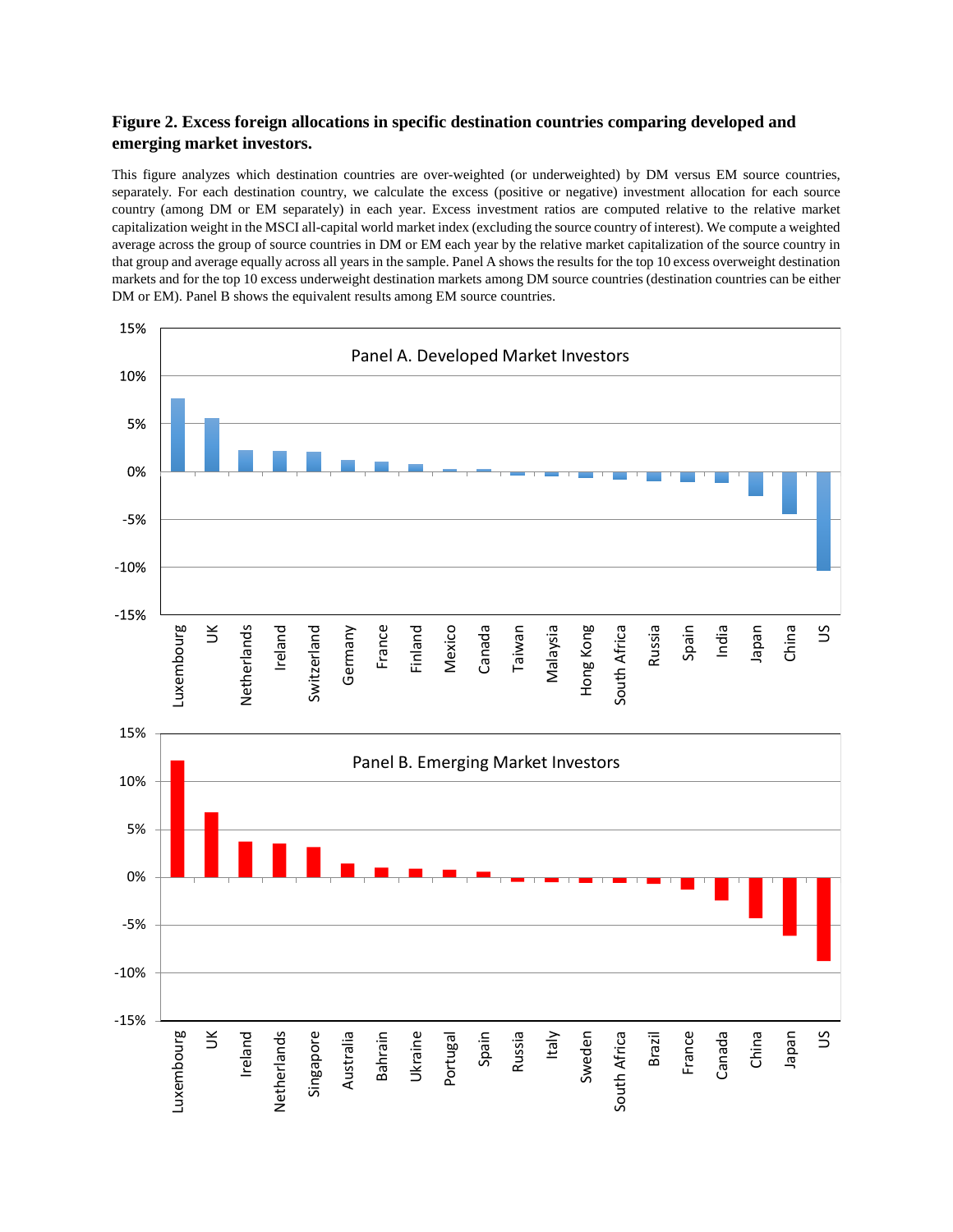# **Figure 2. Excess foreign allocations in specific destination countries comparing developed and emerging market investors.**

This figure analyzes which destination countries are over-weighted (or underweighted) by DM versus EM source countries, separately. For each destination country, we calculate the excess (positive or negative) investment allocation for each source country (among DM or EM separately) in each year. Excess investment ratios are computed relative to the relative market capitalization weight in the MSCI all-capital world market index (excluding the source country of interest). We compute a weighted average across the group of source countries in DM or EM each year by the relative market capitalization of the source country in that group and average equally across all years in the sample. Panel A shows the results for the top 10 excess overweight destination markets and for the top 10 excess underweight destination markets among DM source countries (destination countries can be either DM or EM). Panel B shows the equivalent results among EM source countries.

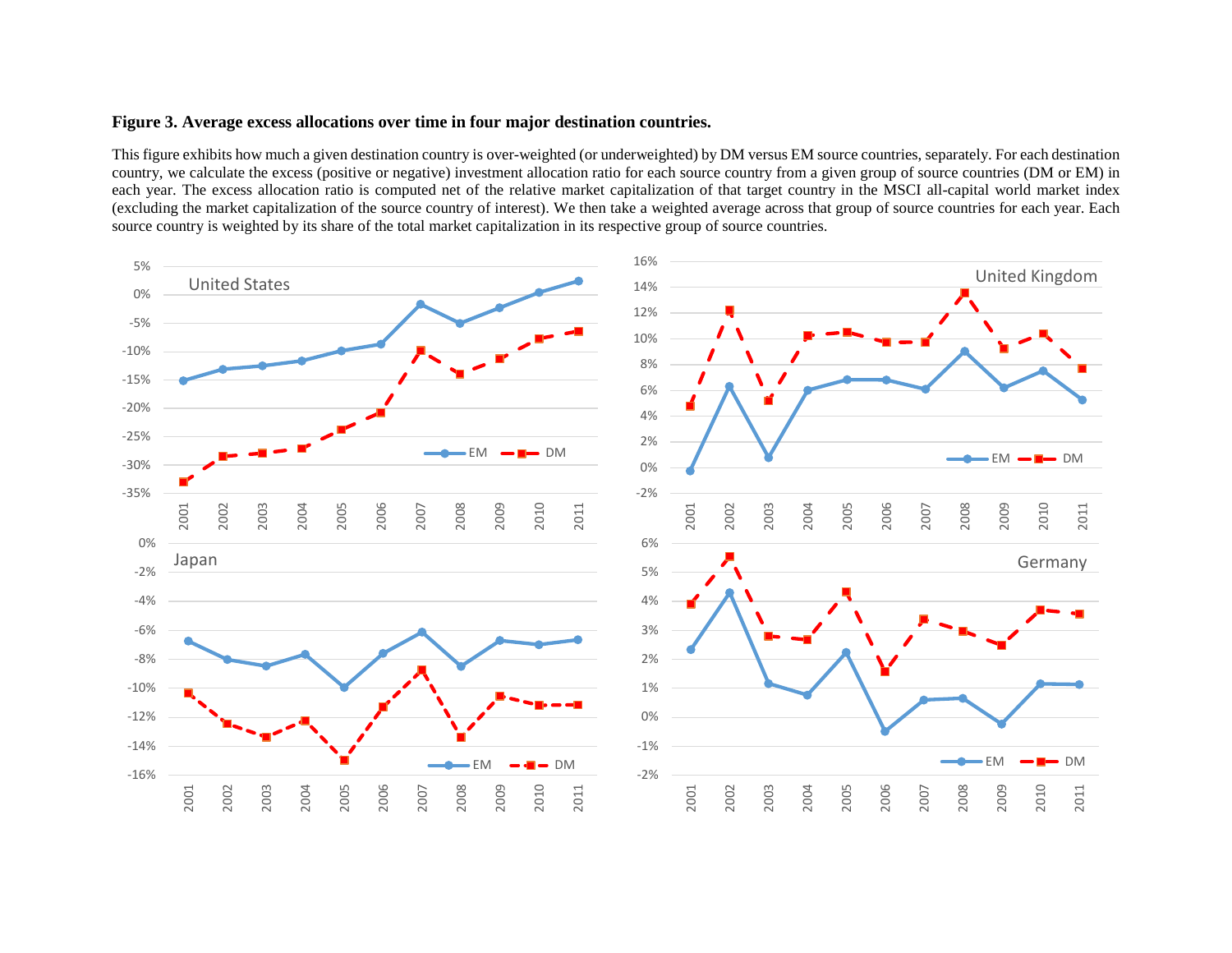## **Figure 3. Average excess allocations over time in four major destination countries.**

This figure exhibits how much a given destination country is over-weighted (or underweighted) by DM versus EM source countries, separately. For each destination country, we calculate the excess (positive or negative) investment allocation ratio for each source country from a given group of source countries (DM or EM) in each year. The excess allocation ratio is computed net of the relative market capitalization of that target country in the MSCI all-capital world market index (excluding the market capitalization of the source country of interest). We then take a weighted average across that group of source countries for each year. Each source country is weighted by its share of the total market capitalization in its respective group of source countries.

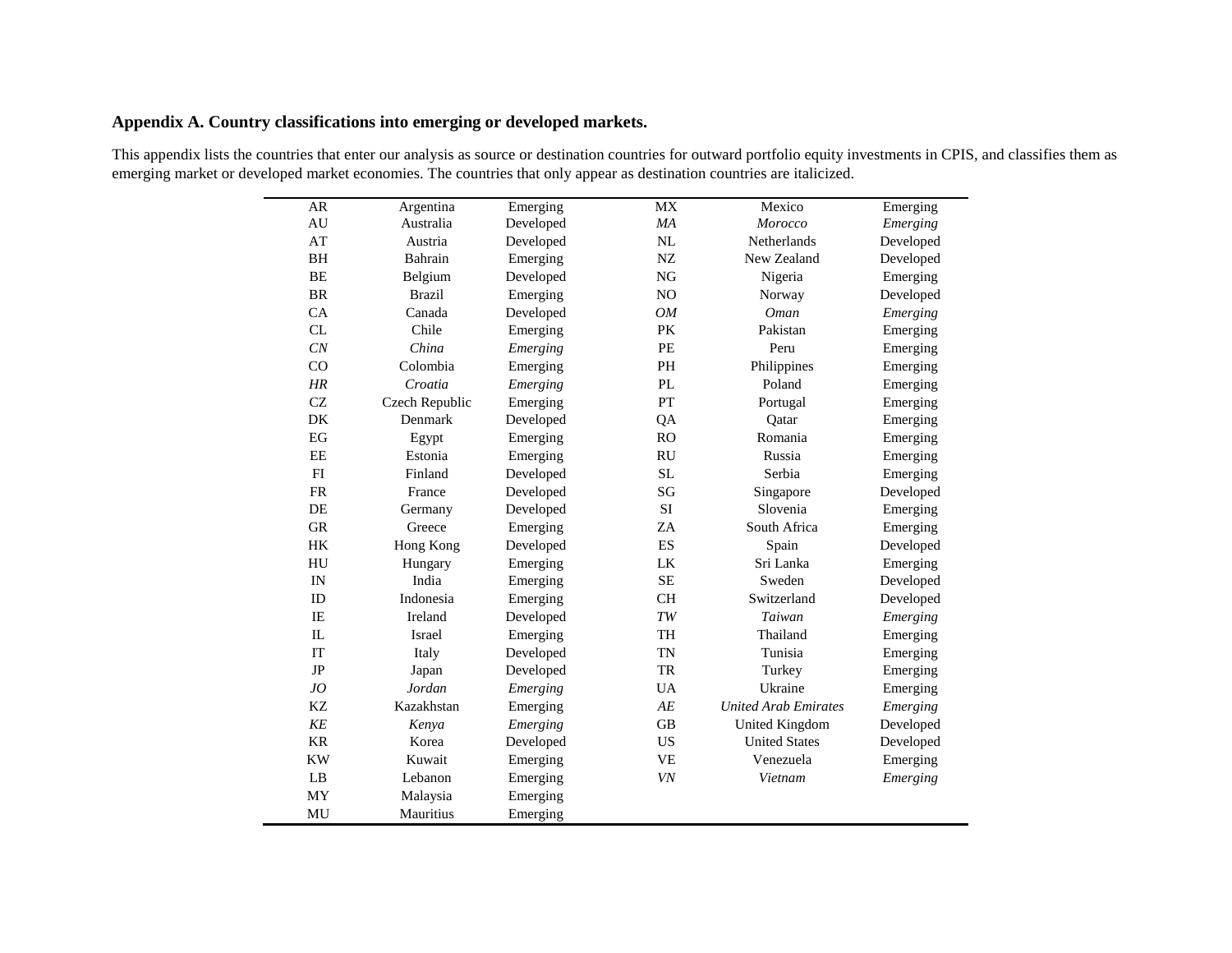# **Appendix A. Country classifications into emerging or developed markets.**

| AR | Argentina         | Emerging    | МX           | Mexico                | Emerging  |
|----|-------------------|-------------|--------------|-----------------------|-----------|
| AU | Australia         | Developed   | ΜA           | <i>Morocco</i>        | Emerging  |
| AT | Austria           | Developed   | NL           | Netherlands           | Developed |
| BH | Bahrain           | Emerging    | NZ           | New Zealand           | Developed |
| BE | Belgium           | Developed   | NG           | Nigeria               | Emerging  |
| DD | $D_{\text{real}}$ | $E$ marging | $\mathbf{M}$ | $N_{\text{oversion}}$ | Doveloped |

This appendix lists the countries that enter our analysis as source or destination countries for outward portfolio equity investments in CPIS, and classifies them as emerging market or developed market economies. The countries that only appear as destination countries are italicized.

| ді деніні а    | <b>Elliel</b> gillg | <b>IATV</b>              | <b>IVICAIU</b>              | <b>Elliel</b> gillg |
|----------------|---------------------|--------------------------|-----------------------------|---------------------|
| Australia      | Developed           | MA                       | Morocco                     | Emerging            |
| Austria        | Developed           |                          | Netherlands                 | Developed           |
| Bahrain        | Emerging            | ${\rm NZ}$               | New Zealand                 | Developed           |
| Belgium        | Developed           | NG                       | Nigeria                     | Emerging            |
| <b>Brazil</b>  | Emerging            | NO                       | Norway                      | Developed           |
| Canada         | Developed           | OM                       | <b>Oman</b>                 | Emerging            |
| Chile          | Emerging            | PK                       | Pakistan                    | Emerging            |
| China          | Emerging            | PE                       | Peru                        | Emerging            |
| Colombia       | Emerging            | PH                       | Philippines                 | Emerging            |
| Croatia        | Emerging            | PL                       | Poland                      | Emerging            |
| Czech Republic | Emerging            | <b>PT</b>                | Portugal                    | Emerging            |
| Denmark        | Developed           | QA                       | Qatar                       | Emerging            |
| Egypt          | Emerging            | RO                       | Romania                     | Emerging            |
| Estonia        | Emerging            | <b>RU</b>                | Russia                      | Emerging            |
| Finland        | Developed           | <b>SL</b>                | Serbia                      | Emerging            |
| France         | Developed           | SG                       | Singapore                   | Developed           |
| Germany        | Developed           | SI                       | Slovenia                    | Emerging            |
| Greece         | Emerging            | ZA                       | South Africa                | Emerging            |
| Hong Kong      | Developed           | $\mathop{\hbox{\rm ES}}$ | Spain                       | Developed           |
| Hungary        | Emerging            | ${\rm LK}$               | Sri Lanka                   | Emerging            |
| India          | Emerging            | SE                       | Sweden                      | Developed           |
| Indonesia      | Emerging            | <b>CH</b>                | Switzerland                 | Developed           |
| Ireland        | Developed           | TW                       | Taiwan                      | Emerging            |
| Israel         | Emerging            | TH                       | Thailand                    | Emerging            |
| Italy          | Developed           | TN                       | Tunisia                     | Emerging            |
| Japan          | Developed           | TR                       | Turkey                      | Emerging            |
| Jordan         | Emerging            | <b>UA</b>                | Ukraine                     | Emerging            |
| Kazakhstan     | Emerging            | $AE$                     | <b>United Arab Emirates</b> | Emerging            |
| Kenya          | Emerging            | <b>GB</b>                | United Kingdom              | Developed           |
| Korea          | Developed           | US                       | <b>United States</b>        | Developed           |
| Kuwait         | Emerging            | <b>VE</b>                | Venezuela                   | Emerging            |
| Lebanon        | Emerging            | VN                       | Vietnam                     | Emerging            |
| Malaysia       | Emerging            |                          |                             |                     |
| Mauritius      | Emerging            |                          |                             |                     |
|                |                     |                          | $\rm NL$                    |                     |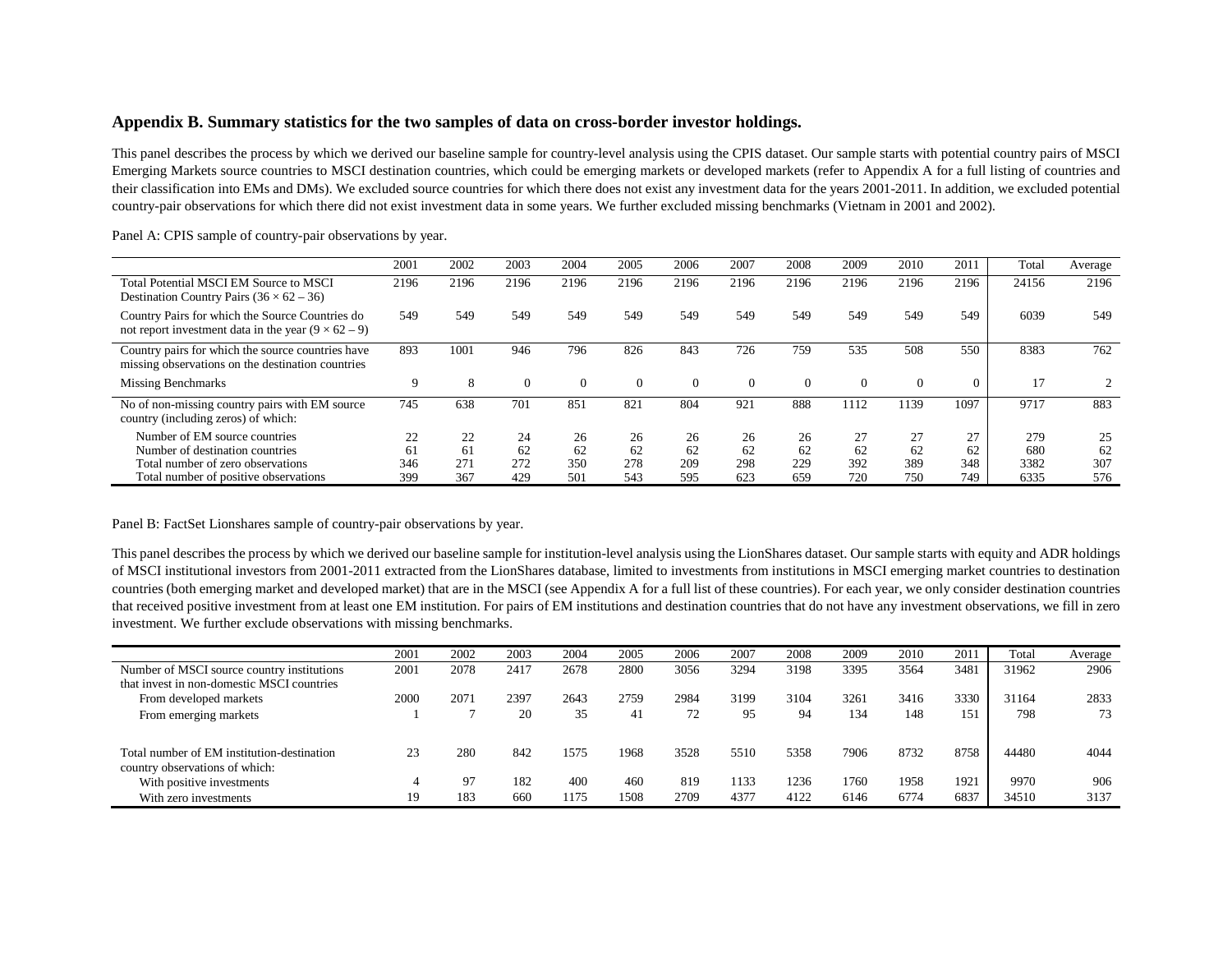## **Appendix B. Summary statistics for the two samples of data on cross-border investor holdings.**

This panel describes the process by which we derived our baseline sample for country-level analysis using the CPIS dataset. Our sample starts with potential country pairs of MSCI Emerging Markets source countries to MSCI destination countries, which could be emerging markets or developed markets (refer to Appendix A for a full listing of countries and their classification into EMs and DMs). We excluded source countries for which there does not exist any investment data for the years 2001-2011. In addition, we excluded potential country-pair observations for which there did not exist investment data in some years. We further excluded missing benchmarks (Vietnam in 2001 and 2002).

|                                                                                                               | 2001 | 2002 | 2003     | 2004     | 2005     | 2006     | 2007     | 2008     | 2009     | 2010 | 2011     | Total | Average |
|---------------------------------------------------------------------------------------------------------------|------|------|----------|----------|----------|----------|----------|----------|----------|------|----------|-------|---------|
| Total Potential MSCI EM Source to MSCI<br>Destination Country Pairs $(36 \times 62 - 36)$                     | 2196 | 2196 | 2196     | 2196     | 2196     | 2196     | 2196     | 2196     | 2196     | 2196 | 2196     | 24156 | 2196    |
| Country Pairs for which the Source Countries do<br>not report investment data in the year $(9 \times 62 - 9)$ | 549  | 549  | 549      | 549      | 549      | 549      | 549      | 549      | 549      | 549  | 549      | 6039  | 549     |
| Country pairs for which the source countries have<br>missing observations on the destination countries        | 893  | 1001 | 946      | 796      | 826      | 843      | 726      | 759      | 535      | 508  | 550      | 8383  | 762     |
| <b>Missing Benchmarks</b>                                                                                     | 9    | 8    | $\Omega$ | $\Omega$ | $\Omega$ | $\Omega$ | $\Omega$ | $\Omega$ | $\Omega$ |      | $\Omega$ |       |         |
| No of non-missing country pairs with EM source<br>country (including zeros) of which:                         | 745  | 638  | 701      | 85       | 821      | 804      | 921      | 888      | 1112     | 1139 | 1097     | 9717  | 883     |
| Number of EM source countries                                                                                 | 22   | 22   | 24       | 26       | 26       | 26       | 26       | 26       | 27       | 27   | 27       | 279   | 25      |
| Number of destination countries                                                                               | 61   | 61   | 62       | 62       | 62       | 62       | 62       | 62       | 62       | 62   | 62       | 680   | 62      |
| Total number of zero observations                                                                             | 346  | 271  | 272      | 350      | 278      | 209      | 298      | 229      | 392      | 389  | 348      | 3382  | 307     |
| Total number of positive observations                                                                         | 399  | 367  | 429      | 501      | 543      | 595      | 623      | 659      | 720      | 750  | 749      | 6335  | 576     |

Panel A: CPIS sample of country-pair observations by year.

Panel B: FactSet Lionshares sample of country-pair observations by year.

This panel describes the process by which we derived our baseline sample for institution-level analysis using the LionShares dataset. Our sample starts with equity and ADR holdings of MSCI institutional investors from 2001-2011 extracted from the LionShares database, limited to investments from institutions in MSCI emerging market countries to destination countries (both emerging market and developed market) that are in the MSCI (see Appendix A for a full list of these countries). For each year, we only consider destination countries that received positive investment from at least one EM institution. For pairs of EM institutions and destination countries that do not have any investment observations, we fill in zero investment. We further exclude observations with missing benchmarks.

|                                            | 2001 | 2002 | 2003 | 2004 | 2005 | 2006 | 2007 | 2008 | 2009 | 2010 | 2011 | Total | Average |
|--------------------------------------------|------|------|------|------|------|------|------|------|------|------|------|-------|---------|
| Number of MSCI source country institutions | 2001 | 2078 | 2417 | 2678 | 2800 | 3056 | 3294 | 3198 | 3395 | 3564 | 3481 | 31962 | 2906    |
| that invest in non-domestic MSCI countries |      |      |      |      |      |      |      |      |      |      |      |       |         |
| From developed markets                     | 2000 | 207  | 2397 | 2643 | 2759 | 2984 | 3199 | 3104 | 3261 | 3416 | 3330 | 31164 | 2833    |
| From emerging markets                      |      |      | 20   | 35   | 41   | 72   | 95   | 94   | 134  | 148  | 151  | 798   | 73      |
|                                            |      |      |      |      |      |      |      |      |      |      |      |       |         |
| Total number of EM institution-destination | 23   | 280  | 842  | 1575 | 1968 | 3528 | 5510 | 5358 | 7906 | 8732 | 8758 | 44480 | 4044    |
| country observations of which:             |      |      |      |      |      |      |      |      |      |      |      |       |         |
| With positive investments                  | 4    | 97   | 182  | 400  | 460  | 819  | 1133 | 1236 | 1760 | 1958 | 1921 | 9970  | 906     |
| With zero investments                      | 19   | 183  | 660  | 1175 | 1508 | 2709 | 4377 | 4122 | 6146 | 6774 | 6837 | 34510 | 3137    |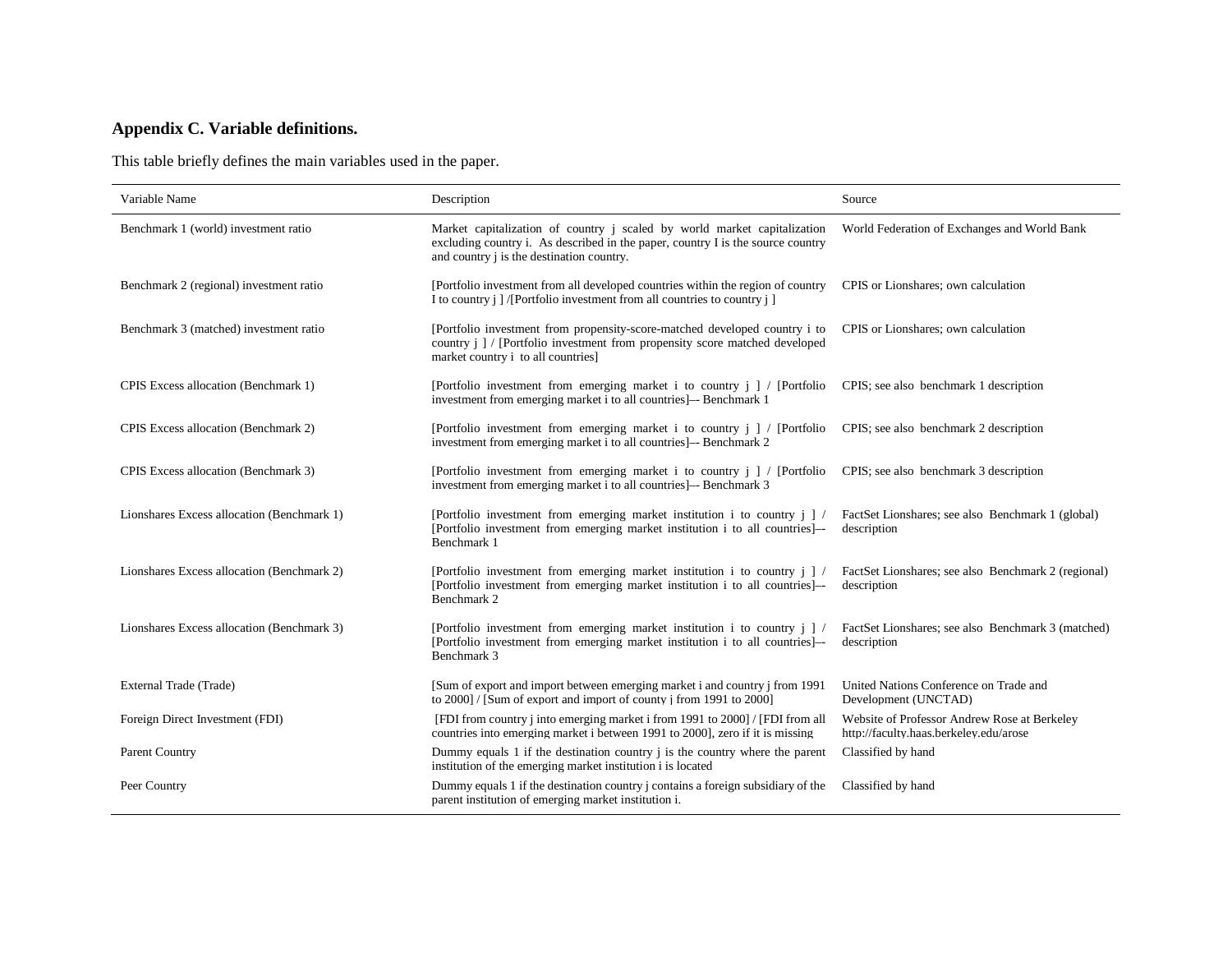# **Appendix C. Variable definitions.**

This table briefly defines the main variables used in the paper.

| Variable Name                              | Description                                                                                                                                                                                                     | Source                                                                                 |
|--------------------------------------------|-----------------------------------------------------------------------------------------------------------------------------------------------------------------------------------------------------------------|----------------------------------------------------------------------------------------|
| Benchmark 1 (world) investment ratio       | Market capitalization of country j scaled by world market capitalization<br>excluding country i. As described in the paper, country I is the source country<br>and country <i>i</i> is the destination country. | World Federation of Exchanges and World Bank                                           |
| Benchmark 2 (regional) investment ratio    | [Portfolio investment from all developed countries within the region of country<br>I to country <i>i</i> ] /[Portfolio investment from all countries to country <i>i</i> ]                                      | CPIS or Lionshares; own calculation                                                    |
| Benchmark 3 (matched) investment ratio     | [Portfolio investment from propensity-score-matched developed country i to<br>country j   / [Portfolio investment from propensity score matched developed<br>market country i to all countries]                 | CPIS or Lionshares; own calculation                                                    |
| CPIS Excess allocation (Benchmark 1)       | [Portfolio investment from emerging market i to country j ] / [Portfolio<br>investment from emerging market i to all countries]— Benchmark 1                                                                    | CPIS; see also benchmark 1 description                                                 |
| CPIS Excess allocation (Benchmark 2)       | [Portfolio investment from emerging market i to country j ] / [Portfolio<br>investment from emerging market i to all countries - Benchmark 2                                                                    | CPIS; see also benchmark 2 description                                                 |
| CPIS Excess allocation (Benchmark 3)       | [Portfolio investment from emerging market i to country $j \mid /$ [Portfolio]<br>investment from emerging market i to all countries - Benchmark 3                                                              | CPIS; see also benchmark 3 description                                                 |
| Lionshares Excess allocation (Benchmark 1) | [Portfolio investment from emerging market institution i to country j ] /<br>[Portfolio investment from emerging market institution i to all countries]-<br>Benchmark 1                                         | FactSet Lionshares; see also Benchmark 1 (global)<br>description                       |
| Lionshares Excess allocation (Benchmark 2) | [Portfolio investment from emerging market institution i to country $j \mid l$<br>[Portfolio investment from emerging market institution i to all countries]—<br>Benchmark 2                                    | FactSet Lionshares; see also Benchmark 2 (regional)<br>description                     |
| Lionshares Excess allocation (Benchmark 3) | [Portfolio investment from emerging market institution i to country $j \mid l$<br>[Portfolio investment from emerging market institution i to all countries]—<br>Benchmark 3                                    | FactSet Lionshares; see also Benchmark 3 (matched)<br>description                      |
| External Trade (Trade)                     | [Sum of export and import between emerging market i and country j from 1991]<br>to 2000] / [Sum of export and import of county j from 1991 to 2000]                                                             | United Nations Conference on Trade and<br>Development (UNCTAD)                         |
| Foreign Direct Investment (FDI)            | [FDI from country j into emerging market i from 1991 to 2000] / [FDI from all]<br>countries into emerging market i between 1991 to 2000], zero if it is missing                                                 | Website of Professor Andrew Rose at Berkeley<br>http://faculty.haas.berkeley.edu/arose |
| <b>Parent Country</b>                      | Dummy equals 1 if the destination country j is the country where the parent<br>institution of the emerging market institution i is located                                                                      | Classified by hand                                                                     |
| Peer Country                               | Dummy equals 1 if the destination country j contains a foreign subsidiary of the<br>parent institution of emerging market institution i.                                                                        | Classified by hand                                                                     |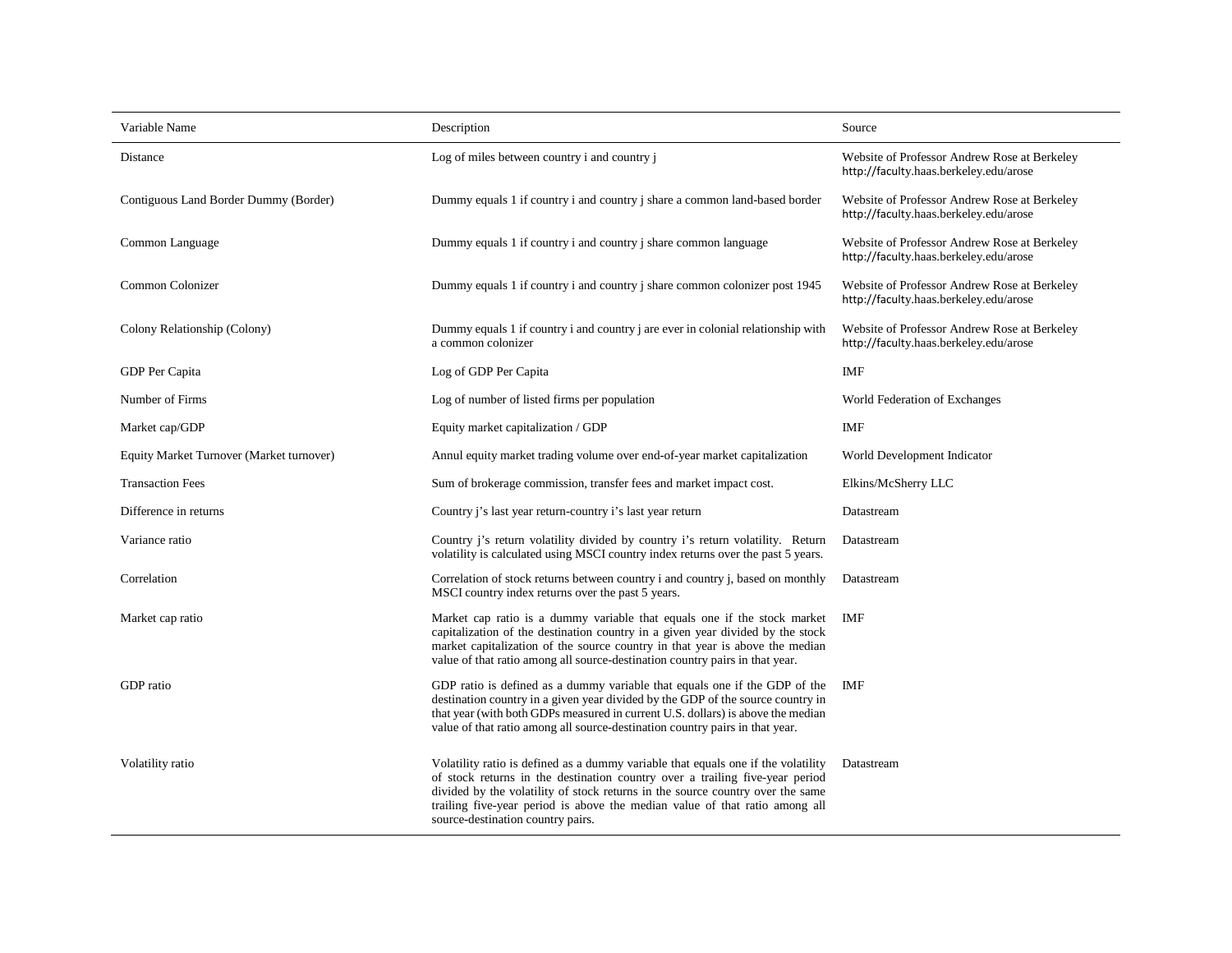| Variable Name                            | Description                                                                                                                                                                                                                                                                                                                                                             | Source                                                                                 |
|------------------------------------------|-------------------------------------------------------------------------------------------------------------------------------------------------------------------------------------------------------------------------------------------------------------------------------------------------------------------------------------------------------------------------|----------------------------------------------------------------------------------------|
| Distance                                 | Log of miles between country i and country j                                                                                                                                                                                                                                                                                                                            | Website of Professor Andrew Rose at Berkeley<br>http://faculty.haas.berkeley.edu/arose |
| Contiguous Land Border Dummy (Border)    | Dummy equals 1 if country i and country j share a common land-based border                                                                                                                                                                                                                                                                                              | Website of Professor Andrew Rose at Berkeley<br>http://faculty.haas.berkeley.edu/arose |
| Common Language                          | Dummy equals 1 if country i and country j share common language                                                                                                                                                                                                                                                                                                         | Website of Professor Andrew Rose at Berkeley<br>http://faculty.haas.berkeley.edu/arose |
| Common Colonizer                         | Dummy equals 1 if country i and country j share common colonizer post 1945                                                                                                                                                                                                                                                                                              | Website of Professor Andrew Rose at Berkeley<br>http://faculty.haas.berkeley.edu/arose |
| Colony Relationship (Colony)             | Dummy equals 1 if country i and country j are ever in colonial relationship with<br>a common colonizer                                                                                                                                                                                                                                                                  | Website of Professor Andrew Rose at Berkeley<br>http://faculty.haas.berkeley.edu/arose |
| GDP Per Capita                           | Log of GDP Per Capita                                                                                                                                                                                                                                                                                                                                                   | IMF                                                                                    |
| Number of Firms                          | Log of number of listed firms per population                                                                                                                                                                                                                                                                                                                            | World Federation of Exchanges                                                          |
| Market cap/GDP                           | Equity market capitalization / GDP                                                                                                                                                                                                                                                                                                                                      | <b>IMF</b>                                                                             |
| Equity Market Turnover (Market turnover) | Annul equity market trading volume over end-of-year market capitalization                                                                                                                                                                                                                                                                                               | World Development Indicator                                                            |
| <b>Transaction Fees</b>                  | Sum of brokerage commission, transfer fees and market impact cost.                                                                                                                                                                                                                                                                                                      | Elkins/McSherry LLC                                                                    |
| Difference in returns                    | Country j's last year return-country i's last year return                                                                                                                                                                                                                                                                                                               | Datastream                                                                             |
| Variance ratio                           | Country j's return volatility divided by country i's return volatility. Return<br>volatility is calculated using MSCI country index returns over the past 5 years.                                                                                                                                                                                                      | Datastream                                                                             |
| Correlation                              | Correlation of stock returns between country i and country j, based on monthly<br>MSCI country index returns over the past 5 years.                                                                                                                                                                                                                                     | Datastream                                                                             |
| Market cap ratio                         | Market cap ratio is a dummy variable that equals one if the stock market<br>capitalization of the destination country in a given year divided by the stock<br>market capitalization of the source country in that year is above the median<br>value of that ratio among all source-destination country pairs in that year.                                              | <b>IMF</b>                                                                             |
| GDP ratio                                | GDP ratio is defined as a dummy variable that equals one if the GDP of the<br>destination country in a given year divided by the GDP of the source country in<br>that year (with both GDPs measured in current U.S. dollars) is above the median<br>value of that ratio among all source-destination country pairs in that year.                                        | IMF                                                                                    |
| Volatility ratio                         | Volatility ratio is defined as a dummy variable that equals one if the volatility<br>of stock returns in the destination country over a trailing five-year period<br>divided by the volatility of stock returns in the source country over the same<br>trailing five-year period is above the median value of that ratio among all<br>source-destination country pairs. | Datastream                                                                             |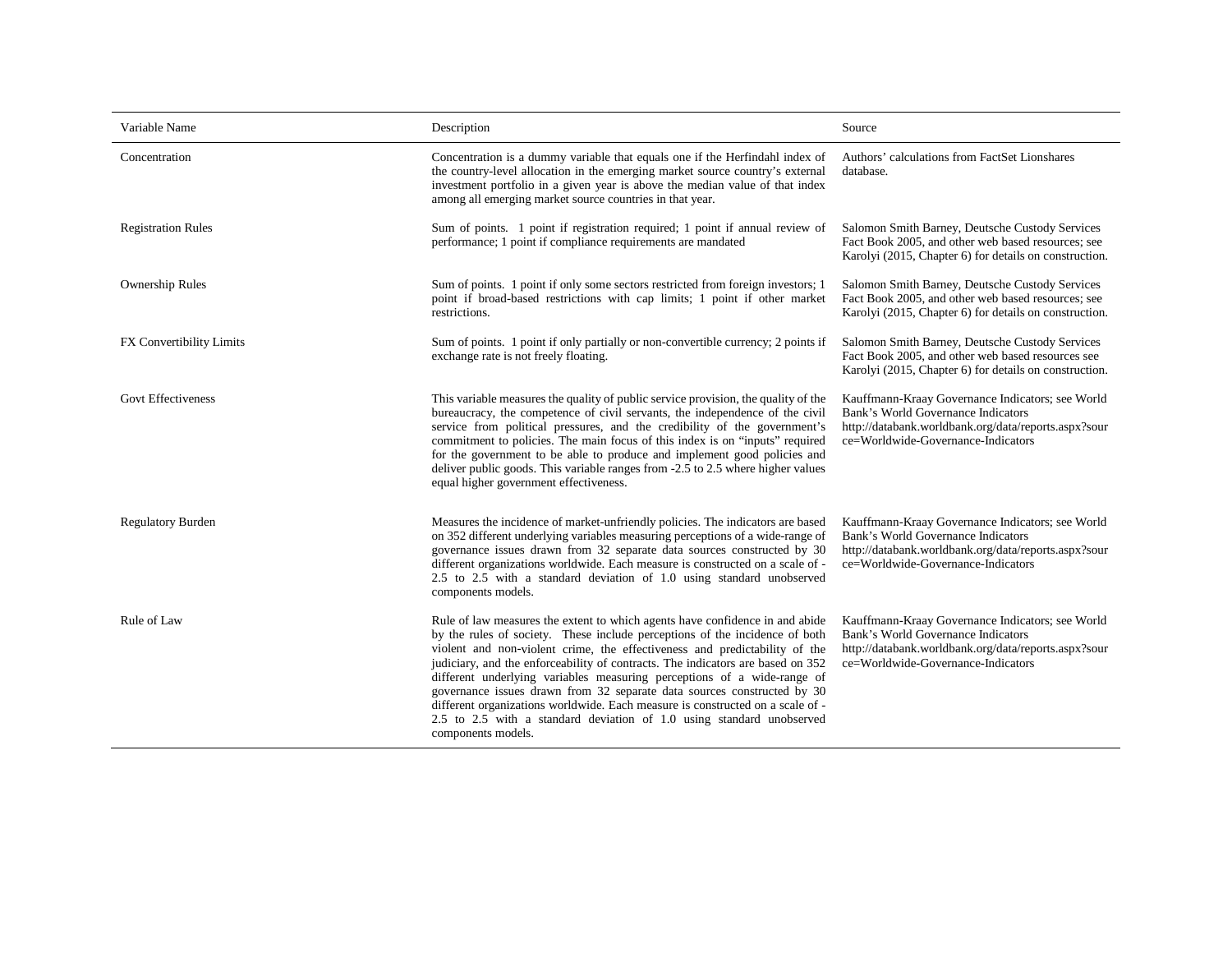| Variable Name             | Description                                                                                                                                                                                                                                                                                                                                                                                                                                                                                                                                                                                                                                                         | Source                                                                                                                                                                               |
|---------------------------|---------------------------------------------------------------------------------------------------------------------------------------------------------------------------------------------------------------------------------------------------------------------------------------------------------------------------------------------------------------------------------------------------------------------------------------------------------------------------------------------------------------------------------------------------------------------------------------------------------------------------------------------------------------------|--------------------------------------------------------------------------------------------------------------------------------------------------------------------------------------|
| Concentration             | Concentration is a dummy variable that equals one if the Herfindahl index of<br>the country-level allocation in the emerging market source country's external<br>investment portfolio in a given year is above the median value of that index<br>among all emerging market source countries in that year.                                                                                                                                                                                                                                                                                                                                                           | Authors' calculations from FactSet Lionshares<br>database.                                                                                                                           |
| <b>Registration Rules</b> | Sum of points. 1 point if registration required; 1 point if annual review of<br>performance; 1 point if compliance requirements are mandated                                                                                                                                                                                                                                                                                                                                                                                                                                                                                                                        | Salomon Smith Barney, Deutsche Custody Services<br>Fact Book 2005, and other web based resources; see<br>Karolyi (2015, Chapter 6) for details on construction.                      |
| <b>Ownership Rules</b>    | Sum of points. 1 point if only some sectors restricted from foreign investors; 1<br>point if broad-based restrictions with cap limits; 1 point if other market<br>restrictions.                                                                                                                                                                                                                                                                                                                                                                                                                                                                                     | Salomon Smith Barney, Deutsche Custody Services<br>Fact Book 2005, and other web based resources; see<br>Karolyi (2015, Chapter 6) for details on construction.                      |
| FX Convertibility Limits  | Sum of points. 1 point if only partially or non-convertible currency; 2 points if<br>exchange rate is not freely floating.                                                                                                                                                                                                                                                                                                                                                                                                                                                                                                                                          | Salomon Smith Barney, Deutsche Custody Services<br>Fact Book 2005, and other web based resources see<br>Karolyi (2015, Chapter 6) for details on construction.                       |
| <b>Govt Effectiveness</b> | This variable measures the quality of public service provision, the quality of the<br>bureaucracy, the competence of civil servants, the independence of the civil<br>service from political pressures, and the credibility of the government's<br>commitment to policies. The main focus of this index is on "inputs" required<br>for the government to be able to produce and implement good policies and<br>deliver public goods. This variable ranges from -2.5 to 2.5 where higher values<br>equal higher government effectiveness.                                                                                                                            | Kauffmann-Kraay Governance Indicators; see World<br>Bank's World Governance Indicators<br>http://databank.worldbank.org/data/reports.aspx?sour<br>ce=Worldwide-Governance-Indicators |
| <b>Regulatory Burden</b>  | Measures the incidence of market-unfriendly policies. The indicators are based<br>on 352 different underlying variables measuring perceptions of a wide-range of<br>governance issues drawn from 32 separate data sources constructed by 30<br>different organizations worldwide. Each measure is constructed on a scale of -<br>2.5 to 2.5 with a standard deviation of 1.0 using standard unobserved<br>components models.                                                                                                                                                                                                                                        | Kauffmann-Kraay Governance Indicators; see World<br>Bank's World Governance Indicators<br>http://databank.worldbank.org/data/reports.aspx?sour<br>ce=Worldwide-Governance-Indicators |
| Rule of Law               | Rule of law measures the extent to which agents have confidence in and abide<br>by the rules of society. These include perceptions of the incidence of both<br>violent and non-violent crime, the effectiveness and predictability of the<br>judiciary, and the enforceability of contracts. The indicators are based on 352<br>different underlying variables measuring perceptions of a wide-range of<br>governance issues drawn from 32 separate data sources constructed by 30<br>different organizations worldwide. Each measure is constructed on a scale of -<br>2.5 to 2.5 with a standard deviation of 1.0 using standard unobserved<br>components models. | Kauffmann-Kraay Governance Indicators; see World<br>Bank's World Governance Indicators<br>http://databank.worldbank.org/data/reports.aspx?sour<br>ce=Worldwide-Governance-Indicators |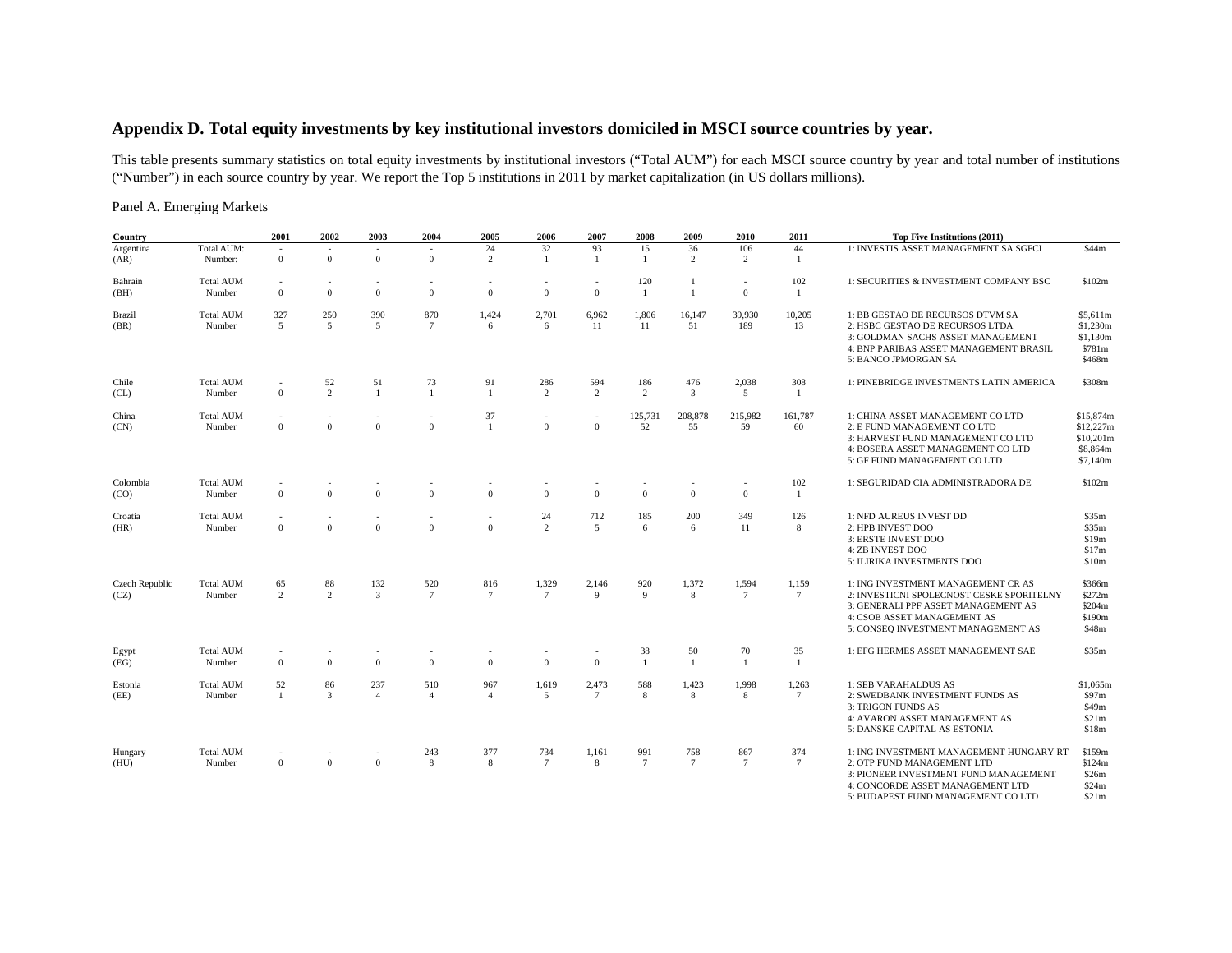## **Appendix D. Total equity investments by key institutional investors domiciled in MSCI source countries by year.**

This table presents summary statistics on total equity investments by institutional investors ("Total AUM") for each MSCI source country by year and total number of institutions ("Number") in each source country by year. We report the Top 5 institutions in 2011 by market capitalization (in US dollars millions).

Panel A. Emerging Markets

| Country                |                            | 2001                                     | 2002                                 | 2003                  | 2004                   | 2005                  | 2006                                     | 2007                           | 2008                   | 2009                 | 2010                 | 2011                    | Top Five Institutions (2011)                                                                                                                                                                |                                                             |
|------------------------|----------------------------|------------------------------------------|--------------------------------------|-----------------------|------------------------|-----------------------|------------------------------------------|--------------------------------|------------------------|----------------------|----------------------|-------------------------|---------------------------------------------------------------------------------------------------------------------------------------------------------------------------------------------|-------------------------------------------------------------|
| Argentina<br>(AR)      | Total AUM:<br>Number:      | $\mathbf{0}$                             | $\sim$<br>$\overline{0}$             | $\mathbf{0}$          | $\mathbf{0}$           | 24<br>$\overline{2}$  | 32<br>-1                                 | 93<br>$\mathbf{1}$             | 15<br>-1               | 36<br>$\overline{2}$ | 106<br>2             | 44<br>-1                | 1: INVESTIS ASSET MANAGEMENT SA SGFCI                                                                                                                                                       | \$44m                                                       |
| Bahrain<br>(BH)        | <b>Total AUM</b><br>Number | $\overline{a}$<br>$\mathbf{0}$           | $\Omega$                             | $\mathbf{0}$          | $\mathbf{0}$           | $\mathbf{0}$          | $\mathbf{0}$                             | $\mathbf{0}$                   | 120<br>$\mathbf{1}$    | $\mathbf{1}$         | $\Omega$             | 102<br>1                | 1: SECURITIES & INVESTMENT COMPANY BSC                                                                                                                                                      | \$102m                                                      |
| Brazil<br>(BR)         | <b>Total AUM</b><br>Number | 327<br>5                                 | 250<br>5                             | 390<br>$\overline{5}$ | 870<br>$\overline{7}$  | 1,424<br>6            | 2,701<br>6                               | 6,962<br>11                    | 1,806<br>11            | 16,147<br>51         | 39,930<br>189        | 10,205<br>13            | 1: BB GESTAO DE RECURSOS DTVM SA<br>2: HSBC GESTAO DE RECURSOS LTDA<br>3: GOLDMAN SACHS ASSET MANAGEMENT<br>4: BNP PARIBAS ASSET MANAGEMENT BRASIL<br>5: BANCO JPMORGAN SA                  | \$5,611m<br>\$1,230m<br>\$1,130m<br>\$781m<br>\$468m        |
| Chile<br>CL)           | <b>Total AUM</b><br>Number | $\overline{a}$<br>$\mathbf{0}$           | 52<br>2                              | 51                    | 73<br>$\overline{1}$   | 91<br>$\overline{1}$  | 286<br>2                                 | 594<br>2                       | 186<br>2               | 476<br>3             | 2,038<br>5           | 308<br>-1               | 1: PINEBRIDGE INVESTMENTS LATIN AMERICA                                                                                                                                                     | \$308m                                                      |
| China<br>(CN)          | <b>Total AUM</b><br>Number | $\overline{\phantom{a}}$<br>$\mathbf{0}$ | $\overline{\phantom{a}}$<br>$\Omega$ | $\mathbf{0}$          | $\mathbf{0}$           | 37<br>$\overline{1}$  | $\overline{\phantom{a}}$<br>$\mathbf{0}$ | $\overline{a}$<br>$\mathbf{0}$ | 125,731<br>52          | 208,878<br>55        | 215,982<br>59        | 161,787<br>60           | 1: CHINA ASSET MANAGEMENT CO LTD<br>2: E FUND MANAGEMENT CO LTD<br>3: HARVEST FUND MANAGEMENT CO LTD<br>4: BOSERA ASSET MANAGEMENT CO LTD<br>5: GF FUND MANAGEMENT CO LTD                   | \$15,874m<br>\$12,227m<br>\$10,201m<br>\$8,864m<br>\$7,140m |
| Colombia<br>(CO)       | <b>Total AUM</b><br>Number | $\mathbf{0}$                             | $\Omega$                             | $\theta$              | $\Omega$               | $\mathbf{0}$          | $\mathbf{0}$                             | $\mathbf{0}$                   | $\Omega$               | $\Omega$             | $\Omega$             | 102<br>-1               | 1: SEGURIDAD CIA ADMINISTRADORA DE                                                                                                                                                          | \$102m                                                      |
| Croatia<br>(HR)        | <b>Total AUM</b><br>Number | $\overline{\phantom{a}}$<br>$\mathbf{0}$ | $\Omega$                             | $\theta$              | $\Omega$               | $\theta$              | 24<br>$\overline{2}$                     | 712<br>$\overline{5}$          | 185<br>6               | 200<br>6             | 349<br>11            | 126<br>8                | 1: NFD AUREUS INVEST DD<br>2: HPB INVEST DOO<br>3: ERSTE INVEST DOO<br><b>4: ZB INVEST DOO</b><br>5: ILIRIKA INVESTMENTS DOO                                                                | \$35m<br>\$35m<br>\$19m<br>\$17m<br>\$10m                   |
| Czech Republic<br>(CZ) | <b>Total AUM</b><br>Number | 65<br>2                                  | 88<br>2                              | 132<br>3              | 520<br>$7\phantom{.0}$ | 816<br>$\overline{7}$ | 1,329<br>$7\phantom{.0}$                 | 2,146<br>9                     | 920<br>9               | 1,372<br>8           | 1,594<br>$\tau$      | 1,159<br>$\overline{7}$ | 1: ING INVESTMENT MANAGEMENT CR AS<br>2: INVESTICNI SPOLECNOST CESKE SPORITELNY<br>3: GENERALI PPF ASSET MANAGEMENT AS<br>4: CSOB ASSET MANAGEMENT AS<br>5: CONSEQ INVESTMENT MANAGEMENT AS | \$366m<br>\$272m<br>\$204m<br>\$190m<br>\$48m               |
| Egypt<br>(EG)          | <b>Total AUM</b><br>Number | $\overline{\phantom{a}}$<br>$\mathbf{0}$ | $\mathbf{0}$                         | $\mathbf{0}$          | $\mathbf{0}$           | $\mathbf{0}$          | $\overline{\phantom{a}}$<br>$\mathbf{0}$ | $\mathbf{0}$                   | 38<br>$\overline{1}$   | 50<br>$\mathbf{1}$   | 70<br>$\overline{1}$ | 35<br>$\overline{1}$    | 1: EFG HERMES ASSET MANAGEMENT SAE                                                                                                                                                          | \$35m                                                       |
| Estonia<br>(EE)        | <b>Total AUM</b><br>Number | 52<br>$\overline{1}$                     | 86<br>3                              | 237<br>$\overline{4}$ | 510<br>$\overline{4}$  | 967<br>$\overline{4}$ | 1,619<br>5                               | 2,473<br>$7\phantom{.0}$       | 588<br>8               | 1,423<br>8           | 1,998<br>8           | 1,263<br>$\overline{7}$ | 1: SEB VARAHALDUS AS<br>2: SWEDBANK INVESTMENT FUNDS AS<br>3: TRIGON FUNDS AS<br>4: AVARON ASSET MANAGEMENT AS<br>5: DANSKE CAPITAL AS ESTONIA                                              | \$1,065m<br>\$97m<br>\$49m<br>\$21m<br>\$18m                |
| Hungary<br>(HU)        | <b>Total AUM</b><br>Number | $\mathbf{0}$                             | $\mathbf{0}$                         | $\mathbf{0}$          | 243<br>8               | 377<br>8              | 734<br>$7\phantom{.0}$                   | 1,161<br>8                     | 991<br>$7\phantom{.0}$ | 758<br>$\tau$        | 867<br>$\tau$        | 374<br>$7\phantom{.0}$  | 1: ING INVESTMENT MANAGEMENT HUNGARY RT<br>2: OTP FUND MANAGEMENT LTD<br>3: PIONEER INVESTMENT FUND MANAGEMENT<br>4: CONCORDE ASSET MANAGEMENT LTD<br>5: BUDAPEST FUND MANAGEMENT CO LTD    | \$159m<br>\$124m<br>\$26m<br>\$24m<br>\$21m                 |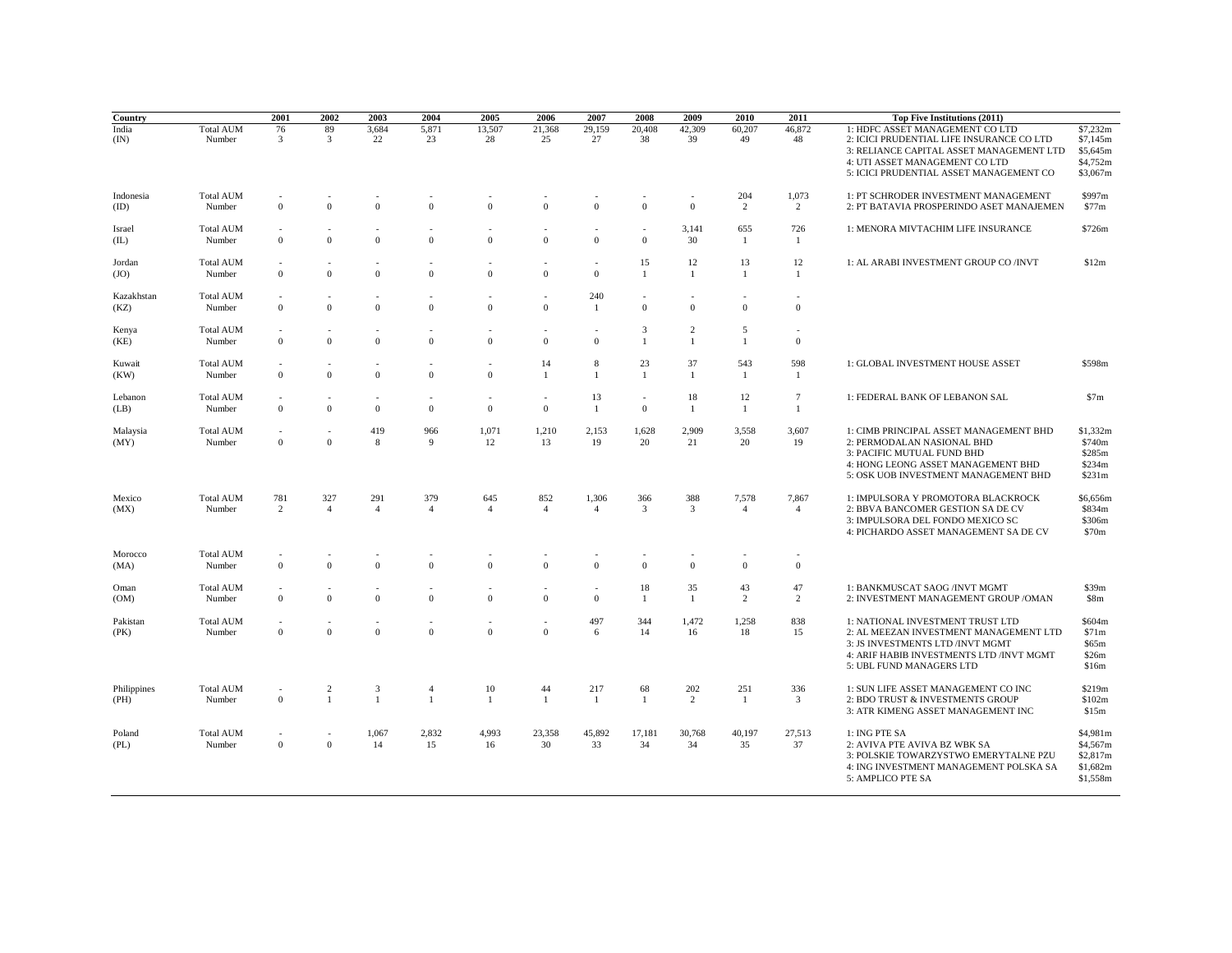| Country             |                            | 2001                                       | 2002                           | 2003                  | 2004                           | 2005                  | 2006                  | 2007                                     | 2008                                     | 2009                           | 2010                             | 2011                    | Top Five Institutions (2011)                                                                                                                                                                          |                                                          |
|---------------------|----------------------------|--------------------------------------------|--------------------------------|-----------------------|--------------------------------|-----------------------|-----------------------|------------------------------------------|------------------------------------------|--------------------------------|----------------------------------|-------------------------|-------------------------------------------------------------------------------------------------------------------------------------------------------------------------------------------------------|----------------------------------------------------------|
| India<br>(IN)       | <b>Total AUM</b><br>Number | 76<br>3                                    | 89<br>3                        | 3,684<br>22           | 5,871<br>23                    | 13,507<br>28          | 21,368<br>25          | 29,159<br>27                             | 20,408<br>38                             | 42,309<br>39                   | 60,207<br>49                     | 46,872<br>48            | 1: HDFC ASSET MANAGEMENT CO LTD<br>2: ICICI PRUDENTIAL LIFE INSURANCE CO LTD<br>3: RELIANCE CAPITAL ASSET MANAGEMENT LTD<br>4: UTI ASSET MANAGEMENT CO LTD<br>5: ICICI PRUDENTIAL ASSET MANAGEMENT CO | \$7,232m<br>\$7,145m<br>\$5,645m<br>\$4,752m<br>\$3,067m |
| Indonesia<br>(ID)   | <b>Total AUM</b><br>Number | $\mathbf{0}$                               | $\overline{0}$                 | $\mathbf{0}$          | $\Omega$                       | $\mathbf{0}$          | $\bf{0}$              | $\overline{0}$                           | $\mathbf{0}$                             | $\overline{0}$                 | 204<br>2                         | 1,073<br>2              | 1: PT SCHRODER INVESTMENT MANAGEMENT<br>2: PT BATAVIA PROSPERINDO ASET MANAJEMEN                                                                                                                      | \$997m<br>\$77m                                          |
| Israel<br>(IL)      | <b>Total AUM</b><br>Number | $\mathbf{0}$                               | $\mathbf{0}$                   | $\Omega$              | $\Omega$                       | $\mathbf{0}$          | $\boldsymbol{0}$      | $\mathbf{0}$                             | $\mathbf{0}$                             | 3,141<br>30                    | 655<br>1                         | 726<br>-1               | 1: MENORA MIVTACHIM LIFE INSURANCE                                                                                                                                                                    | \$726m                                                   |
| Jordan<br>(JO)      | <b>Total AUM</b><br>Number | ٠<br>$\mathbf{0}$                          | $\mathbf{0}$                   | $\mathbf{0}$          | $\overline{0}$                 | $\mathbf{0}$          | ÷<br>$\mathbf{0}$     | $\overline{a}$<br>$\mathbf{0}$           | 15<br>$\mathbf{1}$                       | 12<br>-1                       | 13<br>$\mathbf{1}$               | 12<br>-1                | 1: AL ARABI INVESTMENT GROUP CO /INVT                                                                                                                                                                 | \$12m                                                    |
| Kazakhstan<br>(KZ)  | <b>Total AUM</b><br>Number | $\overline{a}$<br>$\mathbf{0}$             | $\mathbf{0}$                   | $\mathbf{0}$          | $\mathbf{0}$                   | $\mathbf{0}$          | ÷,<br>$\mathbf{0}$    | 240<br>-1                                | $\mathbf{0}$                             | $\mathbf{0}$                   | $\mathbf{0}$                     | $\bf{0}$                |                                                                                                                                                                                                       |                                                          |
| Kenya<br>(KE)       | <b>Total AUM</b><br>Number | $\mathbf{0}$                               | $\Omega$                       | $\Omega$              | $\Omega$                       | $\mathbf{0}$          | $\mathbf{0}$          | $\overline{\phantom{a}}$<br>$\theta$     | 3<br>$\mathbf{1}$                        | $\overline{2}$<br>$\mathbf{1}$ | $\overline{5}$<br>$\overline{1}$ | $\overline{0}$          |                                                                                                                                                                                                       |                                                          |
| Kuwait<br>(KW)      | <b>Total AUM</b><br>Number | $\mathbf{0}$                               | $\mathbf{0}$                   | $\theta$              | $\Omega$                       | ÷<br>$\mathbf{0}$     | 14<br>$\mathbf{1}$    | 8<br>$\mathbf{1}$                        | 23<br>$\mathbf{1}$                       | 37<br>-1                       | 543<br>$\mathbf{1}$              | 598<br>-1               | 1: GLOBAL INVESTMENT HOUSE ASSET                                                                                                                                                                      | \$598m                                                   |
| Lebanon<br>(LB)     | <b>Total AUM</b><br>Number | $\overline{0}$                             | $\overline{0}$                 | $\mathbf{0}$          | $\mathbf{0}$                   | $\mathbf{0}$          | $\mathbf{0}$          | 13<br>$\mathbf{1}$                       | $\overline{\phantom{a}}$<br>$\mathbf{0}$ | 18<br>$\mathbf{1}$             | 12<br>-1                         | $\overline{7}$<br>-1    | 1: FEDERAL BANK OF LEBANON SAL                                                                                                                                                                        | \$7m                                                     |
| Malaysia<br>(MY)    | <b>Total AUM</b><br>Number | $\overline{\phantom{a}}$<br>$\overline{0}$ | $\Omega$                       | 419<br>8              | 966<br>$\mathbf{Q}$            | 1,071<br>12           | 1,210<br>13           | 2,153<br>19                              | 1,628<br>20                              | 2,909<br>21                    | 3,558<br>20                      | 3,607<br>19             | 1: CIMB PRINCIPAL ASSET MANAGEMENT BHD<br>2: PERMODALAN NASIONAL BHD<br>3: PACIFIC MUTUAL FUND BHD<br>4: HONG LEONG ASSET MANAGEMENT BHD<br>5: OSK UOB INVESTMENT MANAGEMENT BHD                      | \$1,332m<br>\$740m<br>\$285m<br>\$234m<br>\$231m         |
| Mexico<br>(MX)      | <b>Total AUM</b><br>Number | 781<br>$\overline{2}$                      | 327<br>$\overline{4}$          | 291<br>$\overline{4}$ | 379<br>$\overline{4}$          | 645<br>$\overline{4}$ | 852<br>$\overline{4}$ | 1,306<br>$\overline{4}$                  | 366<br>3                                 | 388<br>$\overline{3}$          | 7,578<br>$\overline{4}$          | 7,867<br>$\overline{4}$ | 1: IMPULSORA Y PROMOTORA BLACKROCK<br>2: BBVA BANCOMER GESTION SA DE CV<br>3: IMPULSORA DEL FONDO MEXICO SC<br>4: PICHARDO ASSET MANAGEMENT SA DE CV                                                  | \$6,656m<br>\$834m<br>\$306m<br>\$70m                    |
| Morocco<br>(MA)     | <b>Total AUM</b><br>Number | ÷<br>$\mathbf{0}$                          | $\overline{0}$                 | $\mathbf{0}$          | $\Omega$                       | $\mathbf{0}$          | $\mathbf{0}$          | $\overline{0}$                           | $\mathbf{0}$                             | $\Omega$                       | $\theta$                         | $\overline{0}$          |                                                                                                                                                                                                       |                                                          |
| Oman<br>(OM)        | <b>Total AUM</b><br>Number | $\overline{\phantom{a}}$<br>$\bf{0}$       | $\mathbf{0}$                   | $\mathbf{0}$          | $\overline{0}$                 | $\mathbf{0}$          | ٠<br>$\mathbf{0}$     | $\overline{\phantom{a}}$<br>$\mathbf{0}$ | 18<br>$\mathbf{1}$                       | 35<br>$\mathbf{1}$             | 43<br>2                          | 47<br>2                 | 1: BANKMUSCAT SAOG /INVT MGMT<br>2: INVESTMENT MANAGEMENT GROUP / OMAN                                                                                                                                | \$39m<br>\$8m                                            |
| Pakistan<br>(PK)    | <b>Total AUM</b><br>Number | $\mathbf{0}$                               | $\Omega$                       | $\mathbf{0}$          | $\Omega$                       | $\mathbf{0}$          | ÷,<br>$\mathbf{0}$    | 497<br>6                                 | 344<br>14                                | 1,472<br>16                    | 1,258<br>18                      | 838<br>15               | 1: NATIONAL INVESTMENT TRUST LTD<br>2: AL MEEZAN INVESTMENT MANAGEMENT LTD<br>3: JS INVESTMENTS LTD /INVT MGMT<br>4: ARIF HABIB INVESTMENTS LTD /INVT MGMT<br>5: UBL FUND MANAGERS LTD                | \$604m<br>\$71m<br>\$65m<br>\$26m<br>\$16m               |
| Philippines<br>(PH) | <b>Total AUM</b><br>Number | $\mathbf{0}$                               | $\overline{c}$<br>$\mathbf{1}$ | 3<br>$\overline{1}$   | $\overline{4}$<br>$\mathbf{1}$ | 10<br>$\mathbf{1}$    | 44<br>$\mathbf{1}$    | 217<br>$\mathbf{1}$                      | 68<br>$\mathbf{1}$                       | 202<br>2                       | 251<br>$\mathbf{1}$              | 336<br>$\overline{3}$   | 1: SUN LIFE ASSET MANAGEMENT CO INC<br>2: BDO TRUST & INVESTMENTS GROUP<br>3: ATR KIMENG ASSET MANAGEMENT INC                                                                                         | \$219m<br>\$102m<br>\$15m                                |
| Poland<br>(PL)      | <b>Total AUM</b><br>Number | $\overline{\phantom{a}}$<br>$\mathbf{0}$   | $\sim$<br>$\overline{0}$       | 1,067<br>14           | 2,832<br>15                    | 4,993<br>16           | 23,358<br>30          | 45,892<br>33                             | 17,181<br>34                             | 30,768<br>34                   | 40,197<br>35                     | 27,513<br>37            | 1: ING PTE SA<br>2: AVIVA PTE AVIVA BZ WBK SA<br>3: POLSKIE TOWARZYSTWO EMERYTALNE PZU<br>4: ING INVESTMENT MANAGEMENT POLSKA SA<br>5: AMPLICO PTE SA                                                 | \$4,981m<br>\$4,567m<br>\$2,817m<br>\$1,682m<br>\$1,558m |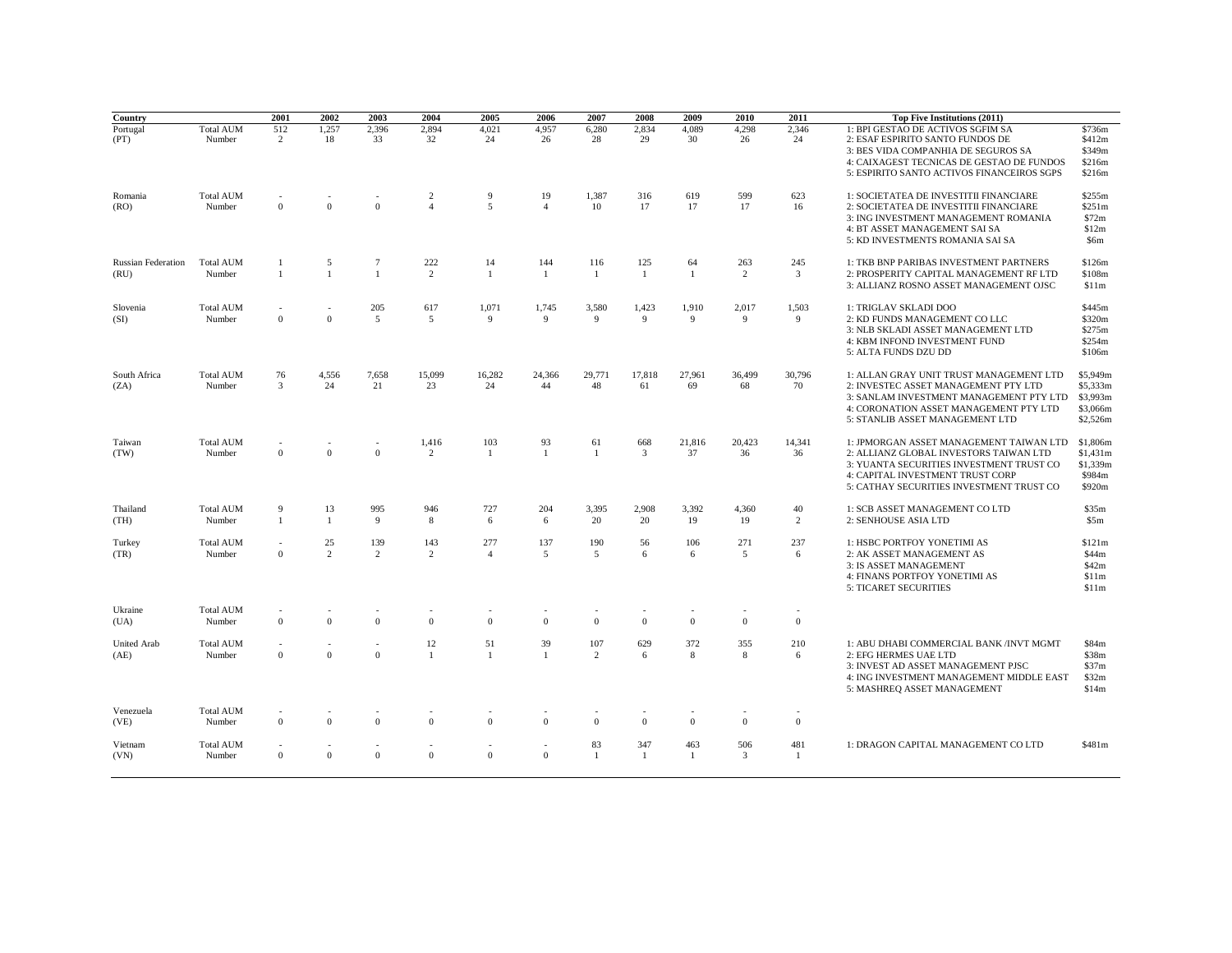| Country                           |                            | 2001                             | 2002                 | 2003                | 2004                             | 2005                  | 2006                  | 2007                  | 2008                  | 2009                | 2010                  | 2011         | Top Five Institutions (2011)                                                                                                                                                                                  |                                                          |
|-----------------------------------|----------------------------|----------------------------------|----------------------|---------------------|----------------------------------|-----------------------|-----------------------|-----------------------|-----------------------|---------------------|-----------------------|--------------|---------------------------------------------------------------------------------------------------------------------------------------------------------------------------------------------------------------|----------------------------------------------------------|
| Portugal<br>(PT)                  | <b>Total AUM</b><br>Number | 512<br>2                         | 1,257<br>18          | 2,396<br>33         | 2,894<br>32                      | 4,021<br>24           | 4,957<br>26           | 6,280<br>28           | 2,834<br>29           | 4,089<br>30         | 4,298<br>26           | 2,346<br>24  | 1: BPI GESTAO DE ACTIVOS SGFIM SA<br>2: ESAF ESPIRITO SANTO FUNDOS DE<br>3: BES VIDA COMPANHIA DE SEGUROS SA<br>4: CAIXAGEST TECNICAS DE GESTAO DE FUNDOS<br>5: ESPIRITO SANTO ACTIVOS FINANCEIROS SGPS       | \$736m<br>\$412m<br>\$349m<br>\$216m<br>\$216m           |
| Romania<br>(RO)                   | <b>Total AUM</b><br>Number | $\mathbf{0}$                     | $\mathbf{0}$         | $\Omega$            | $\overline{c}$<br>$\overline{4}$ | 9<br>5                | 19<br>$\overline{4}$  | 1,387<br>10           | 316<br>17             | 619<br>17           | 599<br>17             | 623<br>16    | 1: SOCIETATEA DE INVESTITII FINANCIARE<br>2: SOCIETATEA DE INVESTITII FINANCIARE<br>3: ING INVESTMENT MANAGEMENT ROMANIA<br>4: BT ASSET MANAGEMENT SAI SA<br>5: KD INVESTMENTS ROMANIA SAI SA                 | \$255m<br>\$251m<br>\$72m<br>\$12m<br>\$6m               |
| <b>Russian Federation</b><br>(RU) | <b>Total AUM</b><br>Number | $\overline{1}$<br>$\overline{1}$ | 5<br>$\mathbf{1}$    | 7<br>$\mathbf{1}$   | 222<br>$\overline{2}$            | 14<br>$\overline{1}$  | 144<br>$\overline{1}$ | 116<br>$\overline{1}$ | 125<br>$\mathbf{1}$   | 64<br>$\mathbf{1}$  | 263<br>$\overline{2}$ | 245<br>3     | 1: TKB BNP PARIBAS INVESTMENT PARTNERS<br>2: PROSPERITY CAPITAL MANAGEMENT RF LTD<br>3: ALLIANZ ROSNO ASSET MANAGEMENT OJSC                                                                                   | \$126m<br>\$108m<br>\$11m                                |
| Slovenia<br>(SI)                  | <b>Total AUM</b><br>Number | $\sim$<br>$\mathbf{0}$           | ÷,<br>$\mathbf{0}$   | 205<br>5            | 617<br>5                         | 1,071<br>9            | 1,745<br>9            | 3,580<br>9            | 1,423<br>9            | 1,910<br>9          | 2,017<br>9            | 1,503<br>9   | 1: TRIGLAV SKLADI DOO<br>2: KD FUNDS MANAGEMENT CO LLC<br>3: NLB SKLADI ASSET MANAGEMENT LTD<br>4: KBM INFOND INVESTMENT FUND<br>5: ALTA FUNDS DZU DD                                                         | \$445m<br>\$320m<br>\$275m<br>\$254m<br>\$106m           |
| South Africa<br>(ZA)              | <b>Total AUM</b><br>Number | 76<br>$\overline{3}$             | 4,556<br>24          | 7,658<br>21         | 15,099<br>23                     | 16,282<br>24          | 24,366<br>44          | 29,771<br>48          | 17,818<br>61          | 27,961<br>69        | 36,499<br>68          | 30,796<br>70 | 1: ALLAN GRAY UNIT TRUST MANAGEMENT LTD<br>2: INVESTEC ASSET MANAGEMENT PTY LTD<br>3: SANLAM INVESTMENT MANAGEMENT PTY LTD<br>4: CORONATION ASSET MANAGEMENT PTY LTD<br>5: STANLIB ASSET MANAGEMENT LTD       | \$5,949m<br>\$5,333m<br>\$3,993m<br>\$3,066m<br>\$2,526m |
| Taiwan<br>(TW)                    | <b>Total AUM</b><br>Number | $\mathbf{0}$                     | $\Omega$             | $\Omega$            | 1,416<br>2                       | 103<br>$\mathbf{1}$   | 93<br>$\mathbf{1}$    | 61<br>$\mathbf{1}$    | 668<br>$\overline{3}$ | 21,816<br>37        | 20,423<br>36          | 14.341<br>36 | 1: JPMORGAN ASSET MANAGEMENT TAIWAN LTD<br>2: ALLIANZ GLOBAL INVESTORS TAIWAN LTD<br>3: YUANTA SECURITIES INVESTMENT TRUST CO<br>4: CAPITAL INVESTMENT TRUST CORP<br>5: CATHAY SECURITIES INVESTMENT TRUST CO | \$1,806m<br>\$1,431m<br>\$1,339m<br>\$984m<br>\$920m     |
| Thailand<br>(TH)                  | <b>Total AUM</b><br>Number | 9<br>$\mathbf{1}$                | 13<br>$\mathbf{1}$   | 995<br>$\mathbf{Q}$ | 946<br>8                         | 727<br>6              | 204<br>6              | 3,395<br>20           | 2,908<br>20           | 3,392<br>19         | 4,360<br>19           | 40<br>2      | 1: SCB ASSET MANAGEMENT CO LTD<br>2: SENHOUSE ASIA LTD                                                                                                                                                        | \$35m<br>\$5m                                            |
| Turkey<br>(TR)                    | <b>Total AUM</b><br>Number | $\sim$<br>$\mathbf{0}$           | 25<br>$\overline{2}$ | 139<br>2            | 143<br>2                         | 277<br>$\overline{4}$ | 137<br>5              | 190<br>5              | 56<br>6               | 106<br>6            | 271<br>5              | 237<br>6     | 1: HSBC PORTFOY YONETIMI AS<br>2: AK ASSET MANAGEMENT AS<br>3: IS ASSET MANAGEMENT<br>4: FINANS PORTFOY YONETIMI AS<br><b>5: TICARET SECURITIES</b>                                                           | \$121m<br>\$44m<br>\$42m<br>\$11m<br>\$11m               |
| Ukraine<br>(UA)                   | <b>Total AUM</b><br>Number | $\mathbf{0}$                     | $\Omega$             | $\Omega$            | $\Omega$                         | $\Omega$              | $\mathbf{0}$          | $\overline{0}$        | $\overline{0}$        | $\theta$            | $\Omega$              | $\mathbf{0}$ |                                                                                                                                                                                                               |                                                          |
| United Arab<br>(AE)               | <b>Total AUM</b><br>Number | $\sim$<br>$\mathbf{0}$           | ٠<br>$\mathbf{0}$    | $\Omega$            | 12<br>1                          | 51<br>$\overline{1}$  | 39<br>$\overline{1}$  | 107<br>2              | 629<br>6              | 372<br>8            | 355<br>8              | 210<br>6     | 1: ABU DHABI COMMERCIAL BANK /INVT MGMT<br>2: EFG HERMES UAE LTD<br>3: INVEST AD ASSET MANAGEMENT PJSC<br>4: ING INVESTMENT MANAGEMENT MIDDLE EAST<br>5: MASHREQ ASSET MANAGEMENT                             | \$84m<br>\$38m<br>\$37m<br>\$32m<br>\$14m                |
| Venezuela<br>(VE)                 | <b>Total AUM</b><br>Number | $\mathbf{0}$                     | $\mathbf{0}$         | $\Omega$            | $\Omega$                         | $\mathbf{0}$          | $\mathbf{0}$          | $\mathbf{0}$          | $\overline{0}$        | $\theta$            | $\mathbf{0}$          | $\mathbf{0}$ |                                                                                                                                                                                                               |                                                          |
| Vietnam<br>(VN)                   | <b>Total AUM</b><br>Number | $\mathbf{0}$                     | $\mathbf{0}$         | $\Omega$            | $\mathbf{0}$                     | $\mathbf{0}$          | $\overline{0}$        | 83<br>$\mathbf{1}$    | 347<br>-1             | 463<br>$\mathbf{1}$ | 506<br>3              | 481<br>1     | 1: DRAGON CAPITAL MANAGEMENT CO LTD                                                                                                                                                                           | \$481m                                                   |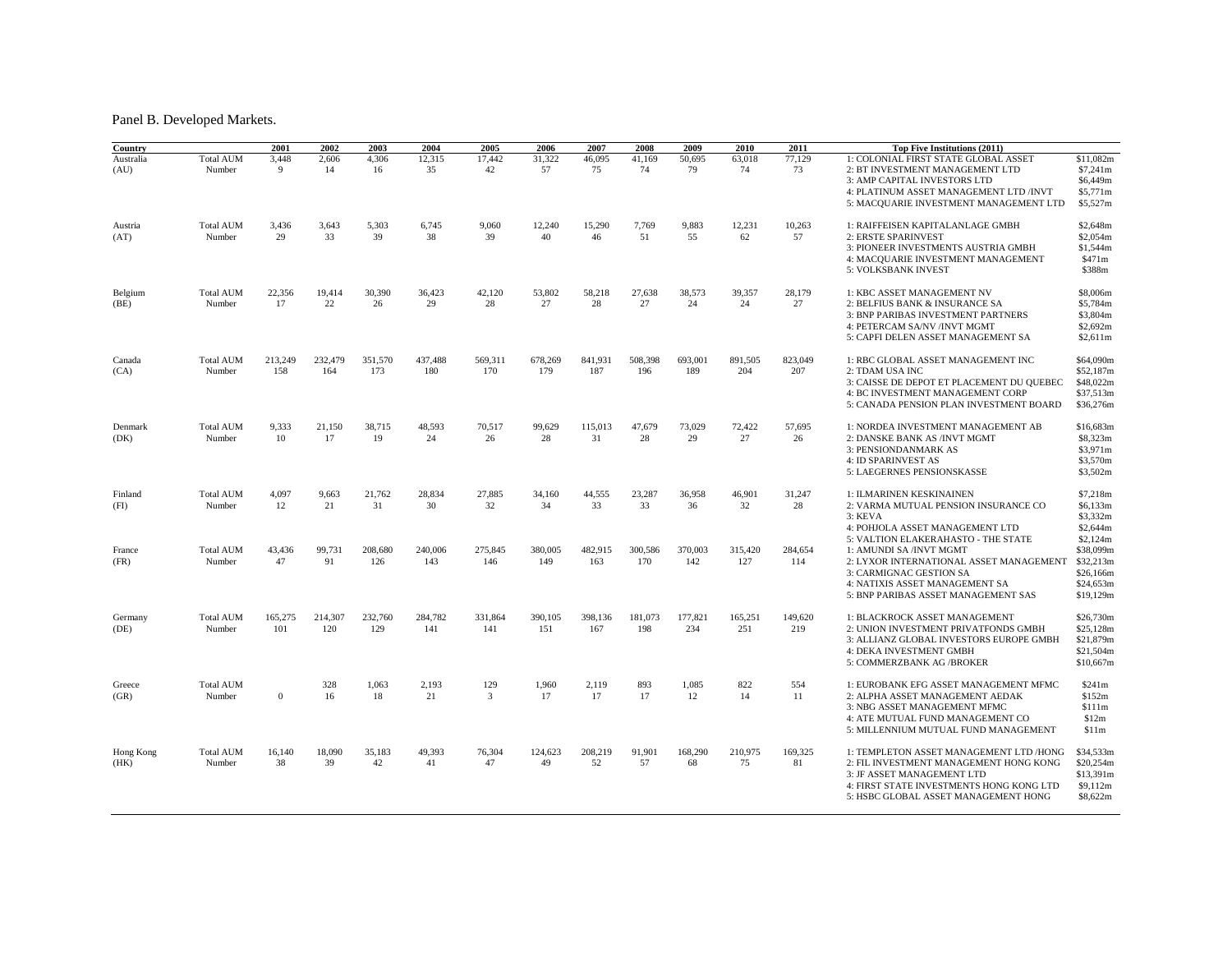## Panel B. Developed Markets.

| Country           |                            | 2001           | 2002           | 2003           | 2004           | 2005                  | 2006           | 2007           | 2008           | 2009           | 2010           | 2011           | Top Five Institutions (2011)                                                                                                                                                                                  |                                                                           |
|-------------------|----------------------------|----------------|----------------|----------------|----------------|-----------------------|----------------|----------------|----------------|----------------|----------------|----------------|---------------------------------------------------------------------------------------------------------------------------------------------------------------------------------------------------------------|---------------------------------------------------------------------------|
| Australia<br>(AU) | <b>Total AUM</b><br>Number | 3,448<br>9     | 2,606<br>14    | 4,306<br>16    | 12,315<br>35   | 17,442<br>42          | 31,322<br>57   | 46,095<br>75   | 41,169<br>74   | 50,695<br>79   | 63,018<br>74   | 77,129<br>73   | 1: COLONIAL FIRST STATE GLOBAL ASSET<br>2: BT INVESTMENT MANAGEMENT LTD<br>3: AMP CAPITAL INVESTORS LTD<br>4: PLATINUM ASSET MANAGEMENT LTD /INVT<br>5: MACQUARIE INVESTMENT MANAGEMENT LTD                   | \$11,082m<br>\$7,241m<br>\$6,449m<br>\$5,771m<br>\$5,527m                 |
| Austria<br>(AT)   | <b>Total AUM</b><br>Number | 3,436<br>29    | 3,643<br>33    | 5,303<br>39    | 6,745<br>38    | 9,060<br>39           | 12,240<br>40   | 15,290<br>46   | 7,769<br>51    | 9,883<br>55    | 12,231<br>62   | 10,263<br>57   | 1: RAIFFEISEN KAPITALANLAGE GMBH<br>2: ERSTE SPARINVEST<br>3: PIONEER INVESTMENTS AUSTRIA GMBH<br>4: MACQUARIE INVESTMENT MANAGEMENT<br>5: VOLKSBANK INVEST                                                   | \$2,648m<br>\$2,054m<br>\$1,544m<br>\$471m<br>\$388m                      |
| Belgium<br>(BE)   | <b>Total AUM</b><br>Number | 22.356<br>17   | 19,414<br>22   | 30,390<br>26   | 36,423<br>29   | 42,120<br>28          | 53,802<br>27   | 58,218<br>28   | 27.638<br>27   | 38.573<br>24   | 39.357<br>24   | 28,179<br>27   | 1: KBC ASSET MANAGEMENT NV<br>2: BELFIUS BANK & INSURANCE SA<br>3: BNP PARIBAS INVESTMENT PARTNERS<br>4: PETERCAM SA/NV /INVT MGMT<br>5: CAPFI DELEN ASSET MANAGEMENT SA                                      | \$8,006m<br>\$5,784m<br>\$3,804m<br>\$2,692m<br>\$2,611m                  |
| Canada<br>(CA)    | <b>Total AUM</b><br>Number | 213,249<br>158 | 232,479<br>164 | 351,570<br>173 | 437,488<br>180 | 569,311<br>170        | 678,269<br>179 | 841,931<br>187 | 508,398<br>196 | 693,001<br>189 | 891,505<br>204 | 823,049<br>207 | 1: RBC GLOBAL ASSET MANAGEMENT INC<br>2: TDAM USA INC<br>3: CAISSE DE DEPOT ET PLACEMENT DU OUEBEC<br>4: BC INVESTMENT MANAGEMENT CORP<br>5: CANADA PENSION PLAN INVESTMENT BOARD                             | \$64,090m<br>\$52,187m<br>\$48,022m<br>\$37,513m<br>\$36,276m             |
| Denmark<br>(DK)   | <b>Total AUM</b><br>Number | 9.333<br>10    | 21.150<br>17   | 38,715<br>19   | 48.593<br>24   | 70,517<br>26          | 99.629<br>28   | 115,013<br>31  | 47.679<br>28   | 73,029<br>29   | 72.422<br>27   | 57,695<br>26   | 1: NORDEA INVESTMENT MANAGEMENT AB<br>2: DANSKE BANK AS /INVT MGMT<br>3: PENSIONDANMARK AS<br>4: ID SPARINVEST AS<br>5: LAEGERNES PENSIONSKASSE                                                               | \$16,683m<br>\$8,323m<br>\$3,971m<br>\$3,570m<br>\$3,502m                 |
| Finland<br>(FI)   | <b>Total AUM</b><br>Number | 4,097<br>12    | 9,663<br>21    | 21,762<br>31   | 28,834<br>30   | 27,885<br>32          | 34,160<br>34   | 44,555<br>33   | 23,287<br>33   | 36,958<br>36   | 46,901<br>32   | 31,247<br>28   | 1: ILMARINEN KESKINAINEN<br>2: VARMA MUTUAL PENSION INSURANCE CO<br>3: KEVA<br>4: POHJOLA ASSET MANAGEMENT LTD                                                                                                | \$7,218m<br>\$6,133m<br>\$3,332m<br>\$2,644m                              |
| France<br>(FR)    | <b>Total AUM</b><br>Number | 43,436<br>47   | 99,731<br>91   | 208,680<br>126 | 240,006<br>143 | 275,845<br>146        | 380,005<br>149 | 482,915<br>163 | 300,586<br>170 | 370,003<br>142 | 315,420<br>127 | 284,654<br>114 | 5: VALTION ELAKERAHASTO - THE STATE<br>1: AMUNDI SA /INVT MGMT<br>2: LYXOR INTERNATIONAL ASSET MANAGEMENT<br>3: CARMIGNAC GESTION SA<br>4: NATIXIS ASSET MANAGEMENT SA<br>5: BNP PARIBAS ASSET MANAGEMENT SAS | \$2,124m<br>\$38,099m<br>\$32,213m<br>\$26,166m<br>\$24,653m<br>\$19,129m |
| Germany<br>(DE)   | <b>Total AUM</b><br>Number | 165,275<br>101 | 214,307<br>120 | 232,760<br>129 | 284,782<br>141 | 331,864<br>141        | 390,105<br>151 | 398,136<br>167 | 181,073<br>198 | 177,821<br>234 | 165,251<br>251 | 149,620<br>219 | 1: BLACKROCK ASSET MANAGEMENT<br>2: UNION INVESTMENT PRIVATFONDS GMBH<br>3: ALLIANZ GLOBAL INVESTORS EUROPE GMBH<br>4: DEKA INVESTMENT GMBH<br>5: COMMERZBANK AG /BROKER                                      | \$26,730m<br>\$25,128m<br>\$21,879m<br>\$21,504m<br>\$10,667m             |
| Greece<br>(GR)    | <b>Total AUM</b><br>Number | $\mathbf{0}$   | 328<br>16      | 1,063<br>18    | 2,193<br>21    | 129<br>$\overline{3}$ | 1,960<br>17    | 2,119<br>17    | 893<br>17      | 1,085<br>12    | 822<br>14      | 554<br>11      | 1: EUROBANK EFG ASSET MANAGEMENT MFMC<br>2: ALPHA ASSET MANAGEMENT AEDAK<br>3: NBG ASSET MANAGEMENT MFMC<br>4: ATE MUTUAL FUND MANAGEMENT CO<br>5: MILLENNIUM MUTUAL FUND MANAGEMENT                          | \$241m<br>\$152m<br>\$111m<br>\$12m<br>\$11m                              |
| Hong Kong<br>(HK) | <b>Total AUM</b><br>Number | 16,140<br>38   | 18,090<br>39   | 35,183<br>42   | 49,393<br>41   | 76,304<br>47          | 124,623<br>49  | 208,219<br>52  | 91,901<br>57   | 168,290<br>68  | 210,975<br>75  | 169,325<br>81  | 1: TEMPLETON ASSET MANAGEMENT LTD /HONG<br>2: FIL INVESTMENT MANAGEMENT HONG KONG<br>3: JF ASSET MANAGEMENT LTD<br>4: FIRST STATE INVESTMENTS HONG KONG LTD<br>5: HSBC GLOBAL ASSET MANAGEMENT HONG           | \$34,533m<br>\$20,254m<br>\$13,391m<br>\$9,112m<br>\$8,622m               |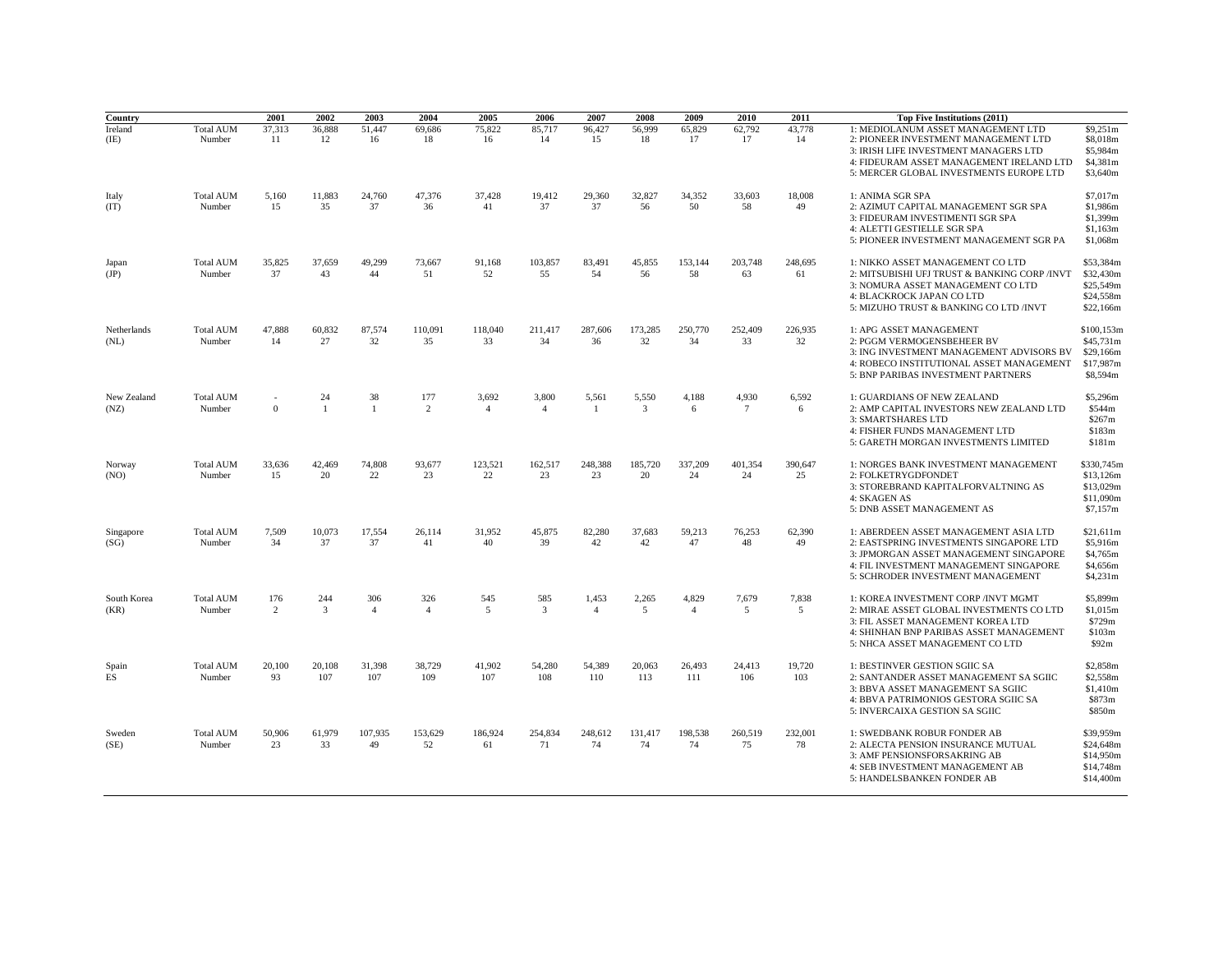| Country             |                            | 2001                  | 2002               | 2003                  | 2004                  | 2005                    | 2006                    | 2007                    | 2008          | 2009                    | 2010            | 2011          | Top Five Institutions (2011)                                                                                                                                                                               |                                                               |
|---------------------|----------------------------|-----------------------|--------------------|-----------------------|-----------------------|-------------------------|-------------------------|-------------------------|---------------|-------------------------|-----------------|---------------|------------------------------------------------------------------------------------------------------------------------------------------------------------------------------------------------------------|---------------------------------------------------------------|
| Ireland<br>(IE)     | <b>Total AUM</b><br>Number | 37,313<br>11          | 36,888<br>12       | 51,447<br>16          | 69,686<br>18          | 75,822<br>16            | 85,717<br>14            | 96,427<br>15            | 56,999<br>18  | 65,829<br>17            | 62,792<br>17    | 43,778<br>14  | 1: MEDIOLANUM ASSET MANAGEMENT LTD<br>2: PIONEER INVESTMENT MANAGEMENT LTD<br>3: IRISH LIFE INVESTMENT MANAGERS LTD<br>4: FIDEURAM ASSET MANAGEMENT IRELAND LTD<br>5: MERCER GLOBAL INVESTMENTS EUROPE LTD | \$9,251m<br>\$8,018m<br>\$5,984m<br>\$4,381m<br>\$3,640m      |
| Italy<br>(IT)       | <b>Total AUM</b><br>Number | 5,160<br>15           | 11,883<br>35       | 24,760<br>37          | 47,376<br>36          | 37,428<br>41            | 19,412<br>37            | 29,360<br>37            | 32,827<br>56  | 34,352<br>50            | 33,603<br>58    | 18,008<br>49  | 1: ANIMA SGR SPA<br>2: AZIMUT CAPITAL MANAGEMENT SGR SPA<br>3: FIDEURAM INVESTIMENTI SGR SPA<br>4: ALETTI GESTIELLE SGR SPA<br>5: PIONEER INVESTMENT MANAGEMENT SGR PA                                     | \$7,017m<br>\$1,986m<br>\$1,399m<br>\$1,163m<br>\$1,068m      |
| Japan<br>(JP)       | <b>Total AUM</b><br>Number | 35,825<br>37          | 37,659<br>43       | 49,299<br>44          | 73,667<br>51          | 91,168<br>52            | 103,857<br>55           | 83,491<br>54            | 45,855<br>56  | 153,144<br>58           | 203,748<br>63   | 248,695<br>61 | 1: NIKKO ASSET MANAGEMENT CO LTD<br>2: MITSUBISHI UFJ TRUST & BANKING CORP /INVT<br>3: NOMURA ASSET MANAGEMENT CO LTD<br>4: BLACKROCK JAPAN CO LTD<br>5: MIZUHO TRUST & BANKING CO LTD /INVT               | \$53,384m<br>\$32,430m<br>\$25,549m<br>\$24,558m<br>\$22,166m |
| Netherlands<br>(NL) | <b>Total AUM</b><br>Number | 47,888<br>14          | 60,832<br>27       | 87,574<br>32          | 110,091<br>35         | 118,040<br>33           | 211,417<br>34           | 287,606<br>36           | 173,285<br>32 | 250,770<br>34           | 252,409<br>33   | 226,935<br>32 | 1: APG ASSET MANAGEMENT<br>2: PGGM VERMOGENSBEHEER BV<br>3: ING INVESTMENT MANAGEMENT ADVISORS BV<br>4: ROBECO INSTITUTIONAL ASSET MANAGEMENT<br>5: BNP PARIBAS INVESTMENT PARTNERS                        | \$100,153m<br>\$45,731m<br>\$29,166m<br>\$17,987m<br>\$8,594m |
| New Zealand<br>(NZ) | <b>Total AUM</b><br>Number | $\Omega$              | 24<br>$\mathbf{1}$ | 38<br>$\mathbf{1}$    | 177<br>2              | 3,692<br>$\overline{4}$ | 3,800<br>$\overline{4}$ | 5,561<br>$\mathbf{1}$   | 5,550<br>3    | 4,188<br>6              | 4,930<br>$\tau$ | 6,592<br>6    | 1: GUARDIANS OF NEW ZEALAND<br>2: AMP CAPITAL INVESTORS NEW ZEALAND LTD<br>3: SMARTSHARES LTD<br>4: FISHER FUNDS MANAGEMENT LTD<br>5: GARETH MORGAN INVESTMENTS LIMITED                                    | \$5,296m<br>\$544m<br>\$267m<br>\$183m<br>\$181m              |
| Norway<br>(NO)      | <b>Total AUM</b><br>Number | 33,636<br>15          | 42,469<br>20       | 74,808<br>22          | 93,677<br>23          | 123,521<br>22           | 162,517<br>23           | 248,388<br>23           | 185,720<br>20 | 337,209<br>24           | 401,354<br>24   | 390,647<br>25 | 1: NORGES BANK INVESTMENT MANAGEMENT<br>2: FOLKETRYGDFONDET<br>3: STOREBRAND KAPITALFORVALTNING AS<br>4: SKAGEN AS<br>5: DNB ASSET MANAGEMENT AS                                                           | \$330,745m<br>\$13,126m<br>\$13,029m<br>\$11,090m<br>\$7,157m |
| Singapore<br>(SG)   | <b>Total AUM</b><br>Number | 7,509<br>34           | 10,073<br>37       | 17,554<br>37          | 26,114<br>41          | 31,952<br>40            | 45,875<br>39            | 82,280<br>42            | 37,683<br>42  | 59,213<br>47            | 76,253<br>48    | 62,390<br>49  | 1: ABERDEEN ASSET MANAGEMENT ASIA LTD<br>2: EASTSPRING INVESTMENTS SINGAPORE LTD<br>3: JPMORGAN ASSET MANAGEMENT SINGAPORE<br>4: FIL INVESTMENT MANAGEMENT SINGAPORE<br>5: SCHRODER INVESTMENT MANAGEMENT  | \$21,611m<br>\$5,916m<br>\$4,765m<br>\$4,656m<br>\$4,231m     |
| South Korea<br>(KR) | <b>Total AUM</b><br>Number | 176<br>$\overline{c}$ | 244<br>3           | 306<br>$\overline{4}$ | 326<br>$\overline{4}$ | 545<br>5                | 585<br>3                | 1,453<br>$\overline{4}$ | 2,265<br>5    | 4,829<br>$\overline{4}$ | 7,679<br>5      | 7,838<br>5    | 1: KOREA INVESTMENT CORP /INVT MGMT<br>2: MIRAE ASSET GLOBAL INVESTMENTS CO LTD<br>3: FIL ASSET MANAGEMENT KOREA LTD<br>4: SHINHAN BNP PARIBAS ASSET MANAGEMENT<br>5: NHCA ASSET MANAGEMENT CO LTD         | \$5,899m<br>\$1,015m<br>\$729m<br>\$103m<br>\$92m             |
| Spain<br>ES         | <b>Total AUM</b><br>Number | 20,100<br>93          | 20,108<br>107      | 31,398<br>107         | 38,729<br>109         | 41,902<br>107           | 54.280<br>108           | 54,389<br>110           | 20,063<br>113 | 26,493<br>111           | 24,413<br>106   | 19.720<br>103 | 1: BESTINVER GESTION SGIIC SA<br>2: SANTANDER ASSET MANAGEMENT SA SGIIC<br>3: BBVA ASSET MANAGEMENT SA SGIIC<br>4: BBVA PATRIMONIOS GESTORA SGIIC SA<br>5: INVERCAIXA GESTION SA SGIIC                     | \$2,858m<br>\$2,558m<br>\$1,410m<br>\$873m<br>\$850m          |
| Sweden<br>(SE)      | <b>Total AUM</b><br>Number | 50,906<br>23          | 61,979<br>33       | 107,935<br>49         | 153,629<br>52         | 186,924<br>61           | 254,834<br>71           | 248,612<br>74           | 131,417<br>74 | 198,538<br>74           | 260,519<br>75   | 232,001<br>78 | 1: SWEDBANK ROBUR FONDER AB<br>2: ALECTA PENSION INSURANCE MUTUAL<br>3: AMF PENSIONSFORSAKRING AB<br>4: SEB INVESTMENT MANAGEMENT AB<br>5: HANDELSBANKEN FONDER AB                                         | \$39,959m<br>\$24,648m<br>\$14,950m<br>\$14,748m<br>\$14,400m |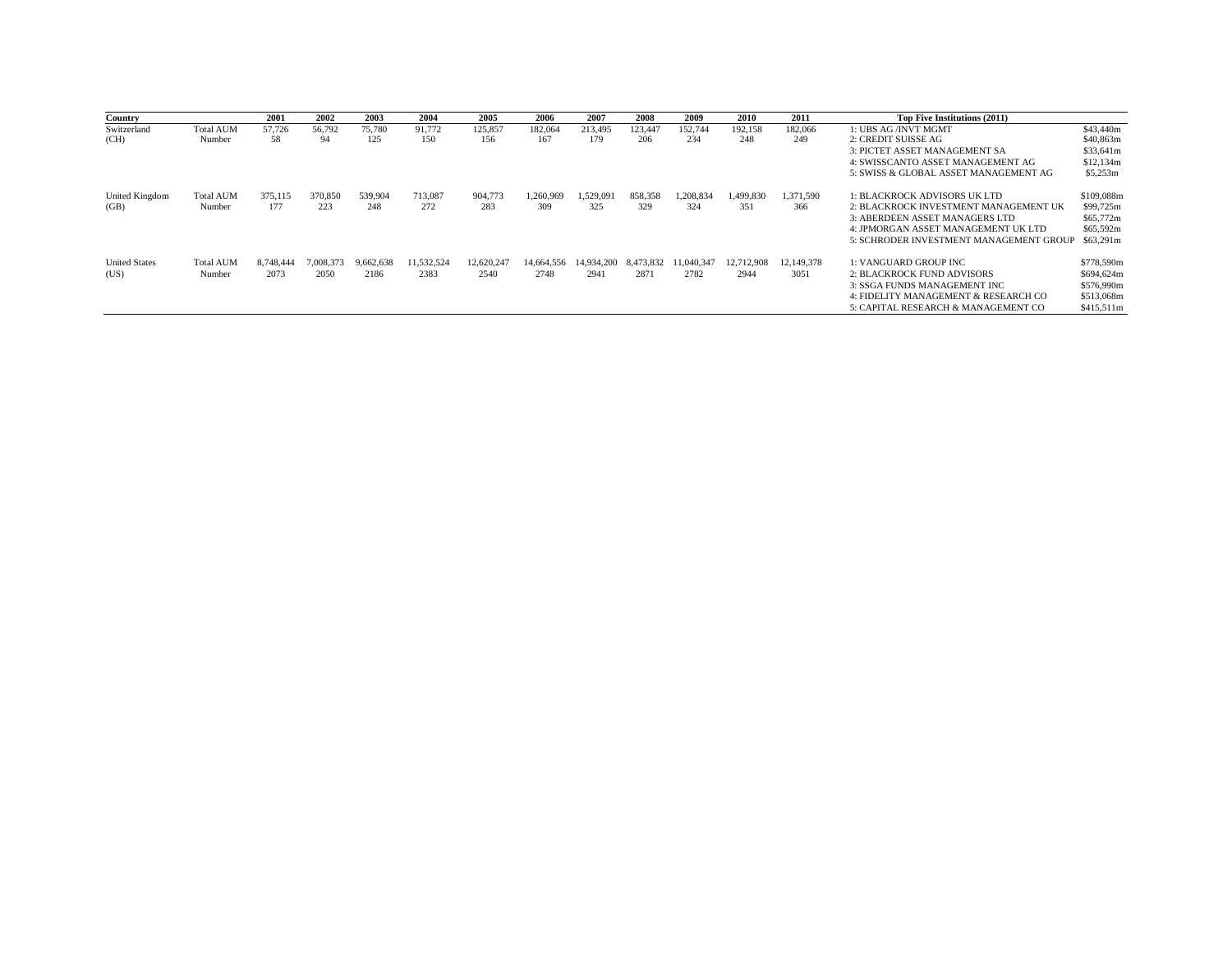| Country              |                  | 2001      | 2002      | 2003      | 2004       | 2005       | 2006       | 2007       | 2008      | 2009       | 2010       | 2011       | Top Five Institutions (2011)            |            |
|----------------------|------------------|-----------|-----------|-----------|------------|------------|------------|------------|-----------|------------|------------|------------|-----------------------------------------|------------|
| Switzerland          | <b>Total AUM</b> | 57,726    | 56,792    | 75,780    | 91,772     | 125,857    | 182,064    | 213,495    | 123,447   | 152,744    | 192,158    | 182,066    | 1: UBS AG /INVT MGMT                    | \$43,440m  |
| (CH)                 | Number           | 58        | 94        | 125       | 150        | 156        | 167        | 179        | 206       | 234        | 248        | 249        | 2: CREDIT SUISSE AG                     | \$40,863m  |
|                      |                  |           |           |           |            |            |            |            |           |            |            |            | 3: PICTET ASSET MANAGEMENT SA           | \$33.641m  |
|                      |                  |           |           |           |            |            |            |            |           |            |            |            | 4: SWISSCANTO ASSET MANAGEMENT AG       | \$12,134m  |
|                      |                  |           |           |           |            |            |            |            |           |            |            |            | 5: SWISS & GLOBAL ASSET MANAGEMENT AG   | \$5,253m   |
| United Kingdom       | <b>Total AUM</b> | 375,115   | 370,850   | 539,904   | 713,087    | 904,773    | 1.260.969  | 1.529.091  | 858,358   | 1.208.834  | 1.499.830  | 1,371,590  | 1: BLACKROCK ADVISORS UK LTD            | \$109,088m |
| (GB)                 | Number           | 177       | 223       | 248       | 272        | 283        | 309        | 325        | 329       | 324        | 351        | 366        | 2: BLACKROCK INVESTMENT MANAGEMENT UK   | \$99,725m  |
|                      |                  |           |           |           |            |            |            |            |           |            |            |            | 3: ABERDEEN ASSET MANAGERS LTD          | \$65,772m  |
|                      |                  |           |           |           |            |            |            |            |           |            |            |            | 4: JPMORGAN ASSET MANAGEMENT UK LTD     | \$65,592m  |
|                      |                  |           |           |           |            |            |            |            |           |            |            |            | 5: SCHRODER INVESTMENT MANAGEMENT GROUP | \$63.291m  |
| <b>United States</b> | <b>Total AUM</b> | 8,748,444 | 7,008,373 | 9,662,638 | 11,532,524 | 12,620,247 | 14,664,556 | 14.934.200 | 8,473,832 | 11.040.347 | 12,712,908 | 12.149.378 | 1: VANGUARD GROUP INC                   | \$778,590m |
| (US)                 | Number           | 2073      | 2050      | 2186      | 2383       | 2540       | 2748       | 2941       | 2871      | 2782       | 2944       | 3051       | <b>2: BLACKROCK FUND ADVISORS</b>       | \$694,624m |
|                      |                  |           |           |           |            |            |            |            |           |            |            |            | 3: SSGA FUNDS MANAGEMENT INC.           | \$576,990m |
|                      |                  |           |           |           |            |            |            |            |           |            |            |            | 4: FIDELITY MANAGEMENT & RESEARCH CO    | \$513,068m |
|                      |                  |           |           |           |            |            |            |            |           |            |            |            | 5: CAPITAL RESEARCH & MANAGEMENT CO     | \$415,511m |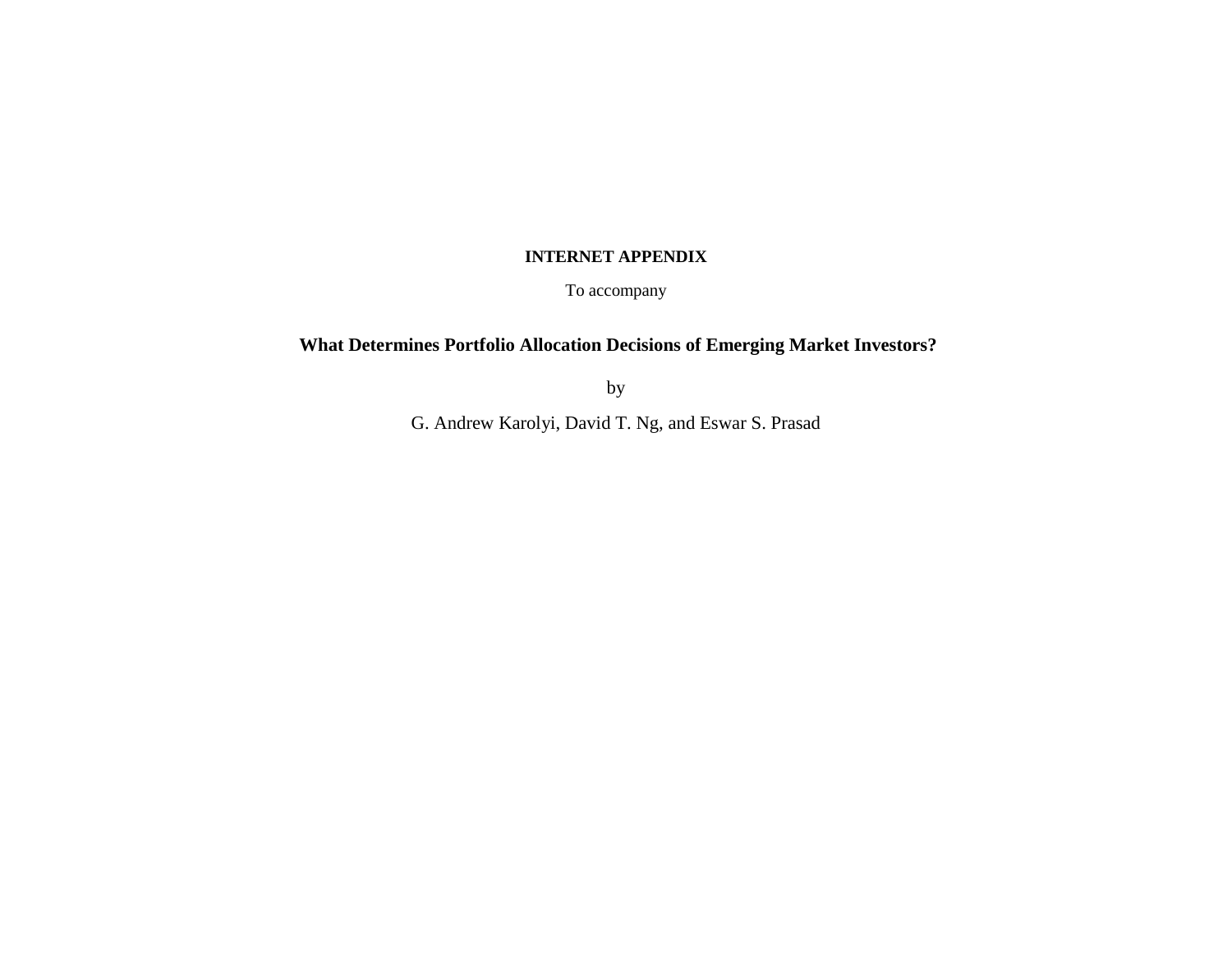# **INTERNET APPENDIX**

To accompany

# **What Determines Portfolio Allocation Decisions of Emerging Market Investors?**

by

G. Andrew Karolyi, David T. Ng, and Eswar S. Prasad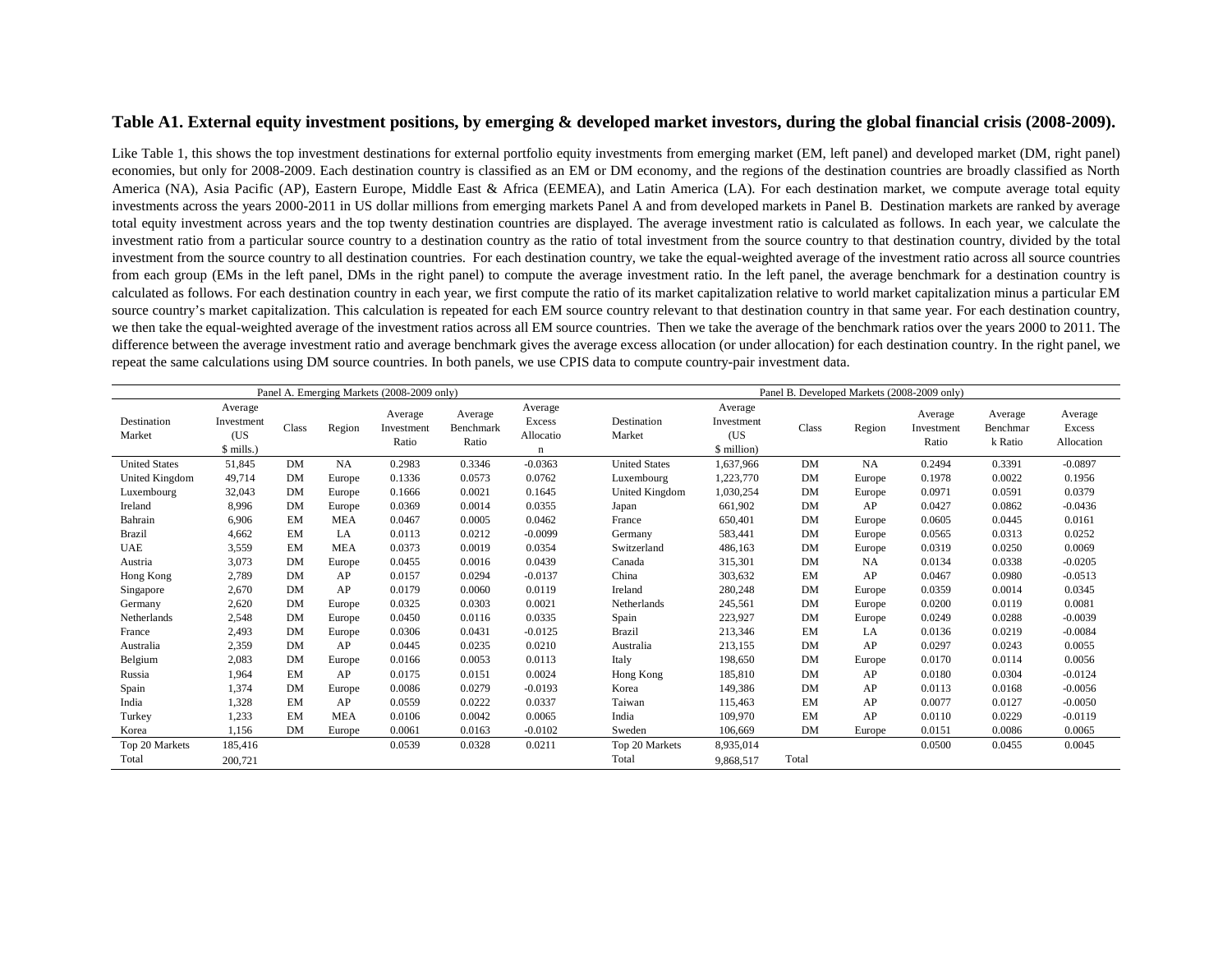## **Table A1. External equity investment positions, by emerging & developed market investors, during the global financial crisis (2008-2009).**

Like Table 1, this shows the top investment destinations for external portfolio equity investments from emerging market (EM, left panel) and developed market (DM, right panel) economies, but only for 2008-2009. Each destination country is classified as an EM or DM economy, and the regions of the destination countries are broadly classified as North America (NA), Asia Pacific (AP), Eastern Europe, Middle East & Africa (EEMEA), and Latin America (LA). For each destination market, we compute average total equity investments across the years 2000-2011 in US dollar millions from emerging markets Panel A and from developed markets in Panel B. Destination markets are ranked by average total equity investment across years and the top twenty destination countries are displayed. The average investment ratio is calculated as follows. In each year, we calculate the investment ratio from a particular source country to a destination country as the ratio of total investment from the source country to that destination country, divided by the total investment from the source country to all destination countries. For each destination country, we take the equal-weighted average of the investment ratio across all source countries from each group (EMs in the left panel, DMs in the right panel) to compute the average investment ratio. In the left panel, the average benchmark for a destination country is calculated as follows. For each destination country in each year, we first compute the ratio of its market capitalization relative to world market capitalization minus a particular EM source country's market capitalization. This calculation is repeated for each EM source country relevant to that destination country in that same year. For each destination country, we then take the equal-weighted average of the investment ratios across all EM source countries. Then we take the average of the benchmark ratios over the years 2000 to 2011. The difference between the average investment ratio and average benchmark gives the average excess allocation (or under allocation) for each destination country. In the right panel, we repeat the same calculations using DM source countries. In both panels, we use CPIS data to compute country-pair investment data.

| Panel A. Emerging Markets (2008-2009 only) |                                            |           |            |                                |                               |                                               |                       | Panel B. Developed Markets (2008-2009 only) |           |           |                                |                                |                                 |  |
|--------------------------------------------|--------------------------------------------|-----------|------------|--------------------------------|-------------------------------|-----------------------------------------------|-----------------------|---------------------------------------------|-----------|-----------|--------------------------------|--------------------------------|---------------------------------|--|
| Destination<br>Market                      | Average<br>Investment<br>(US)<br>\$ mills. | Class     | Region     | Average<br>Investment<br>Ratio | Average<br>Benchmark<br>Ratio | Average<br>Excess<br>Allocatio<br>$\mathbf n$ | Destination<br>Market | Average<br>Investment<br>(US<br>\$ million  | Class     | Region    | Average<br>Investment<br>Ratio | Average<br>Benchmar<br>k Ratio | Average<br>Excess<br>Allocation |  |
| <b>United States</b>                       | 51,845                                     | DM        | <b>NA</b>  | 0.2983                         | 0.3346                        | $-0.0363$                                     | <b>United States</b>  | 1,637,966                                   | DM        | NA        | 0.2494                         | 0.3391                         | $-0.0897$                       |  |
| United Kingdom                             | 49,714                                     | DM        | Europe     | 0.1336                         | 0.0573                        | 0.0762                                        | Luxembourg            | 1,223,770                                   | <b>DM</b> | Europe    | 0.1978                         | 0.0022                         | 0.1956                          |  |
| Luxembourg                                 | 32,043                                     | DM        | Europe     | 0.1666                         | 0.0021                        | 0.1645                                        | United Kingdom        | 1,030,254                                   | DM        | Europe    | 0.0971                         | 0.0591                         | 0.0379                          |  |
| Ireland                                    | 8,996                                      | DM        | Europe     | 0.0369                         | 0.0014                        | 0.0355                                        | Japan                 | 661,902                                     | DM        | AP        | 0.0427                         | 0.0862                         | $-0.0436$                       |  |
| Bahrain                                    | 6,906                                      | EM        | <b>MEA</b> | 0.0467                         | 0.0005                        | 0.0462                                        | France                | 650,401                                     | DM        | Europe    | 0.0605                         | 0.0445                         | 0.0161                          |  |
| <b>Brazil</b>                              | 4,662                                      | EM        | LA         | 0.0113                         | 0.0212                        | $-0.0099$                                     | Germany               | 583,441                                     | DM        | Europe    | 0.0565                         | 0.0313                         | 0.0252                          |  |
| <b>UAE</b>                                 | 3,559                                      | EM        | <b>MEA</b> | 0.0373                         | 0.0019                        | 0.0354                                        | Switzerland           | 486,163                                     | <b>DM</b> | Europe    | 0.0319                         | 0.0250                         | 0.0069                          |  |
| Austria                                    | 3,073                                      | DM        | Europe     | 0.0455                         | 0.0016                        | 0.0439                                        | Canada                | 315,301                                     | DM        | <b>NA</b> | 0.0134                         | 0.0338                         | $-0.0205$                       |  |
| Hong Kong                                  | 2,789                                      | DM        | AP         | 0.0157                         | 0.0294                        | $-0.0137$                                     | China                 | 303,632                                     | EM        | AP        | 0.0467                         | 0.0980                         | $-0.0513$                       |  |
| Singapore                                  | 2,670                                      | <b>DM</b> | AP         | 0.0179                         | 0.0060                        | 0.0119                                        | Ireland               | 280,248                                     | <b>DM</b> | Europe    | 0.0359                         | 0.0014                         | 0.0345                          |  |
| Germany                                    | 2,620                                      | DM        | Europe     | 0.0325                         | 0.0303                        | 0.0021                                        | Netherlands           | 245,561                                     | <b>DM</b> | Europe    | 0.0200                         | 0.0119                         | 0.0081                          |  |
| Netherlands                                | 2,548                                      | DM        | Europe     | 0.0450                         | 0.0116                        | 0.0335                                        | Spain                 | 223,927                                     | DM        | Europe    | 0.0249                         | 0.0288                         | $-0.0039$                       |  |
| France                                     | 2,493                                      | DM        | Europe     | 0.0306                         | 0.0431                        | $-0.0125$                                     | <b>Brazil</b>         | 213,346                                     | EM        | LA        | 0.0136                         | 0.0219                         | $-0.0084$                       |  |
| Australia                                  | 2,359                                      | DM        | AP         | 0.0445                         | 0.0235                        | 0.0210                                        | Australia             | 213,155                                     | <b>DM</b> | AP        | 0.0297                         | 0.0243                         | 0.0055                          |  |
| Belgium                                    | 2,083                                      | DM        | Europe     | 0.0166                         | 0.0053                        | 0.0113                                        | Italy                 | 198,650                                     | DM        | Europe    | 0.0170                         | 0.0114                         | 0.0056                          |  |
| Russia                                     | 1,964                                      | EM        | AP         | 0.0175                         | 0.0151                        | 0.0024                                        | Hong Kong             | 185,810                                     | DM        | AP        | 0.0180                         | 0.0304                         | $-0.0124$                       |  |
| Spain                                      | 1,374                                      | DM        | Europe     | 0.0086                         | 0.0279                        | $-0.0193$                                     | Korea                 | 149,386                                     | DM        | AP        | 0.0113                         | 0.0168                         | $-0.0056$                       |  |
| India                                      | 1,328                                      | EM        | AP         | 0.0559                         | 0.0222                        | 0.0337                                        | Taiwan                | 115.463                                     | EM        | AP        | 0.0077                         | 0.0127                         | $-0.0050$                       |  |
| Turkey                                     | 1,233                                      | EM        | <b>MEA</b> | 0.0106                         | 0.0042                        | 0.0065                                        | India                 | 109,970                                     | EM        | AP        | 0.0110                         | 0.0229                         | $-0.0119$                       |  |
| Korea                                      | 1,156                                      | DM        | Europe     | 0.0061                         | 0.0163                        | $-0.0102$                                     | Sweden                | 106,669                                     | <b>DM</b> | Europe    | 0.0151                         | 0.0086                         | 0.0065                          |  |
| Top 20 Markets                             | 185,416                                    |           |            | 0.0539                         | 0.0328                        | 0.0211                                        | Top 20 Markets        | 8,935,014                                   |           |           | 0.0500                         | 0.0455                         | 0.0045                          |  |
| Total                                      | 200,721                                    |           |            |                                |                               |                                               | Total                 | 9,868,517                                   | Total     |           |                                |                                |                                 |  |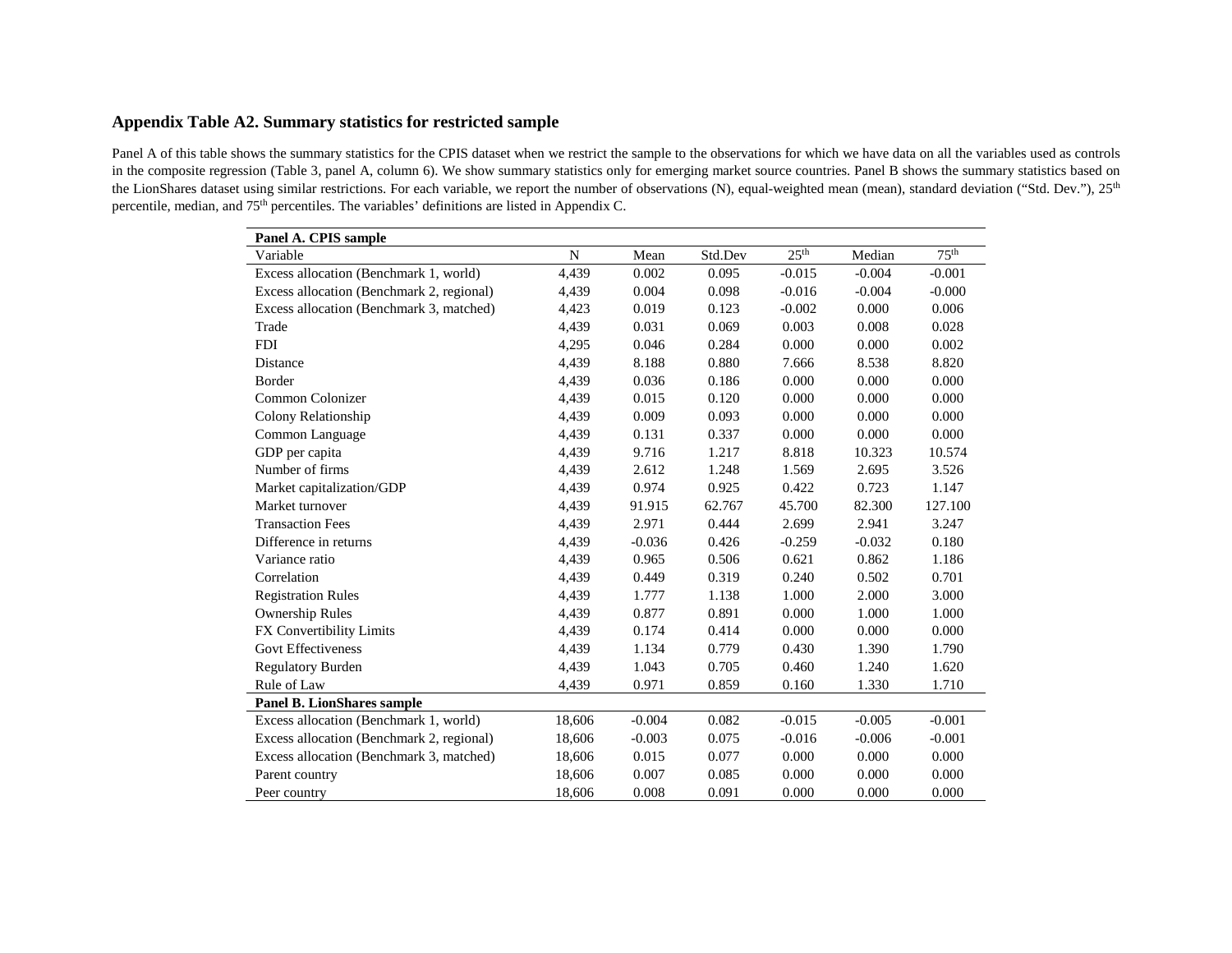# **Appendix Table A2. Summary statistics for restricted sample**

Panel A of this table shows the summary statistics for the CPIS dataset when we restrict the sample to the observations for which we have data on all the variables used as controls in the composite regression (Table 3, panel A, column 6). We show summary statistics only for emerging market source countries. Panel B shows the summary statistics based on the LionShares dataset using similar restrictions. For each variable, we report the number of observations (N), equal-weighted mean (mean), standard deviation ("Std. Dev."), 25<sup>th</sup> percentile, median, and 75th percentiles. The variables' definitions are listed in Appendix C.

| Panel A. CPIS sample                      |             |          |         |                  |          |                  |
|-------------------------------------------|-------------|----------|---------|------------------|----------|------------------|
| Variable                                  | $\mathbf N$ | Mean     | Std.Dev | 25 <sup>th</sup> | Median   | 75 <sup>th</sup> |
| Excess allocation (Benchmark 1, world)    | 4,439       | 0.002    | 0.095   | $-0.015$         | $-0.004$ | $-0.001$         |
| Excess allocation (Benchmark 2, regional) | 4,439       | 0.004    | 0.098   | $-0.016$         | $-0.004$ | $-0.000$         |
| Excess allocation (Benchmark 3, matched)  | 4,423       | 0.019    | 0.123   | $-0.002$         | 0.000    | 0.006            |
| Trade                                     | 4,439       | 0.031    | 0.069   | 0.003            | 0.008    | 0.028            |
| <b>FDI</b>                                | 4,295       | 0.046    | 0.284   | 0.000            | 0.000    | 0.002            |
| Distance                                  | 4,439       | 8.188    | 0.880   | 7.666            | 8.538    | 8.820            |
| Border                                    | 4,439       | 0.036    | 0.186   | 0.000            | 0.000    | 0.000            |
| Common Colonizer                          | 4,439       | 0.015    | 0.120   | 0.000            | 0.000    | 0.000            |
| Colony Relationship                       | 4,439       | 0.009    | 0.093   | 0.000            | 0.000    | 0.000            |
| Common Language                           | 4,439       | 0.131    | 0.337   | 0.000            | 0.000    | 0.000            |
| GDP per capita                            | 4,439       | 9.716    | 1.217   | 8.818            | 10.323   | 10.574           |
| Number of firms                           | 4,439       | 2.612    | 1.248   | 1.569            | 2.695    | 3.526            |
| Market capitalization/GDP                 | 4,439       | 0.974    | 0.925   | 0.422            | 0.723    | 1.147            |
| Market turnover                           | 4,439       | 91.915   | 62.767  | 45.700           | 82.300   | 127.100          |
| <b>Transaction Fees</b>                   | 4,439       | 2.971    | 0.444   | 2.699            | 2.941    | 3.247            |
| Difference in returns                     | 4,439       | $-0.036$ | 0.426   | $-0.259$         | $-0.032$ | 0.180            |
| Variance ratio                            | 4,439       | 0.965    | 0.506   | 0.621            | 0.862    | 1.186            |
| Correlation                               | 4,439       | 0.449    | 0.319   | 0.240            | 0.502    | 0.701            |
| <b>Registration Rules</b>                 | 4,439       | 1.777    | 1.138   | 1.000            | 2.000    | 3.000            |
| <b>Ownership Rules</b>                    | 4,439       | 0.877    | 0.891   | 0.000            | 1.000    | 1.000            |
| FX Convertibility Limits                  | 4,439       | 0.174    | 0.414   | 0.000            | 0.000    | 0.000            |
| <b>Govt Effectiveness</b>                 | 4,439       | 1.134    | 0.779   | 0.430            | 1.390    | 1.790            |
| <b>Regulatory Burden</b>                  | 4,439       | 1.043    | 0.705   | 0.460            | 1.240    | 1.620            |
| Rule of Law                               | 4,439       | 0.971    | 0.859   | 0.160            | 1.330    | 1.710            |
| <b>Panel B. LionShares sample</b>         |             |          |         |                  |          |                  |
| Excess allocation (Benchmark 1, world)    | 18,606      | $-0.004$ | 0.082   | $-0.015$         | $-0.005$ | $-0.001$         |
| Excess allocation (Benchmark 2, regional) | 18,606      | $-0.003$ | 0.075   | $-0.016$         | $-0.006$ | $-0.001$         |
| Excess allocation (Benchmark 3, matched)  | 18,606      | 0.015    | 0.077   | 0.000            | 0.000    | 0.000            |
| Parent country                            | 18,606      | 0.007    | 0.085   | 0.000            | 0.000    | 0.000            |
| Peer country                              | 18,606      | 0.008    | 0.091   | 0.000            | 0.000    | 0.000            |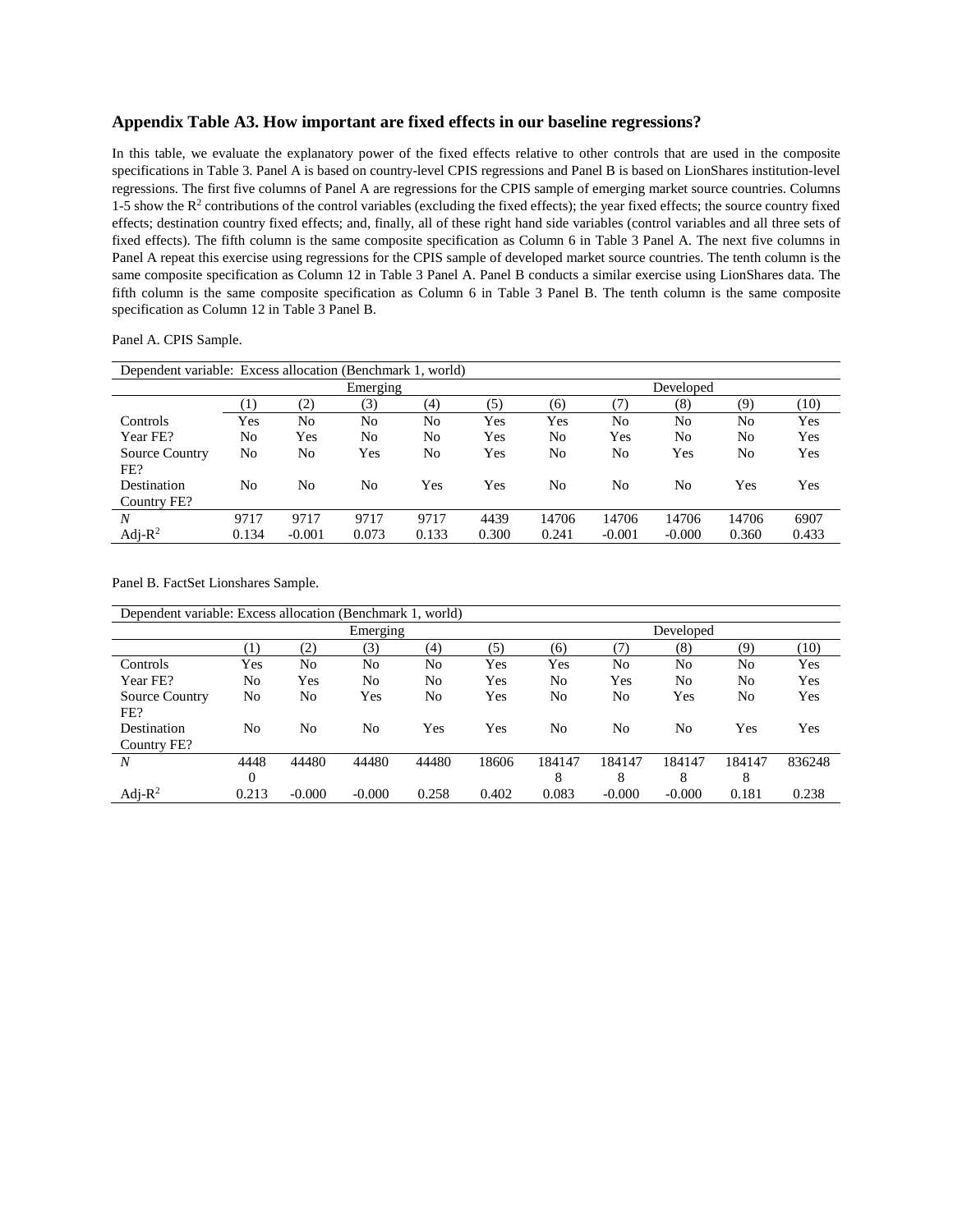#### **Appendix Table A3. How important are fixed effects in our baseline regressions?**

In this table, we evaluate the explanatory power of the fixed effects relative to other controls that are used in the composite specifications in Table 3. Panel A is based on country-level CPIS regressions and Panel B is based on LionShares institution-level regressions. The first five columns of Panel A are regressions for the CPIS sample of emerging market source countries. Columns 1-5 show the  $R^2$  contributions of the control variables (excluding the fixed effects); the year fixed effects; the source country fixed effects; destination country fixed effects; and, finally, all of these right hand side variables (control variables and all three sets of fixed effects). The fifth column is the same composite specification as Column 6 in Table 3 Panel A. The next five columns in Panel A repeat this exercise using regressions for the CPIS sample of developed market source countries. The tenth column is the same composite specification as Column 12 in Table 3 Panel A. Panel B conducts a similar exercise using LionShares data. The fifth column is the same composite specification as Column 6 in Table 3 Panel B. The tenth column is the same composite specification as Column 12 in Table 3 Panel B.

Panel A. CPIS Sample.

| Dependent variable: Excess allocation (Benchmark 1, world) |          |                |          |           |       |       |          |          |       |       |  |  |  |
|------------------------------------------------------------|----------|----------------|----------|-----------|-------|-------|----------|----------|-------|-------|--|--|--|
|                                                            |          |                | Emerging | Developed |       |       |          |          |       |       |  |  |  |
|                                                            | $_{(1)}$ | (2)            | (3)      | (4)       | (5)   | (6)   | (7)      | (8)      | (9)   | (10)  |  |  |  |
| Controls                                                   | Yes      | N <sub>0</sub> | No       | No        | Yes   | Yes   | No       | No       | No    | Yes   |  |  |  |
| Year FE?                                                   | No       | Yes            | No       | No        | Yes   | No    | Yes      | No       | No    | Yes   |  |  |  |
| <b>Source Country</b>                                      | No       | No             | Yes      | No        | Yes   | No    | No       | Yes      | No    | Yes   |  |  |  |
| FE?                                                        |          |                |          |           |       |       |          |          |       |       |  |  |  |
| Destination                                                | No       | No             | No       | Yes       | Yes   | No    | No       | No       | Yes   | Yes   |  |  |  |
| Country FE?                                                |          |                |          |           |       |       |          |          |       |       |  |  |  |
| N                                                          | 9717     | 9717           | 9717     | 9717      | 4439  | 14706 | 14706    | 14706    | 14706 | 6907  |  |  |  |
| Adj- $R^2$                                                 | 0.134    | $-0.001$       | 0.073    | 0.133     | 0.300 | 0.241 | $-0.001$ | $-0.000$ | 0.360 | 0.433 |  |  |  |

Panel B. FactSet Lionshares Sample.

|                       | Dependent variable: Excess allocation (Benchmark 1, world) |                     |          |       |       |           |          |          |        |        |  |  |  |  |
|-----------------------|------------------------------------------------------------|---------------------|----------|-------|-------|-----------|----------|----------|--------|--------|--|--|--|--|
|                       |                                                            |                     | Emerging |       |       | Developed |          |          |        |        |  |  |  |  |
|                       | $\left( 1\right)$                                          | $\scriptstyle{(2)}$ | (3)      | (4)   | (5)   | (6)       | 7)       | (8)      | (9)    | (10)   |  |  |  |  |
| Controls              | Yes                                                        | No                  | No       | No    | Yes   | Yes       | No       | No       | No     | Yes    |  |  |  |  |
| Year FE?              | No                                                         | Yes                 | No       | No    | Yes   | No        | Yes      | No       | No     | Yes    |  |  |  |  |
| <b>Source Country</b> | No                                                         | No                  | Yes      | No    | Yes   | No        | No       | Yes      | No     | Yes    |  |  |  |  |
| FE?                   |                                                            |                     |          |       |       |           |          |          |        |        |  |  |  |  |
| Destination           | No                                                         | No                  | No       | Yes   | Yes   | No        | No       | No       | Yes    | Yes    |  |  |  |  |
| Country FE?           |                                                            |                     |          |       |       |           |          |          |        |        |  |  |  |  |
| N                     | 4448                                                       | 44480               | 44480    | 44480 | 18606 | 184147    | 184147   | 184147   | 184147 | 836248 |  |  |  |  |
|                       | $\boldsymbol{0}$                                           |                     |          |       |       | 8         | 8        | 8        | 8      |        |  |  |  |  |
| Adj- $R^2$            | 0.213                                                      | $-0.000$            | $-0.000$ | 0.258 | 0.402 | 0.083     | $-0.000$ | $-0.000$ | 0.181  | 0.238  |  |  |  |  |